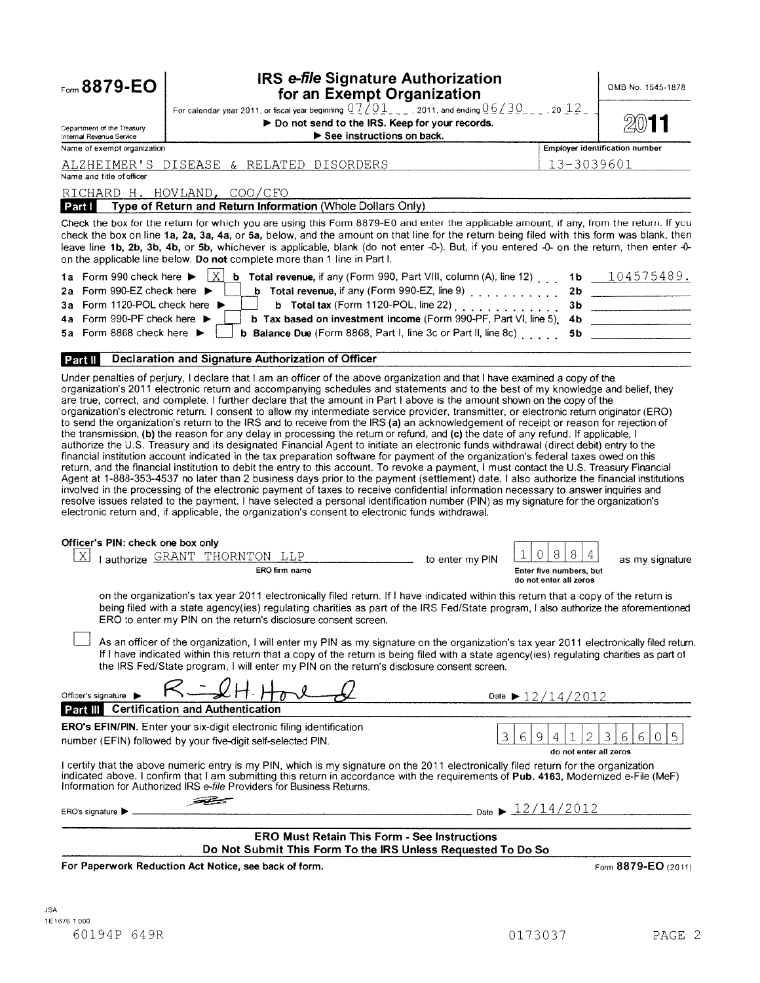| Form 8879-EO                                                                | <b>IRS e-file Signature Authorization</b><br>for an Exempt Organization                                                                                                                                                                                                                                                                                                                                                                                                                                                                                                                                                                                                                                                                                                                                                                                                                                                                                                                                                                                                                                                                                                                                                                                                                                                                                                                 |                                                                  | OMB No. 1545-1878                     |
|-----------------------------------------------------------------------------|-----------------------------------------------------------------------------------------------------------------------------------------------------------------------------------------------------------------------------------------------------------------------------------------------------------------------------------------------------------------------------------------------------------------------------------------------------------------------------------------------------------------------------------------------------------------------------------------------------------------------------------------------------------------------------------------------------------------------------------------------------------------------------------------------------------------------------------------------------------------------------------------------------------------------------------------------------------------------------------------------------------------------------------------------------------------------------------------------------------------------------------------------------------------------------------------------------------------------------------------------------------------------------------------------------------------------------------------------------------------------------------------|------------------------------------------------------------------|---------------------------------------|
| Department of the Treasury<br>Internal Revenue Service                      | For calendar year 2011, or fiscal year beginning $0.7201$ , 2011, and ending $0.6230$ , 2012, 2014<br>Do not send to the IRS. Keep for your records.<br>See instructions on back.                                                                                                                                                                                                                                                                                                                                                                                                                                                                                                                                                                                                                                                                                                                                                                                                                                                                                                                                                                                                                                                                                                                                                                                                       |                                                                  |                                       |
| Name of exempt organization                                                 |                                                                                                                                                                                                                                                                                                                                                                                                                                                                                                                                                                                                                                                                                                                                                                                                                                                                                                                                                                                                                                                                                                                                                                                                                                                                                                                                                                                         |                                                                  | <b>Employer identification number</b> |
| Name and title of officer                                                   | ALZHEIMER'S DISEASE & RELATED DISORDERS                                                                                                                                                                                                                                                                                                                                                                                                                                                                                                                                                                                                                                                                                                                                                                                                                                                                                                                                                                                                                                                                                                                                                                                                                                                                                                                                                 | 13-3039601                                                       |                                       |
|                                                                             | RICHARD H. HOVLAND, COO/CFO                                                                                                                                                                                                                                                                                                                                                                                                                                                                                                                                                                                                                                                                                                                                                                                                                                                                                                                                                                                                                                                                                                                                                                                                                                                                                                                                                             |                                                                  |                                       |
|                                                                             | <b>Part I</b> Type of Return and Return Information (Whole Dollars Only)                                                                                                                                                                                                                                                                                                                                                                                                                                                                                                                                                                                                                                                                                                                                                                                                                                                                                                                                                                                                                                                                                                                                                                                                                                                                                                                |                                                                  |                                       |
|                                                                             | Check the box for the return for which you are using this Form 8879-E0 and enter the applicable amount, if any, from the return. If you<br>check the box on line 1a, 2a, 3a, 4a, or 5a, below, and the amount on that line for the return being filed with this form was blank, then<br>leave line 1b, 2b, 3b, 4b, or 5b, whichever is applicable, blank (do not enter -0-). But, if you entered -0- on the return, then enter -0-<br>on the applicable line below. Do not complete more than 1 line in Part I.                                                                                                                                                                                                                                                                                                                                                                                                                                                                                                                                                                                                                                                                                                                                                                                                                                                                         |                                                                  |                                       |
| 1a Form 990 check here ▶<br>2a Form 990-EZ check here $\blacktriangleright$ | $\mathbf{X}$<br><b>b</b> Total revenue, if any (Form 990, Part VIII, column (A), line 12)<br><b>b</b> Total revenue, if any (Form 990-EZ, line 9) $\ldots$ ,,,,,,,,,                                                                                                                                                                                                                                                                                                                                                                                                                                                                                                                                                                                                                                                                                                                                                                                                                                                                                                                                                                                                                                                                                                                                                                                                                    | 2 <sub>b</sub>                                                   | 1b $104575489$ .                      |
| 3a Form 1120-POL check here ▶                                               | <b>b</b> Total tax (Form 1120-POL, line 22) $\ldots$                                                                                                                                                                                                                                                                                                                                                                                                                                                                                                                                                                                                                                                                                                                                                                                                                                                                                                                                                                                                                                                                                                                                                                                                                                                                                                                                    | 3b                                                               |                                       |
| Form 990-PF check here $\blacktriangleright$<br>4a                          | b Tax based on investment income (Form 990-PF, Part VI, line 5).                                                                                                                                                                                                                                                                                                                                                                                                                                                                                                                                                                                                                                                                                                                                                                                                                                                                                                                                                                                                                                                                                                                                                                                                                                                                                                                        | 4b                                                               |                                       |
| 5a Form 8868 check here $\blacktriangleright$                               | <b>b Balance Due</b> (Form 8868, Part I, line 3c or Part II, line 8c)                                                                                                                                                                                                                                                                                                                                                                                                                                                                                                                                                                                                                                                                                                                                                                                                                                                                                                                                                                                                                                                                                                                                                                                                                                                                                                                   | 5b                                                               |                                       |
| <b>Part II</b>                                                              | Declaration and Signature Authorization of Officer                                                                                                                                                                                                                                                                                                                                                                                                                                                                                                                                                                                                                                                                                                                                                                                                                                                                                                                                                                                                                                                                                                                                                                                                                                                                                                                                      |                                                                  |                                       |
|                                                                             | organization's electronic return. I consent to allow my intermediate service provider, transmitter, or electronic return originator (ERO)<br>to send the organization's return to the IRS and to receive from the IRS (a) an acknowledgement of receipt or reason for rejection of<br>the transmission, (b) the reason for any delay in processing the return or refund, and (c) the date of any refund. If applicable, I<br>authorize the U.S. Treasury and its designated Financial Agent to initiate an electronic funds withdrawal (direct debit) entry to the<br>financial institution account indicated in the tax preparation software for payment of the organization's federal taxes owed on this<br>return, and the financial institution to debit the entry to this account. To revoke a payment, I must contact the U.S. Treasury Financial<br>Agent at 1-888-353-4537 no later than 2 business days prior to the payment (settlement) date. I also authorize the financial institutions<br>involved in the processing of the electronic payment of taxes to receive confidential information necessary to answer inquiries and<br>resolve issues related to the payment. I have selected a personal identification number (PIN) as my signature for the organization's<br>electronic return and, if applicable, the organization's consent to electronic funds withdrawal. |                                                                  |                                       |
| Officer's PIN: check one box only                                           |                                                                                                                                                                                                                                                                                                                                                                                                                                                                                                                                                                                                                                                                                                                                                                                                                                                                                                                                                                                                                                                                                                                                                                                                                                                                                                                                                                                         |                                                                  |                                       |
| X                                                                           | I authorize GRANT THORNTON LLP<br>to enter my PIN<br>ERO firm name                                                                                                                                                                                                                                                                                                                                                                                                                                                                                                                                                                                                                                                                                                                                                                                                                                                                                                                                                                                                                                                                                                                                                                                                                                                                                                                      | 8<br>8<br>0<br>Enter five numbers, but<br>do not enter all zeros | as my signature                       |
|                                                                             | on the organization's tax year 2011 electronically filed return. If I have indicated within this return that a copy of the return is<br>being filed with a state agency(ies) regulating charities as part of the IRS Fed/State program, I also authorize the aforementioned<br>ERO to enter my PIN on the return's disclosure consent screen.                                                                                                                                                                                                                                                                                                                                                                                                                                                                                                                                                                                                                                                                                                                                                                                                                                                                                                                                                                                                                                           |                                                                  |                                       |
|                                                                             | As an officer of the organization, I will enter my PIN as my signature on the organization's tax year 2011 electronically filed return.<br>If I have indicated within this return that a copy of the return is being filed with a state agency(ies) regulating charities as part of<br>the IRS Fed/State program, I will enter my PIN on the return's disclosure consent screen.                                                                                                                                                                                                                                                                                                                                                                                                                                                                                                                                                                                                                                                                                                                                                                                                                                                                                                                                                                                                        |                                                                  |                                       |
| Officer's signature                                                         |                                                                                                                                                                                                                                                                                                                                                                                                                                                                                                                                                                                                                                                                                                                                                                                                                                                                                                                                                                                                                                                                                                                                                                                                                                                                                                                                                                                         | Date $\blacktriangleright$ 12/14/2012                            |                                       |
|                                                                             | <b>Part III</b> Certification and Authentication                                                                                                                                                                                                                                                                                                                                                                                                                                                                                                                                                                                                                                                                                                                                                                                                                                                                                                                                                                                                                                                                                                                                                                                                                                                                                                                                        |                                                                  |                                       |
|                                                                             | ERO's EFIN/PIN. Enter your six-digit electronic filing identification<br>3<br>number (EFIN) followed by your five-digit self-selected PIN.                                                                                                                                                                                                                                                                                                                                                                                                                                                                                                                                                                                                                                                                                                                                                                                                                                                                                                                                                                                                                                                                                                                                                                                                                                              | 2<br>9<br>4<br>6<br>do not enter all zeros                       | 5<br>3<br>6<br>6<br>0                 |
|                                                                             | I certify that the above numeric entry is my PIN, which is my signature on the 2011 electronically filed return for the organization<br>indicated above. I confirm that I am submitting this return in accordance with the requirements of Pub. 4163, Modernized e-File (MeF)<br>Information for Authorized IRS e-file Providers for Business Returns.<br>72                                                                                                                                                                                                                                                                                                                                                                                                                                                                                                                                                                                                                                                                                                                                                                                                                                                                                                                                                                                                                            |                                                                  |                                       |
| ERO's signature                                                             | Date $\triangleright$ 12/14/2012                                                                                                                                                                                                                                                                                                                                                                                                                                                                                                                                                                                                                                                                                                                                                                                                                                                                                                                                                                                                                                                                                                                                                                                                                                                                                                                                                        |                                                                  |                                       |
|                                                                             | <b>ERO Must Retain This Form - See Instructions</b><br>Do Not Submit This Form To the IRS Unless Requested To Do So                                                                                                                                                                                                                                                                                                                                                                                                                                                                                                                                                                                                                                                                                                                                                                                                                                                                                                                                                                                                                                                                                                                                                                                                                                                                     |                                                                  |                                       |
|                                                                             | For Paperwork Reduction Act Notice, see back of form.                                                                                                                                                                                                                                                                                                                                                                                                                                                                                                                                                                                                                                                                                                                                                                                                                                                                                                                                                                                                                                                                                                                                                                                                                                                                                                                                   |                                                                  | Form 8879-EO (2011)                   |
|                                                                             |                                                                                                                                                                                                                                                                                                                                                                                                                                                                                                                                                                                                                                                                                                                                                                                                                                                                                                                                                                                                                                                                                                                                                                                                                                                                                                                                                                                         |                                                                  |                                       |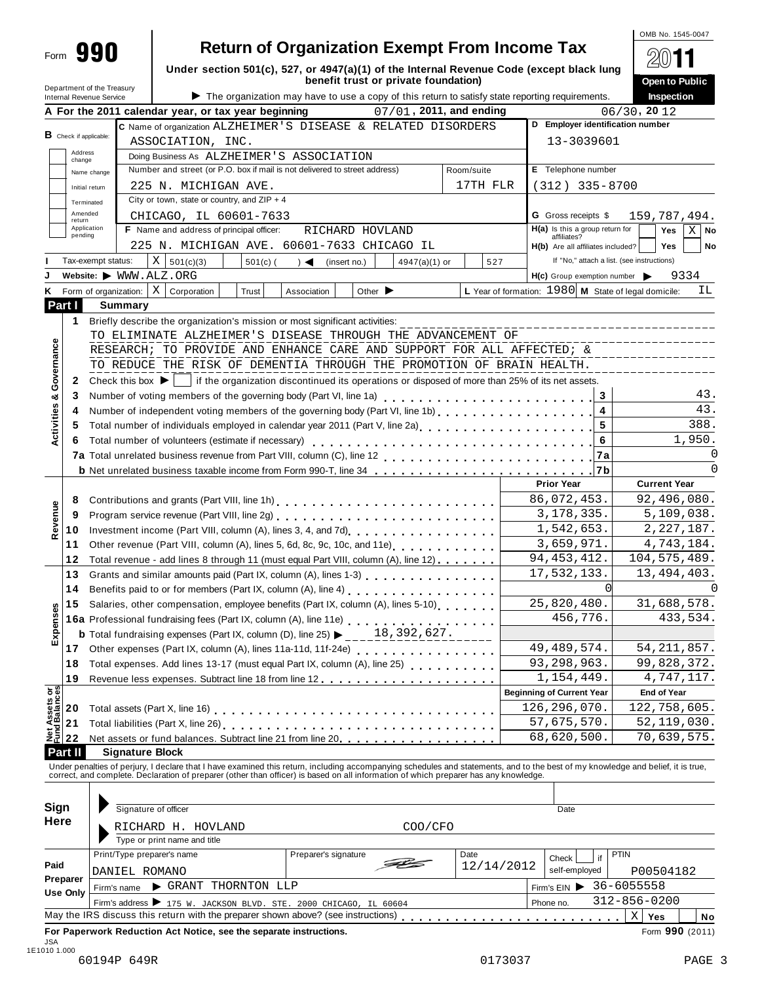| Department of the Treasury    |                                                                                                                                                                                    |            |                                | benefit trust or private foundation) |            |            | Under section 501(c), 527, or 4947(a)(1) of the Internal Revenue Code (except black lung        | Open to Public                             |
|-------------------------------|------------------------------------------------------------------------------------------------------------------------------------------------------------------------------------|------------|--------------------------------|--------------------------------------|------------|------------|-------------------------------------------------------------------------------------------------|--------------------------------------------|
| Internal Revenue Service      | A For the 2011 calendar year, or tax year beginning                                                                                                                                |            |                                | 07/01, 2011, and ending              |            |            | The organization may have to use a copy of this return to satisfy state reporting requirements. | Inspection<br>06/30, 2012                  |
|                               | C Name of organization ALZHEIMER'S DISEASE & RELATED DISORDERS                                                                                                                     |            |                                |                                      |            |            | D Employer identification number                                                                |                                            |
| <b>B</b> Check if applicable: | ASSOCIATION, INC.                                                                                                                                                                  |            |                                |                                      |            |            | 13-3039601                                                                                      |                                            |
| Address<br>change             | Doing Business As ALZHEIMER'S ASSOCIATION                                                                                                                                          |            |                                |                                      |            |            |                                                                                                 |                                            |
| Name change                   | Number and street (or P.O. box if mail is not delivered to street address)                                                                                                         |            |                                |                                      | Room/suite |            | E Telephone number                                                                              |                                            |
| Initial return                | 225 N. MICHIGAN AVE.                                                                                                                                                               |            |                                |                                      |            | 17TH FLR   | $(312)$ 335-8700                                                                                |                                            |
| Terminated                    | City or town, state or country, and $ZIP + 4$                                                                                                                                      |            |                                |                                      |            |            |                                                                                                 |                                            |
| Amended<br>return             | CHICAGO, IL 60601-7633                                                                                                                                                             |            |                                |                                      |            |            | <b>G</b> Gross receipts \$                                                                      | 159,787,494.                               |
| Application<br>pending        | F Name and address of principal officer:                                                                                                                                           |            |                                | RICHARD HOVLAND                      |            |            | H(a) Is this a group return for<br>affiliates?                                                  | $\mathbf{X}$<br>Yes<br>No                  |
|                               | 225 N. MICHIGAN AVE. 60601-7633 CHICAGO IL                                                                                                                                         |            |                                |                                      |            |            | H(b) Are all affiliates included?                                                               | Yes<br>No                                  |
| Tax-exempt status:            | X   501(c)(3)                                                                                                                                                                      | $501(c)$ ( | $) \triangleleft$ (insert no.) | $4947(a)(1)$ or                      |            | 527        | If "No," attach a list. (see instructions)                                                      |                                            |
|                               | Website: WWW.ALZ.ORG<br><b>K</b> Form of organization: $X \mid$ Corporation                                                                                                        | Trust      |                                | Other $\blacktriangleright$          |            |            | $H(c)$ Group exemption number<br>L Year of formation: $1980$ M State of legal domicile:         | 9334<br>ΙL                                 |
| Part I                        | <b>Summary</b>                                                                                                                                                                     |            | Association                    |                                      |            |            |                                                                                                 |                                            |
| $\mathbf{1}$                  | Briefly describe the organization's mission or most significant activities:                                                                                                        |            |                                |                                      |            |            |                                                                                                 |                                            |
|                               | TO ELIMINATE ALZHEIMER'S DISEASE THROUGH THE ADVANCEMENT OF                                                                                                                        |            |                                |                                      |            |            |                                                                                                 | ------------------------------             |
|                               | RESEARCH; TO PROVIDE AND ENHANCE CARE AND SUPPORT FOR ALL AFFECTED; &                                                                                                              |            |                                |                                      |            |            |                                                                                                 | _____________________<br>_________________ |
|                               | TO REDUCE THE RISK OF DEMENTIA THROUGH THE PROMOTION OF BRAIN HEALTH.                                                                                                              |            |                                |                                      |            |            |                                                                                                 |                                            |
| 2                             | Check this box $\blacktriangleright$   if the organization discontinued its operations or disposed of more than 25% of its net assets.                                             |            |                                |                                      |            |            |                                                                                                 |                                            |
| 3                             | Number of voting members of the governing body (Part VI, line 1a)                                                                                                                  |            |                                |                                      |            |            | $\mathbf{3}$                                                                                    | 43.                                        |
| 4                             |                                                                                                                                                                                    |            |                                |                                      |            |            | $\overline{\mathbf{4}}$                                                                         | 43.                                        |
| 5                             |                                                                                                                                                                                    |            |                                |                                      |            |            | $5\phantom{.0}$                                                                                 | 388.                                       |
|                               |                                                                                                                                                                                    |            |                                |                                      |            |            | $\bf 6$                                                                                         | 1,950.                                     |
|                               |                                                                                                                                                                                    |            |                                |                                      |            |            | 7a                                                                                              | 0                                          |
|                               |                                                                                                                                                                                    |            |                                |                                      |            |            |                                                                                                 | $\Omega$                                   |
|                               |                                                                                                                                                                                    |            |                                |                                      |            |            | <b>Prior Year</b>                                                                               | <b>Current Year</b>                        |
| 8                             | Contributions and grants (Part VIII, line 1h)                                                                                                                                      |            |                                |                                      |            |            | 86,072,453.<br>3, 178, 335.                                                                     | 92,496,080.<br>5,109,038.                  |
| 9<br>10                       | Program service revenue (Part VIII, line 2g)<br><br>Investment income (Part VIII, column (A), lines 3, 4, and 7d)<br>[2008]                                                        |            |                                |                                      |            |            | 1,542,653.                                                                                      | 2, 227, 187.                               |
| 11                            | Other revenue (Part VIII, column (A), lines 5, 6d, 8c, 9c, 10c, and 11e) contact the revenue (Part VIII, column (A), lines 5, 6d, 8c, 9c, 10c, and 11e)                            |            |                                |                                      |            |            | 3,659,971.                                                                                      | 4,743,184.                                 |
| 12                            | Total revenue - add lines 8 through 11 (must equal Part VIII, column (A), line 12)                                                                                                 |            |                                |                                      |            |            | 94, 453, 412.                                                                                   | 104, 575, 489.                             |
| 13                            |                                                                                                                                                                                    |            |                                |                                      |            |            | 17,532,133.                                                                                     | 13, 494, 403.                              |
|                               | 14 Benefits paid to or for members (Part IX, column (A), line 4)<br>19. marcher 20. marcher 20. marcher 20. marcher 314 Marcher 314 Marcher 314 Marcher 314 Marcher 314 Marcher 31 |            |                                |                                      |            |            | $\overline{0}$                                                                                  |                                            |
| 15                            | Salaries, other compensation, employee benefits (Part IX, column (A), lines 5-10)                                                                                                  |            |                                |                                      |            |            | 25,820,480.                                                                                     | 31,688,578.                                |
|                               | 16a Professional fundraising fees (Part IX, column (A), line 11e)<br>16a Professional fundraising fees (Part IX, column (A), line 11e)                                             |            |                                |                                      |            |            | 456,776.                                                                                        | 433,534.                                   |
|                               | <b>b</b> Total fundraising expenses (Part IX, column (D), line 25) $\triangleright$ 18, 392, 627.                                                                                  |            |                                |                                      |            |            |                                                                                                 |                                            |
| 17                            | Other expenses (Part IX, column (A), lines 11a-11d, 11f-24e)                                                                                                                       |            |                                |                                      |            |            | 49, 489, 574.                                                                                   | 54, 211, 857.                              |
| 18                            | Total expenses. Add lines 13-17 (must equal Part IX, column (A), line 25)                                                                                                          |            |                                |                                      |            |            | 93,298,963.                                                                                     | 99,828,372.                                |
| 19                            |                                                                                                                                                                                    |            |                                |                                      |            |            | 1,154,449.                                                                                      | 4,747,117.                                 |
| 20                            |                                                                                                                                                                                    |            |                                |                                      |            |            | <b>Beginning of Current Year</b><br>126, 296, 070.                                              | <b>End of Year</b><br>122,758,605.         |
| 21                            |                                                                                                                                                                                    |            |                                |                                      |            |            | 57,675,570.                                                                                     | 52, 119, 030.                              |
| 22                            |                                                                                                                                                                                    |            |                                |                                      |            |            | 68,620,500.                                                                                     | 70,639,575.                                |
| Part II                       | <b>Signature Block</b>                                                                                                                                                             |            |                                |                                      |            |            |                                                                                                 |                                            |
|                               | Under penalties of perjury, I declare that I have examined this return, including accompanying schedules and statements, and to the best of my knowledge and belief, it is true,   |            |                                |                                      |            |            |                                                                                                 |                                            |
|                               | correct, and complete. Declaration of preparer (other than officer) is based on all information of which preparer has any knowledge.                                               |            |                                |                                      |            |            |                                                                                                 |                                            |
|                               |                                                                                                                                                                                    |            |                                |                                      |            |            |                                                                                                 |                                            |
| Sign<br>Here                  | Signature of officer                                                                                                                                                               |            |                                |                                      |            |            | Date                                                                                            |                                            |
|                               | RICHARD H. HOVLAND                                                                                                                                                                 |            |                                |                                      | COO/CFO    |            |                                                                                                 |                                            |
|                               | Type or print name and title                                                                                                                                                       |            |                                |                                      |            |            |                                                                                                 |                                            |
| Paid                          | Print/Type preparer's name                                                                                                                                                         |            | Preparer's signature           |                                      | Date       | 12/14/2012 | Check<br>if                                                                                     | PTIN                                       |
| Preparer                      | DANIEL ROMANO                                                                                                                                                                      |            |                                |                                      |            |            | self-employed                                                                                   | P00504182                                  |
|                               | GRANT THORNTON LLP<br>Firm's name                                                                                                                                                  |            |                                |                                      |            |            | Firm's EIN > 36-6055558                                                                         |                                            |
| <b>Use Only</b>               |                                                                                                                                                                                    |            |                                |                                      |            |            | Phone no.                                                                                       | $312 - 856 - 0200$                         |
|                               | Firm's address > 175 W. JACKSON BLVD. STE. 2000 CHICAGO, IL 60604                                                                                                                  |            |                                |                                      |            |            |                                                                                                 | $\mathbf{X}$<br>Yes<br>No                  |

OMB No. 1545-0047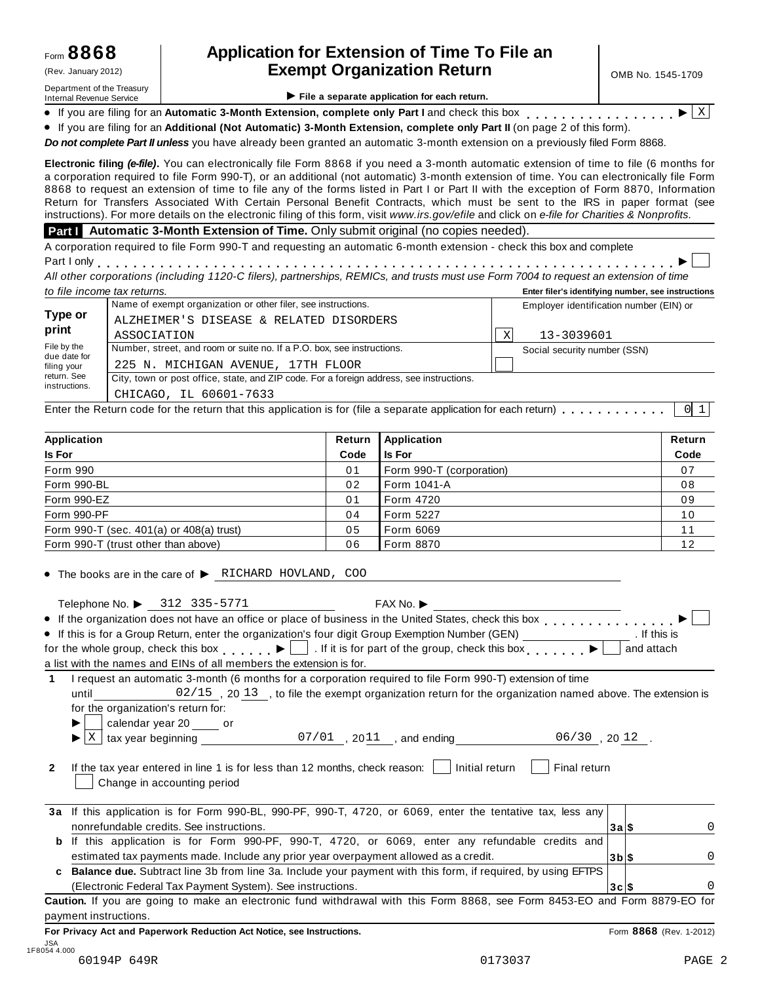Department of the Treasury<br>Internal Revenue Service

### **Application for Extension of Time To File an** (Rev. January 2012) **Exempt Organization Return**  $\begin{array}{|c|c|c|c|c|c|}\n\hline\n\text{R} & \text{OMB No. 1545-1709}\n\hline\n\end{array}$

X

|  |  |  |  | File a separate application for each return. |  |  |  |  |
|--|--|--|--|----------------------------------------------|--|--|--|--|
|--|--|--|--|----------------------------------------------|--|--|--|--|

**Internal Revenue Service**<br>
■ If you are filing for an Automatic 3-Month Extension, complete only Part I and check this<br>
■ If you are filing for an Additional (Not Automatic) 3-Month Extension, complete only Part<br> **Part o** If you are filing for an **Automatic 3-Month Extension, complete only Part I** and check this box <sub>.</sub> If you are filing for an Automatic 3-Month Extension, complete only Part I and check this box<br>If you are filing for an Automatic 3-Month Extension, complete only Part I and check this box<br>If you are filing for an Addition

*Do not complete Part II unless* you have already been granted an automatic 3-month extension on a previously filed Form 8868.

**Electronic filing** *(e-file)***.** You can electronically file Form 8868 if you need a 3-month automatic extension of time to file (6 months for a corporation required to file Form 990-T), or an additional (not automatic) 3-month extension of time. You can electronically file Form 8868 to request an extension of time to file any of the forms listed in Part I or Part II with the exception of Form 8870, Information Return for Transfers Associated With Certain Personal Benefit Contracts, which must be sent to the IRS in paper format (see instructions). For more details on the electronic filing of this form, visit *www.irs.gov/efile* and click on *e-file for Charities & Nonprofits*.

**Part I Automatic 3-Month Extension of Time.** Only submit original (no copies needed).

A corporation required to file Form 990-T and requesting an automatic 6-month extension -check this box and complete Part I only

A corporation required to me Form 990-1 and requesting an automatic o-month extension - crieck this box and complete<br>Part I only<br>All other corporations (including 1120-C filers), partnerships, REMICs, and trusts must use  $\blacktriangleright$   $\Box$ *to file income tax returns.* **Enter filer's identifying number, see instructions**

|                             | Name of exempt organization or other filer, see instructions.                            | Employer identification number (EIN) or |
|-----------------------------|------------------------------------------------------------------------------------------|-----------------------------------------|
| Type or                     | ALZHEIMER'S DISEASE & RELATED DISORDERS                                                  |                                         |
| print                       | ASSOCIATION                                                                              | 13-3039601<br>X                         |
| File by the<br>due date for | Number, street, and room or suite no. If a P.O. box, see instructions.                   | Social security number (SSN)            |
| filing your                 | 225 N. MICHIGAN AVENUE, 17TH FLOOR                                                       |                                         |
| return. See                 | City, town or post office, state, and ZIP code. For a foreign address, see instructions. |                                         |
| instructions.               | CHICAGO, IL 60601-7633                                                                   |                                         |
|                             |                                                                                          |                                         |
|                             |                                                                                          |                                         |

| Application                                  | Return         | Application              | Return |
|----------------------------------------------|----------------|--------------------------|--------|
| Is For                                       | Code           | <b>Is For</b>            | Code   |
| Form 990                                     | 0 <sub>1</sub> | Form 990-T (corporation) | 07     |
| Form 990-BL                                  | 02             | Form 1041-A              | 08     |
| Form 990-EZ                                  | 0 <sub>1</sub> | Form 4720                | 09     |
| Form 990-PF                                  | 04             | Form 5227                | 10     |
| Form 990-T (sec. $401(a)$ or $408(a)$ trust) | 05             | Form 6069                |        |
| Form 990-T (trust other than above)          | 06             | Form 8870                | 12     |

 $\bullet$  The books are in the care of  $\triangleright$  RICHARD HOVLAND, COO

| Telephone No. $\triangleright$ 312 335-5771<br>FAX No.                                                                                                           |                            |                         |
|------------------------------------------------------------------------------------------------------------------------------------------------------------------|----------------------------|-------------------------|
| • If the organization does not have an office or place of business in the United States, check this box entitled by $\blacksquare$                               |                            |                         |
| • If this is for a Group Return, enter the organization's four digit Group Exemption Number (GEN) ____________                                                   |                            | . If this is            |
| for the whole group, check this box $\Box$ If it is for part of the group, check this box $\Box$                                                                 |                            | and attach              |
| a list with the names and EINs of all members the extension is for.                                                                                              |                            |                         |
| I request an automatic 3-month (6 months for a corporation required to file Form 990-T) extension of time                                                        |                            |                         |
| 02/15, 20 13, to file the exempt organization return for the organization named above. The extension is<br>until                                                 |                            |                         |
| for the organization's return for:                                                                                                                               |                            |                         |
|                                                                                                                                                                  |                            |                         |
| calendar year 20 ______ or $\frac{07/01}{1}$ , 20 $\frac{11}{1}$ , and ending ________________06/30, 20 $\frac{12}{1}$ .<br>▶                                    |                            |                         |
| If the tax year entered in line 1 is for less than 12 months, check reason: $\Box$ Initial return<br>Final return<br>$\mathbf{2}$<br>Change in accounting period |                            |                         |
| 3a If this application is for Form 990-BL, 990-PF, 990-T, 4720, or 6069, enter the tentative tax, less any                                                       |                            |                         |
| nonrefundable credits. See instructions.                                                                                                                         | 3a∣\$                      |                         |
| If this application is for Form 990-PF, 990-T, 4720, or 6069, enter any refundable credits and<br>b                                                              |                            |                         |
| estimated tax payments made. Include any prior year overpayment allowed as a credit.                                                                             | $3b$ $\vert$ $\frac{2}{3}$ |                         |
| Balance due. Subtract line 3b from line 3a. Include your payment with this form, if required, by using EFTPS<br>c                                                |                            |                         |
| (Electronic Federal Tax Payment System). See instructions.                                                                                                       | 3c S                       |                         |
| Caution. If you are going to make an electronic fund withdrawal with this Form 8868, see Form 8453-EO and Form 8879-EO for                                       |                            |                         |
| payment instructions.                                                                                                                                            |                            |                         |
| For Privacy Act and Paperwork Reduction Act Notice, see Instructions.                                                                                            |                            | Form 8868 (Rev. 1-2012) |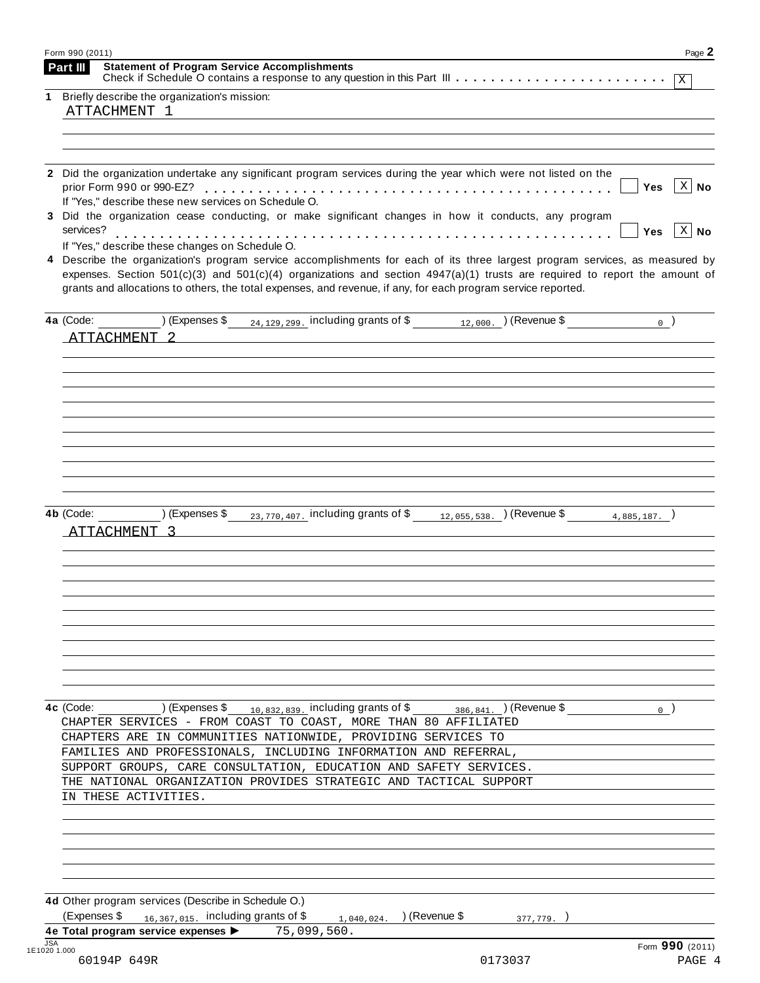| Form 990 (2011)<br><b>Statement of Program Service Accomplishments</b><br>Part III | Page 2                                                                                                                                                                                                                                                                                                                                                                          |
|------------------------------------------------------------------------------------|---------------------------------------------------------------------------------------------------------------------------------------------------------------------------------------------------------------------------------------------------------------------------------------------------------------------------------------------------------------------------------|
|                                                                                    |                                                                                                                                                                                                                                                                                                                                                                                 |
| Briefly describe the organization's mission:<br>1                                  |                                                                                                                                                                                                                                                                                                                                                                                 |
| ATTACHMENT 1                                                                       |                                                                                                                                                                                                                                                                                                                                                                                 |
|                                                                                    |                                                                                                                                                                                                                                                                                                                                                                                 |
|                                                                                    |                                                                                                                                                                                                                                                                                                                                                                                 |
|                                                                                    |                                                                                                                                                                                                                                                                                                                                                                                 |
| prior Form 990 or 990-EZ?                                                          | 2 Did the organization undertake any significant program services during the year which were not listed on the<br>$\vert$ X $\vert$ No<br>Yes                                                                                                                                                                                                                                   |
| If "Yes," describe these new services on Schedule O.                               |                                                                                                                                                                                                                                                                                                                                                                                 |
|                                                                                    | 3 Did the organization cease conducting, or make significant changes in how it conducts, any program                                                                                                                                                                                                                                                                            |
| services?                                                                          | $\vert$ X $\vert$ No<br>Yes                                                                                                                                                                                                                                                                                                                                                     |
| If "Yes," describe these changes on Schedule O.                                    |                                                                                                                                                                                                                                                                                                                                                                                 |
| 4                                                                                  | Describe the organization's program service accomplishments for each of its three largest program services, as measured by<br>expenses. Section $501(c)(3)$ and $501(c)(4)$ organizations and section $4947(a)(1)$ trusts are required to report the amount of<br>grants and allocations to others, the total expenses, and revenue, if any, for each program service reported. |
|                                                                                    | 4a (Code: $($ ) (Expenses \$ $_{24,129,299}$ including grants of \$ $_{12,000}$ . ) (Revenue \$<br>$_{0}$ )                                                                                                                                                                                                                                                                     |
| ATTACHMENT 2                                                                       |                                                                                                                                                                                                                                                                                                                                                                                 |
|                                                                                    |                                                                                                                                                                                                                                                                                                                                                                                 |
|                                                                                    |                                                                                                                                                                                                                                                                                                                                                                                 |
|                                                                                    |                                                                                                                                                                                                                                                                                                                                                                                 |
|                                                                                    |                                                                                                                                                                                                                                                                                                                                                                                 |
|                                                                                    |                                                                                                                                                                                                                                                                                                                                                                                 |
|                                                                                    |                                                                                                                                                                                                                                                                                                                                                                                 |
|                                                                                    |                                                                                                                                                                                                                                                                                                                                                                                 |
|                                                                                    |                                                                                                                                                                                                                                                                                                                                                                                 |
|                                                                                    |                                                                                                                                                                                                                                                                                                                                                                                 |
| 4b (Code: ) (Expenses \$                                                           | $_{23,770,407}$ including grants of \$ $_{12,055,538}$ ) (Revenue \$<br>$4.885.187.$ )                                                                                                                                                                                                                                                                                          |
| ATTACHMENT 3                                                                       |                                                                                                                                                                                                                                                                                                                                                                                 |
|                                                                                    |                                                                                                                                                                                                                                                                                                                                                                                 |
|                                                                                    |                                                                                                                                                                                                                                                                                                                                                                                 |
| ) (Expenses \$                                                                     | 0 <sup>1</sup>                                                                                                                                                                                                                                                                                                                                                                  |
|                                                                                    | $_{10,832,839}$ , including grants of \$<br>386, 841. ) (Revenue \$<br>CHAPTER SERVICES - FROM COAST TO COAST, MORE THAN 80 AFFILIATED                                                                                                                                                                                                                                          |
|                                                                                    | CHAPTERS ARE IN COMMUNITIES NATIONWIDE, PROVIDING SERVICES TO                                                                                                                                                                                                                                                                                                                   |
| 4c (Code:                                                                          | FAMILIES AND PROFESSIONALS, INCLUDING INFORMATION AND REFERRAL,                                                                                                                                                                                                                                                                                                                 |
|                                                                                    | SUPPORT GROUPS, CARE CONSULTATION, EDUCATION AND SAFETY SERVICES.                                                                                                                                                                                                                                                                                                               |
|                                                                                    | THE NATIONAL ORGANIZATION PROVIDES STRATEGIC AND TACTICAL SUPPORT                                                                                                                                                                                                                                                                                                               |
| IN THESE ACTIVITIES.                                                               |                                                                                                                                                                                                                                                                                                                                                                                 |
|                                                                                    |                                                                                                                                                                                                                                                                                                                                                                                 |
|                                                                                    |                                                                                                                                                                                                                                                                                                                                                                                 |
|                                                                                    |                                                                                                                                                                                                                                                                                                                                                                                 |
|                                                                                    |                                                                                                                                                                                                                                                                                                                                                                                 |
|                                                                                    |                                                                                                                                                                                                                                                                                                                                                                                 |
|                                                                                    |                                                                                                                                                                                                                                                                                                                                                                                 |
| 4d Other program services (Describe in Schedule O.)                                |                                                                                                                                                                                                                                                                                                                                                                                 |
| (Expenses \$<br>$_{16,367,015}$ including grants of \$                             | ) (Revenue \$<br>1,040,024.<br>377,779.<br>75,099,560.                                                                                                                                                                                                                                                                                                                          |
| 4e Total program service expenses ><br><b>JSA</b><br>1E1020 1.000                  | Form 990 (2011)                                                                                                                                                                                                                                                                                                                                                                 |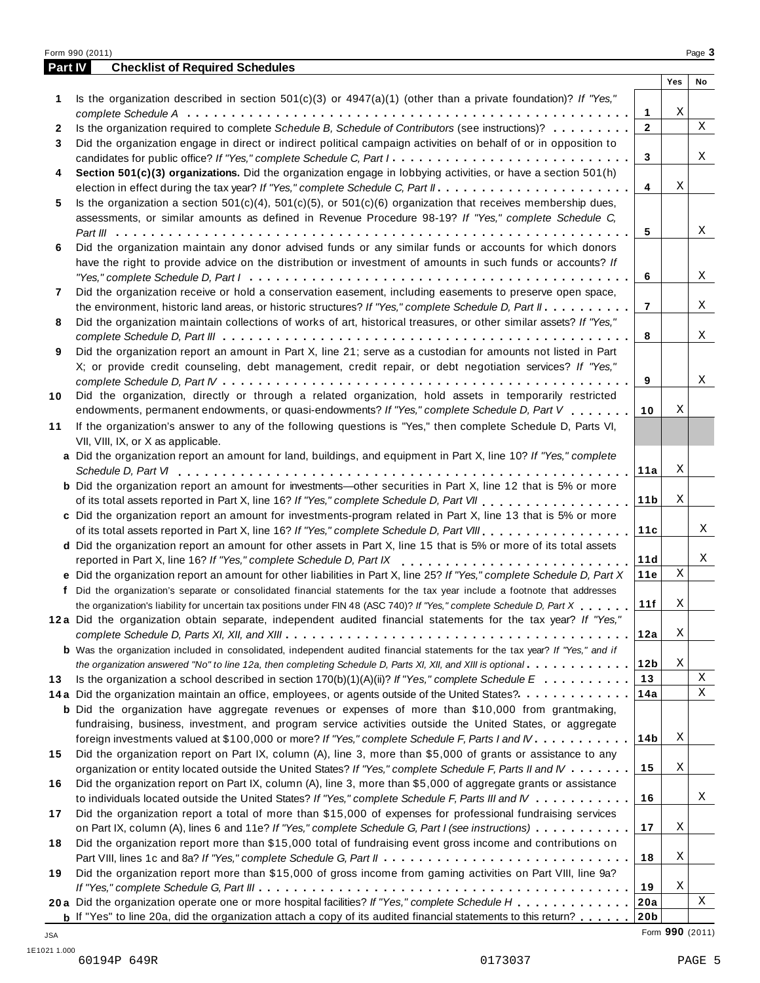|              | Form 990 (2011)                                                                                                                                   |     | Page 3 |
|--------------|---------------------------------------------------------------------------------------------------------------------------------------------------|-----|--------|
| Part IV      | <b>Checklist of Required Schedules</b>                                                                                                            |     |        |
|              |                                                                                                                                                   | Yes | No     |
| 1            | Is the organization described in section $501(c)(3)$ or $4947(a)(1)$ (other than a private foundation)? If "Yes,"                                 |     |        |
|              | $\mathbf{1}$                                                                                                                                      | Χ   |        |
| $\mathbf{2}$ | Is the organization required to complete Schedule B, Schedule of Contributors (see instructions)?<br>$\mathbf{2}$                                 |     | X      |
| 3            | Did the organization engage in direct or indirect political campaign activities on behalf of or in opposition to                                  |     |        |
|              | candidates for public office? If "Yes," complete Schedule C, Part I.<br>3                                                                         |     | Χ      |
| 4            | Section 501(c)(3) organizations. Did the organization engage in lobbying activities, or have a section 501(h)                                     |     |        |
|              | 4                                                                                                                                                 | Χ   |        |
| 5            | Is the organization a section $501(c)(4)$ , $501(c)(5)$ , or $501(c)(6)$ organization that receives membership dues,                              |     |        |
|              | assessments, or similar amounts as defined in Revenue Procedure 98-19? If "Yes," complete Schedule C,                                             |     |        |
|              | 5                                                                                                                                                 |     | X      |
| 6            | Did the organization maintain any donor advised funds or any similar funds or accounts for which donors                                           |     |        |
|              | have the right to provide advice on the distribution or investment of amounts in such funds or accounts? If                                       |     |        |
|              | 6                                                                                                                                                 |     | Χ      |
| 7            | Did the organization receive or hold a conservation easement, including easements to preserve open space,                                         |     |        |
|              | the environment, historic land areas, or historic structures? If "Yes," complete Schedule D, Part II.<br>$\overline{7}$                           |     | Χ      |
| 8            | Did the organization maintain collections of works of art, historical treasures, or other similar assets? If "Yes,"                               |     |        |
|              | 8                                                                                                                                                 |     | X      |
| 9            | Did the organization report an amount in Part X, line 21; serve as a custodian for amounts not listed in Part                                     |     |        |
|              | X; or provide credit counseling, debt management, credit repair, or debt negotiation services? If "Yes,"                                          |     |        |
|              | 9                                                                                                                                                 |     | Χ      |
| 10           | Did the organization, directly or through a related organization, hold assets in temporarily restricted                                           |     |        |
|              | endowments, permanent endowments, or quasi-endowments? If "Yes," complete Schedule D, Part V<br>10                                                | Χ   |        |
| 11           | If the organization's answer to any of the following questions is "Yes," then complete Schedule D, Parts VI,                                      |     |        |
|              | VII, VIII, IX, or X as applicable.                                                                                                                |     |        |
|              | a Did the organization report an amount for land, buildings, and equipment in Part X, line 10? If "Yes," complete                                 |     |        |
|              | 11a                                                                                                                                               | Χ   |        |
|              | <b>b</b> Did the organization report an amount for investments—other securities in Part X, line 12 that is 5% or more                             |     |        |
|              | 11 <sub>b</sub>                                                                                                                                   | Χ   |        |
|              | c Did the organization report an amount for investments-program related in Part X, line 13 that is 5% or more                                     |     |        |
|              | 11c                                                                                                                                               |     | Χ      |
|              | d Did the organization report an amount for other assets in Part X, line 15 that is 5% or more of its total assets                                |     |        |
|              | reported in Part X, line 16? If "Yes," complete Schedule D, Part IX<br>11d                                                                        |     | Χ      |
|              | e Did the organization report an amount for other liabilities in Part X, line 25? If "Yes," complete Schedule D, Part X<br>11e                    | Χ   |        |
|              | f Did the organization's separate or consolidated financial statements for the tax year include a footnote that addresses                         |     |        |
|              | 11f<br>the organization's liability for uncertain tax positions under FIN 48 (ASC 740)? If "Yes," complete Schedule D, Part X                     | Χ   |        |
|              | 12a Did the organization obtain separate, independent audited financial statements for the tax year? If "Yes,"                                    |     |        |
|              | 12a                                                                                                                                               | Χ   |        |
|              | <b>b</b> Was the organization included in consolidated, independent audited financial statements for the tax year? If "Yes," and if               |     |        |
|              | 12b<br>the organization answered "No" to line 12a, then completing Schedule D, Parts XI, XII, and XIII is optional                                | Χ   |        |
| 13           | 13<br>Is the organization a school described in section 170(b)(1)(A)(ii)? If "Yes," complete Schedule $E : \ldots : \ldots : \ldots$              |     | Χ      |
|              | 14a<br>14a Did the organization maintain an office, employees, or agents outside of the United States?.                                           |     | Χ      |
|              | <b>b</b> Did the organization have aggregate revenues or expenses of more than \$10,000 from grantmaking,                                         |     |        |
|              | fundraising, business, investment, and program service activities outside the United States, or aggregate                                         |     |        |
|              | foreign investments valued at \$100,000 or more? If "Yes," complete Schedule F, Parts I and IV<br>14b                                             | Χ   |        |
| 15           | Did the organization report on Part IX, column (A), line 3, more than \$5,000 of grants or assistance to any                                      |     |        |
|              | organization or entity located outside the United States? If "Yes," complete Schedule F, Parts II and IV<br>15                                    | Χ   |        |
| 16           | Did the organization report on Part IX, column (A), line 3, more than \$5,000 of aggregate grants or assistance                                   |     |        |
|              | to individuals located outside the United States? If "Yes," complete Schedule F, Parts III and IV<br>16                                           |     | Χ      |
| 17           | Did the organization report a total of more than \$15,000 of expenses for professional fundraising services                                       |     |        |
|              | on Part IX, column (A), lines 6 and 11e? If "Yes," complete Schedule G, Part I (see instructions)<br>17                                           | Χ   |        |
| 18           | Did the organization report more than \$15,000 total of fundraising event gross income and contributions on                                       |     |        |
|              | 18                                                                                                                                                | Χ   |        |
| 19           | Did the organization report more than \$15,000 of gross income from gaming activities on Part VIII, line 9a?                                      |     |        |
|              | 19                                                                                                                                                | Χ   |        |
|              | 20a Did the organization operate one or more hospital facilities? If "Yes," complete Schedule H<br>20a                                            |     | Χ      |
|              | 20 <sub>b</sub><br><b>b</b> If "Yes" to line 20a, did the organization attach a copy of its audited financial statements to this return? $\ldots$ |     |        |

Form **990** (2011) JSA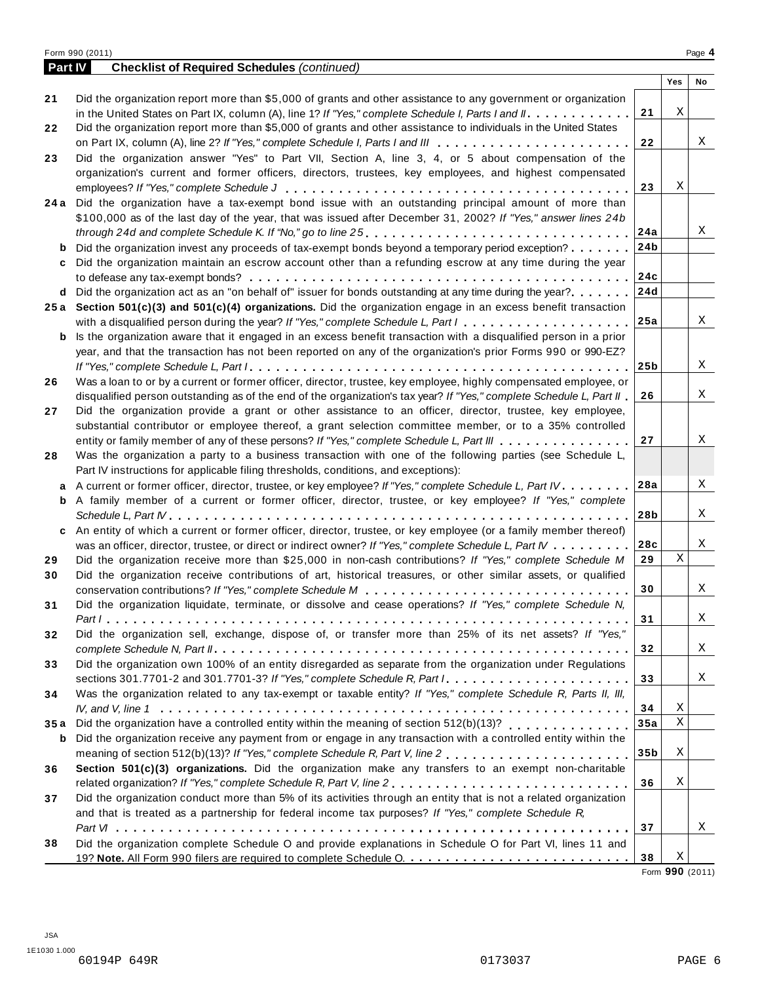|      | <b>Part IV</b><br><b>Checklist of Required Schedules (continued)</b>                                                              |                 |             |    |
|------|-----------------------------------------------------------------------------------------------------------------------------------|-----------------|-------------|----|
|      |                                                                                                                                   |                 | Yes         | No |
| 21   | Did the organization report more than \$5,000 of grants and other assistance to any government or organization                    |                 |             |    |
|      | in the United States on Part IX, column (A), line 1? If "Yes," complete Schedule I, Parts I and II.                               | 21              | Χ           |    |
| 22   | Did the organization report more than \$5,000 of grants and other assistance to individuals in the United States                  |                 |             |    |
|      | on Part IX, column (A), line 2? If "Yes," complete Schedule I, Parts I and III $\ldots \ldots \ldots \ldots \ldots \ldots \ldots$ | 22              |             | X  |
| 23   | Did the organization answer "Yes" to Part VII, Section A, line 3, 4, or 5 about compensation of the                               |                 |             |    |
|      | organization's current and former officers, directors, trustees, key employees, and highest compensated                           |                 |             |    |
|      |                                                                                                                                   | 23              | Χ           |    |
|      | 24a Did the organization have a tax-exempt bond issue with an outstanding principal amount of more than                           |                 |             |    |
|      | \$100,000 as of the last day of the year, that was issued after December 31, 2002? If "Yes," answer lines 24b                     |                 |             |    |
|      |                                                                                                                                   | 24a             |             | Χ  |
| b    | Did the organization invest any proceeds of tax-exempt bonds beyond a temporary period exception?                                 | 24b             |             |    |
|      | Did the organization maintain an escrow account other than a refunding escrow at any time during the year                         |                 |             |    |
| c    |                                                                                                                                   |                 |             |    |
|      |                                                                                                                                   | 24c             |             |    |
|      | d Did the organization act as an "on behalf of" issuer for bonds outstanding at any time during the year?                         | 24d             |             |    |
|      | 25a Section 501(c)(3) and 501(c)(4) organizations. Did the organization engage in an excess benefit transaction                   |                 |             |    |
|      | with a disqualified person during the year? If "Yes," complete Schedule L, Part I                                                 | 25a             |             | Χ  |
| b    | Is the organization aware that it engaged in an excess benefit transaction with a disqualified person in a prior                  |                 |             |    |
|      | year, and that the transaction has not been reported on any of the organization's prior Forms 990 or 990-EZ?                      |                 |             |    |
|      |                                                                                                                                   | 25 <sub>b</sub> |             | Χ  |
| 26   | Was a loan to or by a current or former officer, director, trustee, key employee, highly compensated employee, or                 |                 |             |    |
|      | disqualified person outstanding as of the end of the organization's tax year? If "Yes," complete Schedule L, Part II              | 26              |             | Χ  |
|      | Did the organization provide a grant or other assistance to an officer, director, trustee, key employee,                          |                 |             |    |
|      | substantial contributor or employee thereof, a grant selection committee member, or to a 35% controlled                           |                 |             |    |
|      | entity or family member of any of these persons? If "Yes," complete Schedule L, Part III                                          | 27              |             | Χ  |
|      | Was the organization a party to a business transaction with one of the following parties (see Schedule L,                         |                 |             |    |
|      | Part IV instructions for applicable filing thresholds, conditions, and exceptions):                                               |                 |             |    |
| a    | A current or former officer, director, trustee, or key employee? If "Yes," complete Schedule L, Part IV.                          | 28a             |             | Χ  |
| b    | A family member of a current or former officer, director, trustee, or key employee? If "Yes," complete                            |                 |             |    |
|      |                                                                                                                                   | 28b             |             | Χ  |
| C    | An entity of which a current or former officer, director, trustee, or key employee (or a family member thereof)                   |                 |             |    |
|      | was an officer, director, trustee, or direct or indirect owner? If "Yes," complete Schedule L, Part IV                            | 28c             |             | X  |
| 29   | Did the organization receive more than \$25,000 in non-cash contributions? If "Yes," complete Schedule M                          | 29              | X           |    |
|      | Did the organization receive contributions of art, historical treasures, or other similar assets, or qualified                    |                 |             |    |
| 30   |                                                                                                                                   | 30              |             | X  |
|      | Did the organization liquidate, terminate, or dissolve and cease operations? If "Yes," complete Schedule N.                       |                 |             |    |
| 31   |                                                                                                                                   |                 |             | Χ  |
|      |                                                                                                                                   | 31              |             |    |
| 32   | Did the organization sell, exchange, dispose of, or transfer more than 25% of its net assets? If "Yes,"                           |                 |             |    |
|      |                                                                                                                                   | 32              |             | X  |
| 33   | Did the organization own 100% of an entity disregarded as separate from the organization under Regulations                        |                 |             |    |
|      | sections 301.7701-2 and 301.7701-3? If "Yes," complete Schedule R, Part $l_1, \ldots, \ldots, \ldots, \ldots, \ldots, \ldots$     | 33              |             | X  |
| 34   | Was the organization related to any tax-exempt or taxable entity? If "Yes," complete Schedule R, Parts II, III,                   |                 |             |    |
|      |                                                                                                                                   | 34              | Χ           |    |
| 35 a | Did the organization have a controlled entity within the meaning of section $512(b)(13)? \ldots \ldots \ldots \ldots$             | 35a             | $\mathbf X$ |    |
| b    | Did the organization receive any payment from or engage in any transaction with a controlled entity within the                    |                 |             |    |
|      |                                                                                                                                   | 35 <sub>b</sub> | Χ           |    |
| 36   | Section 501(c)(3) organizations. Did the organization make any transfers to an exempt non-charitable                              |                 |             |    |
|      | related organization? If "Yes," complete Schedule R, Part V, line 2                                                               | 36              | X           |    |
| 37   | Did the organization conduct more than 5% of its activities through an entity that is not a related organization                  |                 |             |    |
|      | and that is treated as a partnership for federal income tax purposes? If "Yes," complete Schedule R,                              |                 |             |    |
|      |                                                                                                                                   | 37              |             | Χ  |
| 38   | Did the organization complete Schedule O and provide explanations in Schedule O for Part VI, lines 11 and                         |                 |             |    |
|      |                                                                                                                                   |                 |             |    |

Form **990** (2011)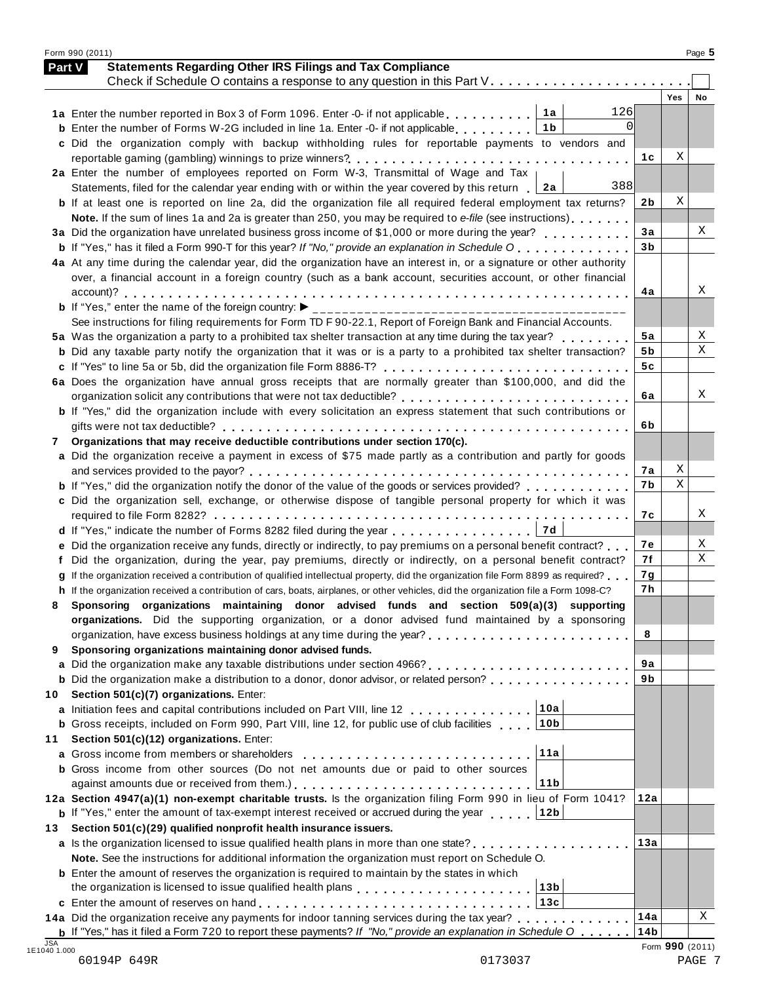|    | <b>Statements Regarding Other IRS Filings and Tax Compliance</b><br>Part V                                                           |                |     |    |
|----|--------------------------------------------------------------------------------------------------------------------------------------|----------------|-----|----|
|    |                                                                                                                                      |                | Yes | No |
|    | 126<br>1a Enter the number reported in Box 3 of Form 1096. Enter -0- if not applicable<br>1 a                                        |                |     |    |
|    | $\Omega$<br>1 <sub>b</sub><br><b>b</b> Enter the number of Forms W-2G included in line 1a. Enter -0- if not applicable.              |                |     |    |
|    | c Did the organization comply with backup withholding rules for reportable payments to vendors and                                   |                |     |    |
|    |                                                                                                                                      | 1 <sub>c</sub> | Χ   |    |
|    | 2a Enter the number of employees reported on Form W-3, Transmittal of Wage and Tax                                                   |                |     |    |
|    | 388<br>Statements, filed for the calendar year ending with or within the year covered by this return<br>2a                           |                |     |    |
|    | <b>b</b> If at least one is reported on line 2a, did the organization file all required federal employment tax returns?              | 2b             | Χ   |    |
|    | Note. If the sum of lines 1a and 2a is greater than 250, you may be required to e-file (see instructions)                            |                |     |    |
|    | 3a Did the organization have unrelated business gross income of \$1,000 or more during the year?                                     | 3a             |     | Χ  |
|    | <b>b</b> If "Yes," has it filed a Form 990-T for this year? If "No," provide an explanation in Schedule O                            | 3 <sub>b</sub> |     |    |
|    | 4a At any time during the calendar year, did the organization have an interest in, or a signature or other authority                 |                |     |    |
|    | over, a financial account in a foreign country (such as a bank account, securities account, or other financial                       |                |     |    |
|    |                                                                                                                                      | 4a             |     | Χ  |
|    | <b>b</b> If "Yes," enter the name of the foreign country:                                                                            |                |     |    |
|    | See instructions for filing requirements for Form TD F 90-22.1, Report of Foreign Bank and Financial Accounts.                       |                |     |    |
|    | 5a Was the organization a party to a prohibited tax shelter transaction at any time during the tax year?                             | 5a             |     | Χ  |
|    | <b>b</b> Did any taxable party notify the organization that it was or is a party to a prohibited tax shelter transaction?            | 5 b            |     | X  |
|    |                                                                                                                                      | 5c             |     |    |
|    | 6a Does the organization have annual gross receipts that are normally greater than \$100,000, and did the                            |                |     |    |
|    |                                                                                                                                      | 6a             |     | Χ  |
|    | b If "Yes," did the organization include with every solicitation an express statement that such contributions or                     |                |     |    |
|    |                                                                                                                                      | 6b             |     |    |
| 7  | Organizations that may receive deductible contributions under section 170(c).                                                        |                |     |    |
|    | a Did the organization receive a payment in excess of \$75 made partly as a contribution and partly for goods                        |                |     |    |
|    |                                                                                                                                      | 7а             | Χ   |    |
|    | <b>b</b> If "Yes," did the organization notify the donor of the value of the goods or services provided?                             | 7b             | X   |    |
|    | c Did the organization sell, exchange, or otherwise dispose of tangible personal property for which it was                           |                |     |    |
|    |                                                                                                                                      | 7с             |     | Χ  |
|    | 7d<br>d If "Yes," indicate the number of Forms 8282 filed during the year                                                            |                |     |    |
|    | e Did the organization receive any funds, directly or indirectly, to pay premiums on a personal benefit contract?                    | 7е             |     | Χ  |
| f  | Did the organization, during the year, pay premiums, directly or indirectly, on a personal benefit contract?                         | 7f             |     | Χ  |
|    | g If the organization received a contribution of qualified intellectual property, did the organization file Form 8899 as required?   | 7g             |     |    |
|    | h If the organization received a contribution of cars, boats, airplanes, or other vehicles, did the organization file a Form 1098-C? | 7h             |     |    |
|    | Sponsoring organizations maintaining donor advised funds and section 509(a)(3) supporting                                            |                |     |    |
|    | organizations. Did the supporting organization, or a donor advised fund maintained by a sponsoring                                   |                |     |    |
|    |                                                                                                                                      | 8              |     |    |
| 9  | Sponsoring organizations maintaining donor advised funds.                                                                            |                |     |    |
|    |                                                                                                                                      | 9a             |     |    |
|    | <b>b</b> Did the organization make a distribution to a donor, donor advisor, or related person?                                      | 9b             |     |    |
| 10 | Section 501(c)(7) organizations. Enter:                                                                                              |                |     |    |
|    | 10a<br>a Initiation fees and capital contributions included on Part VIII, line 12                                                    |                |     |    |
|    | 10b<br><b>b</b> Gross receipts, included on Form 990, Part VIII, line 12, for public use of club facilities                          |                |     |    |
| 11 | Section 501(c)(12) organizations. Enter:                                                                                             |                |     |    |
|    | 11a                                                                                                                                  |                |     |    |
|    | <b>b</b> Gross income from other sources (Do not net amounts due or paid to other sources                                            |                |     |    |
|    | against amounts due or received from them.)<br>11b                                                                                   |                |     |    |
|    | 12a Section 4947(a)(1) non-exempt charitable trusts. Is the organization filing Form 990 in lieu of Form 1041?                       | 12a            |     |    |
|    | <b>b</b> If "Yes," enter the amount of tax-exempt interest received or accrued during the year 12b                                   |                |     |    |
|    | Section 501(c)(29) qualified nonprofit health insurance issuers.                                                                     | 13a            |     |    |
|    |                                                                                                                                      |                |     |    |
|    |                                                                                                                                      |                |     |    |
| 13 | Note. See the instructions for additional information the organization must report on Schedule O.                                    |                |     |    |
|    | <b>b</b> Enter the amount of reserves the organization is required to maintain by the states in which                                |                |     |    |
|    | the organization is licensed to issue qualified health plans $\ldots, \ldots, \ldots, \ldots, \ldots, \ldots$<br>13 <sub>b</sub>     |                |     |    |
|    | 13c<br>14a Did the organization receive any payments for indoor tanning services during the tax year?                                | 14a            |     | X  |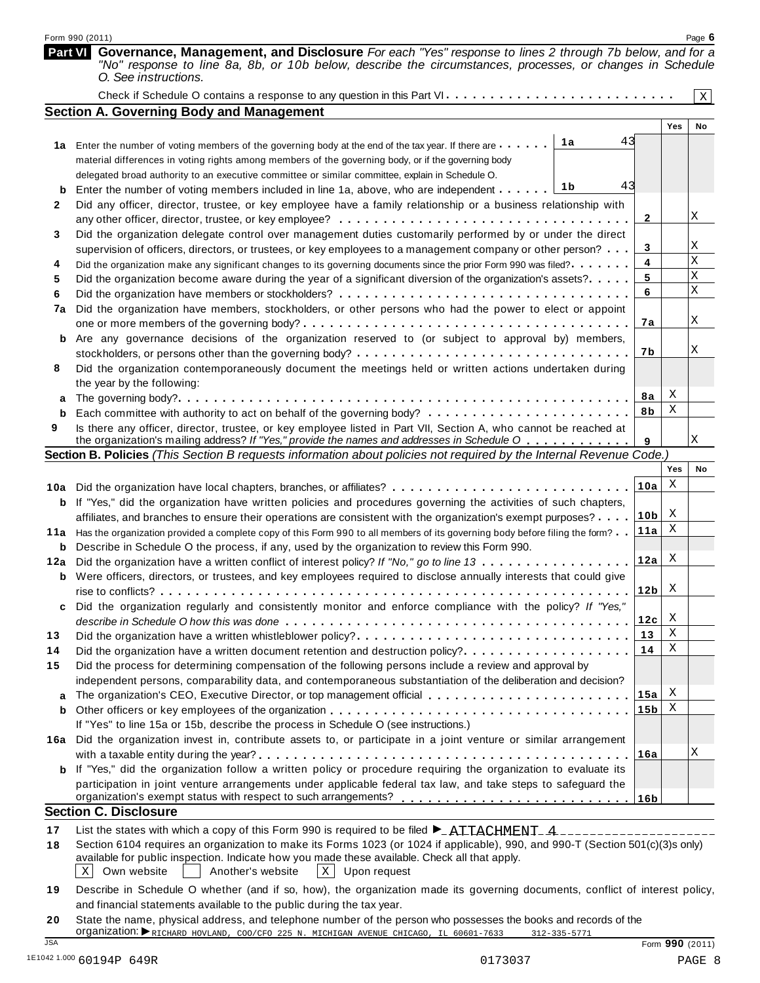|         | Form 990 (2011)                                                                                                                                                                                                                                                     |                 |        | Page 6      |
|---------|---------------------------------------------------------------------------------------------------------------------------------------------------------------------------------------------------------------------------------------------------------------------|-----------------|--------|-------------|
| Part VI | Governance, Management, and Disclosure For each "Yes" response to lines 2 through 7b below, and for a<br>"No" response to line 8a, 8b, or 10b below, describe the circumstances, processes, or changes in Schedule<br>O. See instructions.                          |                 |        |             |
|         |                                                                                                                                                                                                                                                                     |                 |        | $\mathbf X$ |
|         | <b>Section A. Governing Body and Management</b>                                                                                                                                                                                                                     |                 |        |             |
|         |                                                                                                                                                                                                                                                                     |                 | Yes    | No          |
|         | 43<br>1a<br>1a Enter the number of voting members of the governing body at the end of the tax year. If there are                                                                                                                                                    |                 |        |             |
|         | material differences in voting rights among members of the governing body, or if the governing body                                                                                                                                                                 |                 |        |             |
|         | delegated broad authority to an executive committee or similar committee, explain in Schedule O.                                                                                                                                                                    |                 |        |             |
| b       | 43<br>1b<br>Enter the number of voting members included in line 1a, above, who are independent                                                                                                                                                                      |                 |        |             |
| 2       | Did any officer, director, trustee, or key employee have a family relationship or a business relationship with                                                                                                                                                      |                 |        |             |
|         |                                                                                                                                                                                                                                                                     | 2               |        | Χ           |
| 3       | Did the organization delegate control over management duties customarily performed by or under the direct                                                                                                                                                           |                 |        |             |
|         | supervision of officers, directors, or trustees, or key employees to a management company or other person?                                                                                                                                                          | 3               |        | Χ           |
| 4       | Did the organization make any significant changes to its governing documents since the prior Form 990 was filed?                                                                                                                                                    | 4               |        | $\bar{X}$   |
| 5       | Did the organization become aware during the year of a significant diversion of the organization's assets?.                                                                                                                                                         | 5               |        | X           |
| 6       |                                                                                                                                                                                                                                                                     | 6               |        | $\mathbf X$ |
| 7a      | Did the organization have members, stockholders, or other persons who had the power to elect or appoint                                                                                                                                                             |                 |        |             |
|         |                                                                                                                                                                                                                                                                     | 7а              |        | Χ           |
| b       | Are any governance decisions of the organization reserved to (or subject to approval by) members,                                                                                                                                                                   |                 |        |             |
|         |                                                                                                                                                                                                                                                                     | 7b              |        | Χ           |
| 8       | Did the organization contemporaneously document the meetings held or written actions undertaken during                                                                                                                                                              |                 |        |             |
|         | the year by the following:                                                                                                                                                                                                                                          |                 |        |             |
|         |                                                                                                                                                                                                                                                                     | 8a              | Χ      |             |
| a<br>b  |                                                                                                                                                                                                                                                                     | 8b              | Χ      |             |
| 9       | Is there any officer, director, trustee, or key employee listed in Part VII, Section A, who cannot be reached at                                                                                                                                                    |                 |        |             |
|         | the organization's mailing address? If "Yes," provide the names and addresses in Schedule O                                                                                                                                                                         | 9               |        | Χ           |
|         | Section B. Policies (This Section B requests information about policies not required by the Internal Revenue Code.)                                                                                                                                                 |                 |        |             |
|         |                                                                                                                                                                                                                                                                     |                 | Yes    | No          |
|         |                                                                                                                                                                                                                                                                     | 10a             | Χ      |             |
|         | 10a Did the organization have local chapters, branches, or affiliates?                                                                                                                                                                                              |                 |        |             |
|         | <b>b</b> If "Yes," did the organization have written policies and procedures governing the activities of such chapters,                                                                                                                                             | 10 <sub>b</sub> | X      |             |
|         | affiliates, and branches to ensure their operations are consistent with the organization's exempt purposes?                                                                                                                                                         | 11a             | X      |             |
|         | 11a Has the organization provided a complete copy of this Form 990 to all members of its governing body before filing the form?                                                                                                                                     |                 |        |             |
|         | <b>b</b> Describe in Schedule O the process, if any, used by the organization to review this Form 990.                                                                                                                                                              | 12a             | X      |             |
|         | 12a Did the organization have a written conflict of interest policy? If "No," go to line 13                                                                                                                                                                         |                 |        |             |
|         | <b>b</b> Were officers, directors, or trustees, and key employees required to disclose annually interests that could give                                                                                                                                           | $12b$ $X$       |        |             |
|         |                                                                                                                                                                                                                                                                     |                 |        |             |
| c       | Did the organization regularly and consistently monitor and enforce compliance with the policy? If "Yes,"                                                                                                                                                           |                 |        |             |
|         |                                                                                                                                                                                                                                                                     | 12c             | X<br>Χ |             |
| 13      |                                                                                                                                                                                                                                                                     | 13              | X      |             |
| 14      | Did the organization have a written document retention and destruction policy?                                                                                                                                                                                      | 14              |        |             |
| 15      | Did the process for determining compensation of the following persons include a review and approval by                                                                                                                                                              |                 |        |             |
|         | independent persons, comparability data, and contemporaneous substantiation of the deliberation and decision?                                                                                                                                                       |                 |        |             |
| a       |                                                                                                                                                                                                                                                                     | 15a             | X      |             |
| b       |                                                                                                                                                                                                                                                                     | 15 <sub>b</sub> | Χ      |             |
|         | If "Yes" to line 15a or 15b, describe the process in Schedule O (see instructions.)                                                                                                                                                                                 |                 |        |             |
|         | 16a Did the organization invest in, contribute assets to, or participate in a joint venture or similar arrangement                                                                                                                                                  |                 |        |             |
|         |                                                                                                                                                                                                                                                                     | 16a             |        | Χ           |
|         | If "Yes," did the organization follow a written policy or procedure requiring the organization to evaluate its                                                                                                                                                      |                 |        |             |
| b       |                                                                                                                                                                                                                                                                     |                 |        |             |
|         | participation in joint venture arrangements under applicable federal tax law, and take steps to safeguard the                                                                                                                                                       |                 |        |             |
|         |                                                                                                                                                                                                                                                                     |                 |        |             |
|         | <b>Section C. Disclosure</b>                                                                                                                                                                                                                                        |                 |        |             |
| 17      |                                                                                                                                                                                                                                                                     |                 |        |             |
| 18      | List the states with which a copy of this Form 990 is required to be filed $\blacktriangleright$ ATTACHMENT 4 -------------------<br>Section 6104 requires an organization to make its Forms 1023 (or 1024 if applicable), 990, and 990-T (Section 501(c)(3)s only) |                 |        |             |

- $X$  Own website  $\Box$  Another's website  $X$  Upon request
- **19** Describe in Schedule O whether (and if so, how), the organization made its governing documents, conflict of interest policy, and financial statements available to the public during the tax year.
- **20** State the name, physical address, and telephone number of the person who possesses the books and records of the **20** State the name, physical address, and telephone number of the person who possesses the books and reconduction: ▶ RICHARD HOVLAND, COO/CFO 225 N. MICHIGAN AVENUE CHICAGO, IL 60601-7633 312-335-5771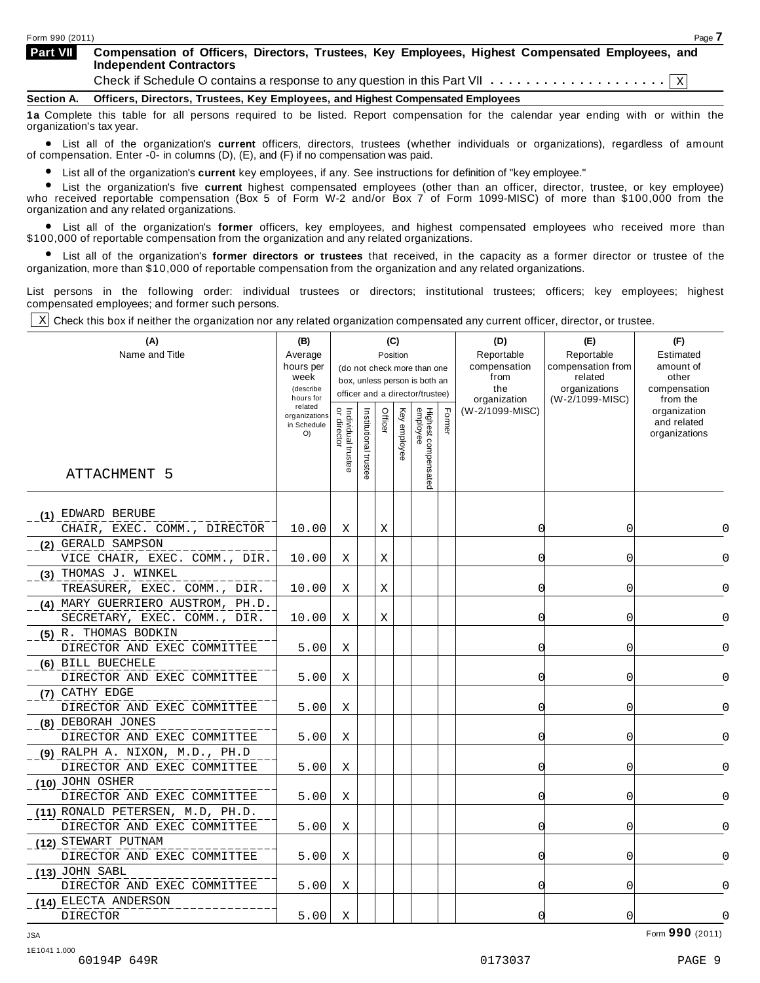| Page 7                                                                                           |
|--------------------------------------------------------------------------------------------------|
| Compensation of Officers, Directors, Trustees, Key Employees, Highest Compensated Employees, and |
|                                                                                                  |
|                                                                                                  |

**1a** Complete this table for all persons required to be listed. Report compensation for the calendar year ending with or within the

organization's tax year.<br>● List all of the organization's **current** officers, directors, trustees (whether individuals or organizations), regardless of amount<br>of compensation. Enter -0- in columns (D). (E), and (E) if no of compensation. Enter  $-0$ - in columns  $(D)$ ,  $(E)$ , and  $(F)$  if no compensation was paid.

List all of the organization's **current** key employees, if any. See instructions for definition of "key employee."

**Example is the organization's current** key employees, if any. See instructions for definition of "key employee."<br>• List the organization's five **current** highest compensated employees (other than an officer, director, tru who received reportable compensation (Box 5 of Form W-2 and/or Box 7 of Form 1099-MISC) of more than \$100,000 from the organization and any related organizations.

ship and the organization's **former** officers, key employees, and highest compensated employees who received more than<br>10,000 of reportable compensation from the organization and any related organizations \$100,000 of reportable compensation from the organization and any related organizations.

% List all of the organization's **former directors or trustees** that received, in the capacity as a former director or trustee of the organization, more than \$10,000 of reportable compensation from the organization and any related organizations.

List persons in the following order: individual trustees or directors; institutional trustees; officers; key employees; highest compensated employees; and former such persons.

 $\underline{x}$  Check this box if neither the organization nor any related organization compensated any current officer, director, or trustee.

| (A)                               | (B)                  |                                   |                      |         | (C)      |                                 |        | (D)                  | (E)                          | (F)                         |          |
|-----------------------------------|----------------------|-----------------------------------|----------------------|---------|----------|---------------------------------|--------|----------------------|------------------------------|-----------------------------|----------|
| Name and Title                    | Average              |                                   |                      |         | Position |                                 |        | Reportable           | Reportable                   | Estimated                   |          |
|                                   | hours per<br>week    |                                   |                      |         |          | (do not check more than one     |        | compensation<br>from | compensation from<br>related | amount of<br>other          |          |
|                                   | (describe            |                                   |                      |         |          | box, unless person is both an   |        | the                  | organizations                | compensation                |          |
|                                   | hours for<br>related |                                   |                      |         |          | officer and a director/trustee) |        | organization         | (W-2/1099-MISC)              | from the                    |          |
|                                   | organizations        | Individual trustee<br>or director |                      | Officer | Key      |                                 | Former | (W-2/1099-MISC)      |                              | organization<br>and related |          |
|                                   | in Schedule<br>O()   |                                   |                      |         |          |                                 |        |                      |                              | organizations               |          |
|                                   |                      |                                   |                      |         | employee |                                 |        |                      |                              |                             |          |
|                                   |                      |                                   | Institutional truste |         |          |                                 |        |                      |                              |                             |          |
| ATTACHMENT 5                      |                      |                                   |                      |         |          | Highest compensated<br>employee |        |                      |                              |                             |          |
|                                   |                      |                                   |                      |         |          |                                 |        |                      |                              |                             |          |
| (1) EDWARD BERUBE                 |                      |                                   |                      |         |          |                                 |        |                      |                              |                             |          |
| CHAIR, EXEC. COMM., DIRECTOR      | 10.00                | X                                 |                      | Χ       |          |                                 |        | $\Omega$             | 0                            |                             |          |
| (2) GERALD SAMPSON                |                      |                                   |                      |         |          |                                 |        |                      |                              |                             |          |
| VICE CHAIR, EXEC. COMM., DIR.     | 10.00                | Χ                                 |                      | Χ       |          |                                 |        | 0                    | 0                            |                             |          |
| (3) THOMAS J. WINKEL              |                      |                                   |                      |         |          |                                 |        |                      |                              |                             |          |
| TREASURER, EXEC. COMM., DIR.      | 10.00                | X                                 |                      | X       |          |                                 |        | $\Omega$             | 0                            |                             | $\Omega$ |
| (4) MARY GUERRIERO AUSTROM, PH.D. |                      |                                   |                      |         |          |                                 |        |                      |                              |                             |          |
| SECRETARY, EXEC. COMM., DIR.      | 10.00                | Χ                                 |                      | Χ       |          |                                 |        | $\Omega$             | 0                            |                             | 0        |
| (5) R. THOMAS BODKIN              |                      |                                   |                      |         |          |                                 |        |                      |                              |                             |          |
| DIRECTOR AND EXEC COMMITTEE       | 5.00                 | Χ                                 |                      |         |          |                                 |        | 0                    | 0                            |                             | 0        |
| (6) BILL BUECHELE                 |                      |                                   |                      |         |          |                                 |        |                      |                              |                             |          |
| DIRECTOR AND EXEC COMMITTEE       | 5.00                 | X                                 |                      |         |          |                                 |        | ſ                    | 0                            |                             | $\Omega$ |
| (7) CATHY EDGE                    |                      |                                   |                      |         |          |                                 |        |                      |                              |                             |          |
| DIRECTOR AND EXEC COMMITTEE       | 5.00                 | Χ                                 |                      |         |          |                                 |        | 0                    | 0                            |                             | $\Omega$ |
| (8) DEBORAH JONES                 |                      |                                   |                      |         |          |                                 |        |                      |                              |                             |          |
| DIRECTOR AND EXEC COMMITTEE       | 5.00                 | Χ                                 |                      |         |          |                                 |        | C                    | 0                            |                             | 0        |
| $(9)$ RALPH A. NIXON, M.D., PH.D  |                      |                                   |                      |         |          |                                 |        |                      |                              |                             |          |
| DIRECTOR AND EXEC COMMITTEE       | 5.00                 | Χ                                 |                      |         |          |                                 |        | 0                    | 0                            |                             | O        |
| (10) JOHN OSHER                   |                      |                                   |                      |         |          |                                 |        |                      |                              |                             |          |
| DIRECTOR AND EXEC COMMITTEE       | 5.00                 | X                                 |                      |         |          |                                 |        | $\Omega$             | $\Omega$                     |                             | $\Omega$ |
| (11) RONALD PETERSEN, M.D, PH.D.  |                      |                                   |                      |         |          |                                 |        |                      |                              |                             |          |
| DIRECTOR AND EXEC COMMITTEE       | 5.00                 | Χ                                 |                      |         |          |                                 |        | 0                    | 0                            |                             | $\cap$   |
| (12) STEWART PUTNAM               |                      |                                   |                      |         |          |                                 |        |                      |                              |                             |          |
| DIRECTOR AND EXEC COMMITTEE       | 5.00                 | Χ                                 |                      |         |          |                                 |        | $\Omega$             | 0                            |                             | $\Omega$ |
| $(13)$ JOHN SABL                  |                      |                                   |                      |         |          |                                 |        |                      |                              |                             |          |
| DIRECTOR AND EXEC COMMITTEE       | 5.00                 | Χ                                 |                      |         |          |                                 |        | 0                    | 0                            |                             | 0        |
| (14) ELECTA ANDERSON              |                      |                                   |                      |         |          |                                 |        |                      |                              |                             |          |
| <b>DIRECTOR</b>                   | 5.00                 | X                                 |                      |         |          |                                 |        | 0                    | $\overline{0}$               |                             | 0        |

Form **990** (2011) JSA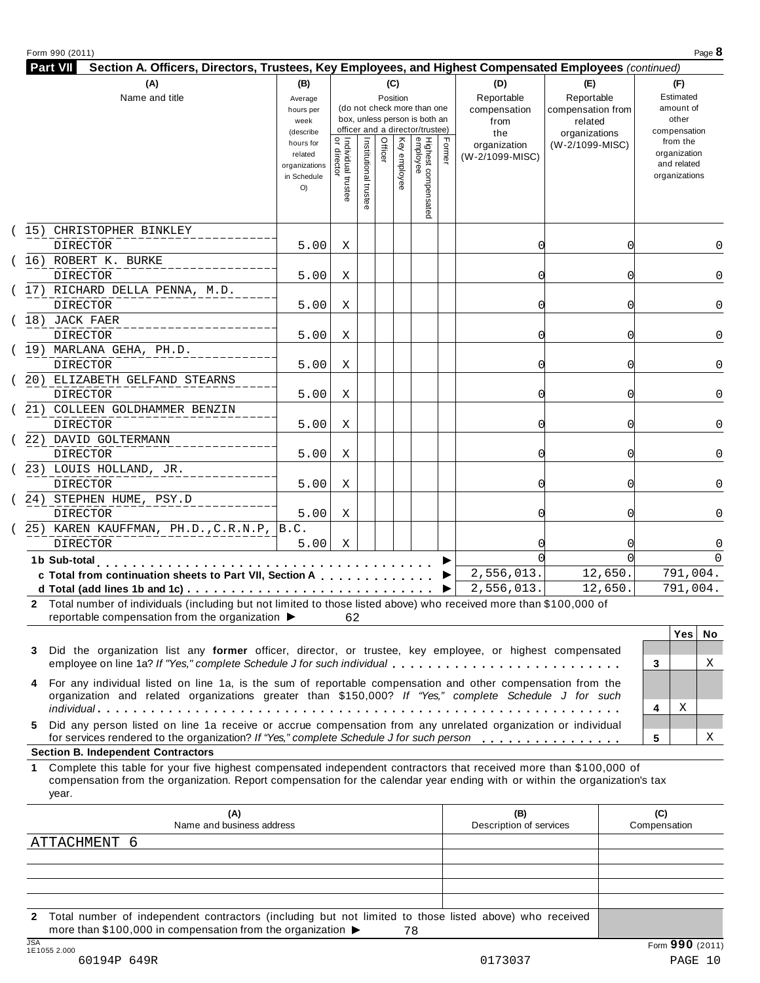| (A)                                                     | (B)                    |                                   |                       | (C)      |              |                                                                  |        | (D)                             | (E)                              | (F)                      |
|---------------------------------------------------------|------------------------|-----------------------------------|-----------------------|----------|--------------|------------------------------------------------------------------|--------|---------------------------------|----------------------------------|--------------------------|
| Name and title                                          | Average                |                                   |                       | Position |              |                                                                  |        | Reportable                      | Reportable                       | Estimated                |
|                                                         | hours per              |                                   |                       |          |              | (do not check more than one                                      |        | compensation                    | compensation from                | amount of                |
|                                                         | week                   |                                   |                       |          |              | box, unless person is both an<br>officer and a director/trustee) |        | from                            | related                          | other                    |
|                                                         | (describe<br>hours for |                                   |                       |          |              |                                                                  |        | the                             | organizations<br>(W-2/1099-MISC) | compensation<br>from the |
|                                                         | related                |                                   |                       | Officer  |              |                                                                  | Formel | organization<br>(W-2/1099-MISC) |                                  | organization             |
|                                                         | organizations          | Individual trustee<br>or director | Institutional trustee |          | Key employee | Highest compensate<br>employee                                   |        |                                 |                                  | and related              |
|                                                         | in Schedule<br>O()     |                                   |                       |          |              |                                                                  |        |                                 |                                  | organizations            |
|                                                         |                        |                                   |                       |          |              |                                                                  |        |                                 |                                  |                          |
|                                                         |                        |                                   |                       |          |              |                                                                  |        |                                 |                                  |                          |
| 15) CHRISTOPHER BINKLEY                                 |                        |                                   |                       |          |              |                                                                  |        |                                 |                                  |                          |
| <b>DIRECTOR</b>                                         | 5.00                   | Χ                                 |                       |          |              |                                                                  |        | 0                               |                                  | 0                        |
| (16) ROBERT K. BURKE                                    |                        |                                   |                       |          |              |                                                                  |        |                                 |                                  |                          |
| <b>DIRECTOR</b>                                         | 5.00                   | Χ                                 |                       |          |              |                                                                  |        | 0                               |                                  | 0                        |
| (17) RICHARD DELLA PENNA, M.D.                          |                        |                                   |                       |          |              |                                                                  |        |                                 |                                  |                          |
| <b>DIRECTOR</b>                                         | 5.00                   | Χ                                 |                       |          |              |                                                                  |        | 0                               |                                  | 0                        |
| $(18)$ JACK FAER                                        |                        |                                   |                       |          |              |                                                                  |        |                                 |                                  |                          |
| <b>DIRECTOR</b>                                         | 5.00                   | Χ                                 |                       |          |              |                                                                  |        | ი                               |                                  | $\Omega$                 |
| (19) MARLANA GEHA, PH.D.                                |                        |                                   |                       |          |              |                                                                  |        |                                 |                                  |                          |
| <b>DIRECTOR</b>                                         | 5.00                   | Χ                                 |                       |          |              |                                                                  |        | ი                               |                                  | 0                        |
| 20) ELIZABETH GELFAND STEARNS                           |                        |                                   |                       |          |              |                                                                  |        |                                 |                                  |                          |
| DIRECTOR                                                | 5.00                   | Χ                                 |                       |          |              |                                                                  |        | ∩                               |                                  | 0                        |
| 21) COLLEEN GOLDHAMMER BENZIN                           |                        |                                   |                       |          |              |                                                                  |        |                                 |                                  |                          |
| <b>DIRECTOR</b>                                         | 5.00                   | X                                 |                       |          |              |                                                                  |        | ∩                               |                                  | 0                        |
| 22) DAVID GOLTERMANN                                    |                        |                                   |                       |          |              |                                                                  |        |                                 |                                  |                          |
| <b>DIRECTOR</b>                                         | 5.00                   | X                                 |                       |          |              |                                                                  |        | 0                               |                                  | $\Omega$                 |
| 23) LOUIS HOLLAND, JR.                                  |                        |                                   |                       |          |              |                                                                  |        |                                 |                                  |                          |
| <b>DIRECTOR</b>                                         | 5.00                   | Χ                                 |                       |          |              |                                                                  |        | 0                               |                                  | 0                        |
| 24) STEPHEN HUME, PSY.D                                 |                        |                                   |                       |          |              |                                                                  |        |                                 |                                  |                          |
| <b>DIRECTOR</b>                                         | 5.00                   | Χ                                 |                       |          |              |                                                                  |        | 0                               |                                  | $\Omega$                 |
| 25) KAREN KAUFFMAN, PH.D., C.R.N.P, B.C.                |                        |                                   |                       |          |              |                                                                  |        |                                 |                                  |                          |
| <b>DIRECTOR</b>                                         | 5.00                   | Χ                                 |                       |          |              |                                                                  |        |                                 |                                  | 0                        |
| 1b Sub-total                                            |                        |                                   |                       |          |              |                                                                  |        |                                 |                                  | $\Omega$                 |
| c Total from continuation sheets to Part VII, Section A |                        |                                   |                       |          |              |                                                                  |        | 2,556,013.                      | 12,650.                          | 791,004.                 |
|                                                         |                        |                                   |                       |          |              |                                                                  |        | 2,556,013.                      | 12,650                           | 791,004.                 |

| 3 Did the organization list any former officer, director, or trustee, key employee, or highest compensated<br>employee on line 1a? If "Yes," complete Schedule J for such individual                                   |  |  |
|------------------------------------------------------------------------------------------------------------------------------------------------------------------------------------------------------------------------|--|--|
| 4 For any individual listed on line 1a, is the sum of reportable compensation and other compensation from the<br>organization and related organizations greater than \$150,000? If "Yes," complete Schedule J for such |  |  |
|                                                                                                                                                                                                                        |  |  |
| 5 Did any person listed on line 1a receive or accrue compensation from any unrelated organization or individual                                                                                                        |  |  |
| for services rendered to the organization? If "Yes," complete Schedule J for such person                                                                                                                               |  |  |
|                                                                                                                                                                                                                        |  |  |

#### **Section B. Independent Contractors**

**1** Complete this table for your five highest compensated independent contractors that received more than \$100,000 of compensation from the organization. Report compensation for the calendar year ending with or within the organization's tax year.

| (A)<br>Name and business address                                                                                                                                                                               | (B)<br>Description of services | (C)<br>Compensation |
|----------------------------------------------------------------------------------------------------------------------------------------------------------------------------------------------------------------|--------------------------------|---------------------|
| ATTACHMENT 6                                                                                                                                                                                                   |                                |                     |
|                                                                                                                                                                                                                |                                |                     |
|                                                                                                                                                                                                                |                                |                     |
|                                                                                                                                                                                                                |                                |                     |
| Total number of independent contractors (including but not limited to those listed above) who received<br>$2^{\circ}$<br>more than \$100,000 in compensation from the organization $\blacktriangleright$<br>78 |                                |                     |
| <b>JSA</b><br>1E1055 2.000                                                                                                                                                                                     |                                | Form 990 (2011)     |
| 60194P 649R                                                                                                                                                                                                    | 0173037                        | PAGE 10             |

X

X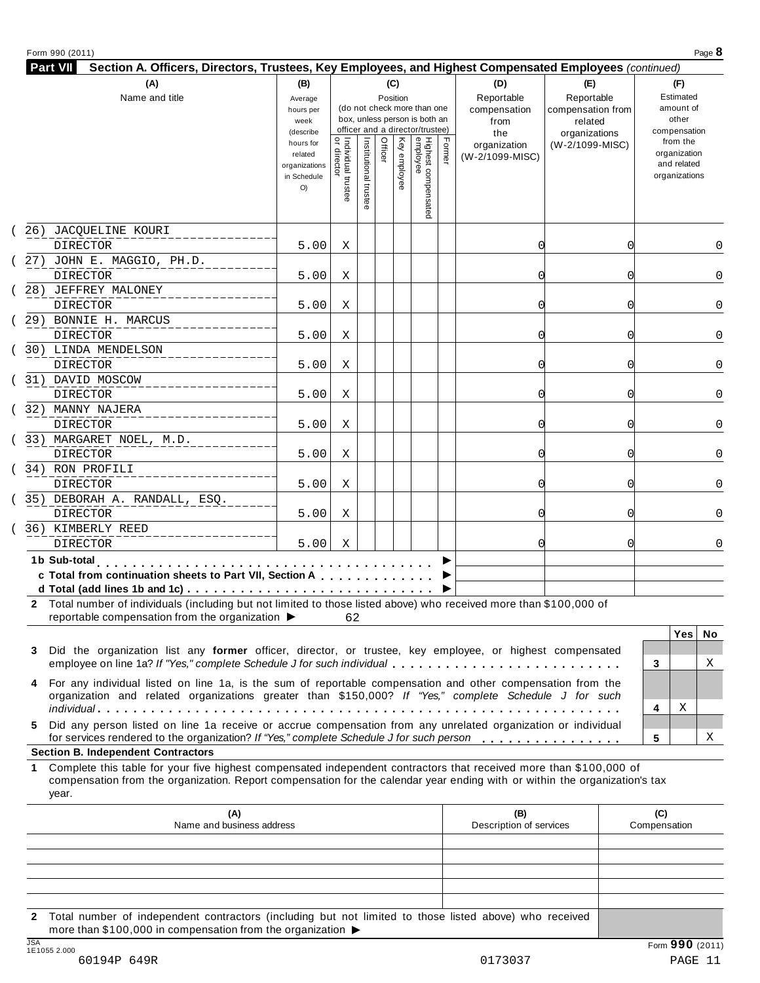| <b>Part VII</b><br>Section A. Officers, Directors, Trustees, Key Employees, and Highest Compensated Employees (continued)                                                                                                 |                                                                                                                |                                     |                        |                            |              |                                                                                                                             |       |                                                                                     |                                                                                       |                                                                                                                    |
|---------------------------------------------------------------------------------------------------------------------------------------------------------------------------------------------------------------------------|----------------------------------------------------------------------------------------------------------------|-------------------------------------|------------------------|----------------------------|--------------|-----------------------------------------------------------------------------------------------------------------------------|-------|-------------------------------------------------------------------------------------|---------------------------------------------------------------------------------------|--------------------------------------------------------------------------------------------------------------------|
| (A)<br>Name and title                                                                                                                                                                                                     | (B)<br>Average<br>hours per<br>week<br>(describe<br>hours for<br>related<br>organizations<br>in Schedule<br>O) | Individual trustee<br>  or director | Institutional<br>trust | (C)<br>Position<br>Officer | Key employee | (do not check more than one<br>box, unless person is both an<br>officer and a director/trustee)<br>Highest cor<br>mpensated | Fomer | (D)<br>Reportable<br>compensation<br>from<br>the<br>organization<br>(W-2/1099-MISC) | (E)<br>Reportable<br>compensation from<br>related<br>organizations<br>(W-2/1099-MISC) | (F)<br>Estimated<br>amount of<br>other<br>compensation<br>from the<br>organization<br>and related<br>organizations |
| 26) JACQUELINE KOURI<br><b>DIRECTOR</b>                                                                                                                                                                                   | 5.00                                                                                                           | Χ                                   |                        |                            |              |                                                                                                                             |       | 0                                                                                   |                                                                                       | 0                                                                                                                  |
| 27) JOHN E. MAGGIO, PH.D.<br><b>DIRECTOR</b>                                                                                                                                                                              | 5.00                                                                                                           | Χ                                   |                        |                            |              |                                                                                                                             |       | Ω                                                                                   |                                                                                       |                                                                                                                    |
| 28) JEFFREY MALONEY<br><b>DIRECTOR</b>                                                                                                                                                                                    | 5.00                                                                                                           | Χ                                   |                        |                            |              |                                                                                                                             |       | Ω                                                                                   |                                                                                       | 0                                                                                                                  |
| 29) BONNIE H. MARCUS<br><b>DIRECTOR</b>                                                                                                                                                                                   | 5.00                                                                                                           | Χ                                   |                        |                            |              |                                                                                                                             |       | Ω                                                                                   |                                                                                       |                                                                                                                    |
| 30) LINDA MENDELSON<br><b>DIRECTOR</b>                                                                                                                                                                                    | 5.00                                                                                                           | Χ                                   |                        |                            |              |                                                                                                                             |       | Ω                                                                                   |                                                                                       |                                                                                                                    |
| 31) DAVID MOSCOW<br><b>DIRECTOR</b>                                                                                                                                                                                       | 5.00                                                                                                           | Χ                                   |                        |                            |              |                                                                                                                             |       | Ω                                                                                   |                                                                                       |                                                                                                                    |
| 32) MANNY NAJERA<br><b>DIRECTOR</b>                                                                                                                                                                                       | 5.00                                                                                                           | Χ                                   |                        |                            |              |                                                                                                                             |       | Ω                                                                                   |                                                                                       |                                                                                                                    |
| 33) MARGARET NOEL, M.D.<br><b>DIRECTOR</b>                                                                                                                                                                                | 5.00                                                                                                           | Χ                                   |                        |                            |              |                                                                                                                             |       | Ω                                                                                   |                                                                                       |                                                                                                                    |
| 34) RON PROFILI<br><b>DIRECTOR</b>                                                                                                                                                                                        | 5.00                                                                                                           | Χ                                   |                        |                            |              |                                                                                                                             |       | Ω                                                                                   |                                                                                       |                                                                                                                    |
| 35) DEBORAH A. RANDALL, ESQ.<br><b>DIRECTOR</b>                                                                                                                                                                           | 5.00                                                                                                           | X                                   |                        |                            |              |                                                                                                                             |       | ∩                                                                                   | O                                                                                     |                                                                                                                    |
| 36) KIMBERLY REED<br><b>DIRECTOR</b>                                                                                                                                                                                      | 5.00                                                                                                           | X                                   |                        |                            |              |                                                                                                                             |       | ∩                                                                                   | O                                                                                     |                                                                                                                    |
| 1b Sub-total<br>and and a resource and a<br>c Total from continuation sheets to Part VII, Section A                                                                                                                       |                                                                                                                |                                     |                        |                            |              |                                                                                                                             |       |                                                                                     |                                                                                       |                                                                                                                    |
| 2 Total number of individuals (including but not limited to those listed above) who received more than \$100,000 of<br>reportable compensation from the organization $\blacktriangleright$ 62                             |                                                                                                                |                                     |                        |                            |              |                                                                                                                             |       |                                                                                     |                                                                                       | Yes No                                                                                                             |
| Did the organization list any former officer, director, or trustee, key employee, or highest compensated<br>3<br>employee on line 1a? If "Yes," complete Schedule J for such individual                                   |                                                                                                                |                                     |                        |                            |              |                                                                                                                             |       |                                                                                     |                                                                                       | Χ<br>3                                                                                                             |
| For any individual listed on line 1a, is the sum of reportable compensation and other compensation from the<br>4<br>organization and related organizations greater than \$150,000? If "Yes," complete Schedule J for such |                                                                                                                |                                     |                        |                            |              |                                                                                                                             |       |                                                                                     |                                                                                       | Χ<br>4                                                                                                             |

**5** Did any person listed on line 1a receive or accrue compensation from any unrelated organization or individual for services rendered to the organization? *If"Yes," complete Schedule <sup>J</sup> for such person* mmmmmmmmmmmmmmmm **<sup>5</sup>**

#### **Section B. Independent Contractors**

**1** Complete this table for your five highest compensated independent contractors that received more than \$100,000 of compensation from the organization. Report compensation for the calendar year ending with or within the organization's tax year.

|            | (A)<br>Name and business address                                                                                                                                                            | (B)<br>Description of services | (C)<br>Compensation         |
|------------|---------------------------------------------------------------------------------------------------------------------------------------------------------------------------------------------|--------------------------------|-----------------------------|
|            |                                                                                                                                                                                             |                                |                             |
|            |                                                                                                                                                                                             |                                |                             |
|            |                                                                                                                                                                                             |                                |                             |
|            |                                                                                                                                                                                             |                                |                             |
|            |                                                                                                                                                                                             |                                |                             |
|            | 2 Total number of independent contractors (including but not limited to those listed above) who received<br>more than \$100,000 in compensation from the organization $\blacktriangleright$ |                                |                             |
| <b>JSA</b> |                                                                                                                                                                                             |                                | $F_{\text{orm}}$ 990 (2011) |

X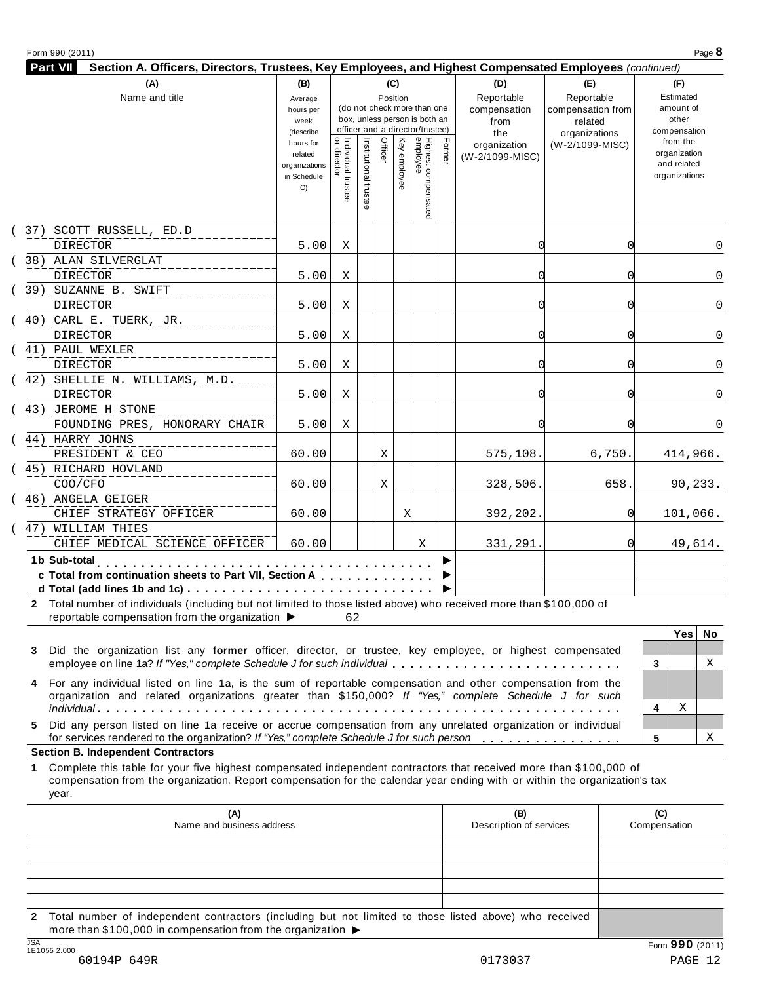| <b>Part VII</b><br>Section A. Officers, Directors, Trustees, Key Employees, and Highest Compensated Employees (continued)                                              |                                                            |                                   |                       |         |              |                                                                                                 |        |                                           |                                                             |                                                          |
|------------------------------------------------------------------------------------------------------------------------------------------------------------------------|------------------------------------------------------------|-----------------------------------|-----------------------|---------|--------------|-------------------------------------------------------------------------------------------------|--------|-------------------------------------------|-------------------------------------------------------------|----------------------------------------------------------|
| (A)                                                                                                                                                                    | (B)                                                        |                                   |                       |         | (C)          |                                                                                                 |        | (D)                                       | (E)                                                         | (F)                                                      |
| Name and title                                                                                                                                                         | Average<br>hours per<br>week<br>(describe                  |                                   |                       |         | Position     | (do not check more than one<br>box, unless person is both an<br>officer and a director/trustee) |        | Reportable<br>compensation<br>from<br>the | Reportable<br>compensation from<br>related<br>organizations | Estimated<br>amount of<br>other<br>compensation          |
|                                                                                                                                                                        | hours for<br>related<br>organizations<br>in Schedule<br>O) | Individual trustee<br>or director | Institutional trustee | Officer | Key employee | Highest compensated<br>employee                                                                 | Formel | organization<br>(W-2/1099-MISC)           | (W-2/1099-MISC)                                             | from the<br>organization<br>and related<br>organizations |
| 37) SCOTT RUSSELL, ED.D<br>$\left($                                                                                                                                    |                                                            |                                   |                       |         |              |                                                                                                 |        |                                           |                                                             |                                                          |
| <b>DIRECTOR</b>                                                                                                                                                        | 5.00                                                       | Χ                                 |                       |         |              |                                                                                                 |        | 0                                         |                                                             | 0                                                        |
| (38) ALAN SILVERGLAT                                                                                                                                                   |                                                            |                                   |                       |         |              |                                                                                                 |        |                                           |                                                             |                                                          |
| <b>DIRECTOR</b>                                                                                                                                                        | 5.00                                                       | Χ                                 |                       |         |              |                                                                                                 |        | ი                                         |                                                             | 0                                                        |
| (39) SUZANNE B. SWIFT<br>DIRECTOR                                                                                                                                      | 5.00                                                       | Χ                                 |                       |         |              |                                                                                                 |        | 0                                         |                                                             | 0                                                        |
| 40) CARL E. TUERK, JR.<br>$\left($                                                                                                                                     |                                                            |                                   |                       |         |              |                                                                                                 |        |                                           |                                                             |                                                          |
| <b>DIRECTOR</b>                                                                                                                                                        | 5.00                                                       | X                                 |                       |         |              |                                                                                                 |        | U                                         |                                                             | $\Omega$                                                 |
| 41) PAUL WEXLER<br>$\left($                                                                                                                                            |                                                            |                                   |                       |         |              |                                                                                                 |        |                                           |                                                             |                                                          |
| <b>DIRECTOR</b>                                                                                                                                                        | 5.00                                                       | Χ                                 |                       |         |              |                                                                                                 |        | 0                                         |                                                             | 0                                                        |
| 42) SHELLIE N. WILLIAMS, M.D.<br>$\left($<br><b>DIRECTOR</b>                                                                                                           | 5.00                                                       | Χ                                 |                       |         |              |                                                                                                 |        | 0                                         | U                                                           | 0                                                        |
| (43) JEROME H STONE<br>FOUNDING PRES, HONORARY CHAIR                                                                                                                   | 5.00                                                       | Χ                                 |                       |         |              |                                                                                                 |        | 0                                         |                                                             | 0                                                        |
| (44) HARRY JOHNS<br>PRESIDENT & CEO                                                                                                                                    | 60.00                                                      |                                   |                       | Χ       |              |                                                                                                 |        | 575,108.                                  | 6,750                                                       | 414,966.                                                 |
| 45) RICHARD HOVLAND<br>$\left($                                                                                                                                        |                                                            |                                   |                       |         |              |                                                                                                 |        |                                           |                                                             |                                                          |
| COO/CFO                                                                                                                                                                | 60.00                                                      |                                   |                       | Χ       |              |                                                                                                 |        | 328,506.                                  | 658.                                                        | 90,233.                                                  |
| 46) ANGELA GEIGER<br>$\left($<br>CHIEF STRATEGY OFFICER                                                                                                                | 60.00                                                      |                                   |                       |         | X            |                                                                                                 |        | 392,202.                                  |                                                             | 101,066.                                                 |
| 47) WILLIAM THIES<br>$\left($<br>CHIEF MEDICAL SCIENCE OFFICER                                                                                                         | 60.00                                                      |                                   |                       |         |              | X                                                                                               |        | 331,291.                                  | ΩI                                                          | 49,614.                                                  |
| 1b Sub-total<br>.<br>c Total from continuation sheets to Part VII, Section A                                                                                           |                                                            |                                   |                       |         |              |                                                                                                 |        |                                           |                                                             |                                                          |
| 2 Total number of individuals (including but not limited to those listed above) who received more than \$100,000 of<br>reportable compensation from the organization ▶ |                                                            | 62                                |                       |         |              |                                                                                                 |        |                                           |                                                             |                                                          |
|                                                                                                                                                                        |                                                            |                                   |                       |         |              |                                                                                                 |        |                                           |                                                             | Yes   No                                                 |
|                                                                                                                                                                        |                                                            |                                   |                       |         |              |                                                                                                 |        |                                           |                                                             |                                                          |

| 3 Did the organization list any former officer, director, or trustee, key employee, or highest compensated                                                                                                             |  |  |
|------------------------------------------------------------------------------------------------------------------------------------------------------------------------------------------------------------------------|--|--|
| employee on line 1a? If "Yes," complete Schedule J for such individual                                                                                                                                                 |  |  |
| 4 For any individual listed on line 1a, is the sum of reportable compensation and other compensation from the<br>organization and related organizations greater than \$150,000? If "Yes," complete Schedule J for such |  |  |
|                                                                                                                                                                                                                        |  |  |
| 5 Did any person listed on line 1a receive or accrue compensation from any unrelated organization or individual                                                                                                        |  |  |
| for services rendered to the organization? If "Yes," complete Schedule J for such person                                                                                                                               |  |  |

|   | Yes | No |  |
|---|-----|----|--|
|   |     |    |  |
| 3 |     | X  |  |
|   |     |    |  |
|   |     |    |  |
| 4 | X   |    |  |
|   |     |    |  |
| 5 |     | X  |  |
|   |     |    |  |

#### **Section B. Independent Contractors**

**1** Complete this table for your five highest compensated independent contractors that received more than \$100,000 of compensation from the organization. Report compensation for the calendar year ending with or within the organization's tax year.

|            | (A)<br>Name and business address                                                                                                                                                            | (B)<br>Description of services | (C)<br>Compensation         |
|------------|---------------------------------------------------------------------------------------------------------------------------------------------------------------------------------------------|--------------------------------|-----------------------------|
|            |                                                                                                                                                                                             |                                |                             |
|            |                                                                                                                                                                                             |                                |                             |
|            |                                                                                                                                                                                             |                                |                             |
|            |                                                                                                                                                                                             |                                |                             |
|            |                                                                                                                                                                                             |                                |                             |
|            | 2 Total number of independent contractors (including but not limited to those listed above) who received<br>more than \$100,000 in compensation from the organization $\blacktriangleright$ |                                |                             |
| <b>JSA</b> |                                                                                                                                                                                             |                                | $F_{\text{orm}}$ 990 (2011) |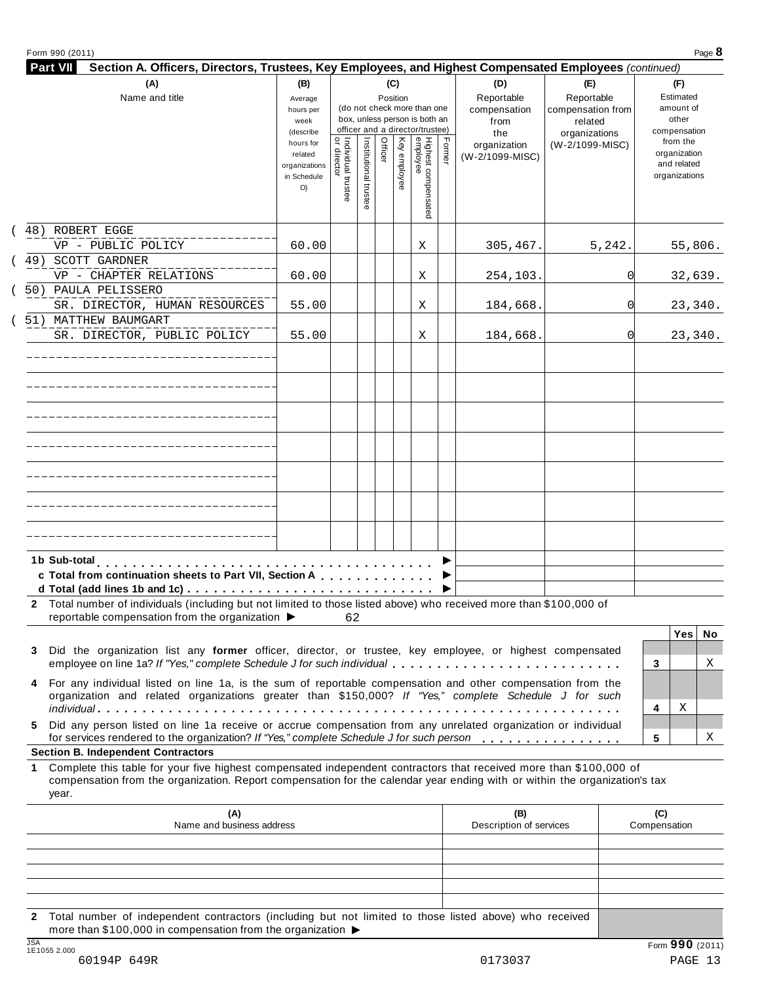| (A)                                                                                                                                                                                                                                              | (B)                                                                      |                                     |                       | (C)      |                 |                                                                                                 |        | (D)                                    | (E)                                        | (F)                                                                      |
|--------------------------------------------------------------------------------------------------------------------------------------------------------------------------------------------------------------------------------------------------|--------------------------------------------------------------------------|-------------------------------------|-----------------------|----------|-----------------|-------------------------------------------------------------------------------------------------|--------|----------------------------------------|--------------------------------------------|--------------------------------------------------------------------------|
| Name and title                                                                                                                                                                                                                                   | Average<br>hours per<br>week                                             |                                     |                       | Position |                 | (do not check more than one<br>box, unless person is both an<br>officer and a director/trustee) |        | Reportable<br>compensation<br>from     | Reportable<br>compensation from<br>related | Estimated<br>amount of<br>other                                          |
|                                                                                                                                                                                                                                                  | (describe<br>hours for<br>related<br>organizations<br>in Schedule<br>O() | ă<br>Individual trustee<br>director | Institutional trustee | Officer  | Key<br>employee | Highest compensate<br>employee                                                                  | Former | the<br>organization<br>(W-2/1099-MISC) | organizations<br>(W-2/1099-MISC)           | compensation<br>from the<br>organization<br>and related<br>organizations |
| (48) ROBERT EGGE                                                                                                                                                                                                                                 |                                                                          |                                     |                       |          |                 |                                                                                                 |        |                                        |                                            |                                                                          |
| VP - PUBLIC POLICY<br>(49) SCOTT GARDNER                                                                                                                                                                                                         | 60.00                                                                    |                                     |                       |          |                 | Χ                                                                                               |        | 305,467.                               | 5,242.                                     | 55,806.                                                                  |
| VP - CHAPTER RELATIONS                                                                                                                                                                                                                           | 60.00                                                                    |                                     |                       |          |                 | Χ                                                                                               |        | 254,103.                               | 01                                         | 32,639.                                                                  |
| (50) PAULA PELISSERO                                                                                                                                                                                                                             |                                                                          |                                     |                       |          |                 |                                                                                                 |        |                                        |                                            |                                                                          |
| SR. DIRECTOR, HUMAN RESOURCES                                                                                                                                                                                                                    | 55.00                                                                    |                                     |                       |          |                 | Χ                                                                                               |        | 184,668.                               | 01                                         | 23,340.                                                                  |
| ( 51) MATTHEW BAUMGART                                                                                                                                                                                                                           |                                                                          |                                     |                       |          |                 |                                                                                                 |        |                                        |                                            |                                                                          |
| SR. DIRECTOR, PUBLIC POLICY                                                                                                                                                                                                                      | 55.00                                                                    |                                     |                       |          |                 | Χ                                                                                               |        | 184,668.                               | 0l                                         | 23,340.                                                                  |
|                                                                                                                                                                                                                                                  |                                                                          |                                     |                       |          |                 |                                                                                                 |        |                                        |                                            |                                                                          |
|                                                                                                                                                                                                                                                  |                                                                          |                                     |                       |          |                 |                                                                                                 |        |                                        |                                            |                                                                          |
|                                                                                                                                                                                                                                                  |                                                                          |                                     |                       |          |                 |                                                                                                 |        |                                        |                                            |                                                                          |
|                                                                                                                                                                                                                                                  |                                                                          |                                     |                       |          |                 |                                                                                                 |        |                                        |                                            |                                                                          |
|                                                                                                                                                                                                                                                  |                                                                          |                                     |                       |          |                 |                                                                                                 |        |                                        |                                            |                                                                          |
|                                                                                                                                                                                                                                                  |                                                                          |                                     |                       |          |                 |                                                                                                 |        |                                        |                                            |                                                                          |
|                                                                                                                                                                                                                                                  |                                                                          |                                     |                       |          |                 |                                                                                                 |        |                                        |                                            |                                                                          |
| c Total from continuation sheets to Part VII, Section A                                                                                                                                                                                          |                                                                          |                                     |                       |          |                 |                                                                                                 |        |                                        |                                            |                                                                          |
| d Total (add lines 1b and 1c)                                                                                                                                                                                                                    |                                                                          |                                     |                       |          |                 |                                                                                                 |        |                                        |                                            |                                                                          |
| 2 Total number of individuals (including but not limited to those listed above) who received more than \$100,000 of<br>reportable compensation from the organization $\blacktriangleright$                                                       |                                                                          | 62                                  |                       |          |                 |                                                                                                 |        |                                        |                                            |                                                                          |
|                                                                                                                                                                                                                                                  |                                                                          |                                     |                       |          |                 |                                                                                                 |        |                                        |                                            | Yes<br>No                                                                |
| Did the organization list any former officer, director, or trustee, key employee, or highest compensated                                                                                                                                         |                                                                          |                                     |                       |          |                 |                                                                                                 |        |                                        |                                            |                                                                          |
| employee on line 1a? If "Yes," complete Schedule J for such individual                                                                                                                                                                           |                                                                          |                                     |                       |          |                 |                                                                                                 |        |                                        |                                            | X<br>3                                                                   |
| For any individual listed on line 1a, is the sum of reportable compensation and other compensation from the<br>organization and related organizations greater than \$150,000? If "Yes," complete Schedule J for such                             |                                                                          |                                     |                       |          |                 |                                                                                                 |        |                                        |                                            |                                                                          |
|                                                                                                                                                                                                                                                  |                                                                          |                                     |                       |          |                 |                                                                                                 |        |                                        |                                            | Χ<br>4                                                                   |
| Did any person listed on line 1a receive or accrue compensation from any unrelated organization or individual<br>for services rendered to the organization? If "Yes," complete Schedule J for such person                                        |                                                                          |                                     |                       |          |                 |                                                                                                 |        |                                        |                                            | 5<br>Χ                                                                   |
| <b>Section B. Independent Contractors</b>                                                                                                                                                                                                        |                                                                          |                                     |                       |          |                 |                                                                                                 |        |                                        |                                            |                                                                          |
| Complete this table for your five highest compensated independent contractors that received more than \$100,000 of<br>compensation from the organization. Report compensation for the calendar year ending with or within the organization's tax |                                                                          |                                     |                       |          |                 |                                                                                                 |        |                                        |                                            |                                                                          |
| year.                                                                                                                                                                                                                                            |                                                                          |                                     |                       |          |                 |                                                                                                 |        |                                        |                                            |                                                                          |
| (A)<br>Name and business address                                                                                                                                                                                                                 |                                                                          |                                     |                       |          |                 |                                                                                                 |        | (B)<br>Description of services         |                                            | (C)<br>Compensation                                                      |

**2** Total number of independent contractors (including but not limited to those listed above) who received more than \$100,000 in compensation from the organization  $\blacktriangleright$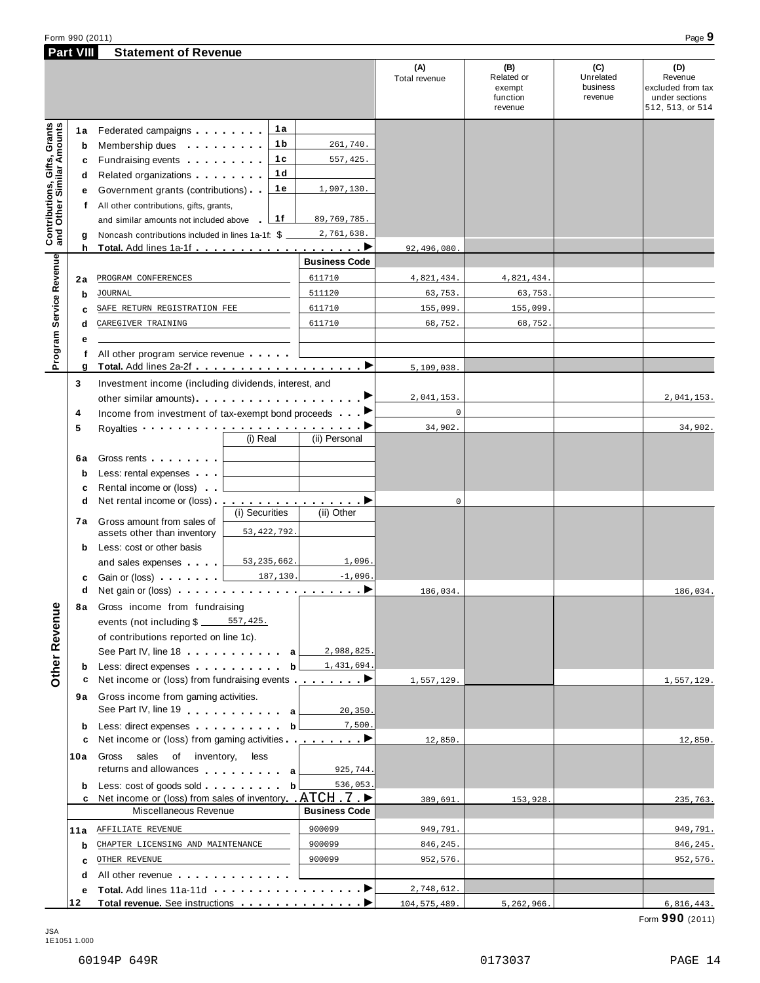|                                                           | <b>Part VIII</b> | <b>Statement of Revenue</b>                                                                                                                                                                                                              |                |                |                      |                           |                                                    |                                         |                                                                           |
|-----------------------------------------------------------|------------------|------------------------------------------------------------------------------------------------------------------------------------------------------------------------------------------------------------------------------------------|----------------|----------------|----------------------|---------------------------|----------------------------------------------------|-----------------------------------------|---------------------------------------------------------------------------|
|                                                           |                  |                                                                                                                                                                                                                                          |                |                |                      | (A)<br>Total revenue      | (B)<br>Related or<br>exempt<br>function<br>revenue | (C)<br>Unrelated<br>business<br>revenue | (D)<br>Revenue<br>excluded from tax<br>under sections<br>512, 513, or 514 |
|                                                           | 1a               | Federated campaigns                                                                                                                                                                                                                      |                | 1a             |                      |                           |                                                    |                                         |                                                                           |
|                                                           | b                | Membership dues <b>All According to the Second Second</b> Second Second Second Second Second Second Second Second Second Second Second Second Second Second Second Second Second Second Second Second Second Second Second Second S      |                | 1 b            | 261,740.             |                           |                                                    |                                         |                                                                           |
|                                                           | c                | Fundraising events <b>Example 2</b> is a set of the set of the set of the set of the set of the set of the set of the set of the set of the set of the set of the set of the set of the set of the set of the set of the set of the      |                | 1 c            | 557,425.             |                           |                                                    |                                         |                                                                           |
|                                                           | d                | Related organizations <b>and the set of the set of the set of the set of the set of the set of the set of the set of the set of the set of the set of the set of the set of the set of the set of the set of the set of the set </b>     |                | 1 <sub>d</sub> |                      |                           |                                                    |                                         |                                                                           |
|                                                           | е                | Government grants (contributions)                                                                                                                                                                                                        |                | 1е             | 1,907,130.           |                           |                                                    |                                         |                                                                           |
|                                                           | f                | All other contributions, gifts, grants,                                                                                                                                                                                                  |                |                |                      |                           |                                                    |                                         |                                                                           |
|                                                           |                  | and similar amounts not included above                                                                                                                                                                                                   |                | 1f             | 89,769,785.          |                           |                                                    |                                         |                                                                           |
| Contributions, Gifts, Grants<br>and Other Similar Amounts | g                | Noncash contributions included in lines 1a-1f: \$                                                                                                                                                                                        |                |                | 2,761,638.           |                           |                                                    |                                         |                                                                           |
|                                                           | h                |                                                                                                                                                                                                                                          |                |                |                      | 92,496,080                |                                                    |                                         |                                                                           |
|                                                           |                  |                                                                                                                                                                                                                                          |                |                | <b>Business Code</b> |                           |                                                    |                                         |                                                                           |
|                                                           | 2a               | PROGRAM CONFERENCES                                                                                                                                                                                                                      |                |                | 611710               | 4,821,434.                | 4,821,434.                                         |                                         |                                                                           |
|                                                           | b                | <b>JOURNAL</b>                                                                                                                                                                                                                           |                |                | 511120               | 63,753.                   | 63,753.                                            |                                         |                                                                           |
|                                                           | c                | SAFE RETURN REGISTRATION FEE                                                                                                                                                                                                             |                |                | 611710               | 155,099.                  | 155,099                                            |                                         |                                                                           |
| Service Revenue                                           | d                | CAREGIVER TRAINING                                                                                                                                                                                                                       |                |                | 611710               | 68,752.                   | 68,752.                                            |                                         |                                                                           |
|                                                           | е                |                                                                                                                                                                                                                                          |                |                |                      |                           |                                                    |                                         |                                                                           |
| Program                                                   | f                | All other program service revenue                                                                                                                                                                                                        |                |                |                      |                           |                                                    |                                         |                                                                           |
|                                                           | g                |                                                                                                                                                                                                                                          |                |                |                      | 5,109,038                 |                                                    |                                         |                                                                           |
|                                                           | 3<br>4           | Investment income (including dividends, interest, and<br>Income from investment of tax-exempt bond proceeds <b>P</b>                                                                                                                     |                |                |                      | 2,041,153.<br>$\mathbf 0$ |                                                    |                                         | 2,041,153.                                                                |
|                                                           | 5                | Royalties <b>Example 20</b> Royalties <b>Example 20</b> and 20 and 20 and 20 and 20 and 20 and 20 and 20 and 20 and 20 and 20 and 20 and 20 and 20 and 20 and 20 and 20 and 20 and 20 and 20 and 20 and 20 and 20 and 20 and 20 and 20 a |                |                |                      | 34,902.                   |                                                    |                                         | 34,902.                                                                   |
|                                                           |                  |                                                                                                                                                                                                                                          | (i) Real       |                | (ii) Personal        |                           |                                                    |                                         |                                                                           |
|                                                           | 6а               | Gross rents <b>Called Street Street Street Street Street</b>                                                                                                                                                                             |                |                |                      |                           |                                                    |                                         |                                                                           |
|                                                           | b                | Less: rental expenses                                                                                                                                                                                                                    |                |                |                      |                           |                                                    |                                         |                                                                           |
|                                                           | c                | Rental income or (loss)                                                                                                                                                                                                                  |                |                |                      |                           |                                                    |                                         |                                                                           |
|                                                           | d                | Net rental income or (loss) <u></u>                                                                                                                                                                                                      |                |                |                      | 0                         |                                                    |                                         |                                                                           |
|                                                           |                  |                                                                                                                                                                                                                                          | (i) Securities |                | (ii) Other           |                           |                                                    |                                         |                                                                           |
|                                                           | 7а               | Gross amount from sales of<br>assets other than inventory                                                                                                                                                                                |                | 53, 422, 792.  |                      |                           |                                                    |                                         |                                                                           |
|                                                           | b                | Less: cost or other basis                                                                                                                                                                                                                |                |                |                      |                           |                                                    |                                         |                                                                           |
|                                                           |                  | and sales expenses                                                                                                                                                                                                                       |                | 53, 235, 662.  | 1,096.               |                           |                                                    |                                         |                                                                           |
|                                                           | c                | Gain or (loss) $\cdots$ $\frac{187,130}{\cdots}$                                                                                                                                                                                         |                |                | $-1,096$             |                           |                                                    |                                         |                                                                           |
|                                                           | d                | Net gain or (loss) $\cdots$ $\cdots$ $\cdots$ $\cdots$ $\cdots$ $\cdots$ $\cdots$                                                                                                                                                        |                |                |                      | 186,034.                  |                                                    |                                         | 186,034.                                                                  |
|                                                           | 8а               | Gross income from fundraising                                                                                                                                                                                                            |                |                |                      |                           |                                                    |                                         |                                                                           |
| Other Revenue                                             |                  | events (not including \$ ______ 557,425.                                                                                                                                                                                                 |                |                |                      |                           |                                                    |                                         |                                                                           |
|                                                           |                  | of contributions reported on line 1c).                                                                                                                                                                                                   |                |                |                      |                           |                                                    |                                         |                                                                           |
|                                                           |                  | See Part IV, line 18 a                                                                                                                                                                                                                   |                |                | 2,988,825.           |                           |                                                    |                                         |                                                                           |
|                                                           | b                | Less: direct expenses bl                                                                                                                                                                                                                 |                |                | 1,431,694.           |                           |                                                    |                                         |                                                                           |
|                                                           | c                | Net income or (loss) from fundraising events <u></u> ▶                                                                                                                                                                                   |                |                |                      | 1,557,129.                |                                                    |                                         | 1,557,129.                                                                |
|                                                           |                  | 9a Gross income from gaming activities.                                                                                                                                                                                                  |                |                |                      |                           |                                                    |                                         |                                                                           |
|                                                           |                  | See Part IV, line 19 and the Lines of a                                                                                                                                                                                                  |                |                | 20,350.              |                           |                                                    |                                         |                                                                           |
|                                                           | b                | Less: direct expenses b                                                                                                                                                                                                                  |                |                | 7,500.               |                           |                                                    |                                         |                                                                           |
|                                                           | c                | Net income or (loss) from gaming activities <u></u>                                                                                                                                                                                      |                |                |                      | 12,850.                   |                                                    |                                         | 12,850.                                                                   |
|                                                           | 10a              | Gross<br>sales of inventory,                                                                                                                                                                                                             | less           |                |                      |                           |                                                    |                                         |                                                                           |
|                                                           |                  | returns and allowances and allowances                                                                                                                                                                                                    |                |                | 925,744.             |                           |                                                    |                                         |                                                                           |
|                                                           | b                | Less: cost of goods sold b                                                                                                                                                                                                               |                |                | 536,053.             |                           |                                                    |                                         |                                                                           |
|                                                           |                  | c Net income or (loss) from sales of inventory ATCH 7 ▶                                                                                                                                                                                  |                |                |                      | 389,691.                  | 153,928.                                           |                                         | 235,763.                                                                  |
|                                                           |                  | Miscellaneous Revenue                                                                                                                                                                                                                    |                |                | <b>Business Code</b> |                           |                                                    |                                         |                                                                           |

JSA 1E1051 1.000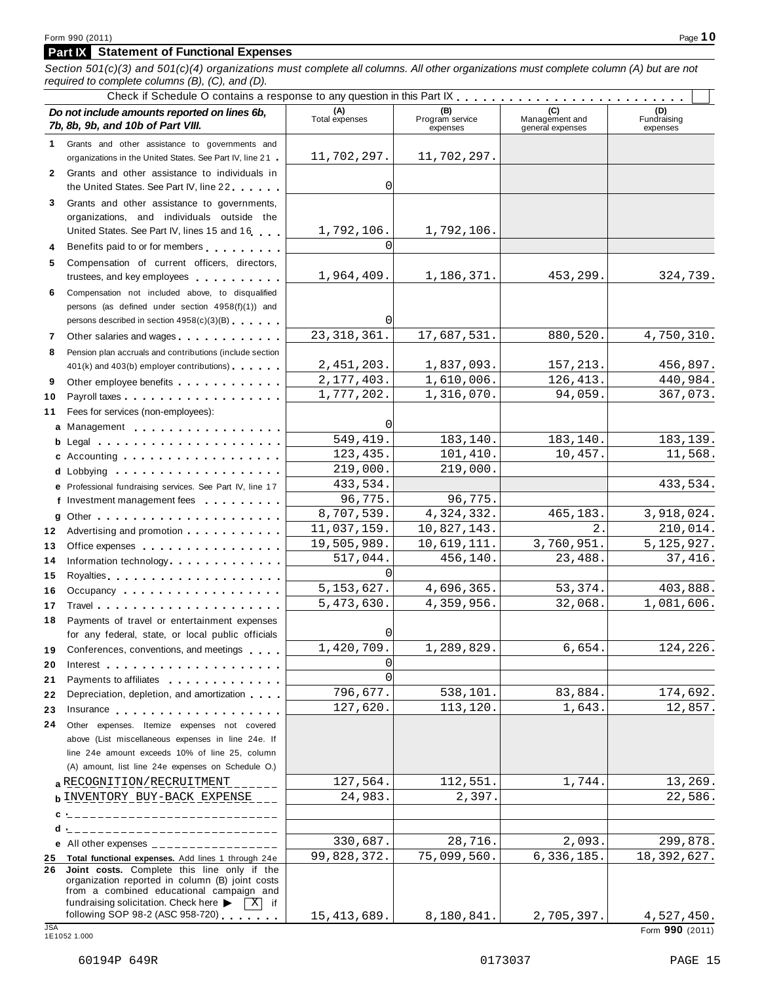#### **Part IX Statement of Functional Expenses**

Section 501(c)(3) and 501(c)(4) organizations must complete all columns. All other organizations must complete column (A) but are not

| required to complete columns $(B)$ , $(C)$ , and $(D)$ .                                                                                                                                                                                   |                       |                             |                                    |                         |
|--------------------------------------------------------------------------------------------------------------------------------------------------------------------------------------------------------------------------------------------|-----------------------|-----------------------------|------------------------------------|-------------------------|
| Do not include amounts reported on lines 6b,                                                                                                                                                                                               |                       | (B)                         | (C)                                | (D)                     |
| 7b, 8b, 9b, and 10b of Part VIII.                                                                                                                                                                                                          | (A)<br>Total expenses | Program service<br>expenses | Management and<br>general expenses | Fundraising<br>expenses |
| Grants and other assistance to governments and<br>1                                                                                                                                                                                        |                       |                             |                                    |                         |
| organizations in the United States. See Part IV, line 21.                                                                                                                                                                                  | 11,702,297.           | 11,702,297.                 |                                    |                         |
| Grants and other assistance to individuals in<br>$\mathbf{2}$<br>the United States. See Part IV, line 22                                                                                                                                   | $\Omega$              |                             |                                    |                         |
| Grants and other assistance to governments,<br>3                                                                                                                                                                                           |                       |                             |                                    |                         |
| organizations, and individuals outside the                                                                                                                                                                                                 |                       |                             |                                    |                         |
| United States. See Part IV, lines 15 and 16                                                                                                                                                                                                | 1,792,106.            | 1,792,106.                  |                                    |                         |
| Benefits paid to or for members<br>4                                                                                                                                                                                                       | $\Omega$              |                             |                                    |                         |
| Compensation of current officers, directors,<br>5                                                                                                                                                                                          |                       |                             |                                    |                         |
| trustees, and key employees                                                                                                                                                                                                                | 1,964,409.            | 1,186,371.                  | 453,299.                           | 324,739.                |
| Compensation not included above, to disqualified<br>6.                                                                                                                                                                                     |                       |                             |                                    |                         |
| persons (as defined under section 4958(f)(1)) and                                                                                                                                                                                          |                       |                             |                                    |                         |
| persons described in section 4958(c)(3)(B)                                                                                                                                                                                                 | $\Omega$              |                             |                                    |                         |
| Other salaries and wages<br>7                                                                                                                                                                                                              | 23, 318, 361.         | 17,687,531.                 | 880,520.                           | 4,750,310.              |
| Pension plan accruals and contributions (include section<br>8                                                                                                                                                                              |                       |                             |                                    |                         |
| 401(k) and 403(b) employer contributions)                                                                                                                                                                                                  | 2,451,203.            | 1,837,093.                  | 157,213.                           | 456,897.                |
| Other employee benefits experience in the control of the control of the control of the control of the control of the control of the control of the control of the control of the control of the control of the control of the<br>9         | 2,177,403.            | 1,610,006.                  | 126,413.                           | 440,984.                |
| Payroll taxes<br>10                                                                                                                                                                                                                        | 1,777,202.            | 1,316,070.                  | 94,059.                            | 367,073.                |
| Fees for services (non-employees):<br>11                                                                                                                                                                                                   |                       |                             |                                    |                         |
| a Management experience and a Management                                                                                                                                                                                                   | 0                     |                             |                                    |                         |
|                                                                                                                                                                                                                                            | 549,419.              | 183,140.                    | 183,140.                           | 183,139.                |
| c Accounting $\ldots$ ,                                                                                                                                                                                                                    | 123,435.              | 101,410.                    | 10,457.                            | 11,568.                 |
|                                                                                                                                                                                                                                            | 219,000.              | 219,000.                    |                                    |                         |
| e Professional fundraising services. See Part IV, line 17                                                                                                                                                                                  | 433,534.              |                             |                                    | 433,534.                |
| f Investment management fees                                                                                                                                                                                                               | 96,775.               | 96,775.                     |                                    |                         |
|                                                                                                                                                                                                                                            | 8,707,539.            | 4,324,332.                  | 465,183.                           | 3,918,024.              |
| Advertising and promotion<br>12                                                                                                                                                                                                            | 11,037,159.           | 10,827,143.                 | $2$ .                              | 210,014.                |
| Office expenses extensive and the set of the set of the set of the set of the set of the set of the set of the<br>13                                                                                                                       | 19,505,989.           | 10,619,111.                 | 3,760,951.                         | 5, 125, 927.            |
| Information technology exercise the contract of the state of the state of the state of the state of the state of the state of the state of the state of the state of the state of the state of the state of the state of the s<br>14       | 517,044.              | 456,140.                    | 23,488.                            | 37,416.                 |
| 15                                                                                                                                                                                                                                         | $\Omega$              |                             |                                    |                         |
| Occupancy<br>16                                                                                                                                                                                                                            | 5, 153, 627.          | 4,696,365.                  | 53,374.                            | 403,888.                |
| 17                                                                                                                                                                                                                                         | 5,473,630.            | 4,359,956.                  | 32,068.                            | 1,081,606.              |
| Payments of travel or entertainment expenses<br>18<br>for any federal, state, or local public officials                                                                                                                                    | 0                     |                             |                                    |                         |
| Conferences, conventions, and meetings<br>19                                                                                                                                                                                               | 1,420,709.            | 1,289,829.                  | 6,654.                             | 124,226.                |
| 20<br>Interest entering the set of the set of the set of the set of the set of the set of the set of the set of the                                                                                                                        | 0                     |                             |                                    |                         |
| Payments to affiliates <b>container and the set of the set of the set of the set of the set of the set of the set of the set of the set of the set of the set of the set of the set of the set of the set of the set of the set </b><br>21 | $\Omega$              |                             |                                    |                         |
| Depreciation, depletion, and amortization<br>22                                                                                                                                                                                            | 796,677.              | 538,101.                    | 83,884.                            | 174,692.                |
| 23                                                                                                                                                                                                                                         | 127,620.              | 113,120.                    | 1,643.                             | 12,857.                 |
| Other expenses. Itemize expenses not covered<br>24                                                                                                                                                                                         |                       |                             |                                    |                         |
| above (List miscellaneous expenses in line 24e. If                                                                                                                                                                                         |                       |                             |                                    |                         |
| line 24e amount exceeds 10% of line 25, column                                                                                                                                                                                             |                       |                             |                                    |                         |
| (A) amount, list line 24e expenses on Schedule O.)                                                                                                                                                                                         |                       |                             |                                    |                         |
| a RECOGNITION/RECRUITMENT                                                                                                                                                                                                                  | 127,564.              | 112,551.                    | 1,744.                             | 13,269.                 |
| <b>b</b> INVENTORY BUY-BACK EXPENSE                                                                                                                                                                                                        | 24,983.               | 2,397.                      |                                    | 22,586.                 |
| ____________________________                                                                                                                                                                                                               |                       |                             |                                    |                         |
| _____________________________<br>d                                                                                                                                                                                                         |                       |                             |                                    |                         |
| e All other expenses $\frac{1}{1}$                                                                                                                                                                                                         | 330,687.              | 28,716.                     | 2,093.                             | 299,878.                |
| 25 Total functional expenses. Add lines 1 through 24e                                                                                                                                                                                      | 99,828,372.           | 75,099,560.                 | 6, 336, 185.                       | 18,392,627.             |
| 26 Joint costs. Complete this line only if the<br>organization reported in column (B) joint costs<br>from a combined educational campaign and<br>fundraising solicitation. Check here<br>$X$ if                                            |                       |                             |                                    |                         |
| following SOP 98-2 (ASC 958-720) $\qquad \qquad$                                                                                                                                                                                           | 15, 413, 689.         | 8,180,841.                  | 2,705,397.                         | 4,527,450.              |
|                                                                                                                                                                                                                                            |                       |                             |                                    |                         |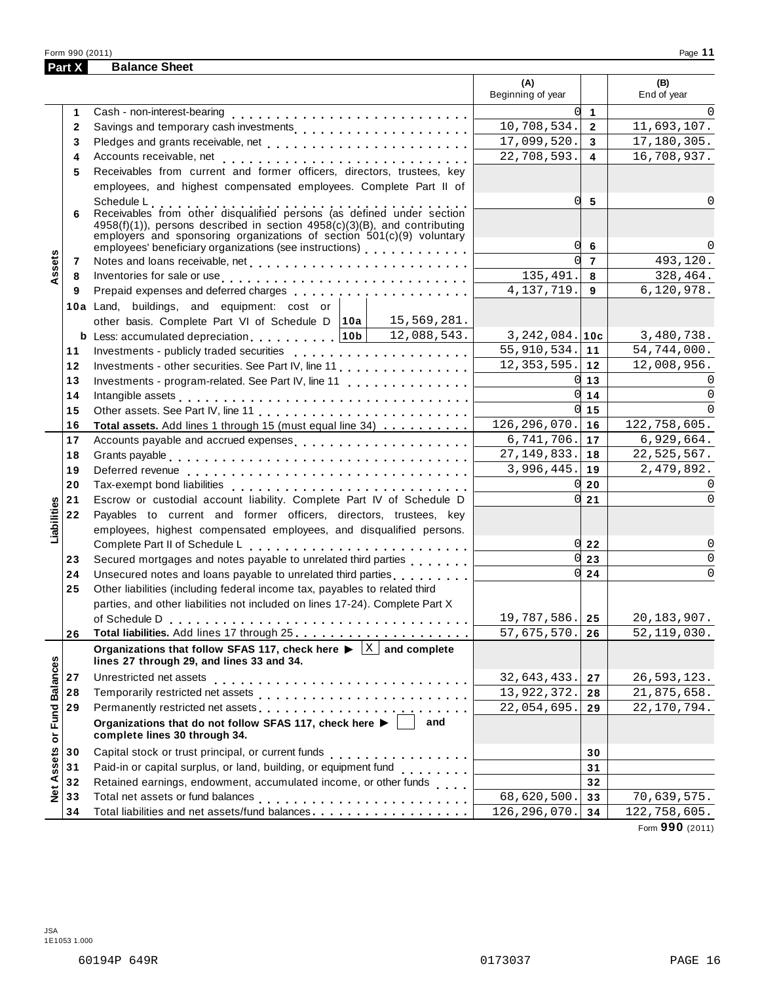|                      | Part X       | <b>Balance Sheet</b>                                                                                                                                                                                                                        |                             |                  |                                |
|----------------------|--------------|---------------------------------------------------------------------------------------------------------------------------------------------------------------------------------------------------------------------------------------------|-----------------------------|------------------|--------------------------------|
|                      |              |                                                                                                                                                                                                                                             | (A)<br>Beginning of year    |                  | (B)<br>End of year             |
|                      | 1            | Cash - non-interest-bearing                                                                                                                                                                                                                 |                             | $\overline{0}$ 1 |                                |
|                      | $\mathbf{2}$ | Savings and temporary cash investments                                                                                                                                                                                                      | 10,708,534.                 | $\overline{2}$   | 11,693,107.                    |
|                      | 3            |                                                                                                                                                                                                                                             | 17,099,520.                 | $\mathbf{3}$     | 17,180,305.                    |
|                      | 4            |                                                                                                                                                                                                                                             | 22,708,593.                 | 4                | 16,708,937.                    |
|                      | 5            | Receivables from current and former officers, directors, trustees, key                                                                                                                                                                      |                             |                  |                                |
|                      |              | employees, and highest compensated employees. Complete Part II of                                                                                                                                                                           |                             |                  |                                |
|                      | 6            | Schedule L<br>Receivables from other disqualified persons (as defined under section<br>4958(f)(1)), persons described in section 4958(c)(3)(B), and contributing<br>employers and sponsoring organizations of section $501(c)(9)$ voluntary | 0l<br>0l                    | 5<br>6           |                                |
|                      | 7            |                                                                                                                                                                                                                                             | <sub>0</sub>                | $\overline{7}$   | 493,120.                       |
| Assets               | 8            | Inventories for sale or use enterpreteration of the contract of the contract of the contract of the contract of                                                                                                                             | 135,491.                    | 8                | 328,464.                       |
|                      | 9            | Prepaid expenses and deferred charges entitled as a set of the set of the set of the set of the set of the set of the set of the set of the set of the set of the set of the set of the set of the set of the set of the set o              | 4, 137, 719.                | 9                | 6, 120, 978.                   |
|                      |              | 10a Land, buildings, and equipment: cost or                                                                                                                                                                                                 |                             |                  |                                |
|                      |              | 15,569,281.<br>other basis. Complete Part VI of Schedule D   10a                                                                                                                                                                            |                             |                  |                                |
|                      |              | 12,088,543.<br><b>b</b> Less: accumulated depreciation $\ldots$ , ,    10b                                                                                                                                                                  | $3,242,084.$ 10c            |                  | 3,480,738.                     |
|                      | 11           |                                                                                                                                                                                                                                             | 55,910,534.                 | 11               | 54,744,000.                    |
|                      | 12           | Investments - other securities. See Part IV, line 11                                                                                                                                                                                        | 12, 353, 595.               | 12               | 12,008,956.                    |
|                      | 13           | Investments - program-related. See Part IV, line 11                                                                                                                                                                                         |                             | $0 \vert 13$     | $\Omega$                       |
|                      | 14           | Intangible assets experience and and an experience of the contract of the contract of the contract of the contract of the contract of the contract of the contract of the contract of the contract of the contract of the cont              |                             | $0 \mid 14$      | $\Omega$                       |
|                      | 15           |                                                                                                                                                                                                                                             |                             | $0 \vert 15$     |                                |
|                      | 16           | Total assets. Add lines 1 through 15 (must equal line 34)                                                                                                                                                                                   | 126, 296, 070.              | 16               | 122,758,605.                   |
|                      | 17           | Accounts payable and accrued expenses                                                                                                                                                                                                       | $\overline{6}$ , 741, 706.  | 17               | 6,929,664.                     |
|                      | 18           |                                                                                                                                                                                                                                             | 27, 149, 833.               | 18               | 22,525,567.                    |
|                      | 19           |                                                                                                                                                                                                                                             | 3,996,445.                  | 19               | 2,479,892.                     |
|                      | 20           |                                                                                                                                                                                                                                             | 0                           | 20               | $\Omega$                       |
|                      | 21           | Escrow or custodial account liability. Complete Part IV of Schedule D                                                                                                                                                                       |                             | $0\vert 21$      | $\Omega$                       |
| Liabilities          | 22           | Payables to current and former officers, directors, trustees, key                                                                                                                                                                           |                             |                  |                                |
|                      |              | employees, highest compensated employees, and disqualified persons.                                                                                                                                                                         |                             |                  |                                |
|                      |              |                                                                                                                                                                                                                                             |                             | $0\overline{22}$ | 0                              |
|                      | 23           | Secured mortgages and notes payable to unrelated third parties                                                                                                                                                                              |                             | $0\overline{23}$ | $\Omega$                       |
|                      | 24           | Unsecured notes and loans payable to unrelated third parties                                                                                                                                                                                |                             | $0\overline{24}$ | 0                              |
|                      | 25           | Other liabilities (including federal income tax, payables to related third                                                                                                                                                                  |                             |                  |                                |
|                      |              | parties, and other liabilities not included on lines 17-24). Complete Part X                                                                                                                                                                |                             |                  |                                |
|                      | 26           |                                                                                                                                                                                                                                             | 19,787,586.<br>57,675,570.  | 25<br>26         | 20, 183, 907.<br>52, 119, 030. |
|                      |              | Organizations that follow SFAS 117, check here $\blacktriangleright$ $\boxed{\text{X}}$ and complete<br>lines 27 through 29, and lines 33 and 34.                                                                                           |                             |                  |                                |
|                      | 27           | Unrestricted net assets                                                                                                                                                                                                                     | 32,643,433.                 | 27               | 26,593,123.                    |
|                      | 28           |                                                                                                                                                                                                                                             | 13, 922, 372.               | 28               | 21,875,658.                    |
|                      | 29           |                                                                                                                                                                                                                                             | 22,054,695.                 | 29               | 22, 170, 794.                  |
| <b>Fund Balances</b> |              | Organizations that do not follow SFAS 117, check here $\blacktriangleright$<br>and<br>complete lines 30 through 34.                                                                                                                         |                             |                  |                                |
|                      | 30           |                                                                                                                                                                                                                                             |                             | 30               |                                |
|                      | 31           | Paid-in or capital surplus, or land, building, or equipment fund                                                                                                                                                                            |                             | 31               |                                |
|                      | 32           | Retained earnings, endowment, accumulated income, or other funds                                                                                                                                                                            |                             | 32               |                                |
| Net Assets or        | 33           |                                                                                                                                                                                                                                             | $\overline{68}$ , 620, 500. | 33               | 70,639,575.                    |
|                      | 34           | Total liabilities and net assets/fund balances                                                                                                                                                                                              | 126, 296, 070.              | 34               | 122,758,605.                   |

Form **990** (2011)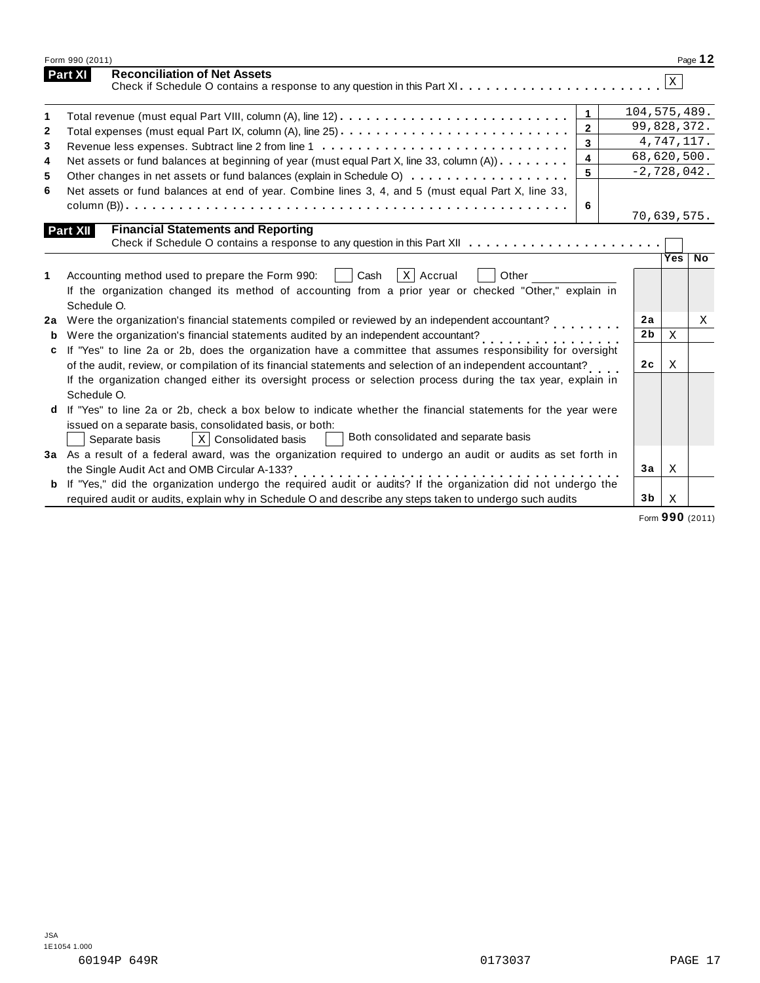| Form 990 (2011)                                                                                                                                                                                         |                                                                                                                                                                                                                                                                                                                                                                                                                                                                                                                                                                                                                                                                                                                                                                                                                                                                                                                                                                                                                                                                                                           |                                                                         | Page 12                                                                                                                                   |
|---------------------------------------------------------------------------------------------------------------------------------------------------------------------------------------------------------|-----------------------------------------------------------------------------------------------------------------------------------------------------------------------------------------------------------------------------------------------------------------------------------------------------------------------------------------------------------------------------------------------------------------------------------------------------------------------------------------------------------------------------------------------------------------------------------------------------------------------------------------------------------------------------------------------------------------------------------------------------------------------------------------------------------------------------------------------------------------------------------------------------------------------------------------------------------------------------------------------------------------------------------------------------------------------------------------------------------|-------------------------------------------------------------------------|-------------------------------------------------------------------------------------------------------------------------------------------|
| <b>Reconciliation of Net Assets</b>                                                                                                                                                                     |                                                                                                                                                                                                                                                                                                                                                                                                                                                                                                                                                                                                                                                                                                                                                                                                                                                                                                                                                                                                                                                                                                           | $\mathbf{x}$                                                            |                                                                                                                                           |
| $\mathbf{1}$                                                                                                                                                                                            |                                                                                                                                                                                                                                                                                                                                                                                                                                                                                                                                                                                                                                                                                                                                                                                                                                                                                                                                                                                                                                                                                                           |                                                                         |                                                                                                                                           |
| $\overline{2}$                                                                                                                                                                                          |                                                                                                                                                                                                                                                                                                                                                                                                                                                                                                                                                                                                                                                                                                                                                                                                                                                                                                                                                                                                                                                                                                           |                                                                         |                                                                                                                                           |
| $\mathbf{3}$                                                                                                                                                                                            |                                                                                                                                                                                                                                                                                                                                                                                                                                                                                                                                                                                                                                                                                                                                                                                                                                                                                                                                                                                                                                                                                                           |                                                                         |                                                                                                                                           |
| 4                                                                                                                                                                                                       |                                                                                                                                                                                                                                                                                                                                                                                                                                                                                                                                                                                                                                                                                                                                                                                                                                                                                                                                                                                                                                                                                                           |                                                                         |                                                                                                                                           |
| 5                                                                                                                                                                                                       |                                                                                                                                                                                                                                                                                                                                                                                                                                                                                                                                                                                                                                                                                                                                                                                                                                                                                                                                                                                                                                                                                                           |                                                                         |                                                                                                                                           |
|                                                                                                                                                                                                         |                                                                                                                                                                                                                                                                                                                                                                                                                                                                                                                                                                                                                                                                                                                                                                                                                                                                                                                                                                                                                                                                                                           |                                                                         |                                                                                                                                           |
| 6                                                                                                                                                                                                       |                                                                                                                                                                                                                                                                                                                                                                                                                                                                                                                                                                                                                                                                                                                                                                                                                                                                                                                                                                                                                                                                                                           |                                                                         |                                                                                                                                           |
| <b>Financial Statements and Reporting</b>                                                                                                                                                               |                                                                                                                                                                                                                                                                                                                                                                                                                                                                                                                                                                                                                                                                                                                                                                                                                                                                                                                                                                                                                                                                                                           |                                                                         |                                                                                                                                           |
|                                                                                                                                                                                                         |                                                                                                                                                                                                                                                                                                                                                                                                                                                                                                                                                                                                                                                                                                                                                                                                                                                                                                                                                                                                                                                                                                           |                                                                         |                                                                                                                                           |
|                                                                                                                                                                                                         |                                                                                                                                                                                                                                                                                                                                                                                                                                                                                                                                                                                                                                                                                                                                                                                                                                                                                                                                                                                                                                                                                                           |                                                                         | $\overline{N}$                                                                                                                            |
| $X$ Accrual<br>Accounting method used to prepare the Form 990:<br>Cash<br>Other<br>If the organization changed its method of accounting from a prior year or checked "Other," explain in<br>Schedule O. |                                                                                                                                                                                                                                                                                                                                                                                                                                                                                                                                                                                                                                                                                                                                                                                                                                                                                                                                                                                                                                                                                                           |                                                                         |                                                                                                                                           |
|                                                                                                                                                                                                         | 2a                                                                                                                                                                                                                                                                                                                                                                                                                                                                                                                                                                                                                                                                                                                                                                                                                                                                                                                                                                                                                                                                                                        |                                                                         | X                                                                                                                                         |
| Were the organization's financial statements audited by an independent accountant?                                                                                                                      | 2 <sub>b</sub>                                                                                                                                                                                                                                                                                                                                                                                                                                                                                                                                                                                                                                                                                                                                                                                                                                                                                                                                                                                                                                                                                            | X                                                                       |                                                                                                                                           |
|                                                                                                                                                                                                         | 2c                                                                                                                                                                                                                                                                                                                                                                                                                                                                                                                                                                                                                                                                                                                                                                                                                                                                                                                                                                                                                                                                                                        | X                                                                       |                                                                                                                                           |
| If the organization changed either its oversight process or selection process during the tax year, explain in<br>Schedule O.                                                                            |                                                                                                                                                                                                                                                                                                                                                                                                                                                                                                                                                                                                                                                                                                                                                                                                                                                                                                                                                                                                                                                                                                           |                                                                         |                                                                                                                                           |
|                                                                                                                                                                                                         |                                                                                                                                                                                                                                                                                                                                                                                                                                                                                                                                                                                                                                                                                                                                                                                                                                                                                                                                                                                                                                                                                                           |                                                                         |                                                                                                                                           |
|                                                                                                                                                                                                         |                                                                                                                                                                                                                                                                                                                                                                                                                                                                                                                                                                                                                                                                                                                                                                                                                                                                                                                                                                                                                                                                                                           |                                                                         |                                                                                                                                           |
| Both consolidated and separate basis                                                                                                                                                                    |                                                                                                                                                                                                                                                                                                                                                                                                                                                                                                                                                                                                                                                                                                                                                                                                                                                                                                                                                                                                                                                                                                           |                                                                         |                                                                                                                                           |
|                                                                                                                                                                                                         |                                                                                                                                                                                                                                                                                                                                                                                                                                                                                                                                                                                                                                                                                                                                                                                                                                                                                                                                                                                                                                                                                                           |                                                                         |                                                                                                                                           |
| the Single Audit Act and OMB Circular A-133?                                                                                                                                                            | 3a                                                                                                                                                                                                                                                                                                                                                                                                                                                                                                                                                                                                                                                                                                                                                                                                                                                                                                                                                                                                                                                                                                        | X                                                                       |                                                                                                                                           |
|                                                                                                                                                                                                         | 3 <sub>b</sub>                                                                                                                                                                                                                                                                                                                                                                                                                                                                                                                                                                                                                                                                                                                                                                                                                                                                                                                                                                                                                                                                                            |                                                                         |                                                                                                                                           |
| b<br>c<br>b                                                                                                                                                                                             | Part XI<br>Net assets or fund balances at beginning of year (must equal Part X, line 33, column (A))<br>Other changes in net assets or fund balances (explain in Schedule O)<br>Net assets or fund balances at end of year. Combine lines 3, 4, and 5 (must equal Part X, line 33,<br>Part XII<br>2a l<br>If "Yes" to line 2a or 2b, does the organization have a committee that assumes responsibility for oversight<br>of the audit, review, or compilation of its financial statements and selection of an independent accountant?<br>If "Yes" to line 2a or 2b, check a box below to indicate whether the financial statements for the year were<br>issued on a separate basis, consolidated basis, or both:<br>X   Consolidated basis<br>Separate basis<br>3a As a result of a federal award, was the organization required to undergo an audit or audits as set forth in<br>If "Yes," did the organization undergo the required audit or audits? If the organization did not undergo the<br>required audit or audits, explain why in Schedule O and describe any steps taken to undergo such audits | Check if Schedule O contains a response to any question in this Part XI | 104,575,489.<br>99,828,372.<br>4,747,117.<br>68,620,500.<br>$-2,728,042.$<br>70,639,575.<br>Yes <sub>1</sub><br>$\boldsymbol{\mathrm{X}}$ |

Form **990** (2011)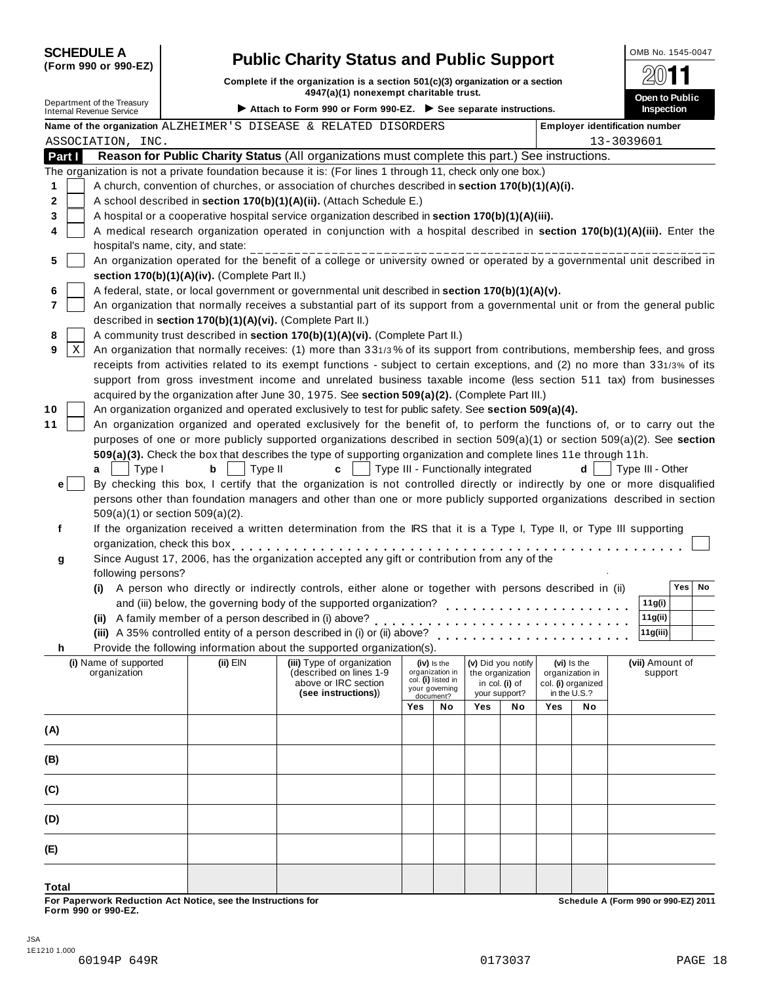| <b>SCHEDULE A</b> |
|-------------------|
|-------------------|

#### **(Form 990 or 990-EZ)**

## **SCHEDULER COMB No. 1545-0047**<br> **Schedule:** if the organization is a section 501(c)(3) organization or a section

**Complete if the organization is a section 501(c)(3) organization or a section 4947(a)(1) nonexempt** charitable trust.<br> $4947(a)(1)$  nonexempt charitable trust.

| Department of the Treasury            |                                                            | 4947(a)(1) nonexempt charitable trust.                                                                                                                                                                                         |     |                                      |                                    |                    |     |                                | Open to Public                        |
|---------------------------------------|------------------------------------------------------------|--------------------------------------------------------------------------------------------------------------------------------------------------------------------------------------------------------------------------------|-----|--------------------------------------|------------------------------------|--------------------|-----|--------------------------------|---------------------------------------|
| <b>Internal Revenue Service</b>       |                                                            | Attach to Form 990 or Form 990-EZ. See separate instructions.                                                                                                                                                                  |     |                                      |                                    |                    |     |                                | Inspection                            |
|                                       |                                                            | Name of the organization ALZHEIMER'S DISEASE & RELATED DISORDERS                                                                                                                                                               |     |                                      |                                    |                    |     |                                | <b>Employer identification number</b> |
| ASSOCIATION, INC.                     |                                                            |                                                                                                                                                                                                                                |     |                                      |                                    |                    |     |                                | 13-3039601                            |
| Part I                                |                                                            | Reason for Public Charity Status (All organizations must complete this part.) See instructions.                                                                                                                                |     |                                      |                                    |                    |     |                                |                                       |
|                                       |                                                            | The organization is not a private foundation because it is: (For lines 1 through 11, check only one box.)                                                                                                                      |     |                                      |                                    |                    |     |                                |                                       |
| 1                                     |                                                            | A church, convention of churches, or association of churches described in section 170(b)(1)(A)(i).                                                                                                                             |     |                                      |                                    |                    |     |                                |                                       |
| 2                                     |                                                            | A school described in section 170(b)(1)(A)(ii). (Attach Schedule E.)                                                                                                                                                           |     |                                      |                                    |                    |     |                                |                                       |
| 3                                     |                                                            | A hospital or a cooperative hospital service organization described in section 170(b)(1)(A)(iii).                                                                                                                              |     |                                      |                                    |                    |     |                                |                                       |
| 4                                     |                                                            | A medical research organization operated in conjunction with a hospital described in section 170(b)(1)(A)(iii). Enter the                                                                                                      |     |                                      |                                    |                    |     |                                |                                       |
|                                       | hospital's name, city, and state:                          |                                                                                                                                                                                                                                |     |                                      |                                    |                    |     |                                |                                       |
| 5                                     |                                                            | An organization operated for the benefit of a college or university owned or operated by a governmental unit described in                                                                                                      |     |                                      |                                    |                    |     |                                |                                       |
|                                       | section 170(b)(1)(A)(iv). (Complete Part II.)              |                                                                                                                                                                                                                                |     |                                      |                                    |                    |     |                                |                                       |
| 6                                     |                                                            | A federal, state, or local government or governmental unit described in section 170(b)(1)(A)(v).                                                                                                                               |     |                                      |                                    |                    |     |                                |                                       |
| 7                                     |                                                            | An organization that normally receives a substantial part of its support from a governmental unit or from the general public                                                                                                   |     |                                      |                                    |                    |     |                                |                                       |
|                                       | described in section 170(b)(1)(A)(vi). (Complete Part II.) |                                                                                                                                                                                                                                |     |                                      |                                    |                    |     |                                |                                       |
| 8<br>$\mathbf X$<br>9                 |                                                            | A community trust described in section 170(b)(1)(A)(vi). (Complete Part II.)<br>An organization that normally receives: (1) more than 331/3% of its support from contributions, membership fees, and gross                     |     |                                      |                                    |                    |     |                                |                                       |
|                                       |                                                            | receipts from activities related to its exempt functions - subject to certain exceptions, and (2) no more than 331/3% of its                                                                                                   |     |                                      |                                    |                    |     |                                |                                       |
|                                       |                                                            | support from gross investment income and unrelated business taxable income (less section 511 tax) from businesses                                                                                                              |     |                                      |                                    |                    |     |                                |                                       |
|                                       |                                                            | acquired by the organization after June 30, 1975. See section 509(a)(2). (Complete Part III.)                                                                                                                                  |     |                                      |                                    |                    |     |                                |                                       |
| 10                                    |                                                            | An organization organized and operated exclusively to test for public safety. See section 509(a)(4).                                                                                                                           |     |                                      |                                    |                    |     |                                |                                       |
| 11                                    |                                                            | An organization organized and operated exclusively for the benefit of, to perform the functions of, or to carry out the                                                                                                        |     |                                      |                                    |                    |     |                                |                                       |
|                                       |                                                            | purposes of one or more publicly supported organizations described in section 509(a)(1) or section 509(a)(2). See section                                                                                                      |     |                                      |                                    |                    |     |                                |                                       |
|                                       |                                                            | 509(a)(3). Check the box that describes the type of supporting organization and complete lines 11e through 11h.                                                                                                                |     |                                      |                                    |                    |     |                                |                                       |
| Type I<br>a                           | b<br>Type II                                               | C                                                                                                                                                                                                                              |     |                                      | Type III - Functionally integrated |                    |     | d                              | Type III - Other                      |
| $\mathbf{e}$                          |                                                            | By checking this box, I certify that the organization is not controlled directly or indirectly by one or more disqualified                                                                                                     |     |                                      |                                    |                    |     |                                |                                       |
|                                       |                                                            | persons other than foundation managers and other than one or more publicly supported organizations described in section                                                                                                        |     |                                      |                                    |                    |     |                                |                                       |
|                                       | 509(a)(1) or section 509(a)(2).                            |                                                                                                                                                                                                                                |     |                                      |                                    |                    |     |                                |                                       |
| f                                     |                                                            | If the organization received a written determination from the IRS that it is a Type I, Type II, or Type III supporting                                                                                                         |     |                                      |                                    |                    |     |                                |                                       |
|                                       |                                                            | organization, check this box experience in the set of the set of the set of the set of the set of the set of the set of the set of the set of the set of the set of the set of the set of the set of the set of the set of the |     |                                      |                                    |                    |     |                                |                                       |
| g                                     |                                                            | Since August 17, 2006, has the organization accepted any gift or contribution from any of the                                                                                                                                  |     |                                      |                                    |                    |     |                                |                                       |
| following persons?                    |                                                            |                                                                                                                                                                                                                                |     |                                      |                                    |                    |     |                                |                                       |
| (i)                                   |                                                            | A person who directly or indirectly controls, either alone or together with persons described in (ii)                                                                                                                          |     |                                      |                                    |                    |     |                                | Yes<br>No                             |
|                                       |                                                            |                                                                                                                                                                                                                                |     |                                      |                                    |                    |     |                                | 11g(i)                                |
|                                       |                                                            | (ii) A family member of a person described in (i) above?                                                                                                                                                                       |     |                                      |                                    |                    |     |                                | 11g(ii)                               |
|                                       |                                                            |                                                                                                                                                                                                                                |     |                                      |                                    |                    |     |                                | 11g(iii)                              |
|                                       |                                                            | Provide the following information about the supported organization(s).                                                                                                                                                         |     |                                      |                                    |                    |     |                                |                                       |
| (i) Name of supported<br>organization | $(ii)$ EIN                                                 | (iii) Type of organization<br>(described on lines 1-9                                                                                                                                                                          |     | (iv) is the<br>organization in       | the organization                   | (v) Did you notify |     | (vi) Is the<br>organization in | (vii) Amount of<br>support            |
|                                       |                                                            | above or IRC section                                                                                                                                                                                                           |     | col. (i) listed in<br>your governing |                                    | in col. (i) of     |     | col. (i) organized             |                                       |
|                                       |                                                            | (see instructions))                                                                                                                                                                                                            |     | document?                            | your support?                      |                    |     | in the U.S.?                   |                                       |
|                                       |                                                            |                                                                                                                                                                                                                                | Yes | No                                   | Yes                                | No                 | Yes | No                             |                                       |
| (A)                                   |                                                            |                                                                                                                                                                                                                                |     |                                      |                                    |                    |     |                                |                                       |
|                                       |                                                            |                                                                                                                                                                                                                                |     |                                      |                                    |                    |     |                                |                                       |
| (B)                                   |                                                            |                                                                                                                                                                                                                                |     |                                      |                                    |                    |     |                                |                                       |
| (C)                                   |                                                            |                                                                                                                                                                                                                                |     |                                      |                                    |                    |     |                                |                                       |
| (D)                                   |                                                            |                                                                                                                                                                                                                                |     |                                      |                                    |                    |     |                                |                                       |
|                                       |                                                            |                                                                                                                                                                                                                                |     |                                      |                                    |                    |     |                                |                                       |
| (E)                                   |                                                            |                                                                                                                                                                                                                                |     |                                      |                                    |                    |     |                                |                                       |
|                                       |                                                            |                                                                                                                                                                                                                                |     |                                      |                                    |                    |     |                                |                                       |

**Total**

For Paperwork Reduction Act Notice, see the Instructions for the controlled and the controlled a Schedule A (Form 990 or 990-EZ) 2011<br>Form 990 or 990-EZ.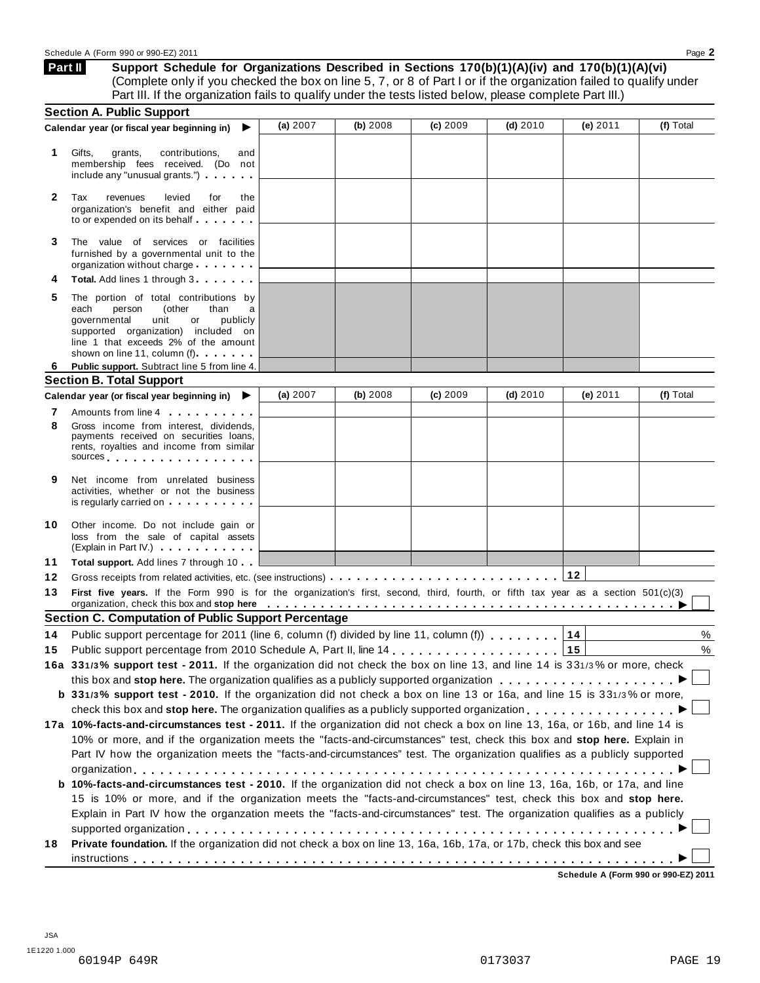| Part II | Support Schedule for Organizations Described in Sections 170(b)(1)(A)(iv) and 170(b)(1)(A)(vi)                    |
|---------|-------------------------------------------------------------------------------------------------------------------|
|         | (Complete only if you checked the box on line 5, 7, or 8 of Part I or if the organization failed to qualify under |
|         | Part III. If the organization fails to qualify under the tests listed below, please complete Part III.)           |

|              | <b>Section A. Public Support</b>                                                                                                                                                                                                                                                                                                                                                      |          |          |          |            |            |           |
|--------------|---------------------------------------------------------------------------------------------------------------------------------------------------------------------------------------------------------------------------------------------------------------------------------------------------------------------------------------------------------------------------------------|----------|----------|----------|------------|------------|-----------|
|              | Calendar year (or fiscal year beginning in)                                                                                                                                                                                                                                                                                                                                           | (a) 2007 | (b) 2008 | (c) 2009 | $(d)$ 2010 | (e) $2011$ | (f) Total |
| 1            | Gifts,<br>grants,<br>contributions,<br>and<br>membership fees received. (Do not<br>include any "unusual grants.")                                                                                                                                                                                                                                                                     |          |          |          |            |            |           |
| $\mathbf{2}$ | Tax<br>levied<br>revenues<br>for<br>the<br>organization's benefit and either paid<br>to or expended on its behalf                                                                                                                                                                                                                                                                     |          |          |          |            |            |           |
| 3            | The value of services or facilities<br>furnished by a governmental unit to the<br>organization without charge                                                                                                                                                                                                                                                                         |          |          |          |            |            |           |
|              | <b>Total.</b> Add lines 1 through 3                                                                                                                                                                                                                                                                                                                                                   |          |          |          |            |            |           |
| 5            | The portion of total contributions by<br>person<br>than<br>each<br>(other<br>a<br>governmental<br>unit<br>publicly<br>or<br>supported organization) included on<br>line 1 that exceeds 2% of the amount<br>shown on line 11, column (f)                                                                                                                                               |          |          |          |            |            |           |
| 6            | Public support. Subtract line 5 from line 4.                                                                                                                                                                                                                                                                                                                                          |          |          |          |            |            |           |
|              | <b>Section B. Total Support</b>                                                                                                                                                                                                                                                                                                                                                       |          |          |          |            |            |           |
|              | Calendar year (or fiscal year beginning in) $\blacktriangleright$                                                                                                                                                                                                                                                                                                                     | (a) 2007 | (b) 2008 | (c) 2009 | $(d)$ 2010 | (e) $2011$ | (f) Total |
| 8            | Amounts from line 4<br>Gross income from interest, dividends,<br>payments received on securities loans,<br>rents, royalties and income from similar<br>sources and the set of the set of the set of the set of the set of the set of the set of the set of the set of the set of the set of the set of the set of the set of the set of the set of the set of the set of the set of t |          |          |          |            |            |           |
| 9            | Net income from unrelated business<br>activities, whether or not the business<br>is regularly carried on the control of the set of the set of the set of the set of the set of the set of the s                                                                                                                                                                                       |          |          |          |            |            |           |
| 10           | Other income. Do not include gain or<br>loss from the sale of capital assets<br>(Explain in Part IV.)                                                                                                                                                                                                                                                                                 |          |          |          |            |            |           |
| 11           | Total support. Add lines 7 through 10                                                                                                                                                                                                                                                                                                                                                 |          |          |          |            |            |           |
| 12           |                                                                                                                                                                                                                                                                                                                                                                                       |          |          |          |            | 12         |           |
| 13           | First five years. If the Form 990 is for the organization's first, second, third, fourth, or fifth tax year as a section 501(c)(3)<br>organization, check this box and stop here entitled by the state of the state of the state of the state of the state of the state of the state of the state of the state of the state of the state of the state of the state o                  |          |          |          |            |            |           |
|              | <b>Section C. Computation of Public Support Percentage</b>                                                                                                                                                                                                                                                                                                                            |          |          |          |            |            |           |
| 14           | Public support percentage for 2011 (line 6, column (f) divided by line 11, column (f)                                                                                                                                                                                                                                                                                                 |          |          |          |            | 14         | %         |
| 15           |                                                                                                                                                                                                                                                                                                                                                                                       |          |          |          |            | 15         | $\%$      |
|              | 16a 331/3% support test - 2011. If the organization did not check the box on line 13, and line 14 is 331/3% or more, check                                                                                                                                                                                                                                                            |          |          |          |            |            |           |
|              | this box and stop here. The organization qualifies as a publicly supported organization                                                                                                                                                                                                                                                                                               |          |          |          |            |            |           |
|              | b 331/3% support test - 2010. If the organization did not check a box on line 13 or 16a, and line 15 is 331/3% or more,                                                                                                                                                                                                                                                               |          |          |          |            |            |           |
|              | check this box and stop here. The organization qualifies as a publicly supported organization                                                                                                                                                                                                                                                                                         |          |          |          |            |            |           |
|              | 17a 10%-facts-and-circumstances test - 2011. If the organization did not check a box on line 13, 16a, or 16b, and line 14 is                                                                                                                                                                                                                                                          |          |          |          |            |            |           |
|              | 10% or more, and if the organization meets the "facts-and-circumstances" test, check this box and stop here. Explain in                                                                                                                                                                                                                                                               |          |          |          |            |            |           |
|              | Part IV how the organization meets the "facts-and-circumstances" test. The organization qualifies as a publicly supported                                                                                                                                                                                                                                                             |          |          |          |            |            |           |
|              |                                                                                                                                                                                                                                                                                                                                                                                       |          |          |          |            |            |           |
|              | b 10%-facts-and-circumstances test - 2010. If the organization did not check a box on line 13, 16a, 16b, or 17a, and line                                                                                                                                                                                                                                                             |          |          |          |            |            |           |
|              | 15 is 10% or more, and if the organization meets the "facts-and-circumstances" test, check this box and stop here.                                                                                                                                                                                                                                                                    |          |          |          |            |            |           |
|              | Explain in Part IV how the organzation meets the "facts-and-circumstances" test. The organization qualifies as a publicly                                                                                                                                                                                                                                                             |          |          |          |            |            |           |
| 18           | Private foundation. If the organization did not check a box on line 13, 16a, 16b, 17a, or 17b, check this box and see                                                                                                                                                                                                                                                                 |          |          |          |            |            |           |
|              |                                                                                                                                                                                                                                                                                                                                                                                       |          |          |          |            |            |           |
|              |                                                                                                                                                                                                                                                                                                                                                                                       |          |          |          |            |            |           |

**Schedule A (Form 990 or 990-EZ) 2011**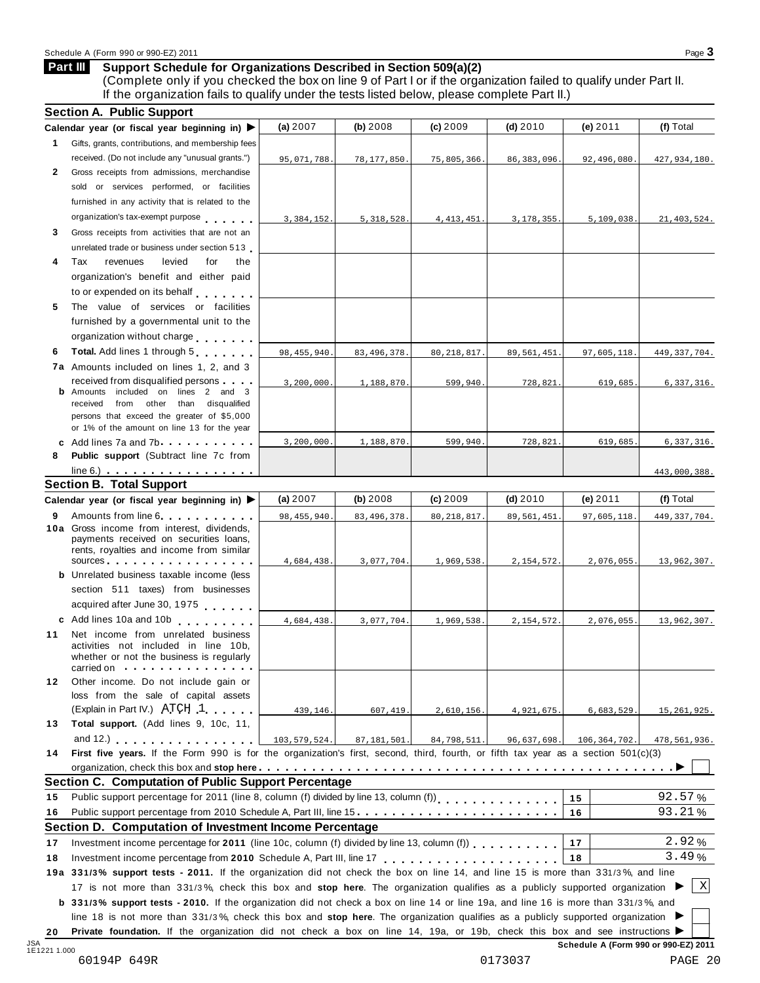#### **Support Schedule for Organizations Described in Section 509(a)(2) Part III**

(Complete only if you checked the box on line 9 of Part I or if the organization failed to qualify under Part II. If the organization fails to qualify under the tests listed below, please complete Part II.)

|              | Calendar year (or fiscal year beginning in) $\blacktriangleright$                                                                          | (a) 2007      | (b) 2008      | (c) 2009     | $(d)$ 2010    | (e) 2011     | (f) Total      |
|--------------|--------------------------------------------------------------------------------------------------------------------------------------------|---------------|---------------|--------------|---------------|--------------|----------------|
| 1            | Gifts, grants, contributions, and membership fees                                                                                          |               |               |              |               |              |                |
|              | received. (Do not include any "unusual grants.")                                                                                           | 95,071,788.   | 78,177,850.   | 75,805,366.  | 86, 383, 096. | 92,496,080   | 427,934,180.   |
| $\mathbf{2}$ | Gross receipts from admissions, merchandise                                                                                                |               |               |              |               |              |                |
|              | sold or services performed, or facilities                                                                                                  |               |               |              |               |              |                |
|              | furnished in any activity that is related to the                                                                                           |               |               |              |               |              |                |
|              | organization's tax-exempt purpose                                                                                                          | 3,384,152.    | 5, 318, 528.  | 4, 413, 451  | 3, 178, 355.  | 5,109,038.   | 21, 403, 524.  |
| 3            | Gross receipts from activities that are not an                                                                                             |               |               |              |               |              |                |
|              | unrelated trade or business under section 513                                                                                              |               |               |              |               |              |                |
| 4            | revenues<br>levied<br>for<br>Tax<br>the                                                                                                    |               |               |              |               |              |                |
|              | organization's benefit and either paid                                                                                                     |               |               |              |               |              |                |
|              | to or expended on its behalf                                                                                                               |               |               |              |               |              |                |
| 5            | The value of services or facilities                                                                                                        |               |               |              |               |              |                |
|              | furnished by a governmental unit to the                                                                                                    |               |               |              |               |              |                |
|              | organization without charge                                                                                                                |               |               |              |               |              |                |
| 6            | Total. Add lines 1 through 5                                                                                                               | 98, 455, 940. | 83, 496, 378. | 80, 218, 817 | 89,561,451.   | 97,605,118   | 449, 337, 704. |
|              | 7a Amounts included on lines 1, 2, and 3                                                                                                   |               |               |              |               |              |                |
|              | received from disqualified persons                                                                                                         | 3,200,000.    | 1,188,870.    | 599,940.     | 728,821.      | 619,685.     | 6,337,316.     |
|              | <b>b</b> Amounts included on lines 2 and 3                                                                                                 |               |               |              |               |              |                |
|              | received from other than disqualified<br>persons that exceed the greater of \$5,000                                                        |               |               |              |               |              |                |
|              | or 1% of the amount on line 13 for the year                                                                                                |               |               |              |               |              |                |
|              | c Add lines 7a and 7b                                                                                                                      | 3, 200, 000.  | 1,188,870     | 599,940.     | 728,821.      | 619,685      | 6,337,316.     |
| 8            | <b>Public support</b> (Subtract line 7c from                                                                                               |               |               |              |               |              |                |
|              | $line 6.)$                                                                                                                                 |               |               |              |               |              | 443,000,388.   |
|              | <b>Section B. Total Support</b>                                                                                                            |               |               |              |               |              |                |
|              | Calendar year (or fiscal year beginning in) $\blacktriangleright$                                                                          | (a) $2007$    | (b) $2008$    | (c) 2009     | (d) $2010$    | (e) 2011     | (f) Total      |
| 9            | Amounts from line 6                                                                                                                        | 98, 455, 940. | 83, 496, 378  | 80, 218, 817 | 89, 561, 451  | 97,605,118   | 449, 337, 704. |
|              | 10a Gross income from interest, dividends,                                                                                                 |               |               |              |               |              |                |
|              | payments received on securities loans,<br>rents, royalties and income from similar                                                         |               |               |              |               |              |                |
|              | sources                                                                                                                                    | 4,684,438.    | 3,077,704.    | 1,969,538.   | 2, 154, 572.  | 2,076,055.   | 13,962,307.    |
|              | <b>b</b> Unrelated business taxable income (less                                                                                           |               |               |              |               |              |                |
|              | section 511 taxes) from businesses                                                                                                         |               |               |              |               |              |                |
|              | acquired after June 30, 1975                                                                                                               |               |               |              |               |              |                |
|              | c Add lines 10a and 10b                                                                                                                    | 4,684,438.    | 3,077,704.    | 1,969,538.   | 2,154,572.    | 2,076,055.   | 13,962,307.    |
| 11           | Net income from unrelated business                                                                                                         |               |               |              |               |              |                |
|              | activities not included in line 10b,                                                                                                       |               |               |              |               |              |                |
|              | whether or not the business is regularly                                                                                                   |               |               |              |               |              |                |
|              | carried on the carried on                                                                                                                  |               |               |              |               |              |                |
| 12           | Other income. Do not include gain or<br>loss from the sale of capital assets                                                               |               |               |              |               |              |                |
|              | (Explain in Part IV.) ATCH 1                                                                                                               | 439,146.      | 607,419       | 2,610,156.   | 4,921,675.    | 6,683,529.   | 15, 261, 925.  |
| 13           | <b>Total support.</b> (Add lines 9, 10c, 11,                                                                                               |               |               |              |               |              |                |
|              | and 12.) $\cdots$ $\cdots$ $\cdots$ $\cdots$                                                                                               | 103,579,524.  | 87,181,501.   | 84,798,511.  | 96,637,698.   | 106,364,702. | 478,561,936.   |
| 14           | First five years. If the Form 990 is for the organization's first, second, third, fourth, or fifth tax year as a section 501(c)(3)         |               |               |              |               |              |                |
|              |                                                                                                                                            |               |               |              |               |              |                |
|              | <b>Section C. Computation of Public Support Percentage</b>                                                                                 |               |               |              |               |              |                |
| 15           | Public support percentage for 2011 (line 8, column (f) divided by line 13, column (f) [[[C]]                                               |               |               |              |               | 15           | 92.57%         |
| 16           | Public support percentage from 2010 Schedule A, Part III, line 15.                                                                         |               |               |              |               | 16           | 93.21%         |
|              | Section D. Computation of Investment Income Percentage                                                                                     |               |               |              |               |              |                |
| 17           | Investment income percentage for 2011 (line 10c, column (f) divided by line 13, column (f))                                                |               |               |              |               | 17           | 2.92%          |
|              |                                                                                                                                            |               |               |              |               | 18           | 3.49%          |
| 18           |                                                                                                                                            |               |               |              |               |              |                |
|              | 19a 331/3% support tests - 2011. If the organization did not check the box on line 14, and line 15 is more than 331/3%, and line           |               |               |              |               |              | $\mathbf X$    |
|              | 17 is not more than 331/3%, check this box and stop here. The organization qualifies as a publicly supported organization                  |               |               |              |               |              |                |
|              | <b>b</b> 331/3% support tests - 2010. If the organization did not check a box on line 14 or line 19a, and line 16 is more than 331/3%, and |               |               |              |               |              |                |
|              | line 18 is not more than 331/3%, check this box and stop here. The organization qualifies as a publicly supported organization             |               |               |              |               |              |                |
| 20           | Private foundation. If the organization did not check a box on line 14, 19a, or 19b, check this box and see instructions ▶                 |               |               |              |               |              |                |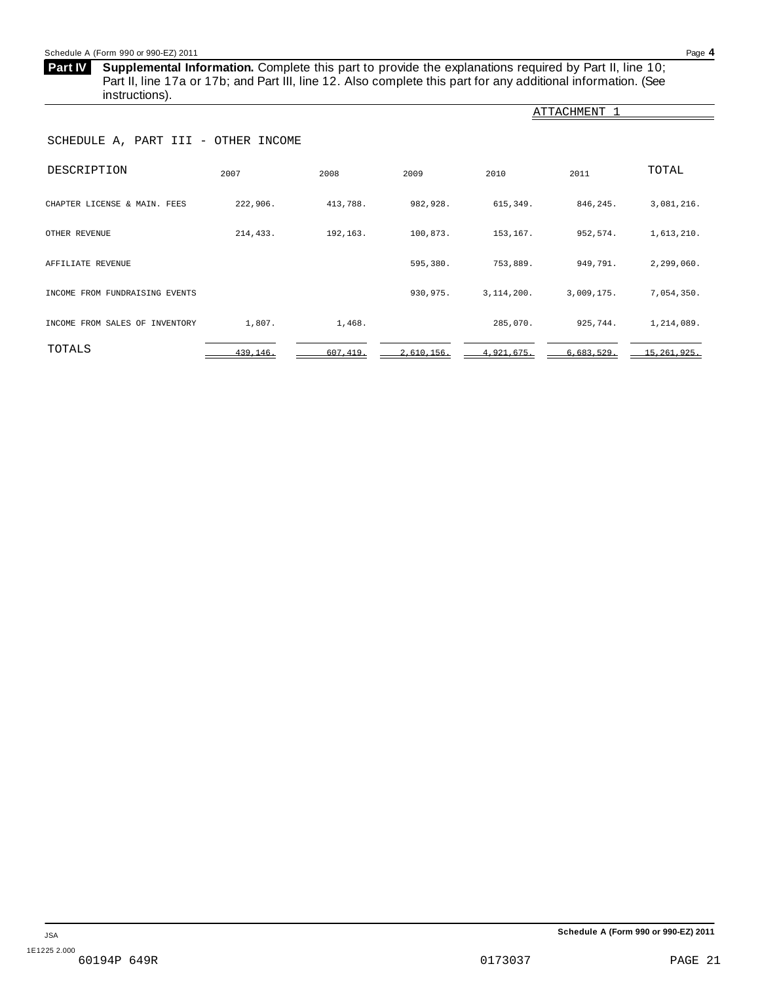#### <span id="page-20-0"></span>Schedule A (Form 990 or 990-EZ) 2011 Page **4**

**Supplemental Information.** Complete this part to provide the explanations required by Part II, line 10; **Part IV** Part II, line 17a or 17b; and Part III, line 12. Also complete this part for any additional information. (See instructions).

| $\overline{\phantom{a}}$            |           |          |            |              |              |               |  |  |  |  |
|-------------------------------------|-----------|----------|------------|--------------|--------------|---------------|--|--|--|--|
|                                     |           |          |            |              | ATTACHMENT 1 |               |  |  |  |  |
| SCHEDULE A, PART III - OTHER INCOME |           |          |            |              |              |               |  |  |  |  |
| DESCRIPTION                         | 2007      | 2008     | 2009       | 2010         | 2011         | TOTAL         |  |  |  |  |
| CHAPTER LICENSE & MAIN. FEES        | 222,906.  | 413,788. | 982,928.   | 615,349.     | 846, 245.    | 3,081,216.    |  |  |  |  |
| OTHER REVENUE                       | 214,433.  | 192,163. | 100,873.   | 153,167.     | 952,574.     | 1,613,210.    |  |  |  |  |
| AFFILIATE REVENUE                   |           |          | 595,380.   | 753,889.     | 949,791.     | 2,299,060.    |  |  |  |  |
| INCOME FROM FUNDRAISING EVENTS      |           |          | 930,975.   | 3, 114, 200. | 3,009,175.   | 7,054,350.    |  |  |  |  |
| INCOME FROM SALES OF INVENTORY      | 1,807.    | 1,468.   |            | 285,070.     | 925,744.     | 1,214,089.    |  |  |  |  |
| TOTALS                              | 439, 146. | 607,419. | 2,610,156. | 4,921,675.   | 6,683,529.   | 15, 261, 925. |  |  |  |  |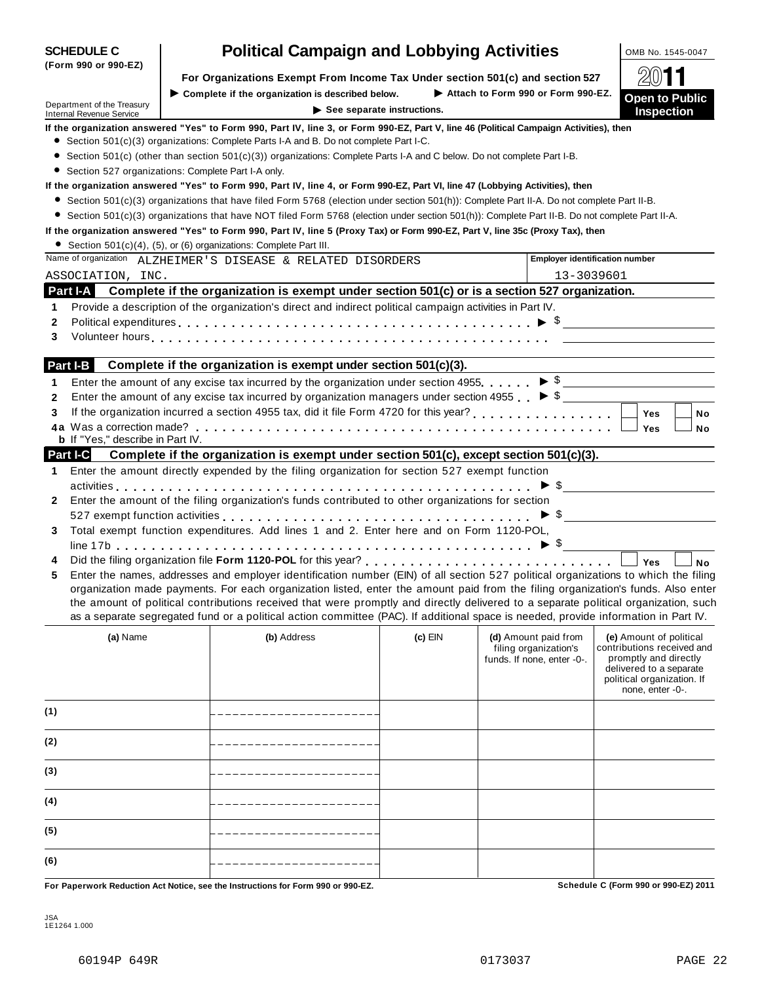|              | Department of the Treasury<br><b>Internal Revenue Service</b> | $\blacktriangleright$ See separate instructions.                                                                                                                                                                                                                       |           |                                       | <b>Open to Public</b><br><b>Inspection</b>            |
|--------------|---------------------------------------------------------------|------------------------------------------------------------------------------------------------------------------------------------------------------------------------------------------------------------------------------------------------------------------------|-----------|---------------------------------------|-------------------------------------------------------|
|              |                                                               | If the organization answered "Yes" to Form 990, Part IV, line 3, or Form 990-EZ, Part V, line 46 (Political Campaign Activities), then                                                                                                                                 |           |                                       |                                                       |
|              |                                                               | • Section 501(c)(3) organizations: Complete Parts I-A and B. Do not complete Part I-C.                                                                                                                                                                                 |           |                                       |                                                       |
|              |                                                               | Section 501(c) (other than section 501(c)(3)) organizations: Complete Parts I-A and C below. Do not complete Part I-B.                                                                                                                                                 |           |                                       |                                                       |
|              | • Section 527 organizations: Complete Part I-A only.          |                                                                                                                                                                                                                                                                        |           |                                       |                                                       |
|              |                                                               | If the organization answered "Yes" to Form 990, Part IV, line 4, or Form 990-EZ, Part VI, line 47 (Lobbying Activities), then                                                                                                                                          |           |                                       |                                                       |
|              |                                                               | ● Section 501(c)(3) organizations that have filed Form 5768 (election under section 501(h)): Complete Part II-A. Do not complete Part II-B.                                                                                                                            |           |                                       |                                                       |
|              |                                                               | ● Section 501(c)(3) organizations that have NOT filed Form 5768 (election under section 501(h)): Complete Part II-B. Do not complete Part II-A.                                                                                                                        |           |                                       |                                                       |
|              |                                                               | If the organization answered "Yes" to Form 990, Part IV, line 5 (Proxy Tax) or Form 990-EZ, Part V, line 35c (Proxy Tax), then<br>• Section 501(c)(4), (5), or (6) organizations: Complete Part III.                                                                   |           |                                       |                                                       |
|              |                                                               | Name of organization ALZHEIMER'S DISEASE & RELATED DISORDERS                                                                                                                                                                                                           |           | <b>Employer identification number</b> |                                                       |
|              | ASSOCIATION, INC.                                             |                                                                                                                                                                                                                                                                        |           | 13-3039601                            |                                                       |
|              |                                                               | Part I-A Complete if the organization is exempt under section 501(c) or is a section 527 organization.                                                                                                                                                                 |           |                                       |                                                       |
| 1            |                                                               | Provide a description of the organization's direct and indirect political campaign activities in Part IV.                                                                                                                                                              |           |                                       |                                                       |
| $\mathbf{2}$ |                                                               |                                                                                                                                                                                                                                                                        |           |                                       |                                                       |
| 3            |                                                               |                                                                                                                                                                                                                                                                        |           |                                       |                                                       |
|              |                                                               |                                                                                                                                                                                                                                                                        |           |                                       |                                                       |
|              | Part I-B                                                      | Complete if the organization is exempt under section 501(c)(3).                                                                                                                                                                                                        |           |                                       |                                                       |
| 1            |                                                               | Enter the amount of any excise tax incurred by the organization under section 4955 $\triangleright$ \$                                                                                                                                                                 |           |                                       |                                                       |
| $\mathbf{2}$ |                                                               | Enter the amount of any excise tax incurred by organization managers under section 4955 $\blacktriangleright$ \$                                                                                                                                                       |           |                                       |                                                       |
| 3            |                                                               |                                                                                                                                                                                                                                                                        |           |                                       | <b>Yes</b><br>No                                      |
|              |                                                               |                                                                                                                                                                                                                                                                        |           |                                       | Yes<br>No                                             |
|              | <b>b</b> If "Yes," describe in Part IV.                       |                                                                                                                                                                                                                                                                        |           |                                       |                                                       |
|              | Part I-C                                                      | Complete if the organization is exempt under section 501(c), except section 501(c)(3).                                                                                                                                                                                 |           |                                       |                                                       |
| 1            |                                                               | Enter the amount directly expended by the filing organization for section 527 exempt function                                                                                                                                                                          |           |                                       |                                                       |
|              |                                                               |                                                                                                                                                                                                                                                                        |           | $\blacktriangleright$ \$              |                                                       |
| 2            |                                                               | Enter the amount of the filing organization's funds contributed to other organizations for section                                                                                                                                                                     |           |                                       |                                                       |
|              |                                                               |                                                                                                                                                                                                                                                                        |           | $\blacktriangleright$ \$              |                                                       |
| 3            |                                                               | Total exempt function expenditures. Add lines 1 and 2. Enter here and on Form 1120-POL,                                                                                                                                                                                |           |                                       |                                                       |
|              |                                                               |                                                                                                                                                                                                                                                                        |           |                                       |                                                       |
| 4            |                                                               |                                                                                                                                                                                                                                                                        |           |                                       | <b>No</b><br><b>Yes</b>                               |
| 5            |                                                               | Enter the names, addresses and employer identification number (EIN) of all section 527 political organizations to which the filing<br>organization made payments. For each organization listed, enter the amount paid from the filing organization's funds. Also enter |           |                                       |                                                       |
|              |                                                               | the amount of political contributions received that were promptly and directly delivered to a separate political organization, such                                                                                                                                    |           |                                       |                                                       |
|              |                                                               | as a separate segregated fund or a political action committee (PAC). If additional space is needed, provide information in Part IV.                                                                                                                                    |           |                                       |                                                       |
|              | (a) Name                                                      | (b) Address                                                                                                                                                                                                                                                            | $(c)$ EIN | (d) Amount paid from                  | (e) Amount of political                               |
|              |                                                               |                                                                                                                                                                                                                                                                        |           | filing organization's                 | contributions received and                            |
|              |                                                               |                                                                                                                                                                                                                                                                        |           | funds. If none, enter -0-.            | promptly and directly                                 |
|              |                                                               |                                                                                                                                                                                                                                                                        |           |                                       | delivered to a separate<br>political organization. If |
|              |                                                               |                                                                                                                                                                                                                                                                        |           |                                       | none, enter -0-.                                      |
| (1)          |                                                               |                                                                                                                                                                                                                                                                        |           |                                       |                                                       |
|              |                                                               |                                                                                                                                                                                                                                                                        |           |                                       |                                                       |
| (2)          |                                                               |                                                                                                                                                                                                                                                                        |           |                                       |                                                       |
|              |                                                               |                                                                                                                                                                                                                                                                        |           |                                       |                                                       |
| (3)          |                                                               |                                                                                                                                                                                                                                                                        |           |                                       |                                                       |
|              |                                                               |                                                                                                                                                                                                                                                                        |           |                                       |                                                       |
| (4)          |                                                               |                                                                                                                                                                                                                                                                        |           |                                       |                                                       |
|              |                                                               |                                                                                                                                                                                                                                                                        |           |                                       |                                                       |
| (5)          |                                                               |                                                                                                                                                                                                                                                                        |           |                                       |                                                       |
|              |                                                               |                                                                                                                                                                                                                                                                        |           |                                       |                                                       |
| (6)          |                                                               |                                                                                                                                                                                                                                                                        |           |                                       |                                                       |
|              |                                                               |                                                                                                                                                                                                                                                                        |           |                                       |                                                       |

For Paperwork Reduction Act Notice, see the Instructions for Form 990 or 990-EZ. Schedule C (Form 990 or 990-EZ) 2011

**SCHEDULE C** | **Political Campaign and Lobbying Activities**  $\frac{\text{OMB NO. 1545-0047}}{\text{OMB MO. 1545-0047}}}$ 

**For Organizations Exempt From Income Tax Under section 501(c) and section 527**  $\bigotimes$  $\blacktriangleright$  **Complete** if the organization is described below.

**(Form 990 or 990-EZ)**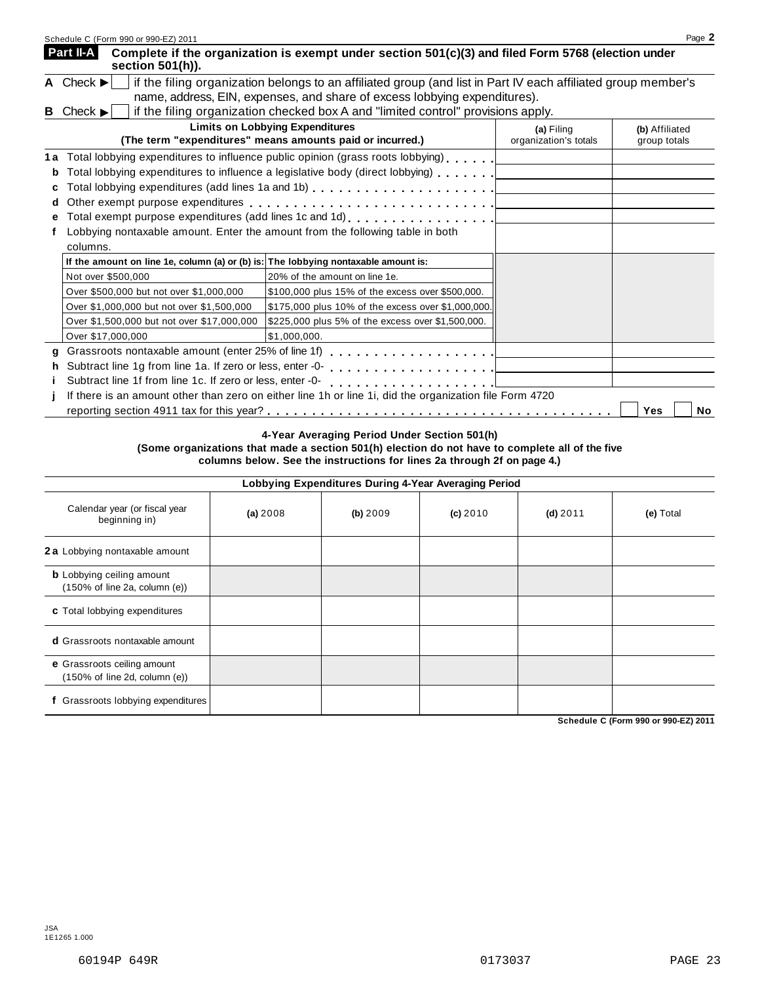|   | Schedule C (Form 990 or 990-EZ) 2011                                                                                                           |                                                                                                                                                                                                                               |                       | Page 2         |  |  |  |  |  |  |  |
|---|------------------------------------------------------------------------------------------------------------------------------------------------|-------------------------------------------------------------------------------------------------------------------------------------------------------------------------------------------------------------------------------|-----------------------|----------------|--|--|--|--|--|--|--|
|   | Part II-A<br>section $501(h)$ ).                                                                                                               | Complete if the organization is exempt under section 501(c)(3) and filed Form 5768 (election under                                                                                                                            |                       |                |  |  |  |  |  |  |  |
|   | A Check $\blacktriangleright$<br>if the filing organization belongs to an affiliated group (and list in Part IV each affiliated group member's |                                                                                                                                                                                                                               |                       |                |  |  |  |  |  |  |  |
|   |                                                                                                                                                | name, address, EIN, expenses, and share of excess lobbying expenditures).                                                                                                                                                     |                       |                |  |  |  |  |  |  |  |
|   | <b>B</b> Check $\blacktriangleright$                                                                                                           | if the filing organization checked box A and "limited control" provisions apply.                                                                                                                                              |                       |                |  |  |  |  |  |  |  |
|   |                                                                                                                                                | <b>Limits on Lobbying Expenditures</b>                                                                                                                                                                                        | (a) Filing            | (b) Affiliated |  |  |  |  |  |  |  |
|   |                                                                                                                                                | (The term "expenditures" means amounts paid or incurred.)                                                                                                                                                                     | organization's totals | group totals   |  |  |  |  |  |  |  |
|   |                                                                                                                                                | 1a Total lobbying expenditures to influence public opinion (grass roots lobbying)                                                                                                                                             |                       |                |  |  |  |  |  |  |  |
| b |                                                                                                                                                | Total lobbying expenditures to influence a legislative body (direct lobbying)                                                                                                                                                 |                       |                |  |  |  |  |  |  |  |
|   |                                                                                                                                                | Total lobbying expenditures (add lines 1a and 1b) $\ldots \ldots \ldots \ldots \ldots \ldots$                                                                                                                                 |                       |                |  |  |  |  |  |  |  |
| d |                                                                                                                                                | Other exempt purpose expenditures entering container and the contact of the contact of the contact of the contact of the contact of the contact of the contact of the contact of the contact of the contact of the contact of |                       |                |  |  |  |  |  |  |  |
|   |                                                                                                                                                |                                                                                                                                                                                                                               |                       |                |  |  |  |  |  |  |  |
|   | Lobbying nontaxable amount. Enter the amount from the following table in both                                                                  |                                                                                                                                                                                                                               |                       |                |  |  |  |  |  |  |  |
|   | columns.                                                                                                                                       |                                                                                                                                                                                                                               |                       |                |  |  |  |  |  |  |  |
|   | If the amount on line 1e, column (a) or (b) is: The lobbying nontaxable amount is:                                                             |                                                                                                                                                                                                                               |                       |                |  |  |  |  |  |  |  |
|   | Not over \$500,000                                                                                                                             | 20% of the amount on line 1e.                                                                                                                                                                                                 |                       |                |  |  |  |  |  |  |  |
|   | Over \$500,000 but not over \$1,000,000                                                                                                        | \$100,000 plus 15% of the excess over \$500,000.                                                                                                                                                                              |                       |                |  |  |  |  |  |  |  |
|   | Over \$1,000,000 but not over \$1,500,000                                                                                                      | \$175,000 plus 10% of the excess over \$1,000,000.                                                                                                                                                                            |                       |                |  |  |  |  |  |  |  |
|   | Over \$1,500,000 but not over \$17,000,000                                                                                                     | \$225,000 plus 5% of the excess over \$1,500,000.                                                                                                                                                                             |                       |                |  |  |  |  |  |  |  |
|   | Over \$17,000,000                                                                                                                              | \$1,000,000.                                                                                                                                                                                                                  |                       |                |  |  |  |  |  |  |  |
|   |                                                                                                                                                |                                                                                                                                                                                                                               |                       |                |  |  |  |  |  |  |  |
|   | Subtract line 1g from line 1a. If zero or less, enter -0-                                                                                      |                                                                                                                                                                                                                               |                       |                |  |  |  |  |  |  |  |
|   | Subtract line 1f from line 1c. If zero or less, enter -0-                                                                                      |                                                                                                                                                                                                                               |                       |                |  |  |  |  |  |  |  |
|   |                                                                                                                                                | If there is an amount other than zero on either line 1h or line 1i, did the organization file Form 4720                                                                                                                       |                       |                |  |  |  |  |  |  |  |
|   |                                                                                                                                                |                                                                                                                                                                                                                               |                       | Yes<br>No      |  |  |  |  |  |  |  |

**4-Year Averaging Period Under Section 501(h)**

**(Some organizations that made a section 501(h) election do not have to complete all of the five columns below. See the instructions for lines 2a through 2f on page 4.)**

| Lobbying Expenditures During 4-Year Averaging Period |  |  |  |
|------------------------------------------------------|--|--|--|
|                                                      |  |  |  |

|                                                                                        |          |          | ິ        |            |           |
|----------------------------------------------------------------------------------------|----------|----------|----------|------------|-----------|
| Calendar year (or fiscal year<br>beginning in)                                         | (a) 2008 | (b) 2009 | (c) 2010 | $(d)$ 2011 | (e) Total |
| 2 a Lobbying nontaxable amount                                                         |          |          |          |            |           |
| <b>b</b> Lobbying ceiling amount<br>$(150\% \text{ of line } 2a, \text{ column } (e))$ |          |          |          |            |           |
| c Total lobbying expenditures                                                          |          |          |          |            |           |
| <b>d</b> Grassroots nontaxable amount                                                  |          |          |          |            |           |
| e Grassroots ceiling amount<br>$(150\% \text{ of line } 2d, \text{ column } (e))$      |          |          |          |            |           |
| Grassroots lobbying expenditures                                                       |          |          |          |            |           |

**Schedule C (Form 990 or 990-EZ) 2011**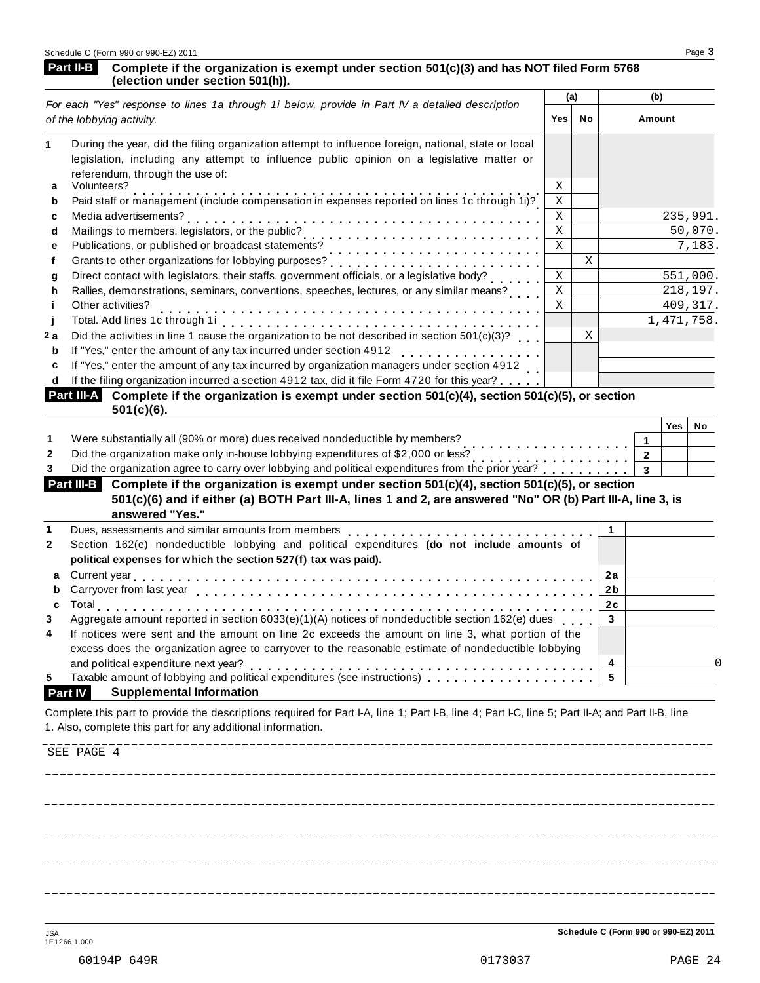### Part II-B Complete if the organization is exempt under section 501(c)(3) and has NOT filed Form 5768<br>(election under section 501(h)).

| For each "Yes" response to lines 1a through 1i below, provide in Part IV a detailed description                                                                                                                                                                                            |             | (a) |                | (b)                     |              |         |
|--------------------------------------------------------------------------------------------------------------------------------------------------------------------------------------------------------------------------------------------------------------------------------------------|-------------|-----|----------------|-------------------------|--------------|---------|
| of the lobbying activity.                                                                                                                                                                                                                                                                  |             |     |                | Amount                  |              |         |
| During the year, did the filing organization attempt to influence foreign, national, state or local<br>1<br>legislation, including any attempt to influence public opinion on a legislative matter or                                                                                      |             |     |                |                         |              |         |
| referendum, through the use of:<br>Volunteers?<br>a                                                                                                                                                                                                                                        | Χ           |     |                |                         |              |         |
| Paid staff or management (include compensation in expenses reported on lines 1c through 1i)?<br>b                                                                                                                                                                                          | $\mathbf X$ |     |                |                         |              |         |
| c                                                                                                                                                                                                                                                                                          | Χ           |     |                |                         | 235,991.     |         |
| d                                                                                                                                                                                                                                                                                          | $\mathbf X$ |     |                |                         |              | 50,070. |
| Publications, or published or broadcast statements?<br>e                                                                                                                                                                                                                                   | $\rm X$     |     |                |                         |              | 7,183.  |
| f                                                                                                                                                                                                                                                                                          |             | X   |                |                         |              |         |
| g                                                                                                                                                                                                                                                                                          | $\mathbf X$ |     |                |                         | 551,000.     |         |
| Rallies, demonstrations, seminars, conventions, speeches, lectures, or any similar means?<br>h                                                                                                                                                                                             | $\mathbf X$ |     |                |                         | 218,197.     |         |
| Other activities?<br>İ.                                                                                                                                                                                                                                                                    | $\mathbf x$ |     |                |                         | 409, 317.    |         |
| j                                                                                                                                                                                                                                                                                          |             |     |                |                         | 1, 471, 758. |         |
| Did the activities in line 1 cause the organization to be not described in section $501(c)(3)$ ?<br>2 a                                                                                                                                                                                    |             | X   |                |                         |              |         |
| If "Yes," enter the amount of any tax incurred under section 4912<br>b<br>. <b>.</b> .                                                                                                                                                                                                     |             |     |                |                         |              |         |
| If "Yes," enter the amount of any tax incurred by organization managers under section 4912<br>c                                                                                                                                                                                            |             |     |                |                         |              |         |
| If the filing organization incurred a section 4912 tax, did it file Form 4720 for this year?<br>d                                                                                                                                                                                          |             |     |                |                         |              |         |
| Part III-A Complete if the organization is exempt under section 501(c)(4), section 501(c)(5), or section<br>$501(c)(6)$ .                                                                                                                                                                  |             |     |                |                         |              |         |
|                                                                                                                                                                                                                                                                                            |             |     |                |                         | Yes          | No      |
| Were substantially all (90% or more) dues received nondeductible by members?<br>1<br>.                                                                                                                                                                                                     |             |     |                | 1                       |              |         |
| Did the organization make only in-house lobbying expenditures of \$2,000 or less?<br>$\mathbf{2}$<br>Did the organization make only in-house lobbying experiments of \$2,000 or less?<br>Did the organization agree to carry over lobbying and political expenditures from the prior year? |             |     |                | $\overline{\mathbf{2}}$ |              |         |
| 3                                                                                                                                                                                                                                                                                          |             |     |                | $\mathbf{3}$            |              |         |
| Part III-B Complete if the organization is exempt under section 501(c)(4), section 501(c)(5), or section<br>501(c)(6) and if either (a) BOTH Part III-A, lines 1 and 2, are answered "No" OR (b) Part III-A, line 3, is                                                                    |             |     |                |                         |              |         |
| answered "Yes."                                                                                                                                                                                                                                                                            |             |     |                |                         |              |         |
| Dues, assessments and similar amounts from members<br>1                                                                                                                                                                                                                                    |             |     | 1              |                         |              |         |
| Section 162(e) nondeductible lobbying and political expenditures (do not include amounts of<br>2                                                                                                                                                                                           |             |     |                |                         |              |         |
| political expenses for which the section 527(f) tax was paid).                                                                                                                                                                                                                             |             |     |                |                         |              |         |
| a                                                                                                                                                                                                                                                                                          |             |     | 2a             |                         |              |         |
| Carryover from last year enterpreent product in the case of the case of the case of the case of the case of the case of the case of the case of the case of the case of the case of the case of the case of the case of the ca<br>b                                                        |             |     | 2 <sub>b</sub> |                         |              |         |
| C                                                                                                                                                                                                                                                                                          |             |     | 2c             |                         |              |         |
| Aggregate amount reported in section 6033(e)(1)(A) notices of nondeductible section 162(e) dues<br>3                                                                                                                                                                                       |             |     | $\mathbf 3$    |                         |              |         |
| If notices were sent and the amount on line 2c exceeds the amount on line 3, what portion of the<br>4                                                                                                                                                                                      |             |     |                |                         |              |         |
| excess does the organization agree to carryover to the reasonable estimate of nondeductible lobbying                                                                                                                                                                                       |             |     |                |                         |              |         |
| and political expenditure next year?                                                                                                                                                                                                                                                       |             |     | 4              |                         |              |         |
| Taxable amount of lobbying and political expenditures (see instructions)<br>5                                                                                                                                                                                                              |             |     | 5              |                         |              |         |
| <b>Supplemental Information</b><br><b>Part IV</b>                                                                                                                                                                                                                                          |             |     |                |                         |              |         |
| Complete this part to provide the descriptions required for Part I-A, line 1; Part I-B, line 4; Part I-C, line 5; Part II-A; and Part II-B, line<br>1. Also, complete this part for any additional information.                                                                            |             |     |                |                         |              |         |
|                                                                                                                                                                                                                                                                                            |             |     |                |                         |              |         |
|                                                                                                                                                                                                                                                                                            |             |     |                |                         |              |         |
| SEE PAGE 4                                                                                                                                                                                                                                                                                 |             |     |                |                         |              |         |

<u> - - - - - - - - - - - -</u>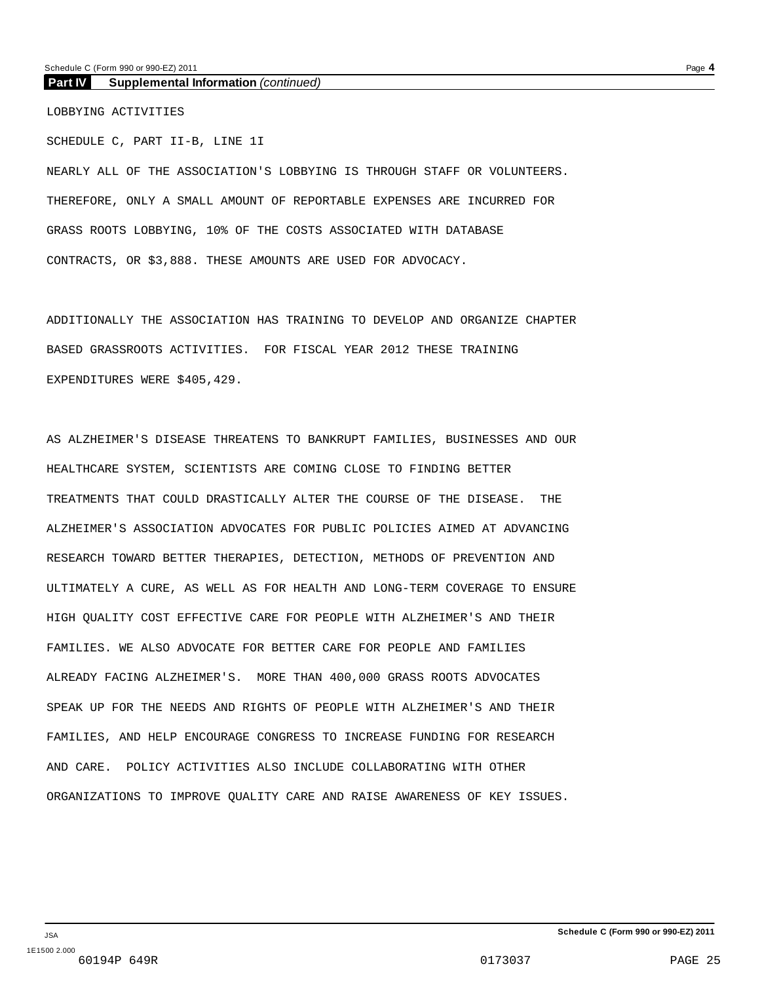**Part IV Supplemental Information** *(continued)*

LOBBYING ACTIVITIES

SCHEDULE C, PART II-B, LINE 1I NEARLY ALL OF THE ASSOCIATION'S LOBBYING IS THROUGH STAFF OR VOLUNTEERS. THEREFORE, ONLY A SMALL AMOUNT OF REPORTABLE EXPENSES ARE INCURRED FOR GRASS ROOTS LOBBYING, 10% OF THE COSTS ASSOCIATED WITH DATABASE CONTRACTS, OR \$3,888. THESE AMOUNTS ARE USED FOR ADVOCACY.

ADDITIONALLY THE ASSOCIATION HAS TRAINING TO DEVELOP AND ORGANIZE CHAPTER BASED GRASSROOTS ACTIVITIES. FOR FISCAL YEAR 2012 THESE TRAINING EXPENDITURES WERE \$405,429.

AS ALZHEIMER'S DISEASE THREATENS TO BANKRUPT FAMILIES, BUSINESSES AND OUR HEALTHCARE SYSTEM, SCIENTISTS ARE COMING CLOSE TO FINDING BETTER TREATMENTS THAT COULD DRASTICALLY ALTER THE COURSE OF THE DISEASE. THE ALZHEIMER'S ASSOCIATION ADVOCATES FOR PUBLIC POLICIES AIMED AT ADVANCING RESEARCH TOWARD BETTER THERAPIES, DETECTION, METHODS OF PREVENTION AND ULTIMATELY A CURE, AS WELL AS FOR HEALTH AND LONG-TERM COVERAGE TO ENSURE HIGH QUALITY COST EFFECTIVE CARE FOR PEOPLE WITH ALZHEIMER'S AND THEIR FAMILIES. WE ALSO ADVOCATE FOR BETTER CARE FOR PEOPLE AND FAMILIES ALREADY FACING ALZHEIMER'S. MORE THAN 400,000 GRASS ROOTS ADVOCATES SPEAK UP FOR THE NEEDS AND RIGHTS OF PEOPLE WITH ALZHEIMER'S AND THEIR FAMILIES, AND HELP ENCOURAGE CONGRESS TO INCREASE FUNDING FOR RESEARCH AND CARE. POLICY ACTIVITIES ALSO INCLUDE COLLABORATING WITH OTHER ORGANIZATIONS TO IMPROVE QUALITY CARE AND RAISE AWARENESS OF KEY ISSUES.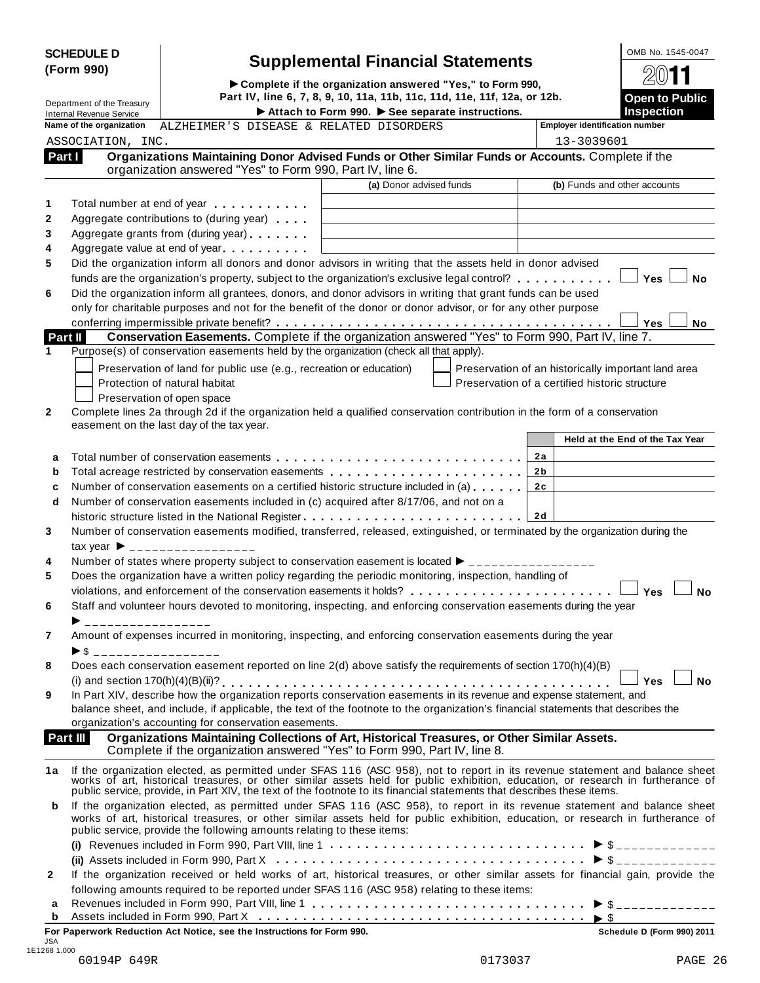| <b>SCHEDULE D</b> |  |
|-------------------|--|
| (Form 990)        |  |

# **Supplemental Financial Statements**<br> **Complete if the organization answered "Yes," to Form 990, 2011**

| <b>Dpen to Public</b> |
|-----------------------|

| (Form 990)                 |                                                             |                                                                                                                                                                |                                                                                                                                                                                                                                                                                                                                                                                            |                                                            |  |  |  |  |
|----------------------------|-------------------------------------------------------------|----------------------------------------------------------------------------------------------------------------------------------------------------------------|--------------------------------------------------------------------------------------------------------------------------------------------------------------------------------------------------------------------------------------------------------------------------------------------------------------------------------------------------------------------------------------------|------------------------------------------------------------|--|--|--|--|
| Department of the Treasury |                                                             | Complete if the organization answered "Yes," to Form 990,<br>Part IV, line 6, 7, 8, 9, 10, 11a, 11b, 11c, 11d, 11e, 11f, 12a, or 12b.<br><b>Open to Public</b> |                                                                                                                                                                                                                                                                                                                                                                                            |                                                            |  |  |  |  |
|                            | <b>Internal Revenue Service</b><br>Name of the organization | ALZHEIMER'S DISEASE & RELATED DISORDERS                                                                                                                        | Attach to Form 990. See separate instructions.                                                                                                                                                                                                                                                                                                                                             | <b>Inspection</b><br><b>Employer identification number</b> |  |  |  |  |
|                            | ASSOCIATION, INC.                                           |                                                                                                                                                                |                                                                                                                                                                                                                                                                                                                                                                                            | 13-3039601                                                 |  |  |  |  |
| Part I                     |                                                             | organization answered "Yes" to Form 990, Part IV, line 6.                                                                                                      | Organizations Maintaining Donor Advised Funds or Other Similar Funds or Accounts. Complete if the                                                                                                                                                                                                                                                                                          |                                                            |  |  |  |  |
|                            |                                                             |                                                                                                                                                                | (a) Donor advised funds                                                                                                                                                                                                                                                                                                                                                                    | (b) Funds and other accounts                               |  |  |  |  |
| 1                          |                                                             | Total number at end of year manufacturers and the Total number                                                                                                 |                                                                                                                                                                                                                                                                                                                                                                                            |                                                            |  |  |  |  |
| $\mathbf{2}$               |                                                             | Aggregate contributions to (during year)                                                                                                                       |                                                                                                                                                                                                                                                                                                                                                                                            |                                                            |  |  |  |  |
| 3                          |                                                             | Aggregate grants from (during year)                                                                                                                            |                                                                                                                                                                                                                                                                                                                                                                                            |                                                            |  |  |  |  |
| 4                          |                                                             | Aggregate value at end of year                                                                                                                                 |                                                                                                                                                                                                                                                                                                                                                                                            |                                                            |  |  |  |  |
| 5                          |                                                             |                                                                                                                                                                | Did the organization inform all donors and donor advisors in writing that the assets held in donor advised                                                                                                                                                                                                                                                                                 |                                                            |  |  |  |  |
|                            |                                                             |                                                                                                                                                                | funds are the organization's property, subject to the organization's exclusive legal control?                                                                                                                                                                                                                                                                                              | <b>Yes</b><br>No                                           |  |  |  |  |
| 6                          |                                                             |                                                                                                                                                                | Did the organization inform all grantees, donors, and donor advisors in writing that grant funds can be used<br>only for charitable purposes and not for the benefit of the donor or donor advisor, or for any other purpose                                                                                                                                                               |                                                            |  |  |  |  |
|                            |                                                             |                                                                                                                                                                |                                                                                                                                                                                                                                                                                                                                                                                            | Yes<br>No                                                  |  |  |  |  |
| <b>Part II</b>             |                                                             |                                                                                                                                                                | Conservation Easements. Complete if the organization answered "Yes" to Form 990, Part IV, line 7.                                                                                                                                                                                                                                                                                          |                                                            |  |  |  |  |
| 1                          |                                                             | Purpose(s) of conservation easements held by the organization (check all that apply).                                                                          |                                                                                                                                                                                                                                                                                                                                                                                            |                                                            |  |  |  |  |
|                            |                                                             | Preservation of land for public use (e.g., recreation or education)                                                                                            |                                                                                                                                                                                                                                                                                                                                                                                            | Preservation of an historically important land area        |  |  |  |  |
|                            |                                                             | Protection of natural habitat                                                                                                                                  |                                                                                                                                                                                                                                                                                                                                                                                            | Preservation of a certified historic structure             |  |  |  |  |
|                            |                                                             | Preservation of open space                                                                                                                                     |                                                                                                                                                                                                                                                                                                                                                                                            |                                                            |  |  |  |  |
| $\mathbf{2}$               |                                                             |                                                                                                                                                                | Complete lines 2a through 2d if the organization held a qualified conservation contribution in the form of a conservation                                                                                                                                                                                                                                                                  |                                                            |  |  |  |  |
|                            |                                                             | easement on the last day of the tax year.                                                                                                                      |                                                                                                                                                                                                                                                                                                                                                                                            |                                                            |  |  |  |  |
|                            |                                                             |                                                                                                                                                                |                                                                                                                                                                                                                                                                                                                                                                                            | Held at the End of the Tax Year                            |  |  |  |  |
| a                          |                                                             |                                                                                                                                                                |                                                                                                                                                                                                                                                                                                                                                                                            | 2a                                                         |  |  |  |  |
| b                          |                                                             |                                                                                                                                                                |                                                                                                                                                                                                                                                                                                                                                                                            | 2 b<br>2c                                                  |  |  |  |  |
| c<br>d                     |                                                             |                                                                                                                                                                | Number of conservation easements on a certified historic structure included in (a)<br>Number of conservation easements included in (c) acquired after 8/17/06, and not on a                                                                                                                                                                                                                |                                                            |  |  |  |  |
|                            |                                                             |                                                                                                                                                                | historic structure listed in the National Register                                                                                                                                                                                                                                                                                                                                         | 2d                                                         |  |  |  |  |
| 3                          |                                                             |                                                                                                                                                                | Number of conservation easements modified, transferred, released, extinguished, or terminated by the organization during the                                                                                                                                                                                                                                                               |                                                            |  |  |  |  |
|                            |                                                             | tax year $\triangleright$ __________________                                                                                                                   |                                                                                                                                                                                                                                                                                                                                                                                            |                                                            |  |  |  |  |
| 4                          |                                                             |                                                                                                                                                                | Number of states where property subject to conservation easement is located $\blacktriangleright$ ________________                                                                                                                                                                                                                                                                         |                                                            |  |  |  |  |
| 5                          |                                                             |                                                                                                                                                                | Does the organization have a written policy regarding the periodic monitoring, inspection, handling of                                                                                                                                                                                                                                                                                     |                                                            |  |  |  |  |
|                            |                                                             |                                                                                                                                                                |                                                                                                                                                                                                                                                                                                                                                                                            | Yes<br><b>No</b>                                           |  |  |  |  |
| 6                          |                                                             |                                                                                                                                                                | Staff and volunteer hours devoted to monitoring, inspecting, and enforcing conservation easements during the year                                                                                                                                                                                                                                                                          |                                                            |  |  |  |  |
| 7                          | $\triangleright$ \$ ___________________                     |                                                                                                                                                                | Amount of expenses incurred in monitoring, inspecting, and enforcing conservation easements during the year                                                                                                                                                                                                                                                                                |                                                            |  |  |  |  |
| 8                          |                                                             |                                                                                                                                                                | Does each conservation easement reported on line 2(d) above satisfy the requirements of section 170(h)(4)(B)                                                                                                                                                                                                                                                                               |                                                            |  |  |  |  |
|                            |                                                             |                                                                                                                                                                |                                                                                                                                                                                                                                                                                                                                                                                            | <b>No</b><br>Yes                                           |  |  |  |  |
| 9                          |                                                             |                                                                                                                                                                | In Part XIV, describe how the organization reports conservation easements in its revenue and expense statement, and                                                                                                                                                                                                                                                                        |                                                            |  |  |  |  |
|                            |                                                             |                                                                                                                                                                | balance sheet, and include, if applicable, the text of the footnote to the organization's financial statements that describes the                                                                                                                                                                                                                                                          |                                                            |  |  |  |  |
| Part III                   |                                                             | organization's accounting for conservation easements.                                                                                                          | Organizations Maintaining Collections of Art, Historical Treasures, or Other Similar Assets.                                                                                                                                                                                                                                                                                               |                                                            |  |  |  |  |
|                            |                                                             |                                                                                                                                                                | Complete if the organization answered "Yes" to Form 990, Part IV, line 8.                                                                                                                                                                                                                                                                                                                  |                                                            |  |  |  |  |
| 1a                         |                                                             |                                                                                                                                                                | If the organization elected, as permitted under SFAS 116 (ASC 958), not to report in its revenue statement and balance sheet<br>works of art, historical treasures, or other similar assets held for public exhibition, education, or research in furtherance of<br>public service, provide, in Part XIV, the text of the footnote to its financial statements that describes these items. |                                                            |  |  |  |  |
| b                          |                                                             | public service, provide the following amounts relating to these items:                                                                                         | If the organization elected, as permitted under SFAS 116 (ASC 958), to report in its revenue statement and balance sheet<br>works of art, historical treasures, or other similar assets held for public exhibition, education, or research in furtherance of                                                                                                                               |                                                            |  |  |  |  |
|                            |                                                             |                                                                                                                                                                |                                                                                                                                                                                                                                                                                                                                                                                            |                                                            |  |  |  |  |
|                            |                                                             |                                                                                                                                                                |                                                                                                                                                                                                                                                                                                                                                                                            |                                                            |  |  |  |  |
| $\mathbf{2}$               |                                                             |                                                                                                                                                                | If the organization received or held works of art, historical treasures, or other similar assets for financial gain, provide the                                                                                                                                                                                                                                                           |                                                            |  |  |  |  |
|                            |                                                             |                                                                                                                                                                | following amounts required to be reported under SFAS 116 (ASC 958) relating to these items:                                                                                                                                                                                                                                                                                                |                                                            |  |  |  |  |
| а<br>b                     |                                                             |                                                                                                                                                                |                                                                                                                                                                                                                                                                                                                                                                                            |                                                            |  |  |  |  |
|                            |                                                             | For Paperwork Reduction Act Notice, see the Instructions for Form 990.                                                                                         |                                                                                                                                                                                                                                                                                                                                                                                            | Schedule D (Form 990) 2011                                 |  |  |  |  |
| JSA                        |                                                             |                                                                                                                                                                |                                                                                                                                                                                                                                                                                                                                                                                            |                                                            |  |  |  |  |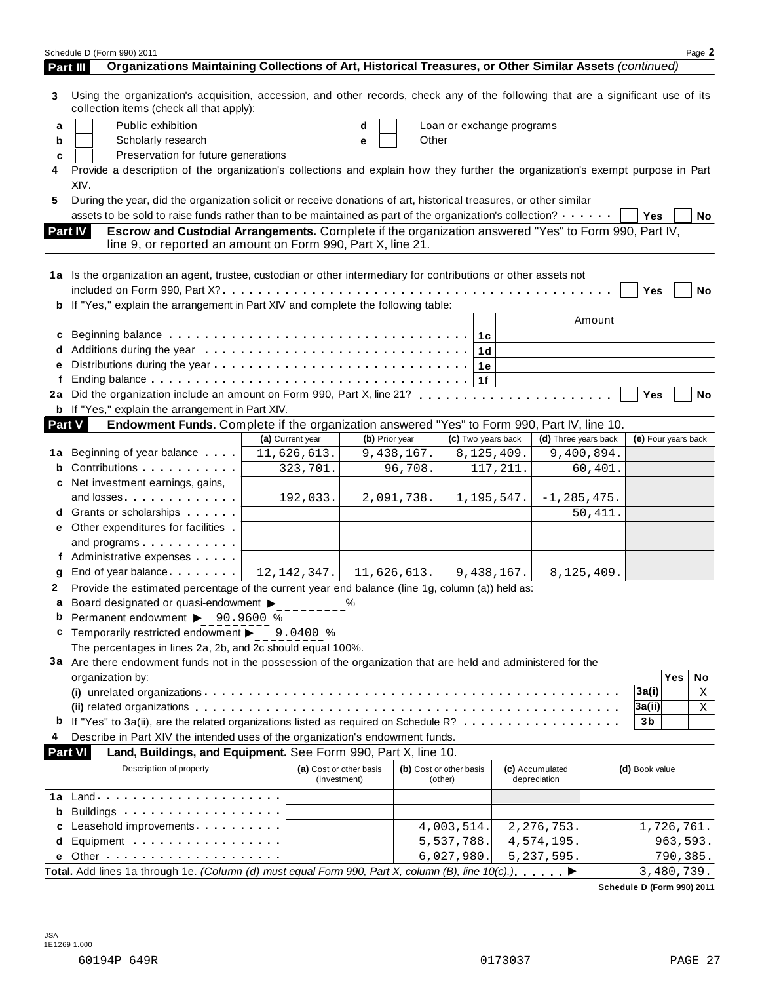|        | Schedule D (Form 990) 2011<br>Organizations Maintaining Collections of Art, Historical Treasures, or Other Similar Assets (continued)<br>Part III                              |                  |                                         |                                    |                    |                                 |            |                     |                        | Page 2    |
|--------|--------------------------------------------------------------------------------------------------------------------------------------------------------------------------------|------------------|-----------------------------------------|------------------------------------|--------------------|---------------------------------|------------|---------------------|------------------------|-----------|
| 3      | Using the organization's acquisition, accession, and other records, check any of the following that are a significant use of its                                               |                  |                                         |                                    |                    |                                 |            |                     |                        |           |
|        | collection items (check all that apply):                                                                                                                                       |                  |                                         |                                    |                    |                                 |            |                     |                        |           |
| a      | Public exhibition                                                                                                                                                              |                  | d                                       | Loan or exchange programs          |                    |                                 |            |                     |                        |           |
| b      | Scholarly research                                                                                                                                                             |                  | e                                       | Other                              |                    |                                 |            |                     |                        |           |
| c      | Preservation for future generations                                                                                                                                            |                  |                                         |                                    |                    |                                 |            |                     |                        |           |
|        | Provide a description of the organization's collections and explain how they further the organization's exempt purpose in Part                                                 |                  |                                         |                                    |                    |                                 |            |                     |                        |           |
|        | XIV.                                                                                                                                                                           |                  |                                         |                                    |                    |                                 |            |                     |                        |           |
| 5      | During the year, did the organization solicit or receive donations of art, historical treasures, or other similar                                                              |                  |                                         |                                    |                    |                                 |            |                     |                        |           |
|        | assets to be sold to raise funds rather than to be maintained as part of the organization's collection?                                                                        |                  |                                         |                                    |                    |                                 |            | Yes                 |                        | <b>No</b> |
|        | Escrow and Custodial Arrangements. Complete if the organization answered "Yes" to Form 990, Part IV,<br>Part IV<br>line 9, or reported an amount on Form 990, Part X, line 21. |                  |                                         |                                    |                    |                                 |            |                     |                        |           |
|        | 1a Is the organization an agent, trustee, custodian or other intermediary for contributions or other assets not                                                                |                  |                                         |                                    |                    |                                 |            |                     |                        |           |
|        |                                                                                                                                                                                |                  |                                         |                                    |                    |                                 |            | Yes                 |                        | No        |
|        | If "Yes," explain the arrangement in Part XIV and complete the following table:                                                                                                |                  |                                         |                                    |                    |                                 |            |                     |                        |           |
|        |                                                                                                                                                                                |                  |                                         |                                    |                    |                                 | Amount     |                     |                        |           |
| c      |                                                                                                                                                                                |                  |                                         |                                    |                    |                                 |            |                     |                        |           |
|        |                                                                                                                                                                                |                  |                                         |                                    |                    |                                 |            |                     |                        |           |
|        |                                                                                                                                                                                |                  |                                         |                                    |                    |                                 |            |                     |                        |           |
|        |                                                                                                                                                                                |                  |                                         |                                    |                    |                                 |            |                     |                        |           |
| 2a     | Did the organization include an amount on Form 990, Part X, line 21?                                                                                                           |                  |                                         |                                    |                    |                                 |            | <b>Yes</b>          |                        | <b>No</b> |
|        | <b>b</b> If "Yes," explain the arrangement in Part XIV.                                                                                                                        |                  |                                         |                                    |                    |                                 |            |                     |                        |           |
| Part V | Endowment Funds. Complete if the organization answered "Yes" to Form 990, Part IV, line 10.                                                                                    |                  |                                         |                                    |                    |                                 |            |                     |                        |           |
|        |                                                                                                                                                                                | (a) Current year | (b) Prior year                          |                                    | (c) Two years back | (d) Three years back            |            | (e) Four years back |                        |           |
| 1a     | Beginning of year balance exceeding                                                                                                                                            | 11,626,613.      | 9,438,167.                              |                                    | 8,125,409.         |                                 | 9,400,894. |                     |                        |           |
| b      | Contributions                                                                                                                                                                  | 323,701.         |                                         | 96,708.                            | 117,211.           |                                 | 60,401.    |                     |                        |           |
| c      | Net investment earnings, gains,                                                                                                                                                |                  |                                         |                                    |                    |                                 |            |                     |                        |           |
|        | and losses                                                                                                                                                                     | 192,033.         | 2,091,738.                              |                                    | 1,195,547.         | $-1, 285, 475.$                 |            |                     |                        |           |
|        |                                                                                                                                                                                |                  |                                         |                                    |                    |                                 | 50,411.    |                     |                        |           |
|        | Other expenditures for facilities                                                                                                                                              |                  |                                         |                                    |                    |                                 |            |                     |                        |           |
|        | and programs expansion and programs                                                                                                                                            |                  |                                         |                                    |                    |                                 |            |                     |                        |           |
|        | f Administrative expenses                                                                                                                                                      |                  |                                         |                                    |                    |                                 |            |                     |                        |           |
| a      | End of year balance $\boxed{12, 142, 347.}$ 11, 626, 613.                                                                                                                      |                  |                                         |                                    | 9,438,167.         |                                 | 8,125,409. |                     |                        |           |
| 2      | Provide the estimated percentage of the current year end balance (line 1g, column (a)) held as:                                                                                |                  |                                         |                                    |                    |                                 |            |                     |                        |           |
|        | Board designated or quasi-endowment > %                                                                                                                                        |                  |                                         |                                    |                    |                                 |            |                     |                        |           |
|        | Permanent endowment > 90.9600 %                                                                                                                                                |                  |                                         |                                    |                    |                                 |            |                     |                        |           |
| c      | Temporarily restricted endowment > 9.0400 %                                                                                                                                    |                  |                                         |                                    |                    |                                 |            |                     |                        |           |
|        | The percentages in lines 2a, 2b, and 2c should equal 100%.                                                                                                                     |                  |                                         |                                    |                    |                                 |            |                     |                        |           |
|        | 3a Are there endowment funds not in the possession of the organization that are held and administered for the                                                                  |                  |                                         |                                    |                    |                                 |            |                     |                        |           |
|        | organization by:                                                                                                                                                               |                  |                                         |                                    |                    |                                 |            |                     | <b>Yes</b>             | No        |
|        |                                                                                                                                                                                |                  |                                         |                                    |                    |                                 |            | 3a(i)               |                        | Χ         |
|        |                                                                                                                                                                                |                  |                                         |                                    |                    |                                 |            | 3a(ii)              |                        | Χ         |
|        | If "Yes" to 3a(ii), are the related organizations listed as required on Schedule R?                                                                                            |                  |                                         |                                    |                    |                                 |            | 3b                  |                        |           |
| 4      | Describe in Part XIV the intended uses of the organization's endowment funds.                                                                                                  |                  |                                         |                                    |                    |                                 |            |                     |                        |           |
|        | Land, Buildings, and Equipment. See Form 990, Part X, line 10.<br><b>Part VI</b>                                                                                               |                  |                                         |                                    |                    |                                 |            |                     |                        |           |
|        | Description of property                                                                                                                                                        |                  | (a) Cost or other basis<br>(investment) | (b) Cost or other basis<br>(other) |                    | (c) Accumulated<br>depreciation |            | (d) Book value      |                        |           |
| 1a     |                                                                                                                                                                                |                  |                                         |                                    |                    |                                 |            |                     |                        |           |
| b      |                                                                                                                                                                                |                  |                                         |                                    |                    |                                 |            |                     |                        |           |
|        | Leasehold improvements expressions and                                                                                                                                         |                  |                                         | 4,003,514.                         |                    | 2, 276, 753.                    |            |                     | 1,726,761.             |           |
| d      |                                                                                                                                                                                |                  |                                         | 5,537,788.                         |                    | 4,574,195.                      |            |                     | 963,593.               |           |
|        |                                                                                                                                                                                |                  |                                         |                                    |                    |                                 |            |                     |                        |           |
|        | Other $\ldots$ , $\ldots$ , $\ldots$ , $\ldots$ , $\ldots$ , $\ldots$<br>Total. Add lines 1a through 1e. (Column (d) must equal Form 990, Part X, column (B), line 10(c).). ▶  |                  |                                         | 6,027,980.                         |                    | 5, 237, 595.                    |            |                     | 790,385.<br>3,480,739. |           |

**Schedule D (Form 990) 2011**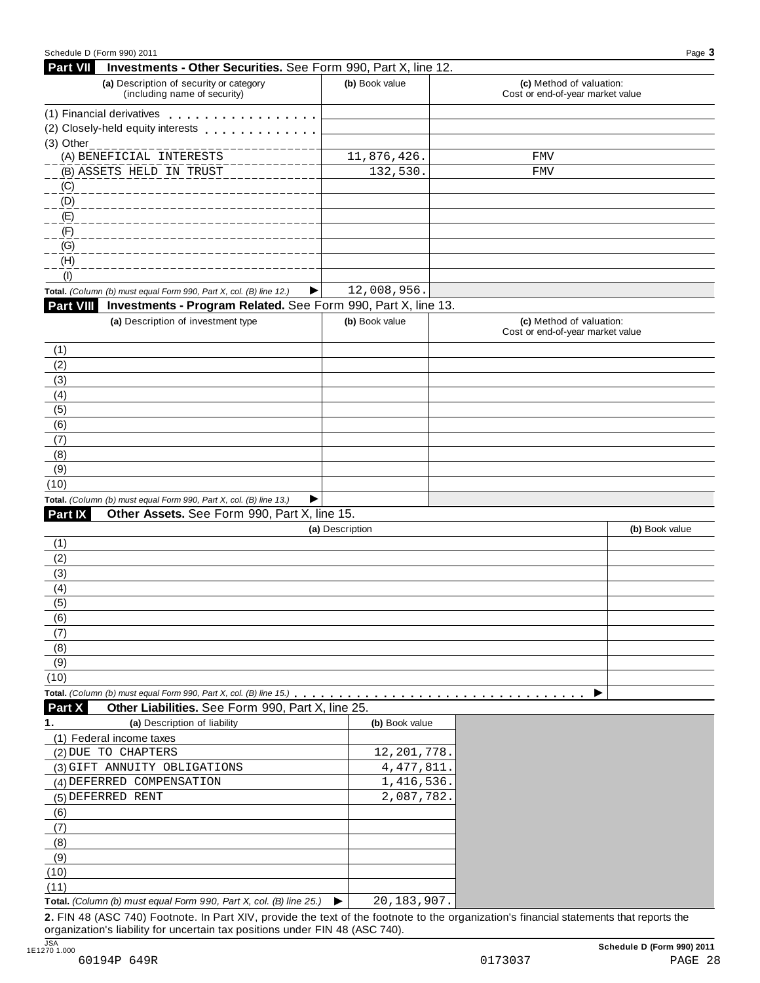| Schedule D (Form 990) 2011                                                                                                                                                                                                                                                                                                    |                  | Page 3                                                       |
|-------------------------------------------------------------------------------------------------------------------------------------------------------------------------------------------------------------------------------------------------------------------------------------------------------------------------------|------------------|--------------------------------------------------------------|
| Part VII<br>Investments - Other Securities. See Form 990, Part X, line 12.                                                                                                                                                                                                                                                    |                  |                                                              |
| (a) Description of security or category<br>(including name of security)                                                                                                                                                                                                                                                       | (b) Book value   | (c) Method of valuation:<br>Cost or end-of-year market value |
| (1) Financial derivatives experience of the state of the state of the state of the state of the state of the state of the state of the state of the state of the state of the state of the state of the state of the state of                                                                                                 |                  |                                                              |
| (2) Closely-held equity interests                                                                                                                                                                                                                                                                                             |                  |                                                              |
| (3) Other_____________________                                                                                                                                                                                                                                                                                                |                  |                                                              |
| (A) BENEFICIAL INTERESTS                                                                                                                                                                                                                                                                                                      | 11,876,426.      | FMV                                                          |
| (B) ASSETS HELD IN TRUST                                                                                                                                                                                                                                                                                                      | 132,530.         | FMV                                                          |
| $\angle$ (C)                                                                                                                                                                                                                                                                                                                  |                  |                                                              |
| $\overline{a}$ (D)                                                                                                                                                                                                                                                                                                            |                  |                                                              |
| (E)                                                                                                                                                                                                                                                                                                                           |                  |                                                              |
| (F)                                                                                                                                                                                                                                                                                                                           |                  |                                                              |
| (G)                                                                                                                                                                                                                                                                                                                           |                  |                                                              |
| (H)<br>(1)                                                                                                                                                                                                                                                                                                                    |                  |                                                              |
| Total. (Column (b) must equal Form 990, Part X, col. (B) line 12.)                                                                                                                                                                                                                                                            | 12,008,956.<br>▶ |                                                              |
| Part VIII<br>Investments - Program Related. See Form 990, Part X, line 13.                                                                                                                                                                                                                                                    |                  |                                                              |
| (a) Description of investment type                                                                                                                                                                                                                                                                                            | (b) Book value   | (c) Method of valuation:                                     |
|                                                                                                                                                                                                                                                                                                                               |                  | Cost or end-of-year market value                             |
| (1)                                                                                                                                                                                                                                                                                                                           |                  |                                                              |
| (2)                                                                                                                                                                                                                                                                                                                           |                  |                                                              |
| (3)                                                                                                                                                                                                                                                                                                                           |                  |                                                              |
| (4)                                                                                                                                                                                                                                                                                                                           |                  |                                                              |
| (5)                                                                                                                                                                                                                                                                                                                           |                  |                                                              |
| (6)                                                                                                                                                                                                                                                                                                                           |                  |                                                              |
| (7)                                                                                                                                                                                                                                                                                                                           |                  |                                                              |
| (8)                                                                                                                                                                                                                                                                                                                           |                  |                                                              |
| (9)                                                                                                                                                                                                                                                                                                                           |                  |                                                              |
| (10)                                                                                                                                                                                                                                                                                                                          |                  |                                                              |
| Total. (Column (b) must equal Form 990, Part X, col. (B) line 13.)                                                                                                                                                                                                                                                            | ▶                |                                                              |
| Part IX<br>Other Assets. See Form 990, Part X, line 15.                                                                                                                                                                                                                                                                       |                  |                                                              |
|                                                                                                                                                                                                                                                                                                                               | (a) Description  | (b) Book value                                               |
| (1)                                                                                                                                                                                                                                                                                                                           |                  |                                                              |
|                                                                                                                                                                                                                                                                                                                               |                  |                                                              |
|                                                                                                                                                                                                                                                                                                                               |                  |                                                              |
|                                                                                                                                                                                                                                                                                                                               |                  |                                                              |
|                                                                                                                                                                                                                                                                                                                               |                  |                                                              |
|                                                                                                                                                                                                                                                                                                                               |                  |                                                              |
|                                                                                                                                                                                                                                                                                                                               |                  |                                                              |
|                                                                                                                                                                                                                                                                                                                               |                  |                                                              |
|                                                                                                                                                                                                                                                                                                                               |                  |                                                              |
|                                                                                                                                                                                                                                                                                                                               |                  |                                                              |
|                                                                                                                                                                                                                                                                                                                               |                  |                                                              |
| Other Liabilities. See Form 990, Part X, line 25.                                                                                                                                                                                                                                                                             |                  |                                                              |
| (a) Description of liability                                                                                                                                                                                                                                                                                                  | (b) Book value   |                                                              |
|                                                                                                                                                                                                                                                                                                                               |                  |                                                              |
|                                                                                                                                                                                                                                                                                                                               | 12, 201, 778.    |                                                              |
|                                                                                                                                                                                                                                                                                                                               | 4, 477, 811.     |                                                              |
|                                                                                                                                                                                                                                                                                                                               | 1,416,536.       |                                                              |
|                                                                                                                                                                                                                                                                                                                               | 2,087,782.       |                                                              |
|                                                                                                                                                                                                                                                                                                                               |                  |                                                              |
|                                                                                                                                                                                                                                                                                                                               |                  |                                                              |
|                                                                                                                                                                                                                                                                                                                               |                  |                                                              |
|                                                                                                                                                                                                                                                                                                                               |                  |                                                              |
|                                                                                                                                                                                                                                                                                                                               |                  |                                                              |
| (2)<br>(3)<br>(4)<br>(5)<br>(6)<br>(7)<br>(8)<br>(9)<br>(10)<br>Part X<br>(1) Federal income taxes<br>(2) DUE TO CHAPTERS<br>(3) GIFT ANNUITY OBLIGATIONS<br>(4) DEFERRED COMPENSATION<br>(5) DEFERRED RENT<br>(6)<br>(7)<br>(8)<br>(9)<br>(10)<br>(11)<br>Total. (Column (b) must equal Form 990, Part X, col. (B) line 25.) | 20,183,907.<br>▶ |                                                              |

organization's liability for uncertain tax positions under FIN 48 (ASC 740).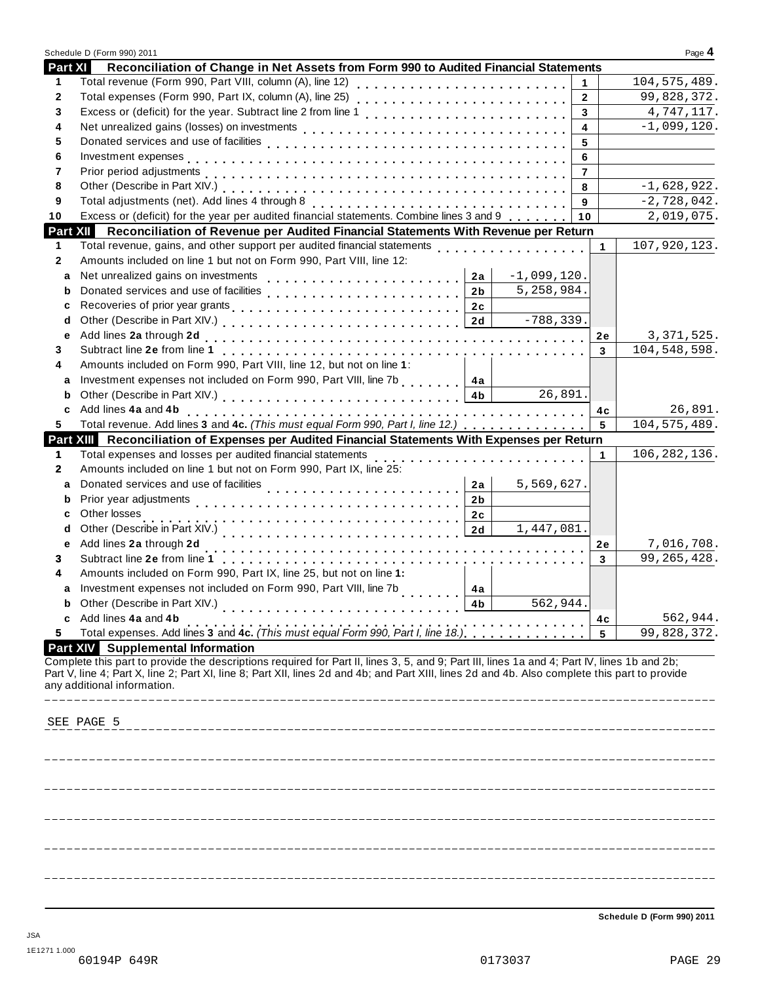|                | Schedule D (Form 990) 2011                                                                                                                                                                                                                                                                                                   |                         | Page 4         |
|----------------|------------------------------------------------------------------------------------------------------------------------------------------------------------------------------------------------------------------------------------------------------------------------------------------------------------------------------|-------------------------|----------------|
| <b>Part XI</b> | Reconciliation of Change in Net Assets from Form 990 to Audited Financial Statements                                                                                                                                                                                                                                         |                         |                |
| 1              | Total revenue (Form 990, Part VIII, column (A), line 12)                                                                                                                                                                                                                                                                     | $\mathbf{1}$            | 104, 575, 489. |
| $\mathbf{2}$   | Total expenses (Form 990, Part IX, column (A), line 25)<br>                                                                                                                                                                                                                                                                  | $\overline{2}$          | 99,828,372.    |
| 3              |                                                                                                                                                                                                                                                                                                                              | $\overline{3}$          | 4,747,117.     |
| 4              |                                                                                                                                                                                                                                                                                                                              | $\overline{\mathbf{4}}$ | $-1,099,120.$  |
| 5              |                                                                                                                                                                                                                                                                                                                              | 5                       |                |
| 6              |                                                                                                                                                                                                                                                                                                                              | 6                       |                |
| 7              |                                                                                                                                                                                                                                                                                                                              | $\overline{7}$          |                |
| 8              |                                                                                                                                                                                                                                                                                                                              | 8                       | $-1,628,922.$  |
| 9              | Total adjustments (net). Add lines 4 through 8 [1] [1] [1] $\frac{1}{2}$ [1] $\frac{1}{2}$ [1] $\frac{1}{2}$ [1] $\frac{1}{2}$ [1] $\frac{1}{2}$ [1] $\frac{1}{2}$ [1] $\frac{1}{2}$ [1] $\frac{1}{2}$ [1] $\frac{1}{2}$ [1] $\frac{1}{2}$ [1] $\frac{1}{2}$ [1] $\frac{1}{2}$                                               | 9                       | $-2,728,042.$  |
| 10             | Excess or (deficit) for the year per audited financial statements. Combine lines 3 and 9                                                                                                                                                                                                                                     | 10                      | 2,019,075.     |
|                | Part XII Reconciliation of Revenue per Audited Financial Statements With Revenue per Return                                                                                                                                                                                                                                  |                         |                |
| 1              | Total revenue, gains, and other support per audited financial statements<br>Total revenue, gains, and other support per audited financial statements                                                                                                                                                                         | $\mathbf 1$             | 107,920,123.   |
| $\mathbf{2}$   | Amounts included on line 1 but not on Form 990, Part VIII, line 12:                                                                                                                                                                                                                                                          |                         |                |
| a              | $-1,099,120.$<br>2a                                                                                                                                                                                                                                                                                                          |                         |                |
| b              | 5,258,984.<br>2 <sub>b</sub>                                                                                                                                                                                                                                                                                                 |                         |                |
| c              |                                                                                                                                                                                                                                                                                                                              |                         |                |
| d              | $-788, 339.$                                                                                                                                                                                                                                                                                                                 |                         |                |
| е              |                                                                                                                                                                                                                                                                                                                              | 2e                      | 3, 371, 525.   |
| 3              |                                                                                                                                                                                                                                                                                                                              | 3                       | 104,548,598.   |
| 4              | Amounts included on Form 990, Part VIII, line 12, but not on line 1:                                                                                                                                                                                                                                                         |                         |                |
| a              | Investment expenses not included on Form 990, Part VIII, line 7b   4a                                                                                                                                                                                                                                                        |                         |                |
| b              | 26,891.<br>Other (Describe in Part XIV.) (2000) (2001) (2001) (2001) (2001) (2002) (2001) (2002) (2003) (2003) (2004) (20                                                                                                                                                                                                    |                         |                |
| c              |                                                                                                                                                                                                                                                                                                                              | 4c                      | 26,891.        |
| 5              | Total revenue. Add lines 3 and 4c. (This must equal Form 990, Part I, line 12.)                                                                                                                                                                                                                                              | 5                       | 104, 575, 489. |
|                | Part XIII Reconciliation of Expenses per Audited Financial Statements With Expenses per Return                                                                                                                                                                                                                               |                         |                |
| 1              | Total expenses and losses per audited financial statements                                                                                                                                                                                                                                                                   | $\mathbf 1$             | 106, 282, 136. |
| $\mathbf{2}$   | .<br>Amounts included on line 1 but not on Form 990, Part IX, line 25:                                                                                                                                                                                                                                                       |                         |                |
|                | 5,569,627.                                                                                                                                                                                                                                                                                                                   |                         |                |
| a              | Donated services and use of facilities<br>2a                                                                                                                                                                                                                                                                                 |                         |                |
| b              | Prior year adjustments<br>2 <sub>b</sub>                                                                                                                                                                                                                                                                                     |                         |                |
| c              | Other losses<br>2c                                                                                                                                                                                                                                                                                                           |                         |                |
| d              | 1,447,081.<br>2d                                                                                                                                                                                                                                                                                                             |                         |                |
| е              | Add lines 2a through 2d                                                                                                                                                                                                                                                                                                      | 2e                      | 7,016,708.     |
| 3              |                                                                                                                                                                                                                                                                                                                              | 3                       | 99, 265, 428.  |
| 4              | Amounts included on Form 990, Part IX, line 25, but not on line 1:                                                                                                                                                                                                                                                           |                         |                |
| a              | Investment expenses not included on Form 990, Part VIII, line 7b<br>4a                                                                                                                                                                                                                                                       |                         |                |
|                | 562,944.<br>Other (Describe in Part XIV.)<br>4 <sub>b</sub><br>.                                                                                                                                                                                                                                                             |                         |                |
|                | c Add lines 4a and 4b<br>Total expenses. Add lines 3 and 4c. (This must equal Form 990, Part I, line 18.)                                                                                                                                                                                                                    | 4c                      | 562,944.       |
| 5              |                                                                                                                                                                                                                                                                                                                              | 5                       | 99,828,372.    |
|                | <b>Part XIV</b> Supplemental Information                                                                                                                                                                                                                                                                                     |                         |                |
|                | Complete this part to provide the descriptions required for Part II, lines 3, 5, and 9; Part III, lines 1a and 4; Part IV, lines 1b and 2b;<br>Part V, line 4; Part X, line 2; Part XI, line 8; Part XII, lines 2d and 4b; and Part XIII, lines 2d and 4b. Also complete this part to provide<br>any additional information. |                         |                |
|                | SEE PAGE 5                                                                                                                                                                                                                                                                                                                   |                         |                |
|                |                                                                                                                                                                                                                                                                                                                              |                         |                |
|                |                                                                                                                                                                                                                                                                                                                              |                         |                |
|                |                                                                                                                                                                                                                                                                                                                              |                         |                |
|                |                                                                                                                                                                                                                                                                                                                              |                         |                |
|                |                                                                                                                                                                                                                                                                                                                              |                         |                |
|                |                                                                                                                                                                                                                                                                                                                              |                         |                |
|                |                                                                                                                                                                                                                                                                                                                              |                         |                |
|                |                                                                                                                                                                                                                                                                                                                              |                         |                |
|                |                                                                                                                                                                                                                                                                                                                              |                         |                |
|                |                                                                                                                                                                                                                                                                                                                              |                         |                |
|                |                                                                                                                                                                                                                                                                                                                              |                         |                |
|                |                                                                                                                                                                                                                                                                                                                              |                         |                |

**Schedule D (Form 990) 2011**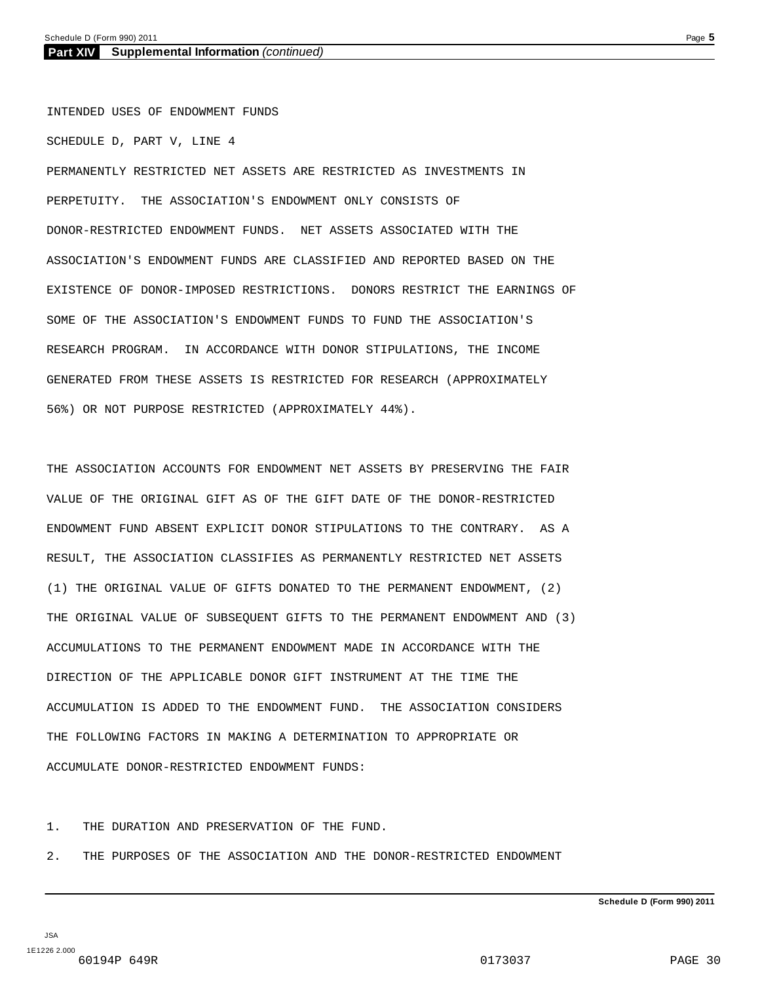INTENDED USES OF ENDOWMENT FUNDS SCHEDULE D, PART V, LINE 4 PERMANENTLY RESTRICTED NET ASSETS ARE RESTRICTED AS INVESTMENTS IN PERPETUITY. THE ASSOCIATION'S ENDOWMENT ONLY CONSISTS OF DONOR-RESTRICTED ENDOWMENT FUNDS. NET ASSETS ASSOCIATED WITH THE ASSOCIATION'S ENDOWMENT FUNDS ARE CLASSIFIED AND REPORTED BASED ON THE EXISTENCE OF DONOR-IMPOSED RESTRICTIONS. DONORS RESTRICT THE EARNINGS OF SOME OF THE ASSOCIATION'S ENDOWMENT FUNDS TO FUND THE ASSOCIATION'S RESEARCH PROGRAM. IN ACCORDANCE WITH DONOR STIPULATIONS, THE INCOME GENERATED FROM THESE ASSETS IS RESTRICTED FOR RESEARCH (APPROXIMATELY 56%) OR NOT PURPOSE RESTRICTED (APPROXIMATELY 44%).

THE ASSOCIATION ACCOUNTS FOR ENDOWMENT NET ASSETS BY PRESERVING THE FAIR VALUE OF THE ORIGINAL GIFT AS OF THE GIFT DATE OF THE DONOR-RESTRICTED ENDOWMENT FUND ABSENT EXPLICIT DONOR STIPULATIONS TO THE CONTRARY. AS A RESULT, THE ASSOCIATION CLASSIFIES AS PERMANENTLY RESTRICTED NET ASSETS (1) THE ORIGINAL VALUE OF GIFTS DONATED TO THE PERMANENT ENDOWMENT, (2) THE ORIGINAL VALUE OF SUBSEQUENT GIFTS TO THE PERMANENT ENDOWMENT AND (3) ACCUMULATIONS TO THE PERMANENT ENDOWMENT MADE IN ACCORDANCE WITH THE DIRECTION OF THE APPLICABLE DONOR GIFT INSTRUMENT AT THE TIME THE ACCUMULATION IS ADDED TO THE ENDOWMENT FUND. THE ASSOCIATION CONSIDERS THE FOLLOWING FACTORS IN MAKING A DETERMINATION TO APPROPRIATE OR ACCUMULATE DONOR-RESTRICTED ENDOWMENT FUNDS:

1. THE DURATION AND PRESERVATION OF THE FUND.

2. THE PURPOSES OF THE ASSOCIATION AND THE DONOR-RESTRICTED ENDOWMENT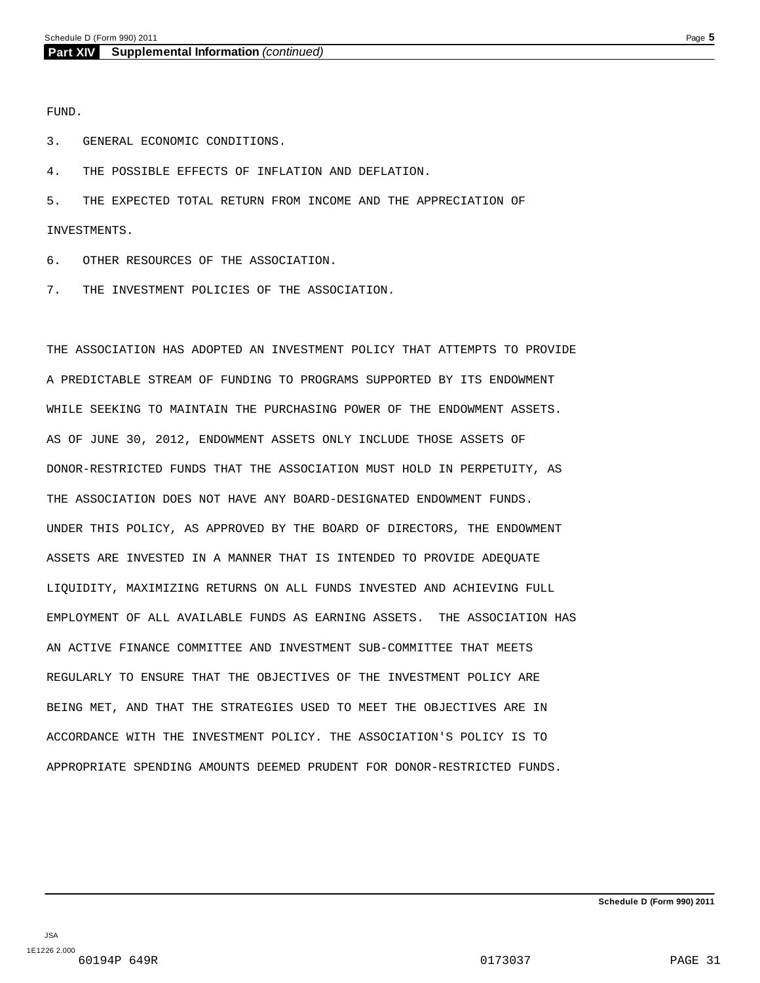FUND.

3. GENERAL ECONOMIC CONDITIONS.

4. THE POSSIBLE EFFECTS OF INFLATION AND DEFLATION.

5. THE EXPECTED TOTAL RETURN FROM INCOME AND THE APPRECIATION OF INVESTMENTS.

6. OTHER RESOURCES OF THE ASSOCIATION.

7. THE INVESTMENT POLICIES OF THE ASSOCIATION.

THE ASSOCIATION HAS ADOPTED AN INVESTMENT POLICY THAT ATTEMPTS TO PROVIDE A PREDICTABLE STREAM OF FUNDING TO PROGRAMS SUPPORTED BY ITS ENDOWMENT WHILE SEEKING TO MAINTAIN THE PURCHASING POWER OF THE ENDOWMENT ASSETS. AS OF JUNE 30, 2012, ENDOWMENT ASSETS ONLY INCLUDE THOSE ASSETS OF DONOR-RESTRICTED FUNDS THAT THE ASSOCIATION MUST HOLD IN PERPETUITY, AS THE ASSOCIATION DOES NOT HAVE ANY BOARD-DESIGNATED ENDOWMENT FUNDS. UNDER THIS POLICY, AS APPROVED BY THE BOARD OF DIRECTORS, THE ENDOWMENT ASSETS ARE INVESTED IN A MANNER THAT IS INTENDED TO PROVIDE ADEQUATE LIQUIDITY, MAXIMIZING RETURNS ON ALL FUNDS INVESTED AND ACHIEVING FULL EMPLOYMENT OF ALL AVAILABLE FUNDS AS EARNING ASSETS. THE ASSOCIATION HAS AN ACTIVE FINANCE COMMITTEE AND INVESTMENT SUB-COMMITTEE THAT MEETS REGULARLY TO ENSURE THAT THE OBJECTIVES OF THE INVESTMENT POLICY ARE BEING MET, AND THAT THE STRATEGIES USED TO MEET THE OBJECTIVES ARE IN ACCORDANCE WITH THE INVESTMENT POLICY. THE ASSOCIATION'S POLICY IS TO APPROPRIATE SPENDING AMOUNTS DEEMED PRUDENT FOR DONOR-RESTRICTED FUNDS.

**Schedule D (Form 990) 2011**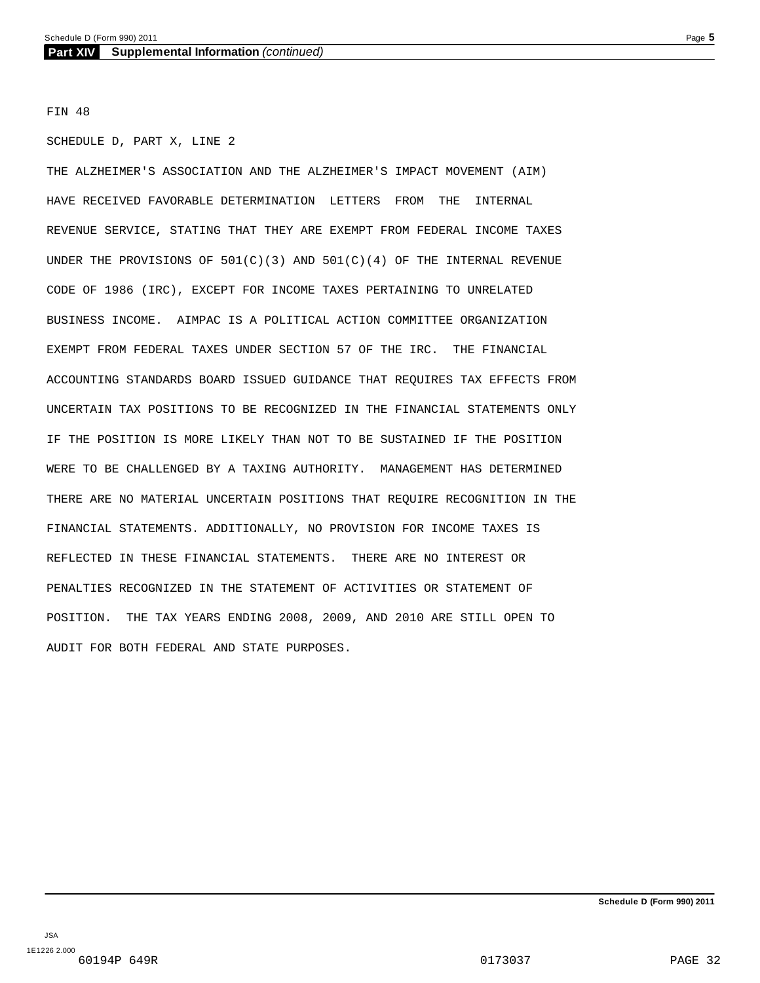FIN 48

SCHEDULE D, PART X, LINE 2

THE ALZHEIMER'S ASSOCIATION AND THE ALZHEIMER'S IMPACT MOVEMENT (AIM) HAVE RECEIVED FAVORABLE DETERMINATION LETTERS FROM THE INTERNAL REVENUE SERVICE, STATING THAT THEY ARE EXEMPT FROM FEDERAL INCOME TAXES UNDER THE PROVISIONS OF 501(C)(3) AND 501(C)(4) OF THE INTERNAL REVENUE CODE OF 1986 (IRC), EXCEPT FOR INCOME TAXES PERTAINING TO UNRELATED BUSINESS INCOME. AIMPAC IS A POLITICAL ACTION COMMITTEE ORGANIZATION EXEMPT FROM FEDERAL TAXES UNDER SECTION 57 OF THE IRC. THE FINANCIAL ACCOUNTING STANDARDS BOARD ISSUED GUIDANCE THAT REQUIRES TAX EFFECTS FROM UNCERTAIN TAX POSITIONS TO BE RECOGNIZED IN THE FINANCIAL STATEMENTS ONLY IF THE POSITION IS MORE LIKELY THAN NOT TO BE SUSTAINED IF THE POSITION WERE TO BE CHALLENGED BY A TAXING AUTHORITY. MANAGEMENT HAS DETERMINED THERE ARE NO MATERIAL UNCERTAIN POSITIONS THAT REQUIRE RECOGNITION IN THE FINANCIAL STATEMENTS. ADDITIONALLY, NO PROVISION FOR INCOME TAXES IS REFLECTED IN THESE FINANCIAL STATEMENTS. THERE ARE NO INTEREST OR PENALTIES RECOGNIZED IN THE STATEMENT OF ACTIVITIES OR STATEMENT OF POSITION. THE TAX YEARS ENDING 2008, 2009, AND 2010 ARE STILL OPEN TO AUDIT FOR BOTH FEDERAL AND STATE PURPOSES.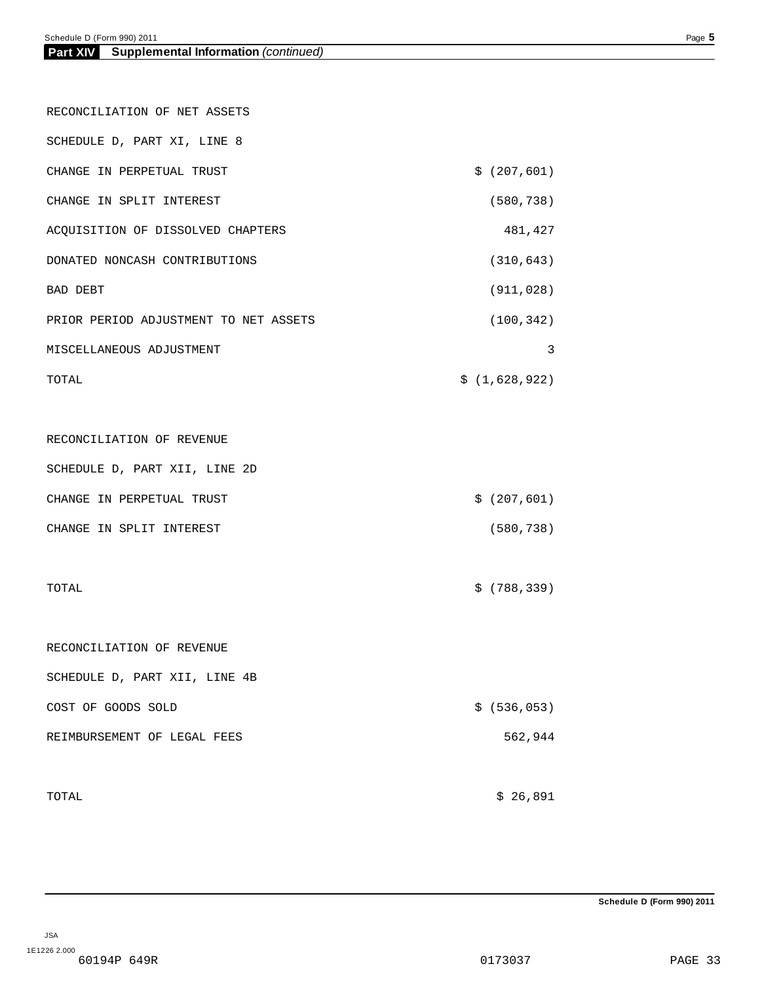| RECONCILIATION OF NET ASSETS          |               |
|---------------------------------------|---------------|
| SCHEDULE D, PART XI, LINE 8           |               |
| CHANGE IN PERPETUAL TRUST             | \$ (207, 601) |
| CHANGE IN SPLIT INTEREST              | (580, 738)    |
| ACQUISITION OF DISSOLVED CHAPTERS     | 481,427       |
| DONATED NONCASH CONTRIBUTIONS         | (310, 643)    |
| BAD DEBT                              | (911, 028)    |
| PRIOR PERIOD ADJUSTMENT TO NET ASSETS | (100, 342)    |
| MISCELLANEOUS ADJUSTMENT              | 3             |
| TOTAL                                 | \$(1,628,922) |
|                                       |               |
| RECONCILIATION OF REVENUE             |               |
| SCHEDULE D, PART XII, LINE 2D         |               |
| CHANGE IN PERPETUAL TRUST             | \$ (207, 601) |
| CHANGE IN SPLIT INTEREST              | (580, 738)    |
|                                       |               |
| TOTAL                                 | \$ (788, 339) |
|                                       |               |
| RECONCILIATION OF REVENUE             |               |
| SCHEDULE D, PART XII, LINE 4B         |               |
| COST OF GOODS SOLD                    | \$ (536, 053) |
| REIMBURSEMENT OF LEGAL FEES           | 562,944       |
|                                       |               |
| TOTAL                                 | \$26,891      |

**Schedule D (Form 990) 2011**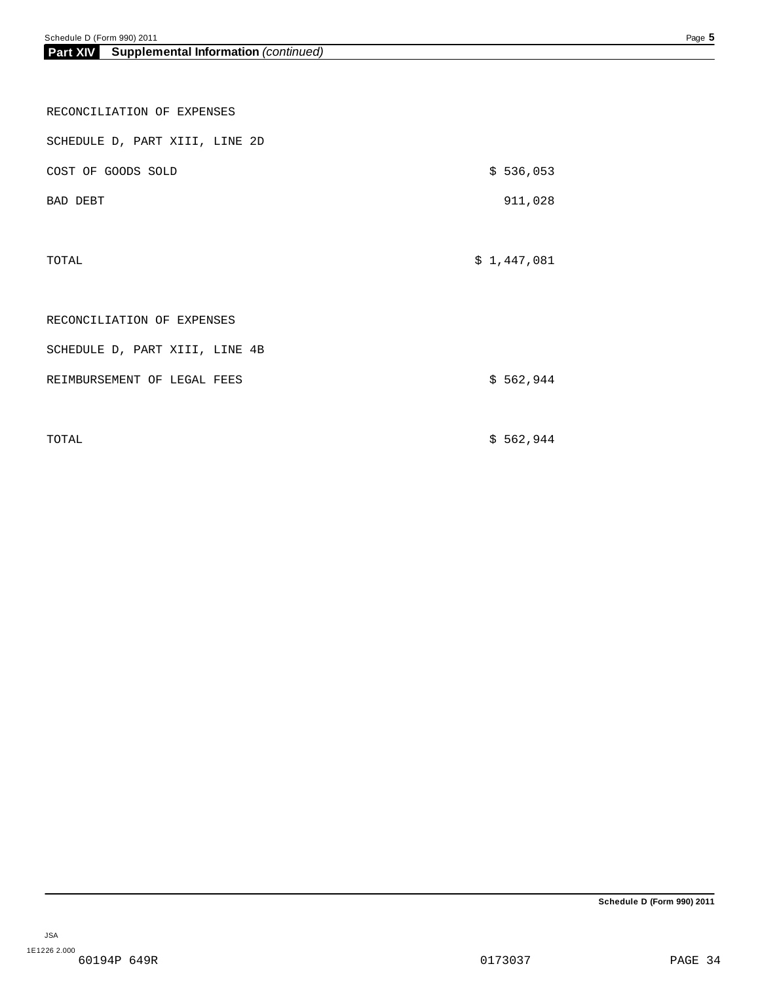| Part XIV | <b>Supplemental Information</b> (continued) |  |
|----------|---------------------------------------------|--|
|          |                                             |  |

| RECONCILIATION OF EXPENSES     |             |
|--------------------------------|-------------|
| SCHEDULE D, PART XIII, LINE 2D |             |
| COST OF GOODS SOLD             | \$536,053   |
| BAD DEBT                       | 911,028     |
|                                |             |
| TOTAL                          | \$1,447,081 |
|                                |             |
| RECONCILIATION OF EXPENSES     |             |
| SCHEDULE D, PART XIII, LINE 4B |             |
| REIMBURSEMENT OF LEGAL FEES    | \$562,944   |
|                                |             |
|                                |             |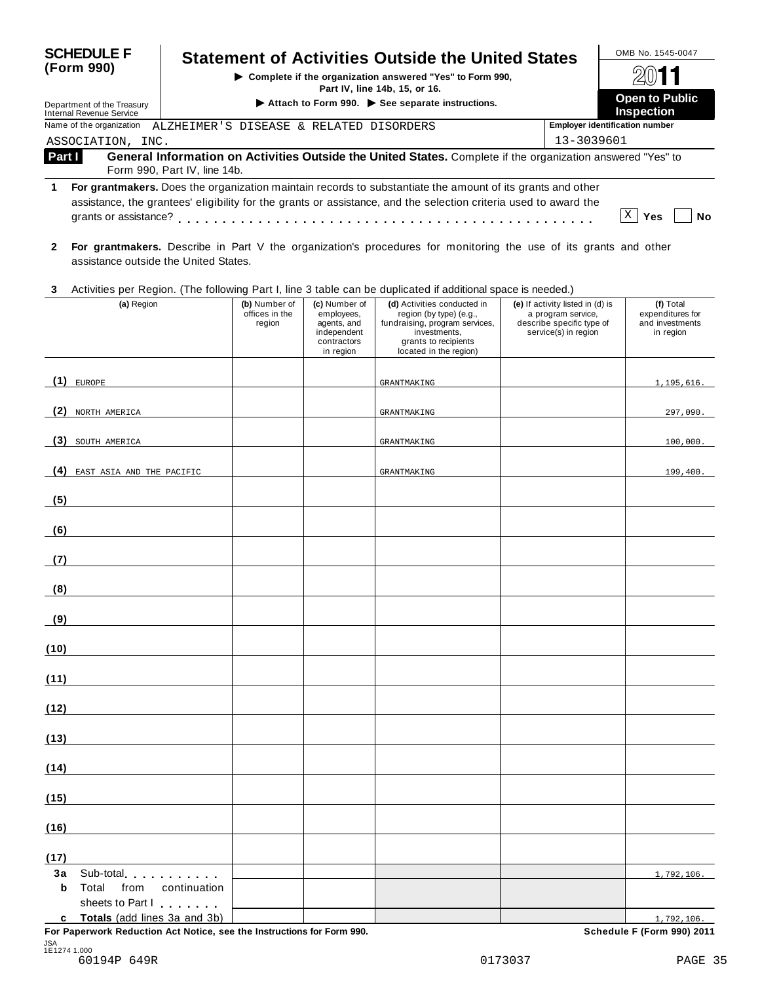| <b>SCHEDULE F</b>                                                                                                                                                                                                                                          |                              |                                                                                 |                                                                                       | <b>Statement of Activities Outside the United States</b>                                                                                                   |                                                                                                             | OMB No. 1545-0047                                             |
|------------------------------------------------------------------------------------------------------------------------------------------------------------------------------------------------------------------------------------------------------------|------------------------------|---------------------------------------------------------------------------------|---------------------------------------------------------------------------------------|------------------------------------------------------------------------------------------------------------------------------------------------------------|-------------------------------------------------------------------------------------------------------------|---------------------------------------------------------------|
| (Form 990)                                                                                                                                                                                                                                                 |                              |                                                                                 |                                                                                       |                                                                                                                                                            |                                                                                                             |                                                               |
|                                                                                                                                                                                                                                                            |                              | Part IV, line 14b, 15, or 16.<br>Attach to Form 990. See separate instructions. |                                                                                       |                                                                                                                                                            |                                                                                                             |                                                               |
| Department of the Treasury<br><b>Internal Revenue Service</b>                                                                                                                                                                                              |                              | <b>Inspection</b>                                                               |                                                                                       |                                                                                                                                                            |                                                                                                             |                                                               |
| Name of the organization<br>ALZHEIMER'S DISEASE & RELATED DISORDERS<br>ASSOCIATION, INC.                                                                                                                                                                   |                              |                                                                                 |                                                                                       |                                                                                                                                                            | 13-3039601                                                                                                  | <b>Employer identification number</b>                         |
| Part I                                                                                                                                                                                                                                                     | Form 990, Part IV, line 14b. |                                                                                 |                                                                                       | General Information on Activities Outside the United States. Complete if the organization answered "Yes" to                                                |                                                                                                             |                                                               |
| 1                                                                                                                                                                                                                                                          |                              |                                                                                 |                                                                                       | For grantmakers. Does the organization maintain records to substantiate the amount of its grants and other                                                 |                                                                                                             |                                                               |
|                                                                                                                                                                                                                                                            |                              |                                                                                 |                                                                                       | assistance, the grantees' eligibility for the grants or assistance, and the selection criteria used to award the                                           |                                                                                                             |                                                               |
|                                                                                                                                                                                                                                                            |                              |                                                                                 |                                                                                       |                                                                                                                                                            |                                                                                                             | X <br>Yes<br>No                                               |
| $\mathbf{2}$<br>assistance outside the United States.                                                                                                                                                                                                      |                              |                                                                                 |                                                                                       | For grantmakers. Describe in Part V the organization's procedures for monitoring the use of its grants and other                                           |                                                                                                             |                                                               |
| 3                                                                                                                                                                                                                                                          |                              |                                                                                 |                                                                                       | Activities per Region. (The following Part I, line 3 table can be duplicated if additional space is needed.)                                               |                                                                                                             |                                                               |
| (a) Region                                                                                                                                                                                                                                                 |                              | (b) Number of<br>offices in the<br>region                                       | (c) Number of<br>employees,<br>agents, and<br>independent<br>contractors<br>in region | (d) Activities conducted in<br>region (by type) (e.g.,<br>fundraising, program services,<br>investments,<br>grants to recipients<br>located in the region) | (e) If activity listed in (d) is<br>a program service,<br>describe specific type of<br>service(s) in region | (f) Total<br>expenditures for<br>and investments<br>in region |
| $(1)$ EUROPE                                                                                                                                                                                                                                               |                              |                                                                                 |                                                                                       | GRANTMAKING                                                                                                                                                |                                                                                                             | 1,195,616.                                                    |
|                                                                                                                                                                                                                                                            |                              |                                                                                 |                                                                                       |                                                                                                                                                            |                                                                                                             |                                                               |
| (2)<br>NORTH AMERICA                                                                                                                                                                                                                                       |                              |                                                                                 |                                                                                       | GRANTMAKING                                                                                                                                                |                                                                                                             | 297,090.                                                      |
| (3) SOUTH AMERICA                                                                                                                                                                                                                                          |                              |                                                                                 |                                                                                       | GRANTMAKING                                                                                                                                                |                                                                                                             | 100,000.                                                      |
| (4) EAST ASIA AND THE PACIFIC                                                                                                                                                                                                                              |                              |                                                                                 |                                                                                       | GRANTMAKING                                                                                                                                                |                                                                                                             | 199,400.                                                      |
| (5)                                                                                                                                                                                                                                                        |                              |                                                                                 |                                                                                       |                                                                                                                                                            |                                                                                                             |                                                               |
| (6)                                                                                                                                                                                                                                                        |                              |                                                                                 |                                                                                       |                                                                                                                                                            |                                                                                                             |                                                               |
| (7)                                                                                                                                                                                                                                                        |                              |                                                                                 |                                                                                       |                                                                                                                                                            |                                                                                                             |                                                               |
| (8)                                                                                                                                                                                                                                                        |                              |                                                                                 |                                                                                       |                                                                                                                                                            |                                                                                                             |                                                               |
| (9)                                                                                                                                                                                                                                                        |                              |                                                                                 |                                                                                       |                                                                                                                                                            |                                                                                                             |                                                               |
| (10)                                                                                                                                                                                                                                                       |                              |                                                                                 |                                                                                       |                                                                                                                                                            |                                                                                                             |                                                               |
| (11)                                                                                                                                                                                                                                                       |                              |                                                                                 |                                                                                       |                                                                                                                                                            |                                                                                                             |                                                               |
| (12)                                                                                                                                                                                                                                                       |                              |                                                                                 |                                                                                       |                                                                                                                                                            |                                                                                                             |                                                               |
| (13)                                                                                                                                                                                                                                                       |                              |                                                                                 |                                                                                       |                                                                                                                                                            |                                                                                                             |                                                               |
| (14)                                                                                                                                                                                                                                                       |                              |                                                                                 |                                                                                       |                                                                                                                                                            |                                                                                                             |                                                               |
| (15)                                                                                                                                                                                                                                                       |                              |                                                                                 |                                                                                       |                                                                                                                                                            |                                                                                                             |                                                               |
| (16)                                                                                                                                                                                                                                                       |                              |                                                                                 |                                                                                       |                                                                                                                                                            |                                                                                                             |                                                               |
| (17)                                                                                                                                                                                                                                                       |                              |                                                                                 |                                                                                       |                                                                                                                                                            |                                                                                                             |                                                               |
| 3a<br>Sub-total experience and the set of the set of the set of the set of the set of the set of the set of the set of the set of the set of the set of the set of the set of the set of the set of the set of the set of the set of<br>Total<br>from<br>b | continuation                 |                                                                                 |                                                                                       |                                                                                                                                                            |                                                                                                             | 1,792,106.                                                    |
| sheets to Part I                                                                                                                                                                                                                                           |                              |                                                                                 |                                                                                       |                                                                                                                                                            |                                                                                                             |                                                               |
| c Totals (add lines 3a and 3b)                                                                                                                                                                                                                             |                              |                                                                                 |                                                                                       |                                                                                                                                                            |                                                                                                             | 1,792,106.                                                    |

**For Paperwork Reduction Act Notice, see the Instructions for Form 990. Schedule F (Form 990) 2011**

 $\frac{1,792,106}{2}$ Schedule F (Form 990) 2011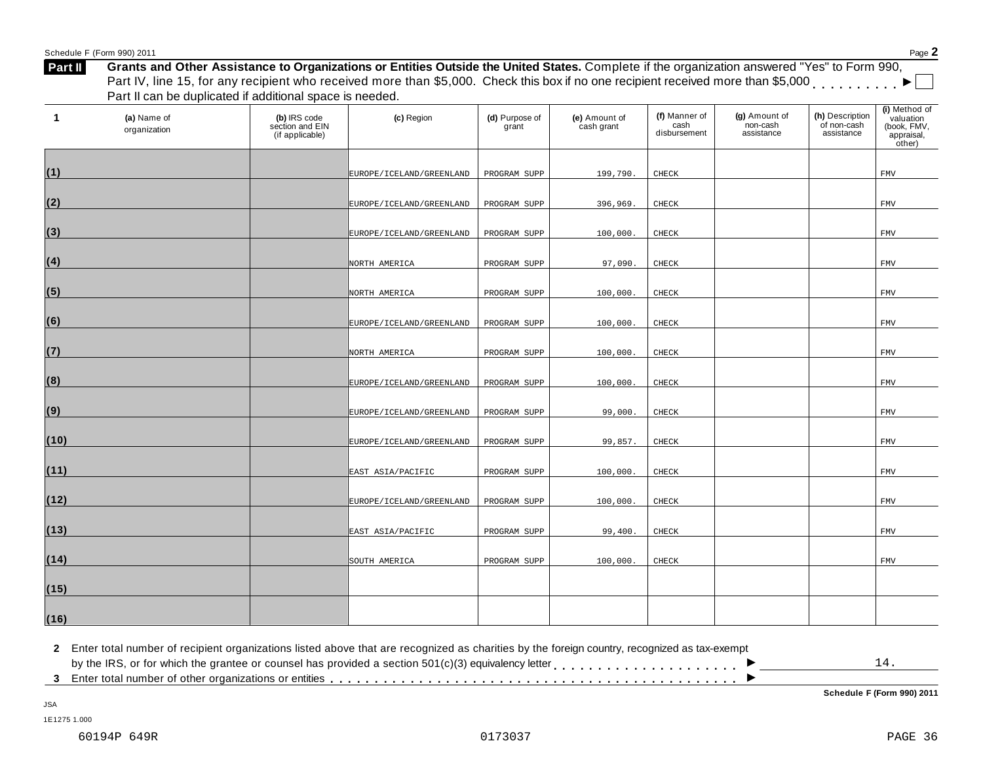| $\blacktriangleleft$<br>(a) Name of<br>organization | (b) IRS code<br>section and EIN<br>(if applicable) | (c) Region               | (d) Purpose of<br>grant | (e) Amount of<br>cash grant | (f) Manner of<br>cash<br>disbursement | (g) Amount of<br>non-cash<br>assistance | (h) Description<br>of non-cash<br>assistance | (i) Method of<br>valuation<br>(book, FMV,<br>appraisal,<br>other) |
|-----------------------------------------------------|----------------------------------------------------|--------------------------|-------------------------|-----------------------------|---------------------------------------|-----------------------------------------|----------------------------------------------|-------------------------------------------------------------------|
| (1)                                                 |                                                    |                          |                         |                             |                                       |                                         |                                              |                                                                   |
|                                                     |                                                    | EUROPE/ICELAND/GREENLAND | PROGRAM SUPP            | 199,790.                    | CHECK                                 |                                         |                                              | FMV                                                               |
| (2)                                                 |                                                    | EUROPE/ICELAND/GREENLAND | PROGRAM SUPP            | 396,969.                    | CHECK                                 |                                         |                                              | ${\tt FMV}$                                                       |
| (3)                                                 |                                                    | EUROPE/ICELAND/GREENLAND | PROGRAM SUPP            | 100,000.                    | CHECK                                 |                                         |                                              | ${\tt FMV}$                                                       |
| (4)                                                 |                                                    | NORTH AMERICA            | PROGRAM SUPP            | 97,090.                     | CHECK                                 |                                         |                                              | <b>FMV</b>                                                        |
|                                                     |                                                    |                          |                         |                             |                                       |                                         |                                              |                                                                   |
| (5)                                                 |                                                    | NORTH AMERICA            | PROGRAM SUPP            | 100,000.                    | CHECK                                 |                                         |                                              | <b>FMV</b>                                                        |
| (6)                                                 |                                                    | EUROPE/ICELAND/GREENLAND | PROGRAM SUPP            | 100,000.                    | CHECK                                 |                                         |                                              | <b>FMV</b>                                                        |
| (7)                                                 |                                                    | NORTH AMERICA            | PROGRAM SUPP            | 100,000.                    | CHECK                                 |                                         |                                              | <b>FMV</b>                                                        |
| (8)                                                 |                                                    | EUROPE/ICELAND/GREENLAND | PROGRAM SUPP            | 100,000.                    | CHECK                                 |                                         |                                              | <b>FMV</b>                                                        |
|                                                     |                                                    |                          |                         |                             |                                       |                                         |                                              |                                                                   |
| (9)                                                 |                                                    | EUROPE/ICELAND/GREENLAND | PROGRAM SUPP            | 99,000.                     | CHECK                                 |                                         |                                              | <b>FMV</b>                                                        |
| (10)                                                |                                                    | EUROPE/ICELAND/GREENLAND | PROGRAM SUPP            | 99,857.                     | CHECK                                 |                                         |                                              | FMV                                                               |
| (11)                                                |                                                    | EAST ASIA/PACIFIC        | PROGRAM SUPP            | 100,000                     | CHECK                                 |                                         |                                              | ${\tt FMV}$                                                       |
| (12)                                                |                                                    |                          |                         |                             |                                       |                                         |                                              |                                                                   |
|                                                     |                                                    | EUROPE/ICELAND/GREENLAND | PROGRAM SUPP            | 100,000.                    | CHECK                                 |                                         |                                              | <b>FMV</b>                                                        |
| (13)                                                |                                                    | EAST ASIA/PACIFIC        | PROGRAM SUPP            | 99,400.                     | CHECK                                 |                                         |                                              | <b>FMV</b>                                                        |
| (14)                                                |                                                    | SOUTH AMERICA            | PROGRAM SUPP            | 100,000.                    | CHECK                                 |                                         |                                              | ${\tt FMV}$                                                       |
| (15)                                                |                                                    |                          |                         |                             |                                       |                                         |                                              |                                                                   |
|                                                     |                                                    |                          |                         |                             |                                       |                                         |                                              |                                                                   |
| (16)                                                |                                                    |                          |                         |                             |                                       |                                         |                                              |                                                                   |

Schedule <sup>F</sup> (Form 990) <sup>2011</sup> Page **2**

**Schedule F (Form 990) 2011**

1E1275 1.000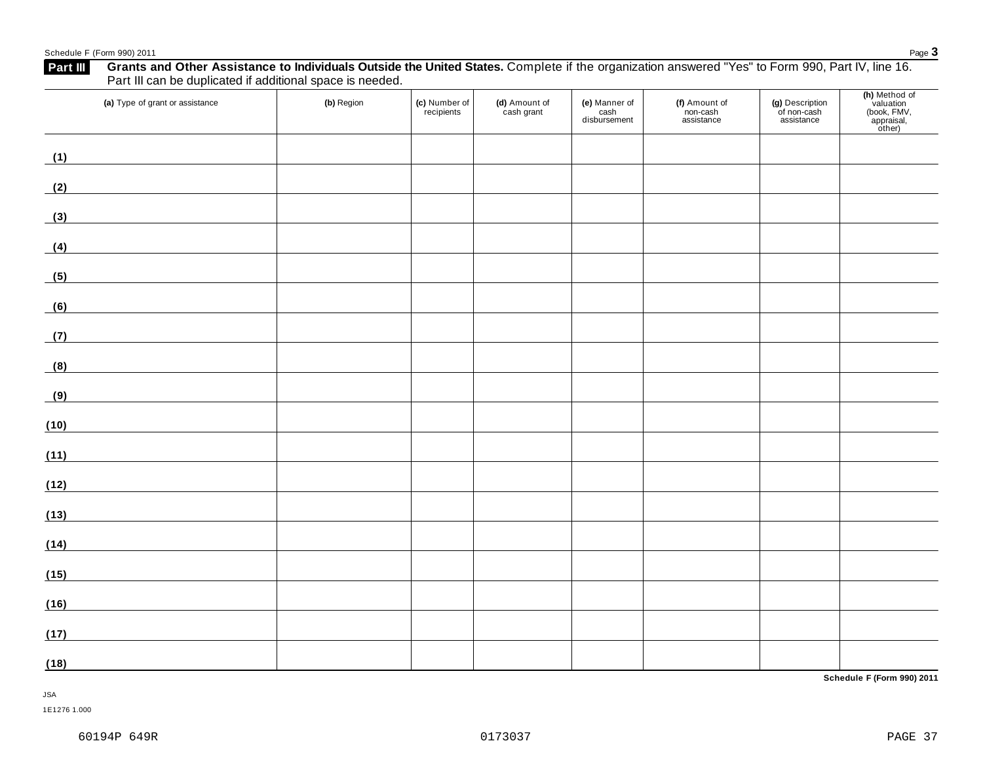## Schedule <sup>F</sup> (Form 990) <sup>2011</sup> Page **3**

**(h)** Method of valuation **(a)** Type of grant or assistance **(b)** Region **(c)** Number of **(d)** Amount of **(e)** Manner of **(f)** Amount of **(g)** Description recipients cash grant cash non-cash of non-cash (book, FMV, disbursement assistance assistance appraisal,<br>other) **(1) (2) (3) (4) (5) (6) (7) (8) (9)** <u> 1980 - Johann Barbara, martxa al</u> <u> 1980 - Johann Barn, mars ann an t-Aonaich an t-Aonaich an t-Aonaich an t-Aonaich an t-Aonaich an t-Aonaich an </u> **(10) (11) (12) (13) (14) (15) (16) (17) (18) Schedule F (Form 990) 2011**

JSA

1E1276 1.000

# **Grants and Other Assistance to Individuals Outside the United States.** Complete ifthe organization answered "Yes" to Form 990, Part IV, line 16. **Part III** Grants and Other Assistance to Individuals Outside<br>Part III can be duplicated if additional space is needed.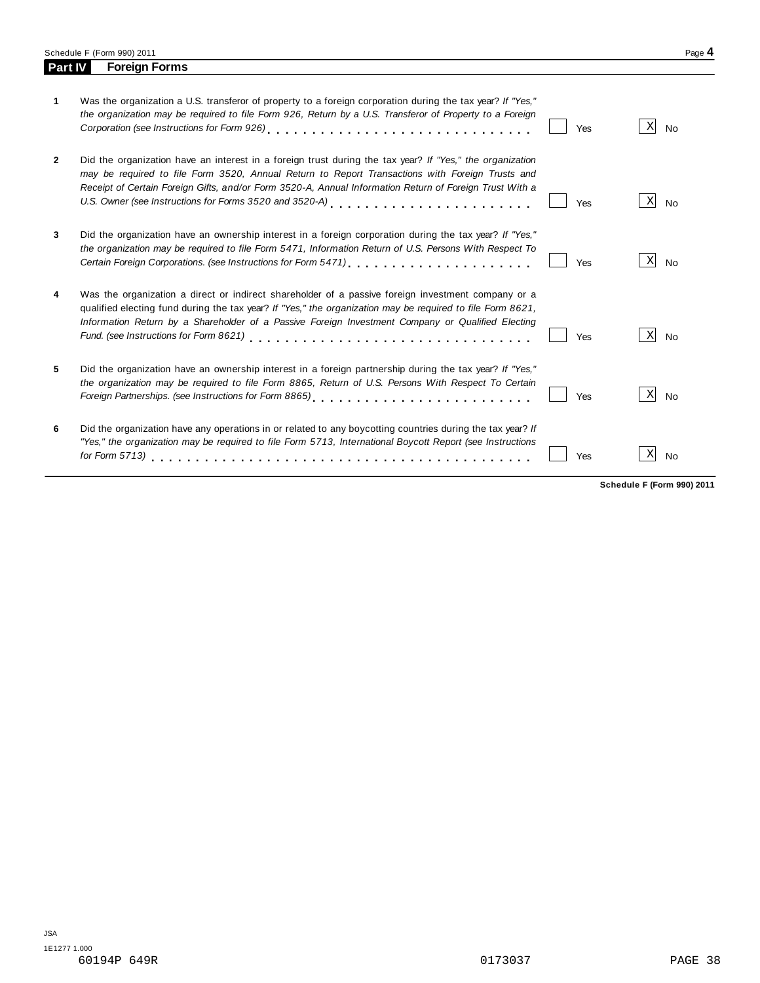Schedule F (Form 990) 2011 Page 4<br> **Part IV Foreign Forms** 

**Parth Forms** 

| 1              | Was the organization a U.S. transferor of property to a foreign corporation during the tax year? If "Yes,"<br>the organization may be required to file Form 926, Return by a U.S. Transferor of Property to a Foreign                                                                                                                                           | Yes | Χ<br><b>No</b> |
|----------------|-----------------------------------------------------------------------------------------------------------------------------------------------------------------------------------------------------------------------------------------------------------------------------------------------------------------------------------------------------------------|-----|----------------|
| $\overline{2}$ | Did the organization have an interest in a foreign trust during the tax year? If "Yes," the organization<br>may be required to file Form 3520, Annual Return to Report Transactions with Foreign Trusts and<br>Receipt of Certain Foreign Gifts, and/or Form 3520-A, Annual Information Return of Foreign Trust With a                                          | Yes | X<br><b>No</b> |
| 3              | Did the organization have an ownership interest in a foreign corporation during the tax year? If "Yes,"<br>the organization may be required to file Form 5471, Information Return of U.S. Persons With Respect To                                                                                                                                               | Yes | Χ<br><b>No</b> |
| 4              | Was the organization a direct or indirect shareholder of a passive foreign investment company or a<br>qualified electing fund during the tax year? If "Yes," the organization may be required to file Form 8621,<br>Information Return by a Shareholder of a Passive Foreign Investment Company or Qualified Electing<br>Fund. (see Instructions for Form 8621) | Yes | X<br><b>No</b> |
| 5              | Did the organization have an ownership interest in a foreign partnership during the tax year? If "Yes,"<br>the organization may be required to file Form 8865, Return of U.S. Persons With Respect To Certain                                                                                                                                                   | Yes | X<br><b>No</b> |
| 6              | Did the organization have any operations in or related to any boycotting countries during the tax year? If<br>"Yes," the organization may be required to file Form 5713, International Boycott Report (see Instructions                                                                                                                                         | Yes | Χ<br><b>No</b> |

**Schedule F (Form 990) 2011**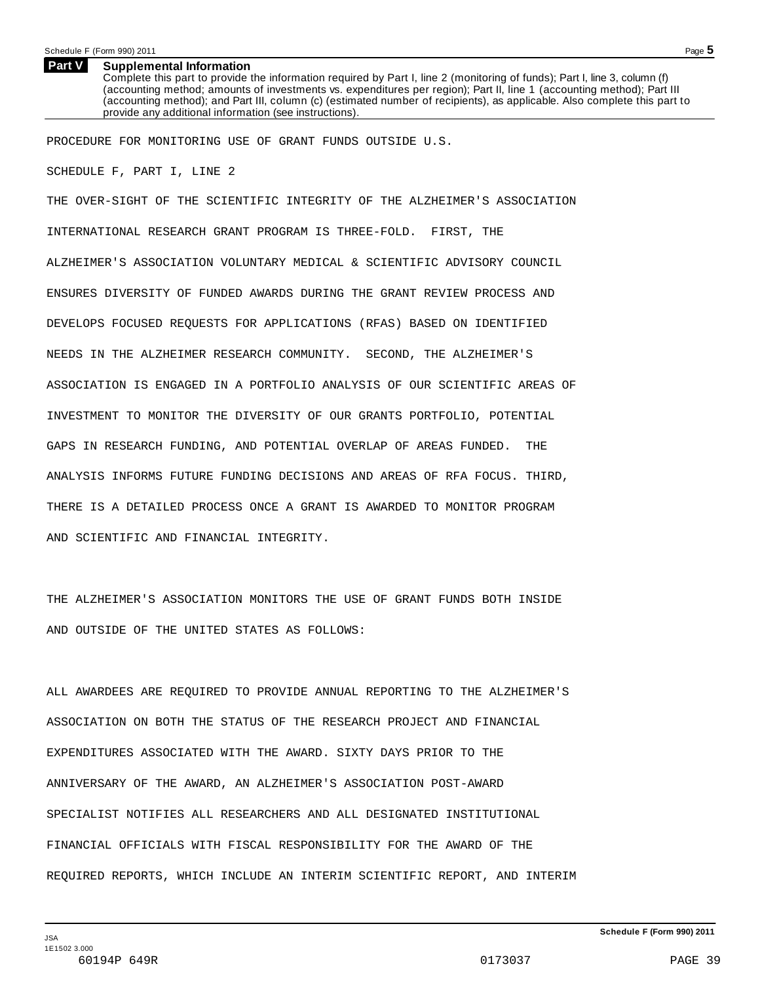### **Supplemental Information Part V**

Complete this part to provide the information required by Part I, line 2 (monitoring of funds); Part I, line 3, column (f) (accounting method; amounts of investments vs. expenditures per region); Part II, line 1 (accounting method); Part III (accounting method); and Part III, column (c) (estimated number of recipients), as applicable. Also complete this part to provide any additional information (see instructions).

PROCEDURE FOR MONITORING USE OF GRANT FUNDS OUTSIDE U.S.

SCHEDULE F, PART I, LINE 2

THE OVER-SIGHT OF THE SCIENTIFIC INTEGRITY OF THE ALZHEIMER'S ASSOCIATION INTERNATIONAL RESEARCH GRANT PROGRAM IS THREE-FOLD. FIRST, THE ALZHEIMER'S ASSOCIATION VOLUNTARY MEDICAL & SCIENTIFIC ADVISORY COUNCIL ENSURES DIVERSITY OF FUNDED AWARDS DURING THE GRANT REVIEW PROCESS AND DEVELOPS FOCUSED REQUESTS FOR APPLICATIONS (RFAS) BASED ON IDENTIFIED NEEDS IN THE ALZHEIMER RESEARCH COMMUNITY. SECOND, THE ALZHEIMER'S ASSOCIATION IS ENGAGED IN A PORTFOLIO ANALYSIS OF OUR SCIENTIFIC AREAS OF INVESTMENT TO MONITOR THE DIVERSITY OF OUR GRANTS PORTFOLIO, POTENTIAL GAPS IN RESEARCH FUNDING, AND POTENTIAL OVERLAP OF AREAS FUNDED. THE ANALYSIS INFORMS FUTURE FUNDING DECISIONS AND AREAS OF RFA FOCUS. THIRD, THERE IS A DETAILED PROCESS ONCE A GRANT IS AWARDED TO MONITOR PROGRAM AND SCIENTIFIC AND FINANCIAL INTEGRITY.

THE ALZHEIMER'S ASSOCIATION MONITORS THE USE OF GRANT FUNDS BOTH INSIDE AND OUTSIDE OF THE UNITED STATES AS FOLLOWS:

ALL AWARDEES ARE REQUIRED TO PROVIDE ANNUAL REPORTING TO THE ALZHEIMER'S ASSOCIATION ON BOTH THE STATUS OF THE RESEARCH PROJECT AND FINANCIAL EXPENDITURES ASSOCIATED WITH THE AWARD. SIXTY DAYS PRIOR TO THE ANNIVERSARY OF THE AWARD, AN ALZHEIMER'S ASSOCIATION POST-AWARD SPECIALIST NOTIFIES ALL RESEARCHERS AND ALL DESIGNATED INSTITUTIONAL FINANCIAL OFFICIALS WITH FISCAL RESPONSIBILITY FOR THE AWARD OF THE REQUIRED REPORTS, WHICH INCLUDE AN INTERIM SCIENTIFIC REPORT, AND INTERIM

**Schedule F (Form 990) 2011**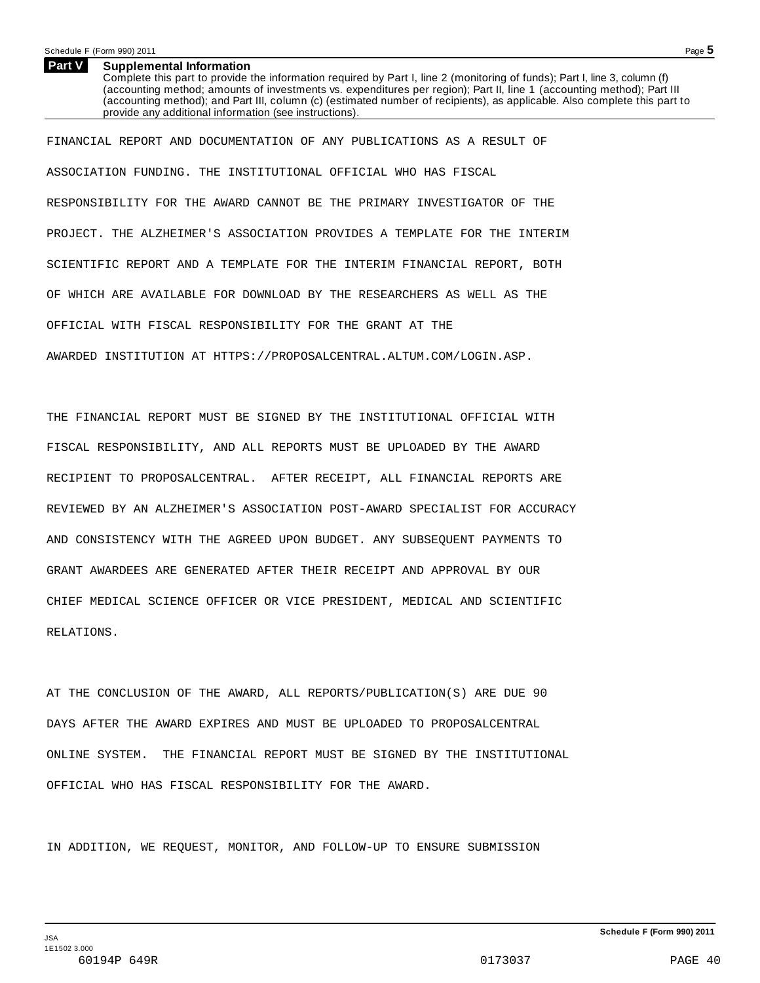### **Supplemental Information Part V**

Complete this part to provide the information required by Part I, line 2 (monitoring of funds); Part I, line 3, column (f) (accounting method; amounts of investments vs. expenditures per region); Part II, line 1 (accounting method); Part III (accounting method); and Part III, column (c) (estimated number of recipients), as applicable. Also complete this part to provide any additional information (see instructions).

FINANCIAL REPORT AND DOCUMENTATION OF ANY PUBLICATIONS AS A RESULT OF ASSOCIATION FUNDING. THE INSTITUTIONAL OFFICIAL WHO HAS FISCAL RESPONSIBILITY FOR THE AWARD CANNOT BE THE PRIMARY INVESTIGATOR OF THE PROJECT. THE ALZHEIMER'S ASSOCIATION PROVIDES A TEMPLATE FOR THE INTERIM SCIENTIFIC REPORT AND A TEMPLATE FOR THE INTERIM FINANCIAL REPORT, BOTH OF WHICH ARE AVAILABLE FOR DOWNLOAD BY THE RESEARCHERS AS WELL AS THE OFFICIAL WITH FISCAL RESPONSIBILITY FOR THE GRANT AT THE AWARDED INSTITUTION AT HTTPS://PROPOSALCENTRAL.ALTUM.COM/LOGIN.ASP.

THE FINANCIAL REPORT MUST BE SIGNED BY THE INSTITUTIONAL OFFICIAL WITH FISCAL RESPONSIBILITY, AND ALL REPORTS MUST BE UPLOADED BY THE AWARD RECIPIENT TO PROPOSALCENTRAL. AFTER RECEIPT, ALL FINANCIAL REPORTS ARE REVIEWED BY AN ALZHEIMER'S ASSOCIATION POST-AWARD SPECIALIST FOR ACCURACY AND CONSISTENCY WITH THE AGREED UPON BUDGET. ANY SUBSEQUENT PAYMENTS TO GRANT AWARDEES ARE GENERATED AFTER THEIR RECEIPT AND APPROVAL BY OUR CHIEF MEDICAL SCIENCE OFFICER OR VICE PRESIDENT, MEDICAL AND SCIENTIFIC RELATIONS.

AT THE CONCLUSION OF THE AWARD, ALL REPORTS/PUBLICATION(S) ARE DUE 90 DAYS AFTER THE AWARD EXPIRES AND MUST BE UPLOADED TO PROPOSALCENTRAL ONLINE SYSTEM. THE FINANCIAL REPORT MUST BE SIGNED BY THE INSTITUTIONAL OFFICIAL WHO HAS FISCAL RESPONSIBILITY FOR THE AWARD.

IN ADDITION, WE REQUEST, MONITOR, AND FOLLOW-UP TO ENSURE SUBMISSION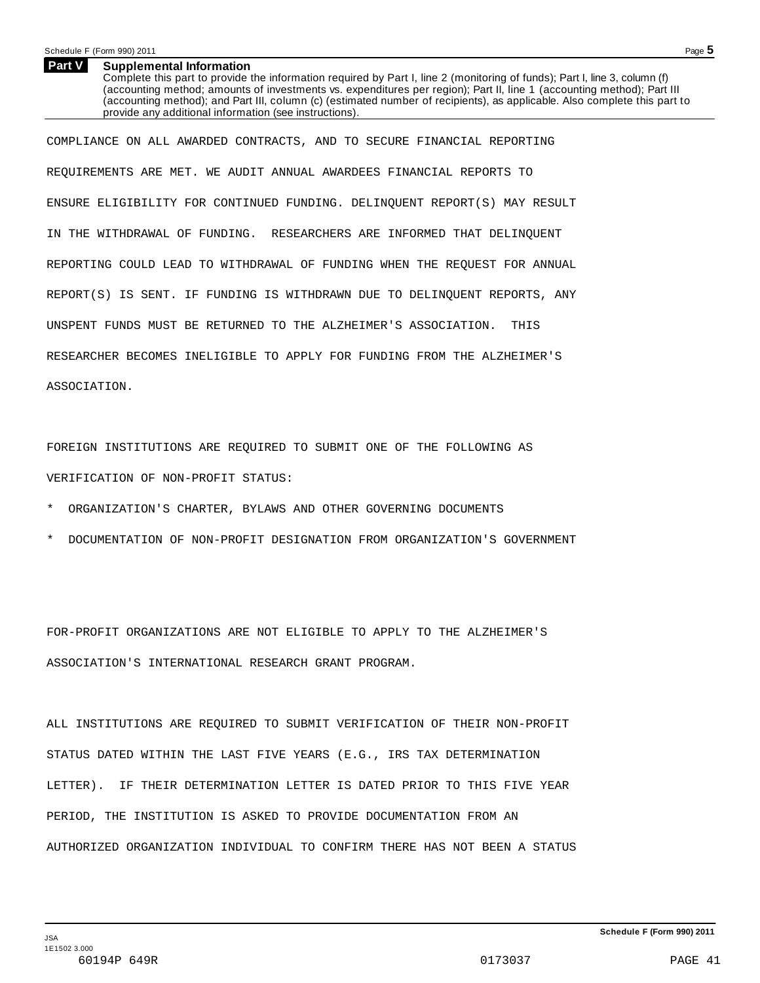## Schedule <sup>F</sup> (Form 990) <sup>2011</sup> Page **5**

#### **Supplemental Information Part V**

Complete this part to provide the information required by Part I, line 2 (monitoring of funds); Part I, line 3, column (f) (accounting method; amounts of investments vs. expenditures per region); Part II, line 1 (accounting method); Part III (accounting method); and Part III, column (c) (estimated number of recipients), as applicable. Also complete this part to provide any additional information (see instructions).

COMPLIANCE ON ALL AWARDED CONTRACTS, AND TO SECURE FINANCIAL REPORTING REQUIREMENTS ARE MET. WE AUDIT ANNUAL AWARDEES FINANCIAL REPORTS TO ENSURE ELIGIBILITY FOR CONTINUED FUNDING. DELINQUENT REPORT(S) MAY RESULT IN THE WITHDRAWAL OF FUNDING. RESEARCHERS ARE INFORMED THAT DELINQUENT REPORTING COULD LEAD TO WITHDRAWAL OF FUNDING WHEN THE REQUEST FOR ANNUAL REPORT(S) IS SENT. IF FUNDING IS WITHDRAWN DUE TO DELINQUENT REPORTS, ANY UNSPENT FUNDS MUST BE RETURNED TO THE ALZHEIMER'S ASSOCIATION. THIS RESEARCHER BECOMES INELIGIBLE TO APPLY FOR FUNDING FROM THE ALZHEIMER'S ASSOCIATION.

FOREIGN INSTITUTIONS ARE REQUIRED TO SUBMIT ONE OF THE FOLLOWING AS VERIFICATION OF NON-PROFIT STATUS:

- ORGANIZATION'S CHARTER, BYLAWS AND OTHER GOVERNING DOCUMENTS
- \* DOCUMENTATION OF NON-PROFIT DESIGNATION FROM ORGANIZATION'S GOVERNMENT

FOR-PROFIT ORGANIZATIONS ARE NOT ELIGIBLE TO APPLY TO THE ALZHEIMER'S ASSOCIATION'S INTERNATIONAL RESEARCH GRANT PROGRAM.

ALL INSTITUTIONS ARE REQUIRED TO SUBMIT VERIFICATION OF THEIR NON-PROFIT STATUS DATED WITHIN THE LAST FIVE YEARS (E.G., IRS TAX DETERMINATION LETTER). IF THEIR DETERMINATION LETTER IS DATED PRIOR TO THIS FIVE YEAR PERIOD, THE INSTITUTION IS ASKED TO PROVIDE DOCUMENTATION FROM AN AUTHORIZED ORGANIZATION INDIVIDUAL TO CONFIRM THERE HAS NOT BEEN A STATUS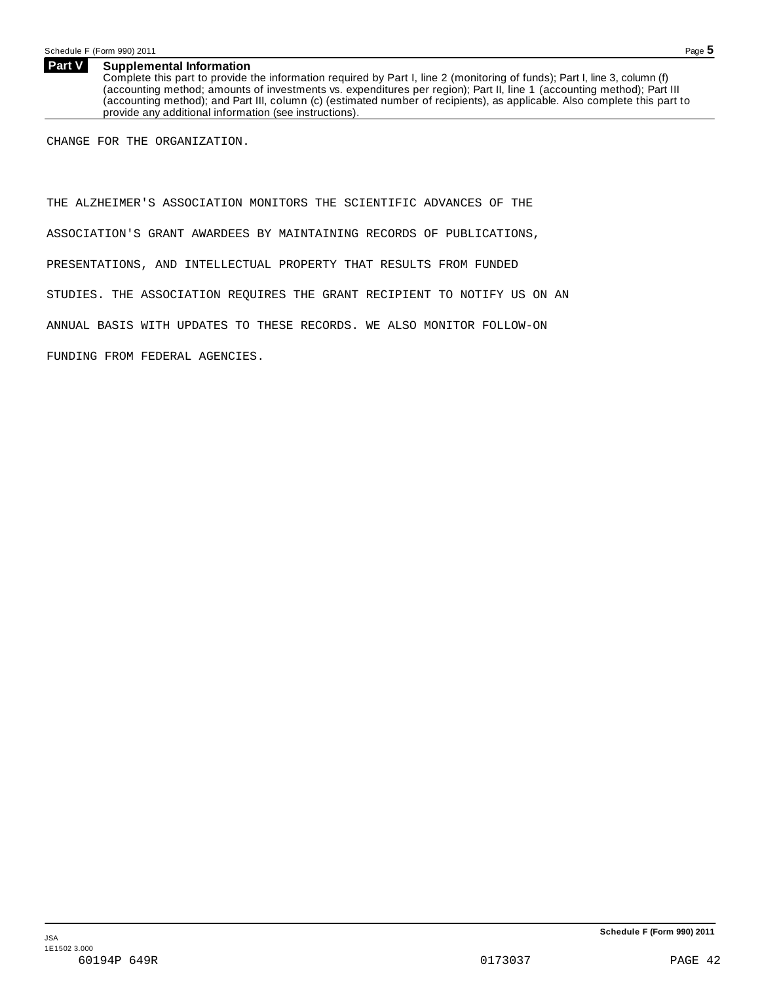### **Supplemental Information Part V**

Complete this part to provide the information required by Part I, line 2 (monitoring of funds); Part I, line 3, column (f) (accounting method; amounts of investments vs. expenditures per region); Part II, line 1 (accounting method); Part III (accounting method); and Part III, column (c) (estimated number of recipients), as applicable. Also complete this part to provide any additional information (see instructions).

CHANGE FOR THE ORGANIZATION.

THE ALZHEIMER'S ASSOCIATION MONITORS THE SCIENTIFIC ADVANCES OF THE ASSOCIATION'S GRANT AWARDEES BY MAINTAINING RECORDS OF PUBLICATIONS, PRESENTATIONS, AND INTELLECTUAL PROPERTY THAT RESULTS FROM FUNDED STUDIES. THE ASSOCIATION REQUIRES THE GRANT RECIPIENT TO NOTIFY US ON AN ANNUAL BASIS WITH UPDATES TO THESE RECORDS. WE ALSO MONITOR FOLLOW-ON FUNDING FROM FEDERAL AGENCIES.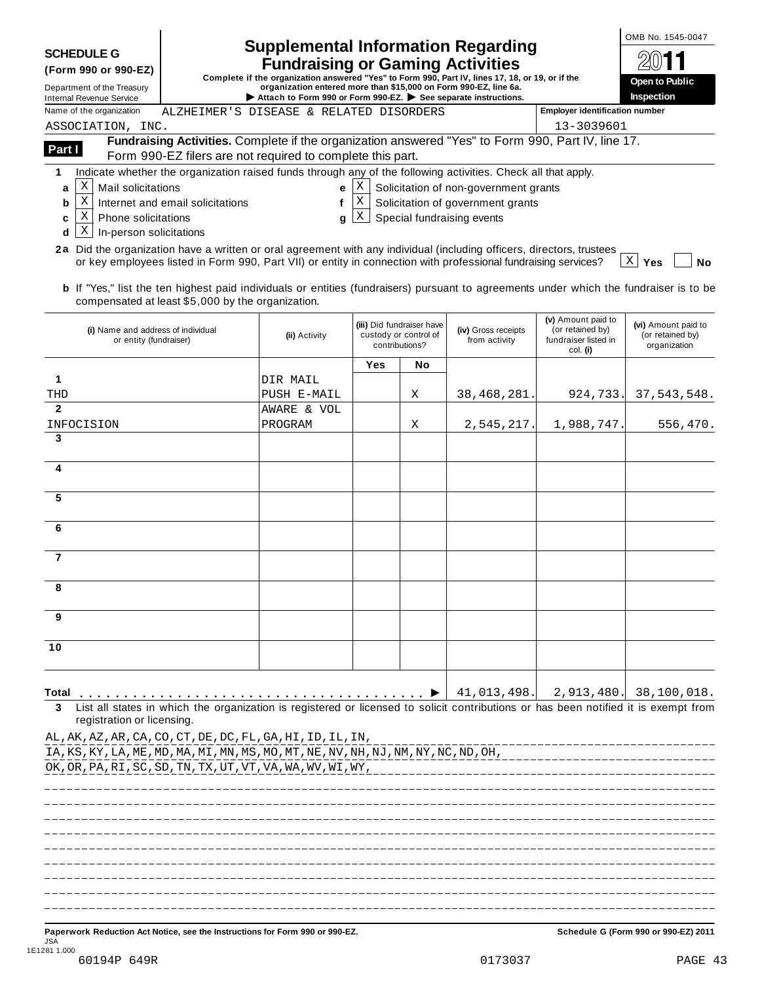|                                                                                                                                                                                                                                                |                                                   |                                                                                                                                     |                       |                                                    |                                       |                                        | OMB No. 1545-0047                       |
|------------------------------------------------------------------------------------------------------------------------------------------------------------------------------------------------------------------------------------------------|---------------------------------------------------|-------------------------------------------------------------------------------------------------------------------------------------|-----------------------|----------------------------------------------------|---------------------------------------|----------------------------------------|-----------------------------------------|
| <b>SCHEDULE G</b>                                                                                                                                                                                                                              |                                                   | <b>Supplemental Information Regarding</b><br><b>Fundraising or Gaming Activities</b>                                                |                       |                                                    |                                       |                                        |                                         |
| (Form 990 or 990-EZ)<br>Complete if the organization answered "Yes" to Form 990, Part IV, lines 17, 18, or 19, or if the<br>organization entered more than \$15,000 on Form 990-EZ, line 6a.<br>Department of the Treasury                     |                                                   |                                                                                                                                     | <b>Open to Public</b> |                                                    |                                       |                                        |                                         |
| <b>Internal Revenue Service</b><br>Name of the organization                                                                                                                                                                                    |                                                   | Attach to Form 990 or Form 990-EZ. $\triangleright$ See separate instructions.                                                      |                       |                                                    |                                       | <b>Employer identification number</b>  | Inspection                              |
| ASSOCIATION, INC.                                                                                                                                                                                                                              |                                                   | ALZHEIMER'S DISEASE & RELATED DISORDERS                                                                                             |                       |                                                    |                                       | 13-3039601                             |                                         |
| Part I                                                                                                                                                                                                                                         |                                                   | Fundraising Activities. Complete if the organization answered "Yes" to Form 990, Part IV, line 17.                                  |                       |                                                    |                                       |                                        |                                         |
|                                                                                                                                                                                                                                                |                                                   | Form 990-EZ filers are not required to complete this part.                                                                          |                       |                                                    |                                       |                                        |                                         |
| 1<br>X<br>Mail solicitations<br>a                                                                                                                                                                                                              |                                                   | Indicate whether the organization raised funds through any of the following activities. Check all that apply.<br>e                  | $\mathbf{X}$          |                                                    | Solicitation of non-government grants |                                        |                                         |
| X<br>b                                                                                                                                                                                                                                         | Internet and email solicitations                  | f                                                                                                                                   | ΙX                    |                                                    | Solicitation of government grants     |                                        |                                         |
| X<br><b>Phone solicitations</b><br>c                                                                                                                                                                                                           |                                                   | g                                                                                                                                   | X                     |                                                    | Special fundraising events            |                                        |                                         |
| X<br>In-person solicitations<br>d                                                                                                                                                                                                              |                                                   |                                                                                                                                     |                       |                                                    |                                       |                                        |                                         |
| 2a Did the organization have a written or oral agreement with any individual (including officers, directors, trustees                                                                                                                          |                                                   | or key employees listed in Form 990, Part VII) or entity in connection with professional fundraising services?                      |                       |                                                    |                                       |                                        | $\mathbf{X}$<br><b>No</b><br>Yes        |
| <b>b</b> If "Yes," list the ten highest paid individuals or entities (fundraisers) pursuant to agreements under which the fundraiser is to be<br>(i) Name and address of individual                                                            | compensated at least \$5,000 by the organization. | (ii) Activity                                                                                                                       |                       | (iii) Did fundraiser have<br>custody or control of | (iv) Gross receipts                   | (v) Amount paid to<br>(or retained by) | (vi) Amount paid to<br>(or retained by) |
| or entity (fundraiser)                                                                                                                                                                                                                         |                                                   |                                                                                                                                     |                       | contributions?                                     | from activity                         | fundraiser listed in<br>col. (i)       | organization                            |
|                                                                                                                                                                                                                                                |                                                   |                                                                                                                                     | Yes                   | No                                                 |                                       |                                        |                                         |
| 1<br>THD                                                                                                                                                                                                                                       |                                                   | DIR MAIL<br>PUSH E-MAIL                                                                                                             |                       | Χ                                                  | 38, 468, 281.                         | 924,733.                               | 37, 543, 548.                           |
| $\mathbf{2}$                                                                                                                                                                                                                                   |                                                   | AWARE & VOL                                                                                                                         |                       |                                                    |                                       |                                        |                                         |
| INFOCISION                                                                                                                                                                                                                                     |                                                   | PROGRAM                                                                                                                             |                       | Χ                                                  | 2,545,217.                            | 1,988,747                              | 556,470.                                |
| 3                                                                                                                                                                                                                                              |                                                   |                                                                                                                                     |                       |                                                    |                                       |                                        |                                         |
| 4                                                                                                                                                                                                                                              |                                                   |                                                                                                                                     |                       |                                                    |                                       |                                        |                                         |
|                                                                                                                                                                                                                                                |                                                   |                                                                                                                                     |                       |                                                    |                                       |                                        |                                         |
| 5                                                                                                                                                                                                                                              |                                                   |                                                                                                                                     |                       |                                                    |                                       |                                        |                                         |
| 6                                                                                                                                                                                                                                              |                                                   |                                                                                                                                     |                       |                                                    |                                       |                                        |                                         |
|                                                                                                                                                                                                                                                |                                                   |                                                                                                                                     |                       |                                                    |                                       |                                        |                                         |
| $\overline{7}$                                                                                                                                                                                                                                 |                                                   |                                                                                                                                     |                       |                                                    |                                       |                                        |                                         |
| 8                                                                                                                                                                                                                                              |                                                   |                                                                                                                                     |                       |                                                    |                                       |                                        |                                         |
|                                                                                                                                                                                                                                                |                                                   |                                                                                                                                     |                       |                                                    |                                       |                                        |                                         |
| 9                                                                                                                                                                                                                                              |                                                   |                                                                                                                                     |                       |                                                    |                                       |                                        |                                         |
| 10                                                                                                                                                                                                                                             |                                                   |                                                                                                                                     |                       |                                                    |                                       |                                        |                                         |
|                                                                                                                                                                                                                                                |                                                   |                                                                                                                                     |                       |                                                    |                                       |                                        |                                         |
|                                                                                                                                                                                                                                                |                                                   |                                                                                                                                     |                       |                                                    |                                       |                                        |                                         |
| Total                                                                                                                                                                                                                                          |                                                   | List all states in which the organization is registered or licensed to solicit contributions or has been notified it is exempt from |                       |                                                    | 41,013,498.                           | 2,913,480.                             | 38,100,018.                             |
| registration or licensing<br>AL, AK, AZ, AR, CA, CO, CT, DE, DC, FL, GA, HI, ID, IL, IN,<br>IA, KS, KY, LA, ME, MD, MA, MI, MN, MS, MO, MT, NE, NV, NH, NJ, NM, NY, NC, ND, OH,<br>OK, OR, PA, RI, SC, SD, TN, TX, UT, VT, VA, WA, WV, WI, WY, |                                                   |                                                                                                                                     |                       |                                                    |                                       |                                        |                                         |
|                                                                                                                                                                                                                                                |                                                   |                                                                                                                                     |                       |                                                    |                                       |                                        |                                         |
|                                                                                                                                                                                                                                                |                                                   |                                                                                                                                     |                       |                                                    |                                       |                                        |                                         |
|                                                                                                                                                                                                                                                |                                                   |                                                                                                                                     |                       |                                                    |                                       |                                        |                                         |
|                                                                                                                                                                                                                                                |                                                   |                                                                                                                                     |                       |                                                    |                                       |                                        |                                         |
|                                                                                                                                                                                                                                                |                                                   |                                                                                                                                     |                       |                                                    |                                       |                                        |                                         |
|                                                                                                                                                                                                                                                |                                                   |                                                                                                                                     |                       |                                                    |                                       |                                        |                                         |
| Paperwork Reduction Act Notice, see the Instructions for Form 990 or 990-EZ.                                                                                                                                                                   |                                                   |                                                                                                                                     |                       |                                                    |                                       |                                        | Schedule G (Form 990 or 990-EZ) 2011    |
| <b>JSA</b><br>1E1281 1.000                                                                                                                                                                                                                     |                                                   |                                                                                                                                     |                       |                                                    |                                       |                                        |                                         |
| 60194P 649R                                                                                                                                                                                                                                    |                                                   |                                                                                                                                     |                       |                                                    | 0173037                               |                                        | PAGE 43                                 |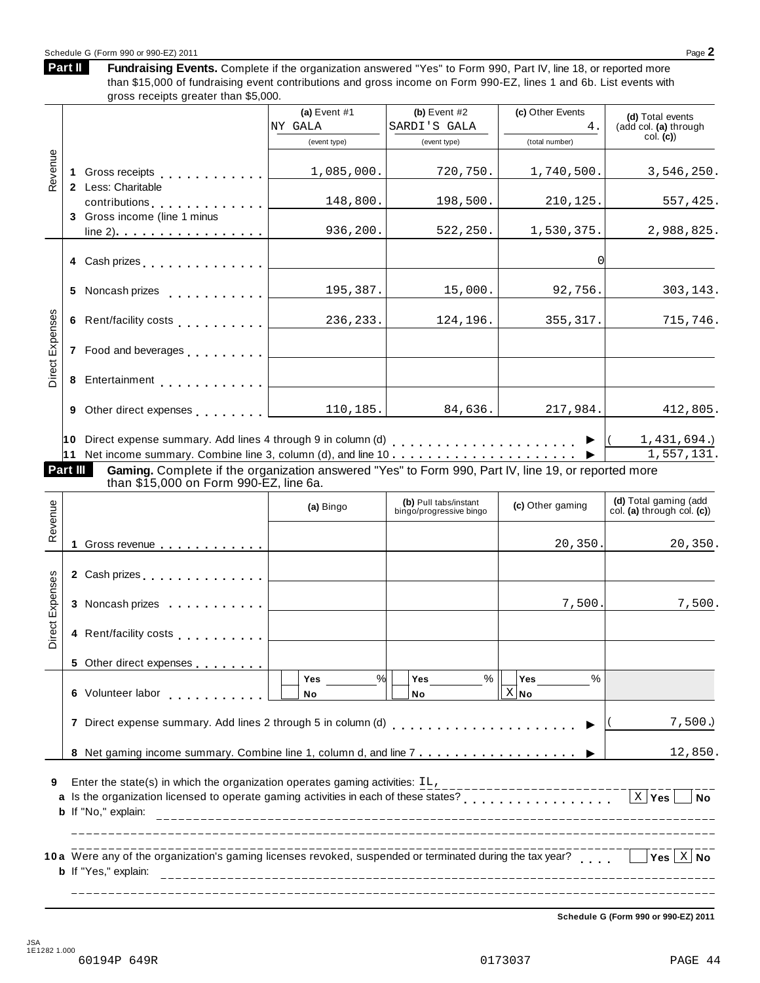# Schedule <sup>G</sup> (Form <sup>990</sup> or 990-EZ) <sup>2011</sup> Page **2**

**Part II**

Fundraising Events. Complete if the organization answered "Yes" to Form 990, Part IV, line 18, or reported more than \$15,000 of fundraising event contributions and gross income on Form 990-EZ, lines 1 and 6b. List events with gross receipts greater than \$5,000.

|                 |                                                                                                                                                                                                                                    | (a) Event $#1$              | (b) Event $#2$                                   | (c) Other Events        | (d) Total events                                    |
|-----------------|------------------------------------------------------------------------------------------------------------------------------------------------------------------------------------------------------------------------------------|-----------------------------|--------------------------------------------------|-------------------------|-----------------------------------------------------|
|                 |                                                                                                                                                                                                                                    | NY GALA                     | SARDI'S GALA                                     | 4.                      | (add col. (a) through                               |
|                 |                                                                                                                                                                                                                                    | (event type)                | (event type)                                     | (total number)          | col. (c)                                            |
| Revenue         |                                                                                                                                                                                                                                    | 1,085,000.                  | 720,750.                                         | 1,740,500.              | 3,546,250.                                          |
|                 | 2 Less: Charitable<br>contributions 0                                                                                                                                                                                              | 148,800.                    | 198,500.                                         | 210,125.                | 557,425.                                            |
|                 | 3 Gross income (line 1 minus<br>$line 2)$                                                                                                                                                                                          | 936,200.                    | 522, 250.                                        | 1,530,375.              | 2,988,825.                                          |
|                 | 4 Cash prizes <u>  _ _ _ _ _ _</u> _ _                                                                                                                                                                                             |                             |                                                  | $\overline{0}$          |                                                     |
|                 | 5 Noncash prizes <b>contained by the state of the state of the state of the state of the state of the state of the state of the state of the state of the state of the state of the state of the state of the state of the sta</b> | 195,387.                    | 15,000.                                          | 92,756.                 | 303,143.                                            |
|                 | 6 Rent/facility costs <b>Community</b> Costs <b>Community</b> Costs                                                                                                                                                                | 236, 233.                   | 124,196.                                         | 355, 317.               | 715,746.                                            |
| Direct Expenses |                                                                                                                                                                                                                                    |                             |                                                  |                         |                                                     |
|                 | 8 Entertainment                                                                                                                                                                                                                    |                             |                                                  |                         |                                                     |
|                 | 9 Other direct expenses                                                                                                                                                                                                            | 110, 185.                   | 84,636.                                          | 217,984.                | 412,805.                                            |
|                 |                                                                                                                                                                                                                                    |                             |                                                  |                         | 1,431,694.                                          |
|                 | 11 Net income summary. Combine line 3, column (d), and line $10$                                                                                                                                                                   |                             |                                                  |                         | 1,557,131.                                          |
| Part III        | Gaming. Complete if the organization answered "Yes" to Form 990, Part IV, line 19, or reported more                                                                                                                                |                             |                                                  |                         |                                                     |
|                 | than \$15,000 on Form 990-EZ, line 6a.                                                                                                                                                                                             |                             |                                                  |                         |                                                     |
| Revenue         |                                                                                                                                                                                                                                    | (a) Bingo                   | (b) Pull tabs/instant<br>bingo/progressive bingo | (c) Other gaming        | (d) Total gaming (add<br>col. (a) through col. (c)) |
|                 | Gross revenue                                                                                                                                                                                                                      |                             |                                                  | 20,350.                 | 20, 350.                                            |
|                 | 2 Cash prizes <b>contained 2</b> Cash prizes                                                                                                                                                                                       |                             |                                                  |                         |                                                     |
| Direct Expenses | 3 Noncash prizes                                                                                                                                                                                                                   |                             |                                                  | 7,500.                  | 7,500.                                              |
|                 | 4 Rent/facility costs                                                                                                                                                                                                              |                             |                                                  |                         |                                                     |
|                 |                                                                                                                                                                                                                                    |                             |                                                  |                         |                                                     |
|                 | 5 Other direct expenses                                                                                                                                                                                                            | $\frac{9}{6}$<br><b>Yes</b> | $\%$<br><b>Yes</b>                               | $\%$<br><b>Yes</b>      |                                                     |
|                 | 6 Volunteer labor                                                                                                                                                                                                                  | No                          | No                                               | $X $ No                 |                                                     |
|                 | 7 Direct expense summary. Add lines 2 through 5 in column (d)                                                                                                                                                                      |                             |                                                  |                         | 7,500.                                              |
|                 |                                                                                                                                                                                                                                    |                             |                                                  |                         | 12,850.                                             |
| 9               | Enter the state(s) in which the organization operates gaming activities: IL,<br>b If "No," explain:                                                                                                                                |                             |                                                  | _______________________ | $X$ Yes<br><b>No</b>                                |
|                 | 10a Were any of the organization's gaming licenses revoked, suspended or terminated during the tax year?<br><b>b</b> If "Yes," explain:                                                                                            |                             |                                                  |                         | Yes $\vert X \vert$ No                              |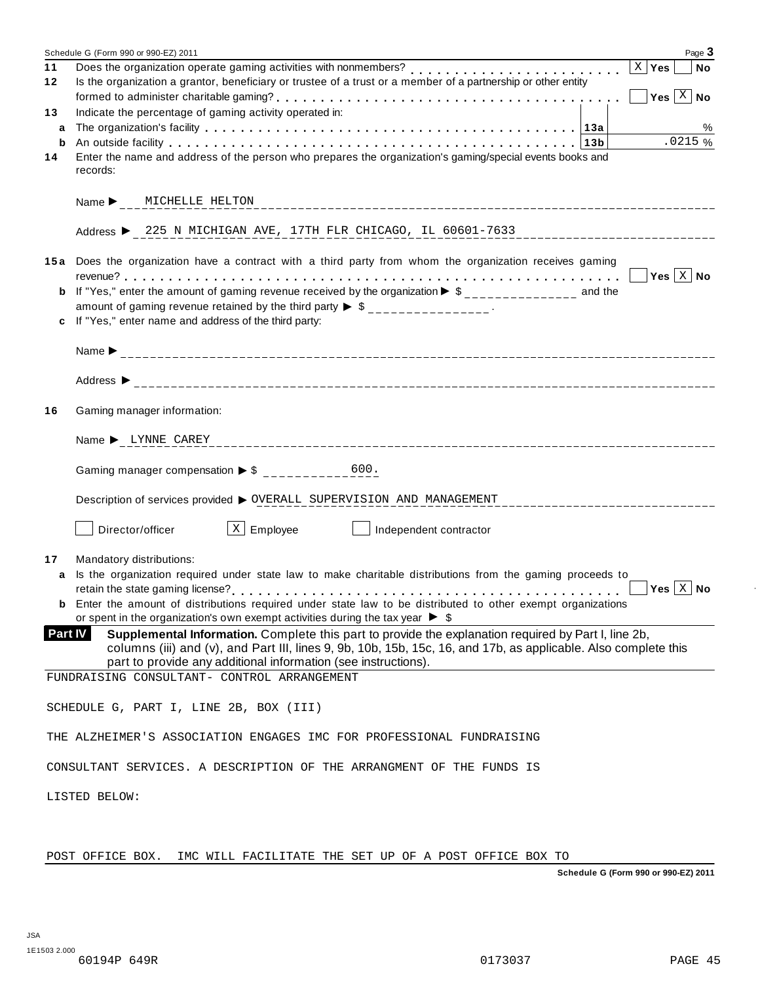|                | Page 3<br>Schedule G (Form 990 or 990-EZ) 2011                                                                                                                                                                                                                                            |
|----------------|-------------------------------------------------------------------------------------------------------------------------------------------------------------------------------------------------------------------------------------------------------------------------------------------|
| 11<br>12       | Does the organization operate gaming activities with nonmembers?<br>$\vert$ X $\vert$ Yes<br><b>No</b><br>Is the organization a grantor, beneficiary or trustee of a trust or a member of a partnership or other entity<br>Yes $\boxed{\text{X}}$ No                                      |
| 13             | Indicate the percentage of gaming activity operated in:                                                                                                                                                                                                                                   |
| a              | %                                                                                                                                                                                                                                                                                         |
| b              | .0215%                                                                                                                                                                                                                                                                                    |
| 14             | Enter the name and address of the person who prepares the organization's gaming/special events books and<br>records:                                                                                                                                                                      |
|                | Name MICHELLE HELTON                                                                                                                                                                                                                                                                      |
|                | Address > 225 N MICHIGAN AVE, 17TH FLR CHICAGO, IL 60601-7633                                                                                                                                                                                                                             |
|                | 15a Does the organization have a contract with a third party from whom the organization receives gaming                                                                                                                                                                                   |
| b              | If "Yes," enter the amount of gaming revenue received by the organization $\triangleright$ \$ ______________ and the                                                                                                                                                                      |
|                | amount of gaming revenue retained by the third party $\triangleright$ \$ _______________.                                                                                                                                                                                                 |
| c              | If "Yes," enter name and address of the third party:                                                                                                                                                                                                                                      |
|                |                                                                                                                                                                                                                                                                                           |
|                |                                                                                                                                                                                                                                                                                           |
| 16             | Gaming manager information:                                                                                                                                                                                                                                                               |
|                | Name > LYNNE CAREY                                                                                                                                                                                                                                                                        |
|                |                                                                                                                                                                                                                                                                                           |
|                | Description of services provided > OVERALL SUPERVISION AND MANAGEMENT                                                                                                                                                                                                                     |
|                | $\lfloor x \rfloor$ Employee<br>Director/officer<br>Independent contractor                                                                                                                                                                                                                |
| 17             | Mandatory distributions:                                                                                                                                                                                                                                                                  |
| a              | Is the organization required under state law to make charitable distributions from the gaming proceeds to                                                                                                                                                                                 |
|                | Yes $ X $ No                                                                                                                                                                                                                                                                              |
|                | <b>b</b> Enter the amount of distributions required under state law to be distributed to other exempt organizations<br>or spent in the organization's own exempt activities during the tax year $\triangleright$ \$                                                                       |
| <b>Part IV</b> | Supplemental Information. Complete this part to provide the explanation required by Part I, line 2b,<br>columns (iii) and (v), and Part III, lines 9, 9b, 10b, 15b, 15c, 16, and 17b, as applicable. Also complete this<br>part to provide any additional information (see instructions). |
|                | FUNDRAISING CONSULTANT- CONTROL ARRANGEMENT                                                                                                                                                                                                                                               |
|                | SCHEDULE G, PART I, LINE 2B, BOX (III)                                                                                                                                                                                                                                                    |
|                | THE ALZHEIMER'S ASSOCIATION ENGAGES IMC FOR PROFESSIONAL FUNDRAISING                                                                                                                                                                                                                      |
|                | CONSULTANT SERVICES. A DESCRIPTION OF THE ARRANGMENT OF THE FUNDS IS                                                                                                                                                                                                                      |
|                | LISTED BELOW:                                                                                                                                                                                                                                                                             |
|                |                                                                                                                                                                                                                                                                                           |
|                |                                                                                                                                                                                                                                                                                           |

POST OFFICE BOX. IMC WILL FACILITATE THE SET UP OF A POST OFFICE BOX TO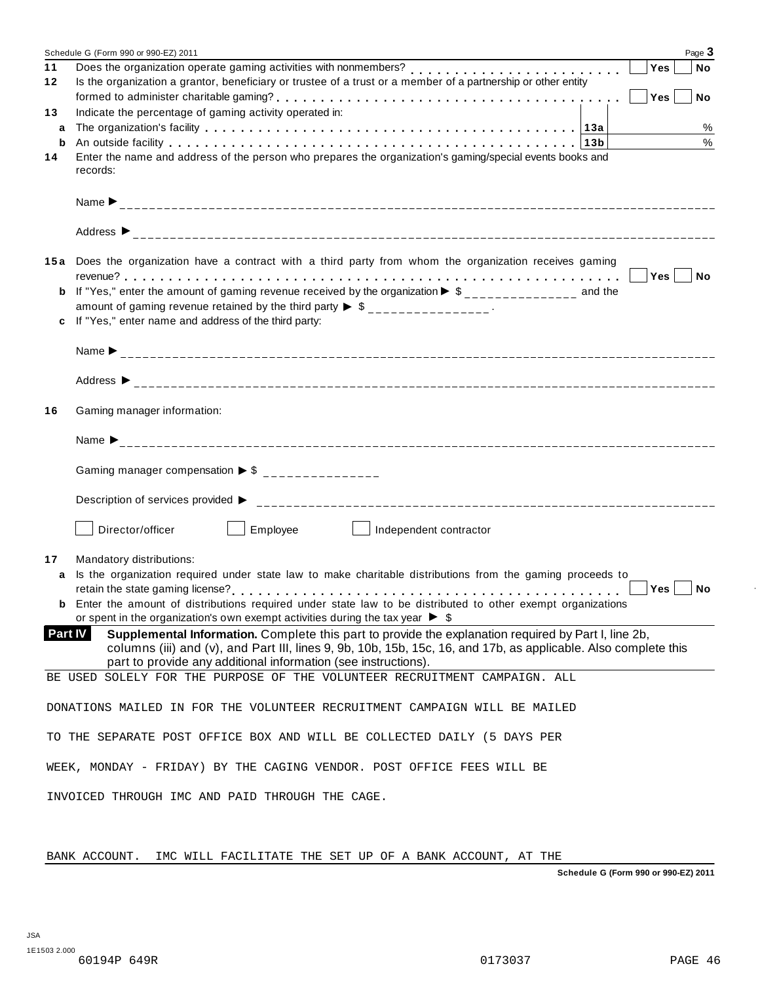|                                                 | Schedule G (Form 990 or 990-EZ) 2011                                                                                                                                                                                |  | Page 3                       |  |
|-------------------------------------------------|---------------------------------------------------------------------------------------------------------------------------------------------------------------------------------------------------------------------|--|------------------------------|--|
| 11                                              | Does the organization operate gaming activities with nonmembers?                                                                                                                                                    |  | Yes<br><b>No</b>             |  |
| 12                                              | Is the organization a grantor, beneficiary or trustee of a trust or a member of a partnership or other entity                                                                                                       |  |                              |  |
|                                                 |                                                                                                                                                                                                                     |  | Yes<br><b>No</b><br>$\sim$ 1 |  |
| 13                                              | Indicate the percentage of gaming activity operated in:                                                                                                                                                             |  |                              |  |
| a                                               |                                                                                                                                                                                                                     |  | $\%$                         |  |
| b                                               |                                                                                                                                                                                                                     |  | $\%$                         |  |
| 14                                              | Enter the name and address of the person who prepares the organization's gaming/special events books and                                                                                                            |  |                              |  |
|                                                 | records:                                                                                                                                                                                                            |  |                              |  |
|                                                 |                                                                                                                                                                                                                     |  |                              |  |
|                                                 |                                                                                                                                                                                                                     |  |                              |  |
|                                                 | Address $\triangleright$                                                                                                                                                                                            |  |                              |  |
|                                                 | 15a Does the organization have a contract with a third party from whom the organization receives gaming                                                                                                             |  |                              |  |
|                                                 |                                                                                                                                                                                                                     |  | $ Yes $ $  No$               |  |
|                                                 | <b>b</b> If "Yes," enter the amount of gaming revenue received by the organization $\triangleright$ \$______________ and the                                                                                        |  |                              |  |
|                                                 | amount of gaming revenue retained by the third party $\triangleright$ \$ _______________.                                                                                                                           |  |                              |  |
| C                                               | If "Yes," enter name and address of the third party:                                                                                                                                                                |  |                              |  |
|                                                 |                                                                                                                                                                                                                     |  |                              |  |
|                                                 |                                                                                                                                                                                                                     |  |                              |  |
|                                                 |                                                                                                                                                                                                                     |  |                              |  |
|                                                 |                                                                                                                                                                                                                     |  |                              |  |
| 16                                              | Gaming manager information:                                                                                                                                                                                         |  |                              |  |
|                                                 |                                                                                                                                                                                                                     |  |                              |  |
|                                                 |                                                                                                                                                                                                                     |  |                              |  |
|                                                 | Gaming manager compensation $\triangleright$ \$ _______________                                                                                                                                                     |  |                              |  |
|                                                 |                                                                                                                                                                                                                     |  |                              |  |
|                                                 |                                                                                                                                                                                                                     |  |                              |  |
|                                                 | Employee    <br>Director/officer<br>Independent contractor                                                                                                                                                          |  |                              |  |
|                                                 |                                                                                                                                                                                                                     |  |                              |  |
| 17                                              | Mandatory distributions:                                                                                                                                                                                            |  |                              |  |
| a                                               | Is the organization required under state law to make charitable distributions from the gaming proceeds to                                                                                                           |  |                              |  |
|                                                 |                                                                                                                                                                                                                     |  | $Yes \mid No$                |  |
|                                                 | <b>b</b> Enter the amount of distributions required under state law to be distributed to other exempt organizations<br>or spent in the organization's own exempt activities during the tax year $\triangleright$ \$ |  |                              |  |
| Part IV                                         | Supplemental Information. Complete this part to provide the explanation required by Part I, line 2b,                                                                                                                |  |                              |  |
|                                                 | columns (iii) and (v), and Part III, lines 9, 9b, 10b, 15b, 15c, 16, and 17b, as applicable. Also complete this                                                                                                     |  |                              |  |
|                                                 | part to provide any additional information (see instructions).                                                                                                                                                      |  |                              |  |
|                                                 | BE USED SOLELY FOR THE PURPOSE OF THE VOLUNTEER RECRUITMENT CAMPAIGN. ALL                                                                                                                                           |  |                              |  |
|                                                 | DONATIONS MAILED IN FOR THE VOLUNTEER RECRUITMENT CAMPAIGN WILL BE MAILED                                                                                                                                           |  |                              |  |
|                                                 |                                                                                                                                                                                                                     |  |                              |  |
|                                                 | TO THE SEPARATE POST OFFICE BOX AND WILL BE COLLECTED DAILY (5 DAYS PER                                                                                                                                             |  |                              |  |
|                                                 |                                                                                                                                                                                                                     |  |                              |  |
|                                                 | WEEK, MONDAY - FRIDAY) BY THE CAGING VENDOR. POST OFFICE FEES WILL BE                                                                                                                                               |  |                              |  |
| INVOICED THROUGH IMC AND PAID THROUGH THE CAGE. |                                                                                                                                                                                                                     |  |                              |  |
|                                                 |                                                                                                                                                                                                                     |  |                              |  |

BANK ACCOUNT. IMC WILL FACILITATE THE SET UP OF A BANK ACCOUNT, AT THE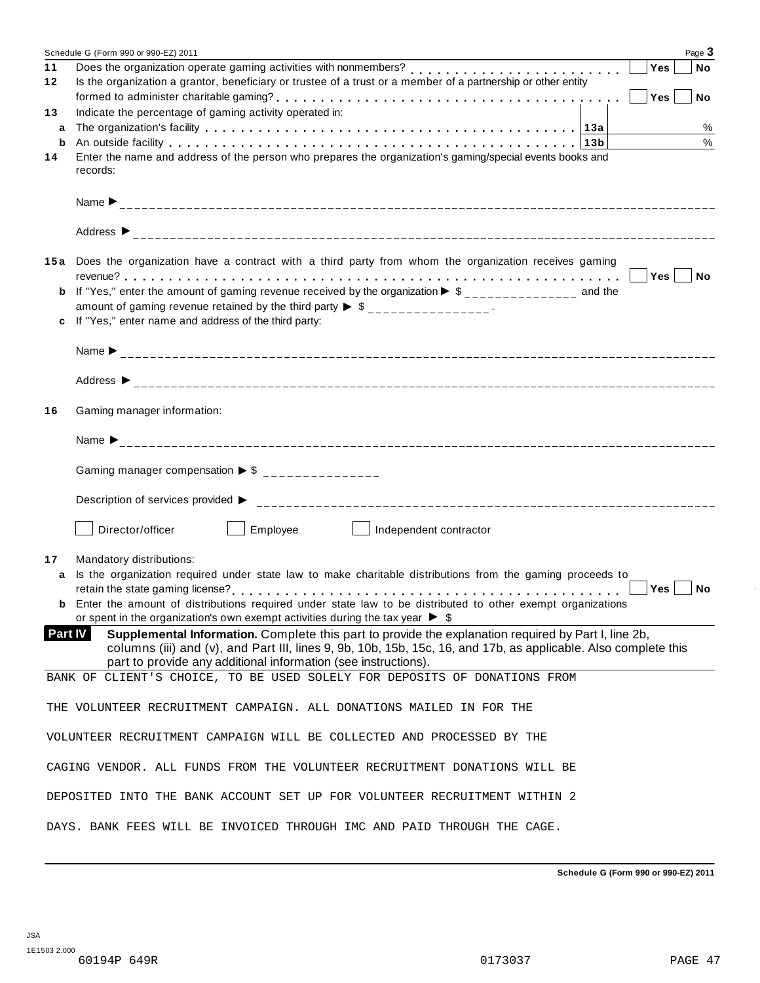|                | Page 3<br>Schedule G (Form 990 or 990-EZ) 2011                                                                                                                                                                      |  |  |  |  |  |
|----------------|---------------------------------------------------------------------------------------------------------------------------------------------------------------------------------------------------------------------|--|--|--|--|--|
| 11             | Does the organization operate gaming activities with nonmembers?<br>Yes<br><b>No</b>                                                                                                                                |  |  |  |  |  |
| 12             | Is the organization a grantor, beneficiary or trustee of a trust or a member of a partnership or other entity                                                                                                       |  |  |  |  |  |
| 13             | Yes<br>No No<br>Indicate the percentage of gaming activity operated in:                                                                                                                                             |  |  |  |  |  |
| a              | $\%$                                                                                                                                                                                                                |  |  |  |  |  |
| b              | %                                                                                                                                                                                                                   |  |  |  |  |  |
| 14             | Enter the name and address of the person who prepares the organization's gaming/special events books and                                                                                                            |  |  |  |  |  |
|                | records:                                                                                                                                                                                                            |  |  |  |  |  |
|                |                                                                                                                                                                                                                     |  |  |  |  |  |
|                | Address $\triangleright$                                                                                                                                                                                            |  |  |  |  |  |
|                | 15a Does the organization have a contract with a third party from whom the organization receives gaming                                                                                                             |  |  |  |  |  |
|                | $Yes \mid \text{No}$                                                                                                                                                                                                |  |  |  |  |  |
|                | <b>b</b> If "Yes," enter the amount of gaming revenue received by the organization $\triangleright$ \$______________ and the                                                                                        |  |  |  |  |  |
|                | amount of gaming revenue retained by the third party $\triangleright$ \$ _______________.                                                                                                                           |  |  |  |  |  |
|                | c If "Yes," enter name and address of the third party:                                                                                                                                                              |  |  |  |  |  |
|                |                                                                                                                                                                                                                     |  |  |  |  |  |
|                |                                                                                                                                                                                                                     |  |  |  |  |  |
|                |                                                                                                                                                                                                                     |  |  |  |  |  |
| 16             | Gaming manager information:                                                                                                                                                                                         |  |  |  |  |  |
|                |                                                                                                                                                                                                                     |  |  |  |  |  |
|                |                                                                                                                                                                                                                     |  |  |  |  |  |
|                | Gaming manager compensation $\triangleright$ \$ _______________                                                                                                                                                     |  |  |  |  |  |
|                |                                                                                                                                                                                                                     |  |  |  |  |  |
|                | Employee<br>Director/officer<br>Independent contractor<br>and the state of the state                                                                                                                                |  |  |  |  |  |
| 17             | Mandatory distributions:                                                                                                                                                                                            |  |  |  |  |  |
| a              | Is the organization required under state law to make charitable distributions from the gaming proceeds to                                                                                                           |  |  |  |  |  |
|                | Yes<br>No                                                                                                                                                                                                           |  |  |  |  |  |
|                | <b>b</b> Enter the amount of distributions required under state law to be distributed to other exempt organizations<br>or spent in the organization's own exempt activities during the tax year $\triangleright$ \$ |  |  |  |  |  |
| <b>Part IV</b> | Supplemental Information. Complete this part to provide the explanation required by Part I, line 2b,                                                                                                                |  |  |  |  |  |
|                | columns (iii) and (v), and Part III, lines 9, 9b, 10b, 15b, 15c, 16, and 17b, as applicable. Also complete this                                                                                                     |  |  |  |  |  |
|                | part to provide any additional information (see instructions).                                                                                                                                                      |  |  |  |  |  |
|                | BANK OF CLIENT'S CHOICE, TO BE USED SOLELY FOR DEPOSITS OF DONATIONS FROM                                                                                                                                           |  |  |  |  |  |
|                | THE VOLUNTEER RECRUITMENT CAMPAIGN. ALL DONATIONS MAILED IN FOR THE                                                                                                                                                 |  |  |  |  |  |
|                | VOLUNTEER RECRUITMENT CAMPAIGN WILL BE COLLECTED AND PROCESSED BY THE                                                                                                                                               |  |  |  |  |  |
|                | CAGING VENDOR. ALL FUNDS FROM THE VOLUNTEER RECRUITMENT DONATIONS WILL BE                                                                                                                                           |  |  |  |  |  |
|                | DEPOSITED INTO THE BANK ACCOUNT SET UP FOR VOLUNTEER RECRUITMENT WITHIN 2                                                                                                                                           |  |  |  |  |  |
|                | DAYS. BANK FEES WILL BE INVOICED THROUGH IMC AND PAID THROUGH THE CAGE.                                                                                                                                             |  |  |  |  |  |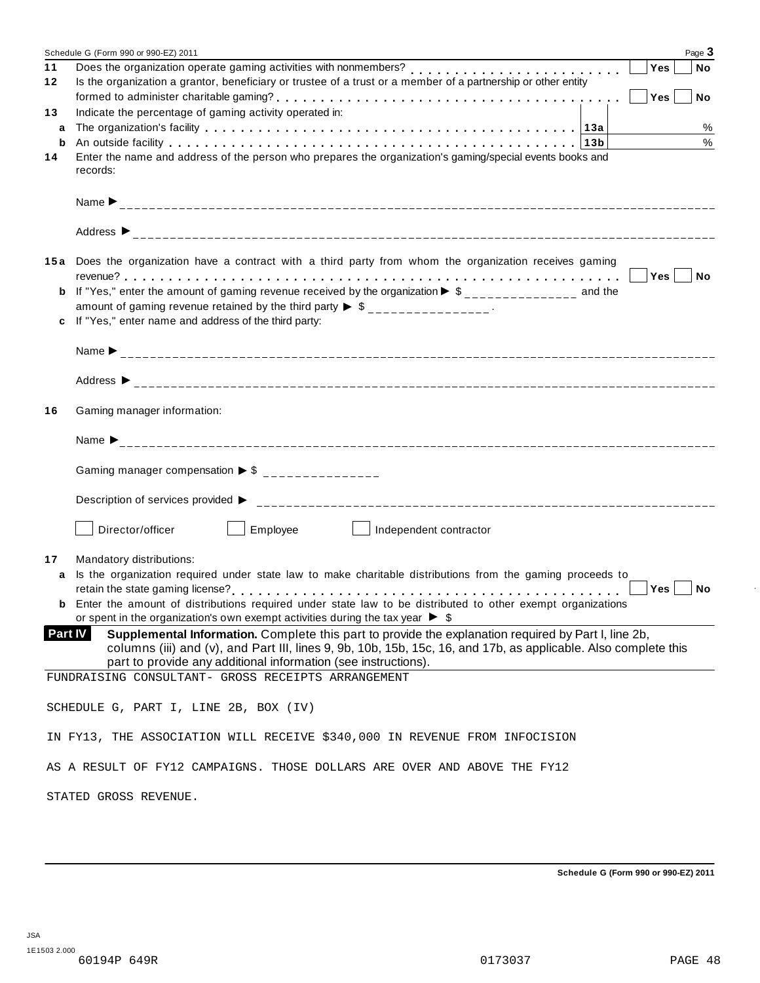|         | Page 3<br>Schedule G (Form 990 or 990-EZ) 2011                                                                       |  |  |  |  |  |
|---------|----------------------------------------------------------------------------------------------------------------------|--|--|--|--|--|
| 11      | Does the organization operate gaming activities with nonmembers?<br>Yes<br><b>No</b>                                 |  |  |  |  |  |
| 12      | Is the organization a grantor, beneficiary or trustee of a trust or a member of a partnership or other entity        |  |  |  |  |  |
|         | Yes<br><b>No</b>                                                                                                     |  |  |  |  |  |
| 13      | Indicate the percentage of gaming activity operated in:                                                              |  |  |  |  |  |
| a       | %                                                                                                                    |  |  |  |  |  |
| b       | %                                                                                                                    |  |  |  |  |  |
| 14      | Enter the name and address of the person who prepares the organization's gaming/special events books and             |  |  |  |  |  |
|         | records:                                                                                                             |  |  |  |  |  |
|         |                                                                                                                      |  |  |  |  |  |
|         |                                                                                                                      |  |  |  |  |  |
|         |                                                                                                                      |  |  |  |  |  |
|         |                                                                                                                      |  |  |  |  |  |
|         |                                                                                                                      |  |  |  |  |  |
| 15 a    | Does the organization have a contract with a third party from whom the organization receives gaming                  |  |  |  |  |  |
|         |                                                                                                                      |  |  |  |  |  |
| b       | If "Yes," enter the amount of gaming revenue received by the organization $\triangleright$ \$ ______________ and the |  |  |  |  |  |
|         | amount of gaming revenue retained by the third party $\triangleright$ \$ _______________.                            |  |  |  |  |  |
| c       | If "Yes," enter name and address of the third party:                                                                 |  |  |  |  |  |
|         |                                                                                                                      |  |  |  |  |  |
|         |                                                                                                                      |  |  |  |  |  |
|         |                                                                                                                      |  |  |  |  |  |
|         |                                                                                                                      |  |  |  |  |  |
| 16      | Gaming manager information:                                                                                          |  |  |  |  |  |
|         |                                                                                                                      |  |  |  |  |  |
|         |                                                                                                                      |  |  |  |  |  |
|         |                                                                                                                      |  |  |  |  |  |
|         | Gaming manager compensation $\triangleright$ \$ _______________                                                      |  |  |  |  |  |
|         |                                                                                                                      |  |  |  |  |  |
|         |                                                                                                                      |  |  |  |  |  |
|         |                                                                                                                      |  |  |  |  |  |
|         | $\vert$ Employee<br>Director/officer<br>Independent contractor<br><b>Contract Contract State</b>                     |  |  |  |  |  |
|         |                                                                                                                      |  |  |  |  |  |
| 17      | Mandatory distributions:                                                                                             |  |  |  |  |  |
| a       | Is the organization required under state law to make charitable distributions from the gaming proceeds to            |  |  |  |  |  |
|         | Yes<br>No                                                                                                            |  |  |  |  |  |
|         | <b>b</b> Enter the amount of distributions required under state law to be distributed to other exempt organizations  |  |  |  |  |  |
|         | or spent in the organization's own exempt activities during the tax year $\triangleright$ \$                         |  |  |  |  |  |
| Part IV | Supplemental Information. Complete this part to provide the explanation required by Part I, line 2b,                 |  |  |  |  |  |
|         | columns (iii) and (v), and Part III, lines 9, 9b, 10b, 15b, 15c, 16, and 17b, as applicable. Also complete this      |  |  |  |  |  |
|         | part to provide any additional information (see instructions).                                                       |  |  |  |  |  |
|         | FUNDRAISING CONSULTANT- GROSS RECEIPTS ARRANGEMENT                                                                   |  |  |  |  |  |
|         |                                                                                                                      |  |  |  |  |  |
|         | SCHEDULE G, PART I, LINE 2B, BOX (IV)                                                                                |  |  |  |  |  |
|         |                                                                                                                      |  |  |  |  |  |
|         | IN FY13, THE ASSOCIATION WILL RECEIVE \$340,000 IN REVENUE FROM INFOCISION                                           |  |  |  |  |  |
|         |                                                                                                                      |  |  |  |  |  |
|         | AS A RESULT OF FY12 CAMPAIGNS. THOSE DOLLARS ARE OVER AND ABOVE THE FY12                                             |  |  |  |  |  |
|         |                                                                                                                      |  |  |  |  |  |
|         | STATED GROSS REVENUE.                                                                                                |  |  |  |  |  |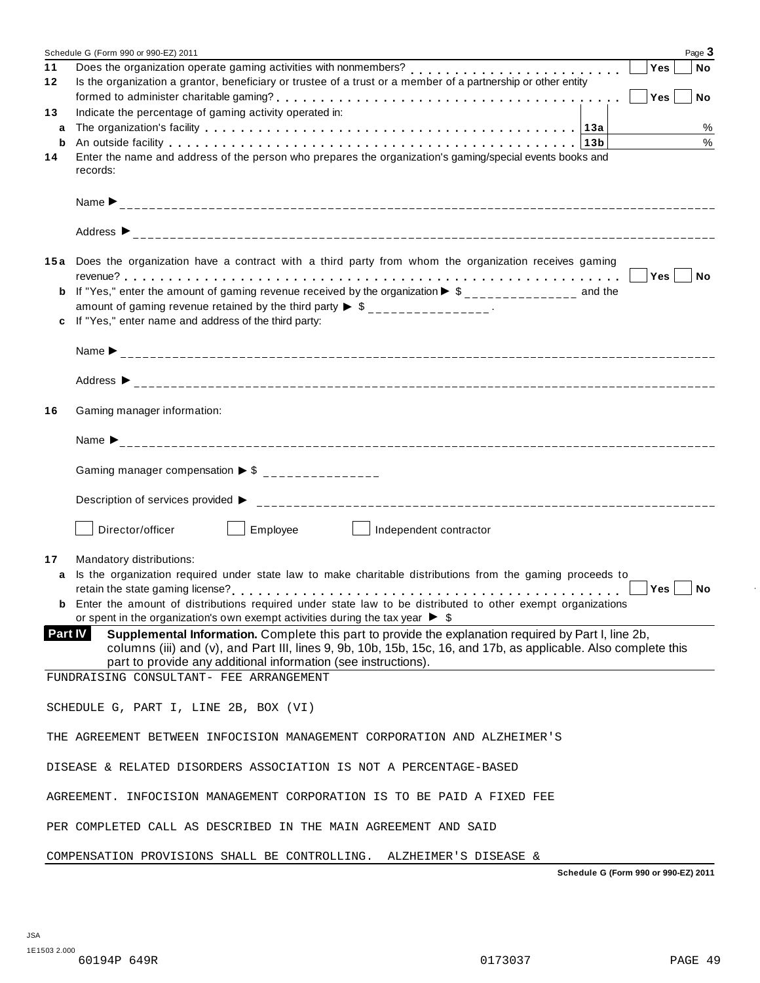|                | Page 3<br>Schedule G (Form 990 or 990-EZ) 2011                                                                                                                                                                          |
|----------------|-------------------------------------------------------------------------------------------------------------------------------------------------------------------------------------------------------------------------|
| 11             | Does the organization operate gaming activities with nonmembers?<br>Yes<br><b>No</b>                                                                                                                                    |
| 12             | Is the organization a grantor, beneficiary or trustee of a trust or a member of a partnership or other entity                                                                                                           |
|                | Yes<br><b>No</b>                                                                                                                                                                                                        |
| 13             | Indicate the percentage of gaming activity operated in:                                                                                                                                                                 |
| a              | %                                                                                                                                                                                                                       |
| b              | %                                                                                                                                                                                                                       |
| 14             | Enter the name and address of the person who prepares the organization's gaming/special events books and<br>records:                                                                                                    |
|                |                                                                                                                                                                                                                         |
|                |                                                                                                                                                                                                                         |
|                |                                                                                                                                                                                                                         |
| 15 a           | Does the organization have a contract with a third party from whom the organization receives gaming                                                                                                                     |
| b              | If "Yes," enter the amount of gaming revenue received by the organization $\triangleright$ \$ ______________ and the                                                                                                    |
|                | amount of gaming revenue retained by the third party $\triangleright$ \$ _______________.                                                                                                                               |
| c              | If "Yes," enter name and address of the third party:                                                                                                                                                                    |
|                |                                                                                                                                                                                                                         |
|                |                                                                                                                                                                                                                         |
|                |                                                                                                                                                                                                                         |
|                |                                                                                                                                                                                                                         |
| 16             | Gaming manager information:                                                                                                                                                                                             |
|                |                                                                                                                                                                                                                         |
|                | Gaming manager compensation $\triangleright$ \$ _______________                                                                                                                                                         |
|                |                                                                                                                                                                                                                         |
|                | $\vert$ Employee<br>Director/officer<br>Independent contractor<br><b>Contract Contract State</b>                                                                                                                        |
|                |                                                                                                                                                                                                                         |
| 17             | Mandatory distributions:                                                                                                                                                                                                |
| a              | Is the organization required under state law to make charitable distributions from the gaming proceeds to                                                                                                               |
|                | Yes<br>No                                                                                                                                                                                                               |
|                | <b>b</b> Enter the amount of distributions required under state law to be distributed to other exempt organizations<br>or spent in the organization's own exempt activities during the tax year $\triangleright$ \$     |
| <b>Part IV</b> | Supplemental Information. Complete this part to provide the explanation required by Part I, line 2b,<br>columns (iii) and (v), and Part III, lines 9, 9b, 10b, 15b, 15c, 16, and 17b, as applicable. Also complete this |
|                | part to provide any additional information (see instructions).                                                                                                                                                          |
|                | FUNDRAISING CONSULTANT- FEE ARRANGEMENT                                                                                                                                                                                 |
|                |                                                                                                                                                                                                                         |
|                |                                                                                                                                                                                                                         |
|                | SCHEDULE G, PART I, LINE 2B, BOX (VI)                                                                                                                                                                                   |
|                |                                                                                                                                                                                                                         |
|                | THE AGREEMENT BETWEEN INFOCISION MANAGEMENT CORPORATION AND ALZHEIMER'S                                                                                                                                                 |
|                | DISEASE & RELATED DISORDERS ASSOCIATION IS NOT A PERCENTAGE-BASED                                                                                                                                                       |
|                | AGREEMENT. INFOCISION MANAGEMENT CORPORATION IS TO BE PAID A FIXED FEE                                                                                                                                                  |
|                | PER COMPLETED CALL AS DESCRIBED IN THE MAIN AGREEMENT AND SAID                                                                                                                                                          |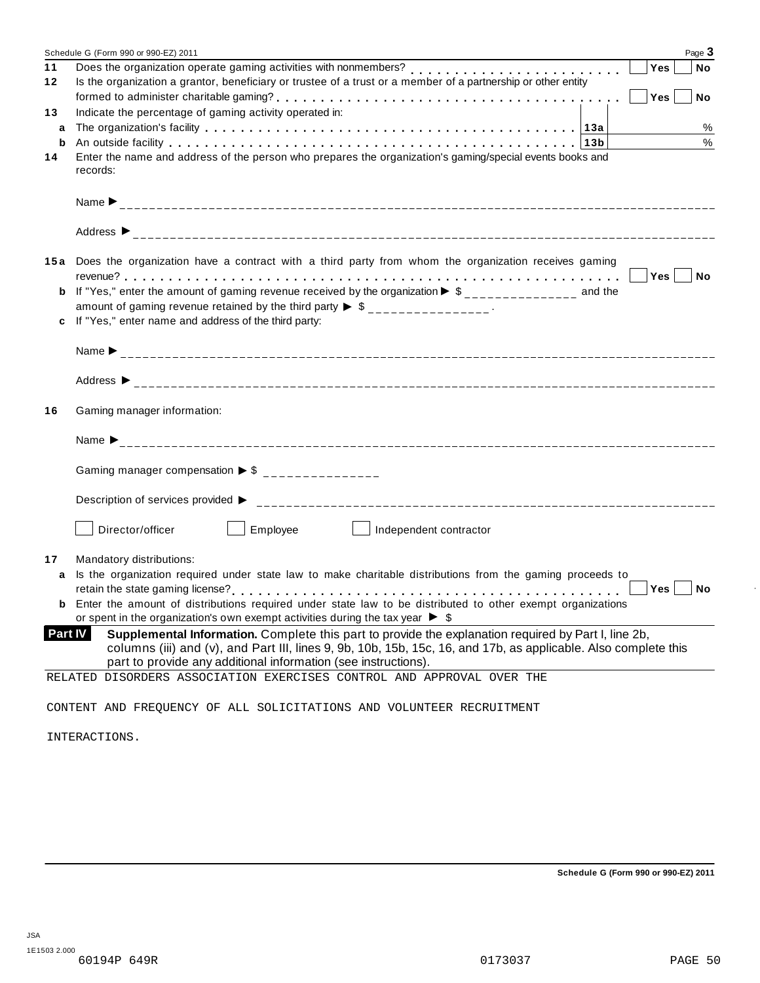|                | Page 3<br>Schedule G (Form 990 or 990-EZ) 2011                                                                                                                                                                                                                                            |
|----------------|-------------------------------------------------------------------------------------------------------------------------------------------------------------------------------------------------------------------------------------------------------------------------------------------|
| 11             | Does the organization operate gaming activities with nonmembers?<br>Yes<br><b>No</b>                                                                                                                                                                                                      |
| 12             | Is the organization a grantor, beneficiary or trustee of a trust or a member of a partnership or other entity                                                                                                                                                                             |
|                | Yes<br>No                                                                                                                                                                                                                                                                                 |
| 13             | Indicate the percentage of gaming activity operated in:                                                                                                                                                                                                                                   |
| a              | %                                                                                                                                                                                                                                                                                         |
| b              | %                                                                                                                                                                                                                                                                                         |
| 14             | Enter the name and address of the person who prepares the organization's gaming/special events books and                                                                                                                                                                                  |
|                | records:                                                                                                                                                                                                                                                                                  |
|                |                                                                                                                                                                                                                                                                                           |
|                | Address $\triangleright$                                                                                                                                                                                                                                                                  |
|                | 15a Does the organization have a contract with a third party from whom the organization receives gaming                                                                                                                                                                                   |
|                | $\Box$ Yes $\vert$<br>$\blacksquare$ No                                                                                                                                                                                                                                                   |
| b              | If "Yes," enter the amount of gaming revenue received by the organization $\triangleright$ \$ ______________ and the                                                                                                                                                                      |
|                | amount of gaming revenue retained by the third party $\triangleright$ \$ _______________.                                                                                                                                                                                                 |
|                | c If "Yes," enter name and address of the third party:                                                                                                                                                                                                                                    |
|                |                                                                                                                                                                                                                                                                                           |
|                |                                                                                                                                                                                                                                                                                           |
|                |                                                                                                                                                                                                                                                                                           |
| 16             | Gaming manager information:                                                                                                                                                                                                                                                               |
|                |                                                                                                                                                                                                                                                                                           |
|                | Gaming manager compensation $\triangleright$ \$ _______________                                                                                                                                                                                                                           |
|                |                                                                                                                                                                                                                                                                                           |
|                | Employee<br>Director/officer                                                                                                                                                                                                                                                              |
| 17             | Mandatory distributions:                                                                                                                                                                                                                                                                  |
| a              | Is the organization required under state law to make charitable distributions from the gaming proceeds to                                                                                                                                                                                 |
|                | Yes<br>No                                                                                                                                                                                                                                                                                 |
|                | Enter the amount of distributions required under state law to be distributed to other exempt organizations                                                                                                                                                                                |
|                | or spent in the organization's own exempt activities during the tax year $\triangleright$ \$                                                                                                                                                                                              |
| <b>Part IV</b> | Supplemental Information. Complete this part to provide the explanation required by Part I, line 2b,<br>columns (iii) and (v), and Part III, lines 9, 9b, 10b, 15b, 15c, 16, and 17b, as applicable. Also complete this<br>part to provide any additional information (see instructions). |
|                | RELATED DISORDERS ASSOCIATION EXERCISES CONTROL AND APPROVAL OVER THE                                                                                                                                                                                                                     |
|                |                                                                                                                                                                                                                                                                                           |
|                | CONTENT AND FREQUENCY OF ALL SOLICITATIONS AND VOLUNTEER RECRUITMENT                                                                                                                                                                                                                      |
|                | INTERACTIONS.                                                                                                                                                                                                                                                                             |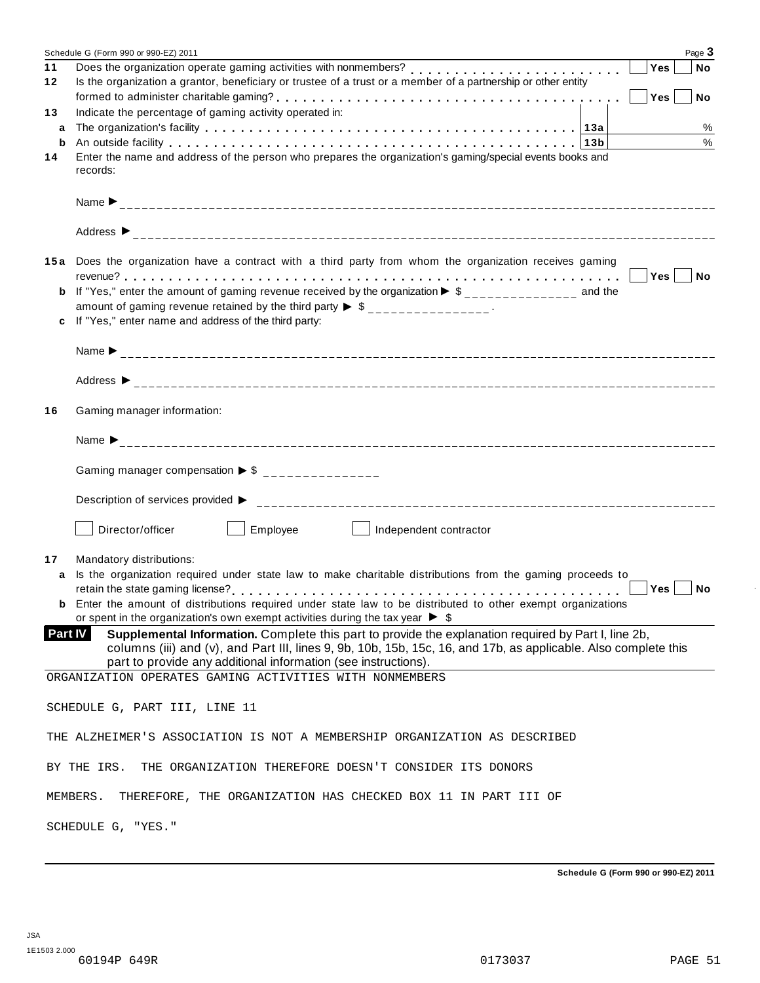|                | Page 3<br>Schedule G (Form 990 or 990-EZ) 2011                                                                                                                                                                                                                                            |  |  |  |  |  |
|----------------|-------------------------------------------------------------------------------------------------------------------------------------------------------------------------------------------------------------------------------------------------------------------------------------------|--|--|--|--|--|
| 11             | Does the organization operate gaming activities with nonmembers?<br>Yes<br><b>No</b>                                                                                                                                                                                                      |  |  |  |  |  |
| 12             | Is the organization a grantor, beneficiary or trustee of a trust or a member of a partnership or other entity<br>Yes<br>No No                                                                                                                                                             |  |  |  |  |  |
| 13             | Indicate the percentage of gaming activity operated in:                                                                                                                                                                                                                                   |  |  |  |  |  |
| a              | $\%$                                                                                                                                                                                                                                                                                      |  |  |  |  |  |
| b              | %                                                                                                                                                                                                                                                                                         |  |  |  |  |  |
| 14             | Enter the name and address of the person who prepares the organization's gaming/special events books and<br>records:                                                                                                                                                                      |  |  |  |  |  |
|                |                                                                                                                                                                                                                                                                                           |  |  |  |  |  |
|                |                                                                                                                                                                                                                                                                                           |  |  |  |  |  |
|                | 15a Does the organization have a contract with a third party from whom the organization receives gaming                                                                                                                                                                                   |  |  |  |  |  |
|                | $Yes \mid \text{No}$                                                                                                                                                                                                                                                                      |  |  |  |  |  |
|                | <b>b</b> If "Yes," enter the amount of gaming revenue received by the organization $\triangleright$ \$______________ and the<br>amount of gaming revenue retained by the third party $\triangleright$ \$ _______________.                                                                 |  |  |  |  |  |
|                | c If "Yes," enter name and address of the third party:                                                                                                                                                                                                                                    |  |  |  |  |  |
|                |                                                                                                                                                                                                                                                                                           |  |  |  |  |  |
|                |                                                                                                                                                                                                                                                                                           |  |  |  |  |  |
|                |                                                                                                                                                                                                                                                                                           |  |  |  |  |  |
| 16             | Gaming manager information:                                                                                                                                                                                                                                                               |  |  |  |  |  |
|                |                                                                                                                                                                                                                                                                                           |  |  |  |  |  |
|                | Gaming manager compensation $\triangleright$ \$ _______________                                                                                                                                                                                                                           |  |  |  |  |  |
|                |                                                                                                                                                                                                                                                                                           |  |  |  |  |  |
|                | Employee<br>Director/officer<br>Independent contractor<br><b>Contract Contract State</b>                                                                                                                                                                                                  |  |  |  |  |  |
| 17             | Mandatory distributions:                                                                                                                                                                                                                                                                  |  |  |  |  |  |
| a              | Is the organization required under state law to make charitable distributions from the gaming proceeds to                                                                                                                                                                                 |  |  |  |  |  |
|                | Yes<br>No                                                                                                                                                                                                                                                                                 |  |  |  |  |  |
|                | <b>b</b> Enter the amount of distributions required under state law to be distributed to other exempt organizations<br>or spent in the organization's own exempt activities during the tax year $\triangleright$ \$                                                                       |  |  |  |  |  |
| <b>Part IV</b> | Supplemental Information. Complete this part to provide the explanation required by Part I, line 2b,<br>columns (iii) and (v), and Part III, lines 9, 9b, 10b, 15b, 15c, 16, and 17b, as applicable. Also complete this<br>part to provide any additional information (see instructions). |  |  |  |  |  |
|                | ORGANIZATION OPERATES GAMING ACTIVITIES WITH NONMEMBERS                                                                                                                                                                                                                                   |  |  |  |  |  |
|                |                                                                                                                                                                                                                                                                                           |  |  |  |  |  |
|                | SCHEDULE G, PART III, LINE 11                                                                                                                                                                                                                                                             |  |  |  |  |  |
|                | THE ALZHEIMER'S ASSOCIATION IS NOT A MEMBERSHIP ORGANIZATION AS DESCRIBED                                                                                                                                                                                                                 |  |  |  |  |  |
|                | BY THE IRS.<br>THE ORGANIZATION THEREFORE DOESN'T CONSIDER ITS DONORS                                                                                                                                                                                                                     |  |  |  |  |  |
|                | MEMBERS.<br>THEREFORE, THE ORGANIZATION HAS CHECKED BOX 11 IN PART III OF                                                                                                                                                                                                                 |  |  |  |  |  |
|                | SCHEDULE G, "YES."                                                                                                                                                                                                                                                                        |  |  |  |  |  |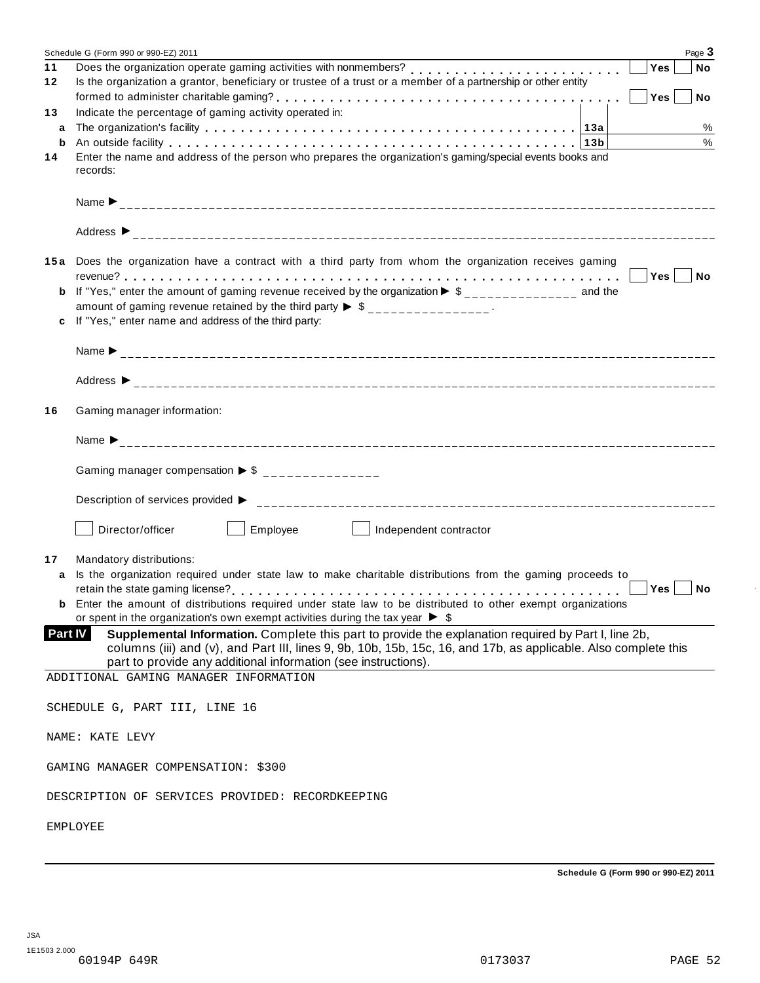|                | Page 3<br>Schedule G (Form 990 or 990-EZ) 2011                                                                                                                                                                                                                                            |
|----------------|-------------------------------------------------------------------------------------------------------------------------------------------------------------------------------------------------------------------------------------------------------------------------------------------|
| 11             | Yes<br>No                                                                                                                                                                                                                                                                                 |
| 12             | Is the organization a grantor, beneficiary or trustee of a trust or a member of a partnership or other entity                                                                                                                                                                             |
|                | Yes<br>No No                                                                                                                                                                                                                                                                              |
| 13             | Indicate the percentage of gaming activity operated in:                                                                                                                                                                                                                                   |
| a              | %                                                                                                                                                                                                                                                                                         |
| b              | %                                                                                                                                                                                                                                                                                         |
| 14             | Enter the name and address of the person who prepares the organization's gaming/special events books and<br>records:                                                                                                                                                                      |
|                |                                                                                                                                                                                                                                                                                           |
|                | Address $\triangleright$                                                                                                                                                                                                                                                                  |
|                | 15a Does the organization have a contract with a third party from whom the organization receives gaming                                                                                                                                                                                   |
|                | Yes No                                                                                                                                                                                                                                                                                    |
|                | <b>b</b> If "Yes," enter the amount of gaming revenue received by the organization $\triangleright$ \$______________ and the                                                                                                                                                              |
|                | amount of gaming revenue retained by the third party $\triangleright$ \$ _______________.                                                                                                                                                                                                 |
|                | c If "Yes," enter name and address of the third party:                                                                                                                                                                                                                                    |
|                |                                                                                                                                                                                                                                                                                           |
|                |                                                                                                                                                                                                                                                                                           |
| 16             | Gaming manager information:                                                                                                                                                                                                                                                               |
|                |                                                                                                                                                                                                                                                                                           |
|                | Gaming manager compensation $\triangleright$ \$ _______________                                                                                                                                                                                                                           |
|                |                                                                                                                                                                                                                                                                                           |
|                | Director/officer<br>Employee L<br>Independent contractor                                                                                                                                                                                                                                  |
| 17             | Mandatory distributions:                                                                                                                                                                                                                                                                  |
| a              | Is the organization required under state law to make charitable distributions from the gaming proceeds to                                                                                                                                                                                 |
|                | Yes No                                                                                                                                                                                                                                                                                    |
|                | <b>b</b> Enter the amount of distributions required under state law to be distributed to other exempt organizations                                                                                                                                                                       |
|                | or spent in the organization's own exempt activities during the tax year $\blacktriangleright$ \$                                                                                                                                                                                         |
| <b>Part IV</b> | Supplemental Information. Complete this part to provide the explanation required by Part I, line 2b,<br>columns (iii) and (v), and Part III, lines 9, 9b, 10b, 15b, 15c, 16, and 17b, as applicable. Also complete this<br>part to provide any additional information (see instructions). |
|                | ADDITIONAL GAMING MANAGER INFORMATION                                                                                                                                                                                                                                                     |
|                | SCHEDULE G, PART III, LINE 16                                                                                                                                                                                                                                                             |
|                | NAME: KATE LEVY                                                                                                                                                                                                                                                                           |
|                | GAMING MANAGER COMPENSATION: \$300                                                                                                                                                                                                                                                        |
|                | DESCRIPTION OF SERVICES PROVIDED: RECORDKEEPING                                                                                                                                                                                                                                           |
|                | EMPLOYEE                                                                                                                                                                                                                                                                                  |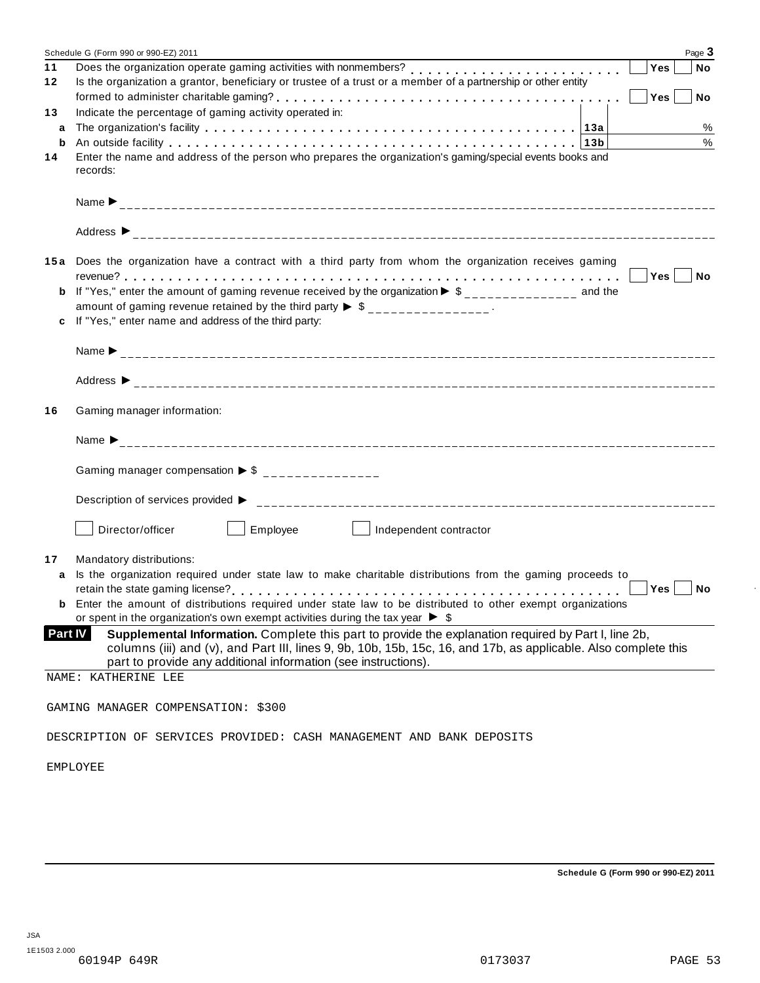|         | Schedule G (Form 990 or 990-EZ) 2011                                                                                                                                                                                    |  | Page 3                  |  |  |
|---------|-------------------------------------------------------------------------------------------------------------------------------------------------------------------------------------------------------------------------|--|-------------------------|--|--|
| 11      | Does the organization operate gaming activities with nonmembers?<br>Does the organization operate gaming activities with nonmembers?                                                                                    |  | Yes<br><b>No</b>        |  |  |
| 12      | Is the organization a grantor, beneficiary or trustee of a trust or a member of a partnership or other entity                                                                                                           |  |                         |  |  |
|         |                                                                                                                                                                                                                         |  | <b>Yes</b><br><b>No</b> |  |  |
| 13      | Indicate the percentage of gaming activity operated in:                                                                                                                                                                 |  |                         |  |  |
| a       |                                                                                                                                                                                                                         |  | %                       |  |  |
| b       |                                                                                                                                                                                                                         |  | $\%$                    |  |  |
| 14      | Enter the name and address of the person who prepares the organization's gaming/special events books and                                                                                                                |  |                         |  |  |
|         | records:                                                                                                                                                                                                                |  |                         |  |  |
|         |                                                                                                                                                                                                                         |  |                         |  |  |
|         |                                                                                                                                                                                                                         |  |                         |  |  |
|         |                                                                                                                                                                                                                         |  |                         |  |  |
|         |                                                                                                                                                                                                                         |  |                         |  |  |
|         |                                                                                                                                                                                                                         |  |                         |  |  |
|         | 15a Does the organization have a contract with a third party from whom the organization receives gaming                                                                                                                 |  |                         |  |  |
|         |                                                                                                                                                                                                                         |  |                         |  |  |
| b       | If "Yes," enter the amount of gaming revenue received by the organization $\triangleright$ \$______________ and the                                                                                                     |  |                         |  |  |
|         | amount of gaming revenue retained by the third party $\triangleright$ \$ _______________.                                                                                                                               |  |                         |  |  |
| c       | If "Yes," enter name and address of the third party:                                                                                                                                                                    |  |                         |  |  |
|         |                                                                                                                                                                                                                         |  |                         |  |  |
|         |                                                                                                                                                                                                                         |  |                         |  |  |
|         |                                                                                                                                                                                                                         |  |                         |  |  |
|         |                                                                                                                                                                                                                         |  |                         |  |  |
|         |                                                                                                                                                                                                                         |  |                         |  |  |
| 16      | Gaming manager information:                                                                                                                                                                                             |  |                         |  |  |
|         |                                                                                                                                                                                                                         |  |                         |  |  |
|         |                                                                                                                                                                                                                         |  |                         |  |  |
|         |                                                                                                                                                                                                                         |  |                         |  |  |
|         | Gaming manager compensation $\triangleright$ \$ _______________                                                                                                                                                         |  |                         |  |  |
|         |                                                                                                                                                                                                                         |  |                         |  |  |
|         |                                                                                                                                                                                                                         |  |                         |  |  |
|         |                                                                                                                                                                                                                         |  |                         |  |  |
|         | Employee<br>Director/officer<br>Independent contractor                                                                                                                                                                  |  |                         |  |  |
|         |                                                                                                                                                                                                                         |  |                         |  |  |
| 17      | Mandatory distributions:                                                                                                                                                                                                |  |                         |  |  |
| a       | Is the organization required under state law to make charitable distributions from the gaming proceeds to                                                                                                               |  |                         |  |  |
|         |                                                                                                                                                                                                                         |  | Yes  <br>No             |  |  |
|         | Enter the amount of distributions required under state law to be distributed to other exempt organizations                                                                                                              |  |                         |  |  |
|         | or spent in the organization's own exempt activities during the tax year $\triangleright$ \$                                                                                                                            |  |                         |  |  |
| Part IV | Supplemental Information. Complete this part to provide the explanation required by Part I, line 2b,<br>columns (iii) and (v), and Part III, lines 9, 9b, 10b, 15b, 15c, 16, and 17b, as applicable. Also complete this |  |                         |  |  |
|         | part to provide any additional information (see instructions).                                                                                                                                                          |  |                         |  |  |
|         | NAME: KATHERINE LEE                                                                                                                                                                                                     |  |                         |  |  |
|         |                                                                                                                                                                                                                         |  |                         |  |  |
|         | GAMING MANAGER COMPENSATION: \$300                                                                                                                                                                                      |  |                         |  |  |
|         |                                                                                                                                                                                                                         |  |                         |  |  |
|         | DESCRIPTION OF SERVICES PROVIDED: CASH MANAGEMENT AND BANK DEPOSITS                                                                                                                                                     |  |                         |  |  |
|         |                                                                                                                                                                                                                         |  |                         |  |  |
|         | EMPLOYEE                                                                                                                                                                                                                |  |                         |  |  |
|         |                                                                                                                                                                                                                         |  |                         |  |  |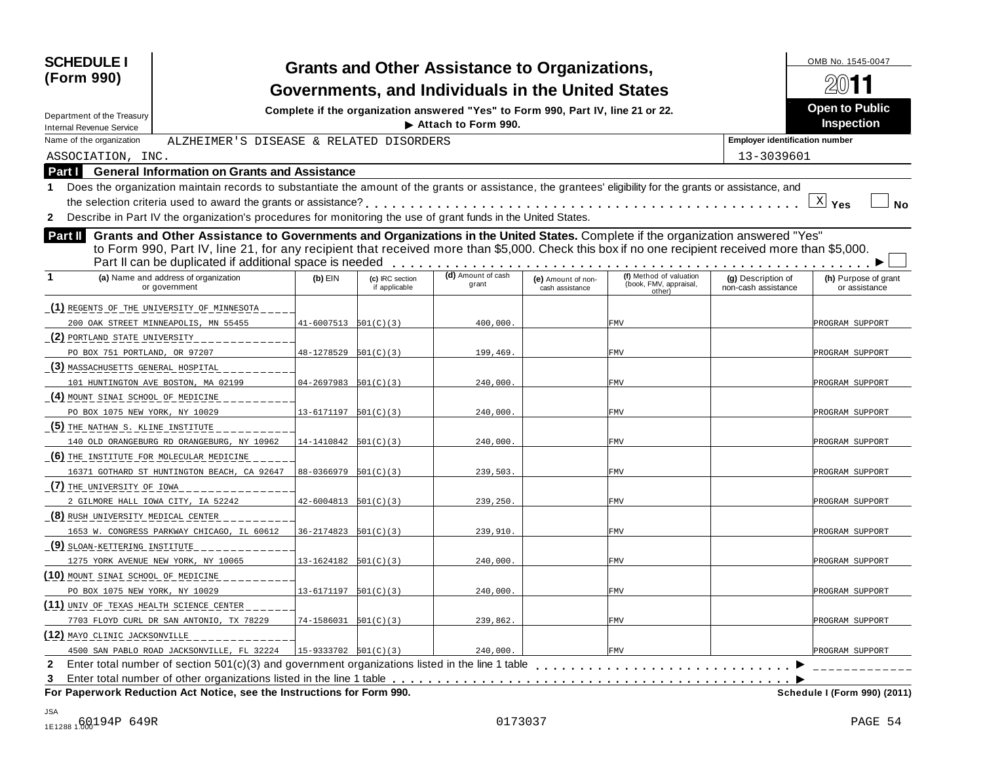| <b>SCHEDULE I</b><br>(Form 990)                                                                                                                                                                                                                                                                                                                                 |                            |                                  | <b>Grants and Other Assistance to Organizations,</b><br>Governments, and Individuals in the United States |                                       |                                                             |                                           | OMB No. 1545-0047                          |
|-----------------------------------------------------------------------------------------------------------------------------------------------------------------------------------------------------------------------------------------------------------------------------------------------------------------------------------------------------------------|----------------------------|----------------------------------|-----------------------------------------------------------------------------------------------------------|---------------------------------------|-------------------------------------------------------------|-------------------------------------------|--------------------------------------------|
| Department of the Treasury<br><b>Internal Revenue Service</b>                                                                                                                                                                                                                                                                                                   |                            |                                  | Complete if the organization answered "Yes" to Form 990, Part IV, line 21 or 22.<br>Attach to Form 990.   |                                       |                                                             |                                           | <b>Open to Public</b><br><b>Inspection</b> |
| Name of the organization<br>ALZHEIMER'S DISEASE & RELATED DISORDERS                                                                                                                                                                                                                                                                                             |                            |                                  |                                                                                                           |                                       |                                                             | <b>Employer identification number</b>     |                                            |
| ASSOCIATION, INC.                                                                                                                                                                                                                                                                                                                                               |                            |                                  |                                                                                                           |                                       |                                                             | 13-3039601                                |                                            |
| <b>General Information on Grants and Assistance</b><br>Part I                                                                                                                                                                                                                                                                                                   |                            |                                  |                                                                                                           |                                       |                                                             |                                           |                                            |
| Does the organization maintain records to substantiate the amount of the grants or assistance, the grantees' eligibility for the grants or assistance, and                                                                                                                                                                                                      |                            |                                  |                                                                                                           |                                       |                                                             |                                           |                                            |
| the selection criteria used to award the grants or assistance?                                                                                                                                                                                                                                                                                                  |                            |                                  |                                                                                                           |                                       |                                                             |                                           | $\mathbb{X}$ Yes<br>No                     |
| 2 Describe in Part IV the organization's procedures for monitoring the use of grant funds in the United States.                                                                                                                                                                                                                                                 |                            |                                  |                                                                                                           |                                       |                                                             |                                           |                                            |
| Grants and Other Assistance to Governments and Organizations in the United States. Complete if the organization answered "Yes"<br><b>Part II</b><br>to Form 990, Part IV, line 21, for any recipient that received more than \$5,000. Check this box if no one recipient received more than \$5,000.<br>Part II can be duplicated if additional space is needed |                            |                                  |                                                                                                           |                                       |                                                             |                                           |                                            |
| (a) Name and address of organization<br>or government                                                                                                                                                                                                                                                                                                           | $(b)$ EIN                  | (c) IRC section<br>if applicable | (d) Amount of cash<br>grant                                                                               | (e) Amount of non-<br>cash assistance | (f) Method of valuation<br>(book, FMV, appraisal,<br>other) | (g) Description of<br>non-cash assistance | (h) Purpose of grant<br>or assistance      |
| (1) REGENTS OF THE UNIVERSITY OF MINNESOTA                                                                                                                                                                                                                                                                                                                      |                            |                                  |                                                                                                           |                                       |                                                             |                                           |                                            |
| 200 OAK STREET MINNEAPOLIS, MN 55455                                                                                                                                                                                                                                                                                                                            | $41-6007513$ $501(C)(3)$   |                                  | 400,000                                                                                                   |                                       | FMV                                                         |                                           | PROGRAM SUPPORT                            |
| (2) PORTLAND STATE UNIVERSITY                                                                                                                                                                                                                                                                                                                                   |                            |                                  |                                                                                                           |                                       |                                                             |                                           |                                            |
| PO BOX 751 PORTLAND, OR 97207                                                                                                                                                                                                                                                                                                                                   | 48-1278529                 | 501(C)(3)                        | 199,469                                                                                                   |                                       | FMV                                                         |                                           | PROGRAM SUPPORT                            |
| (3) MASSACHUSETTS GENERAL HOSPITAL                                                                                                                                                                                                                                                                                                                              |                            |                                  |                                                                                                           |                                       |                                                             |                                           |                                            |
| 101 HUNTINGTON AVE BOSTON, MA 02199                                                                                                                                                                                                                                                                                                                             | 04-2697983                 | 501(C)(3)                        | 240,000                                                                                                   |                                       | FMV                                                         |                                           | PROGRAM SUPPORT                            |
| (4) MOUNT SINAL SCHOOL OF MEDICINE                                                                                                                                                                                                                                                                                                                              |                            |                                  |                                                                                                           |                                       |                                                             |                                           |                                            |
| PO BOX 1075 NEW YORK, NY 10029                                                                                                                                                                                                                                                                                                                                  | 13-6171197                 | 501(C)(3)                        | 240,000                                                                                                   |                                       | FMV                                                         |                                           | PROGRAM SUPPORT                            |
| (5) THE NATHAN S. KLINE INSTITUTE                                                                                                                                                                                                                                                                                                                               |                            |                                  |                                                                                                           |                                       |                                                             |                                           |                                            |
| 140 OLD ORANGEBURG RD ORANGEBURG, NY 10962                                                                                                                                                                                                                                                                                                                      | 14-1410842                 | 501(C)(3)                        | 240,000                                                                                                   |                                       | FMV                                                         |                                           | PROGRAM SUPPORT                            |
| (6) THE INSTITUTE FOR MOLECULAR MEDICINE                                                                                                                                                                                                                                                                                                                        |                            |                                  |                                                                                                           |                                       |                                                             |                                           |                                            |
| 16371 GOTHARD ST HUNTINGTON BEACH, CA 92647                                                                                                                                                                                                                                                                                                                     | 88-0366979                 | 501(C)(3)                        | 239,503                                                                                                   |                                       | FMV                                                         |                                           | PROGRAM SUPPORT                            |
| (7) THE UNIVERSITY OF IOWA                                                                                                                                                                                                                                                                                                                                      |                            |                                  |                                                                                                           |                                       |                                                             |                                           |                                            |
| 2 GILMORE HALL IOWA CITY, IA 52242                                                                                                                                                                                                                                                                                                                              | $42 - 6004813$ $501(C)(3)$ |                                  | 239,250                                                                                                   |                                       | FMV                                                         |                                           | PROGRAM SUPPORT                            |
| (8) RUSH UNIVERSITY MEDICAL CENTER                                                                                                                                                                                                                                                                                                                              |                            |                                  |                                                                                                           |                                       |                                                             |                                           |                                            |
| 1653 W. CONGRESS PARKWAY CHICAGO, IL 60612                                                                                                                                                                                                                                                                                                                      | 36-2174823                 | 501(C)(3)                        | 239,910                                                                                                   |                                       | FMV                                                         |                                           | PROGRAM SUPPORT                            |
| (9) SLOAN-KETTERING INSTITUTE                                                                                                                                                                                                                                                                                                                                   |                            |                                  |                                                                                                           |                                       |                                                             |                                           |                                            |
| 1275 YORK AVENUE NEW YORK, NY 10065                                                                                                                                                                                                                                                                                                                             | 13-1624182                 | 501(C)(3)                        | 240,000                                                                                                   |                                       | FMV                                                         |                                           | PROGRAM SUPPORT                            |
| (10) MOUNT SINAL SCHOOL OF MEDICINE                                                                                                                                                                                                                                                                                                                             |                            |                                  |                                                                                                           |                                       |                                                             |                                           |                                            |
| PO BOX 1075 NEW YORK, NY 10029                                                                                                                                                                                                                                                                                                                                  | $13 - 6171197$ $501(C)(3)$ |                                  | 240,000                                                                                                   |                                       | FMV                                                         |                                           | PROGRAM SUPPORT                            |
| (11) UNIV OF TEXAS HEALTH SCIENCE CENTER                                                                                                                                                                                                                                                                                                                        |                            |                                  |                                                                                                           |                                       |                                                             |                                           |                                            |
| 7703 FLOYD CURL DR SAN ANTONIO, TX 78229                                                                                                                                                                                                                                                                                                                        | $74-1586031$ $501(C)(3)$   |                                  | 239,862.                                                                                                  |                                       | FMV                                                         |                                           | PROGRAM SUPPORT                            |
| (12) MAYO CLINIC JACKSONVILLE                                                                                                                                                                                                                                                                                                                                   |                            |                                  |                                                                                                           |                                       |                                                             |                                           |                                            |
| 4500 SAN PABLO ROAD JACKSONVILLE, FL 32224                                                                                                                                                                                                                                                                                                                      | $15 - 9333702 501(C)(3)$   |                                  | 240,000.                                                                                                  |                                       | FMV                                                         |                                           | PROGRAM SUPPORT                            |
| 2 Enter total number of section 501(c)(3) and government organizations listed in the line 1 table enterpresent content of section 501(c)(3) and government organizations listed in the line 1 table                                                                                                                                                             |                            |                                  |                                                                                                           |                                       |                                                             |                                           |                                            |
| 3<br>For Paperwork Reduction Act Notice, see the Instructions for Form 990.                                                                                                                                                                                                                                                                                     |                            |                                  |                                                                                                           |                                       |                                                             |                                           | Schedule I (Form 990) (2011)               |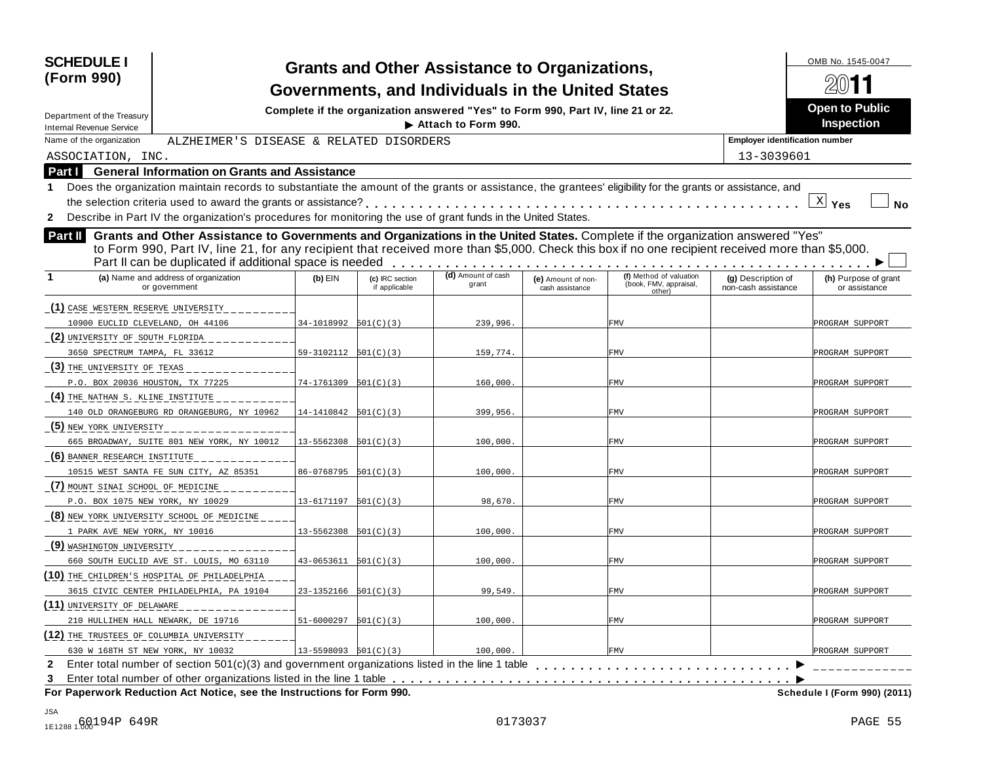| <b>SCHEDULE I</b><br>(Form 990)                                                                                                                                                                                                                                                                                                                                 |                            |                                  | <b>Grants and Other Assistance to Organizations,</b><br>Governments, and Individuals in the United States |                                       |                                                             |                                           | OMB No. 1545-0047                          |
|-----------------------------------------------------------------------------------------------------------------------------------------------------------------------------------------------------------------------------------------------------------------------------------------------------------------------------------------------------------------|----------------------------|----------------------------------|-----------------------------------------------------------------------------------------------------------|---------------------------------------|-------------------------------------------------------------|-------------------------------------------|--------------------------------------------|
| Department of the Treasury<br><b>Internal Revenue Service</b>                                                                                                                                                                                                                                                                                                   |                            |                                  | Complete if the organization answered "Yes" to Form 990, Part IV, line 21 or 22.<br>Attach to Form 990.   |                                       |                                                             |                                           | <b>Open to Public</b><br><b>Inspection</b> |
| Name of the organization<br>ALZHEIMER'S DISEASE & RELATED DISORDERS                                                                                                                                                                                                                                                                                             |                            |                                  |                                                                                                           |                                       |                                                             | <b>Employer identification number</b>     |                                            |
| ASSOCIATION, INC.                                                                                                                                                                                                                                                                                                                                               |                            |                                  |                                                                                                           |                                       |                                                             | 13-3039601                                |                                            |
| <b>General Information on Grants and Assistance</b><br>Part I                                                                                                                                                                                                                                                                                                   |                            |                                  |                                                                                                           |                                       |                                                             |                                           |                                            |
| Does the organization maintain records to substantiate the amount of the grants or assistance, the grantees' eligibility for the grants or assistance, and                                                                                                                                                                                                      |                            |                                  |                                                                                                           |                                       |                                                             |                                           |                                            |
| the selection criteria used to award the grants or assistance?                                                                                                                                                                                                                                                                                                  |                            |                                  |                                                                                                           |                                       |                                                             |                                           | $\underline{X}$ Yes<br>No                  |
| 2 Describe in Part IV the organization's procedures for monitoring the use of grant funds in the United States.                                                                                                                                                                                                                                                 |                            |                                  |                                                                                                           |                                       |                                                             |                                           |                                            |
| Grants and Other Assistance to Governments and Organizations in the United States. Complete if the organization answered "Yes"<br><b>Part II</b><br>to Form 990, Part IV, line 21, for any recipient that received more than \$5,000. Check this box if no one recipient received more than \$5,000.<br>Part II can be duplicated if additional space is needed |                            |                                  |                                                                                                           |                                       |                                                             |                                           |                                            |
| (a) Name and address of organization<br>or government                                                                                                                                                                                                                                                                                                           | $(b)$ EIN                  | (c) IRC section<br>if applicable | (d) Amount of cash<br>grant                                                                               | (e) Amount of non-<br>cash assistance | (f) Method of valuation<br>(book, FMV, appraisal,<br>other) | (g) Description of<br>non-cash assistance | (h) Purpose of grant<br>or assistance      |
| (1) CASE WESTERN RESERVE UNIVERSITY                                                                                                                                                                                                                                                                                                                             |                            |                                  |                                                                                                           |                                       |                                                             |                                           |                                            |
| 10900 EUCLID CLEVELAND, OH 44106                                                                                                                                                                                                                                                                                                                                | 34-1018992                 | 501(C)(3)                        | 239,996.                                                                                                  |                                       | FMV                                                         |                                           | PROGRAM SUPPORT                            |
| (2) UNIVERSITY OF SOUTH FLORIDA                                                                                                                                                                                                                                                                                                                                 |                            |                                  |                                                                                                           |                                       |                                                             |                                           |                                            |
| 3650 SPECTRUM TAMPA, FL 33612                                                                                                                                                                                                                                                                                                                                   | 59-3102112                 | 501(C)(3)                        | 159,774.                                                                                                  |                                       | FMV                                                         |                                           | PROGRAM SUPPORT                            |
| (3) THE UNIVERSITY OF TEXAS                                                                                                                                                                                                                                                                                                                                     |                            |                                  |                                                                                                           |                                       |                                                             |                                           |                                            |
| P.O. BOX 20036 HOUSTON, TX 77225                                                                                                                                                                                                                                                                                                                                | 74-1761309                 | 501(C)(3)                        | 160,000                                                                                                   |                                       | FMV                                                         |                                           | PROGRAM SUPPORT                            |
| (4) THE NATHAN S. KLINE INSTITUTE                                                                                                                                                                                                                                                                                                                               |                            |                                  |                                                                                                           |                                       |                                                             |                                           |                                            |
| 140 OLD ORANGEBURG RD ORANGEBURG, NY 10962                                                                                                                                                                                                                                                                                                                      | 14-1410842                 | 501(C)(3)                        | 399,956.                                                                                                  |                                       | FMV                                                         |                                           | PROGRAM SUPPORT                            |
| (5) NEW YORK UNIVERSITY                                                                                                                                                                                                                                                                                                                                         |                            |                                  |                                                                                                           |                                       |                                                             |                                           |                                            |
| 665 BROADWAY, SUITE 801 NEW YORK, NY 10012                                                                                                                                                                                                                                                                                                                      | 13-5562308                 | 501(C)(3)                        | 100,000                                                                                                   |                                       | FMV                                                         |                                           | PROGRAM SUPPORT                            |
| (6) BANNER RESEARCH INSTITUTE                                                                                                                                                                                                                                                                                                                                   |                            |                                  |                                                                                                           |                                       |                                                             |                                           |                                            |
| 10515 WEST SANTA FE SUN CITY, AZ 85351                                                                                                                                                                                                                                                                                                                          | $86-0768795$ $501(C)(3)$   |                                  | 100,000                                                                                                   |                                       | FMV                                                         |                                           | PROGRAM SUPPORT                            |
| (7) MOUNT SINAL SCHOOL OF MEDICINE                                                                                                                                                                                                                                                                                                                              |                            |                                  |                                                                                                           |                                       |                                                             |                                           |                                            |
| P.O. BOX 1075 NEW YORK, NY 10029                                                                                                                                                                                                                                                                                                                                | $13 - 6171197$ $501(C)(3)$ |                                  | 98,670.                                                                                                   |                                       | FMV                                                         |                                           | PROGRAM SUPPORT                            |
| (8) NEW YORK UNIVERSITY SCHOOL OF MEDICINE                                                                                                                                                                                                                                                                                                                      |                            |                                  |                                                                                                           |                                       |                                                             |                                           |                                            |
| 1 PARK AVE NEW YORK, NY 10016                                                                                                                                                                                                                                                                                                                                   | 13-5562308                 | 501(C)(3)                        | 100,000                                                                                                   |                                       | FMV                                                         |                                           | PROGRAM SUPPORT                            |
| <u>(9) WASHINGTON UNIVERSITY</u>                                                                                                                                                                                                                                                                                                                                |                            |                                  |                                                                                                           |                                       |                                                             |                                           |                                            |
| 660 SOUTH EUCLID AVE ST. LOUIS, MO 63110                                                                                                                                                                                                                                                                                                                        | $43 - 0653611$ $501(C)(3)$ |                                  | 100,000                                                                                                   |                                       | FMV                                                         |                                           | PROGRAM SUPPORT                            |
| (10) THE CHILDREN'S HOSPITAL OF PHILADELPHIA                                                                                                                                                                                                                                                                                                                    |                            |                                  |                                                                                                           |                                       |                                                             |                                           |                                            |
| 3615 CIVIC CENTER PHILADELPHIA, PA 19104                                                                                                                                                                                                                                                                                                                        | $23-1352166$ $501(C)(3)$   |                                  | 99,549                                                                                                    |                                       | FMV                                                         |                                           | PROGRAM SUPPORT                            |
| (11) UNIVERSITY OF DELAWARE                                                                                                                                                                                                                                                                                                                                     |                            |                                  |                                                                                                           |                                       |                                                             |                                           |                                            |
| 210 HULLIHEN HALL NEWARK, DE 19716                                                                                                                                                                                                                                                                                                                              | $51-6000297$ $501(C)(3)$   |                                  | 100,000.                                                                                                  |                                       | FMV                                                         |                                           | PROGRAM SUPPORT                            |
| (12) THE TRUSTEES OF COLUMBIA UNIVERSITY                                                                                                                                                                                                                                                                                                                        |                            |                                  |                                                                                                           |                                       |                                                             |                                           |                                            |
| 630 W 168TH ST NEW YORK, NY 10032                                                                                                                                                                                                                                                                                                                               | $13 - 5598093$ $501(C)(3)$ |                                  | 100,000.                                                                                                  |                                       | FMV                                                         |                                           | PROGRAM SUPPORT                            |
|                                                                                                                                                                                                                                                                                                                                                                 |                            |                                  |                                                                                                           |                                       |                                                             |                                           |                                            |
| 3<br>For Paperwork Reduction Act Notice, see the Instructions for Form 990.                                                                                                                                                                                                                                                                                     |                            |                                  |                                                                                                           |                                       |                                                             |                                           | Schedule I (Form 990) (2011)               |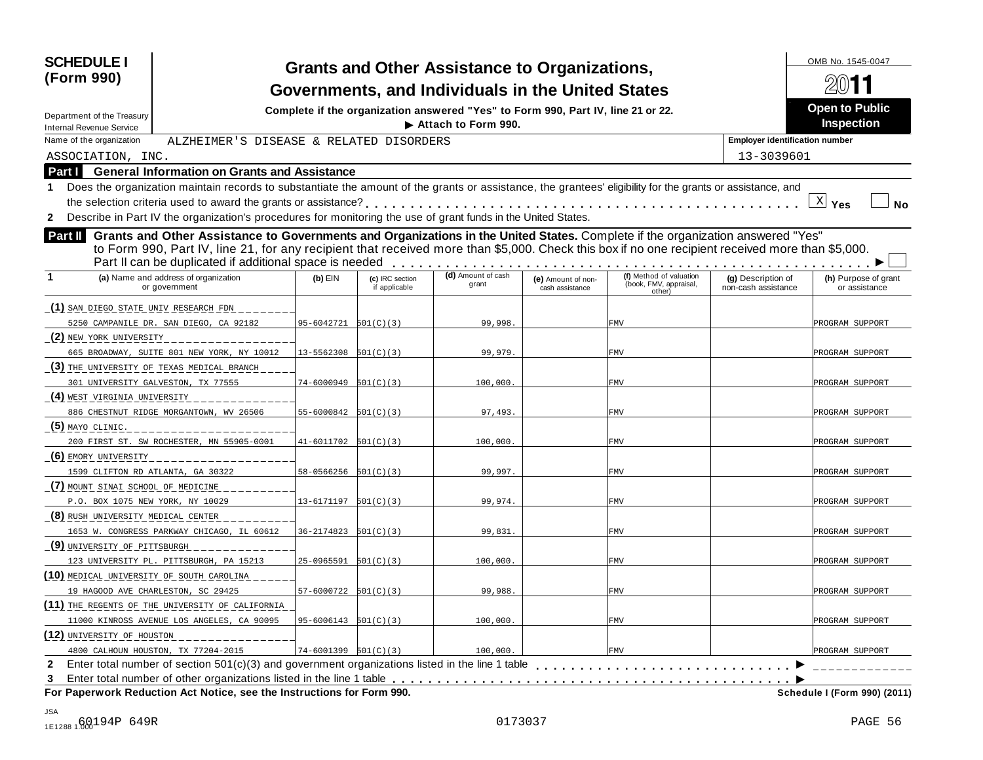| <b>SCHEDULE I</b><br>(Form 990)                                                                                                                                                                                                                                                                                                                                 |                            |                                  | <b>Grants and Other Assistance to Organizations,</b><br>Governments, and Individuals in the United States |                                       |                                                             |                                           | OMB No. 1545-0047                          |
|-----------------------------------------------------------------------------------------------------------------------------------------------------------------------------------------------------------------------------------------------------------------------------------------------------------------------------------------------------------------|----------------------------|----------------------------------|-----------------------------------------------------------------------------------------------------------|---------------------------------------|-------------------------------------------------------------|-------------------------------------------|--------------------------------------------|
| Department of the Treasury                                                                                                                                                                                                                                                                                                                                      |                            |                                  | Complete if the organization answered "Yes" to Form 990, Part IV, line 21 or 22.<br>Attach to Form 990.   |                                       |                                                             |                                           | <b>Open to Public</b><br><b>Inspection</b> |
| <b>Internal Revenue Service</b><br>Name of the organization<br>ALZHEIMER'S DISEASE & RELATED DISORDERS                                                                                                                                                                                                                                                          |                            |                                  |                                                                                                           |                                       |                                                             | <b>Employer identification number</b>     |                                            |
| ASSOCIATION, INC.                                                                                                                                                                                                                                                                                                                                               |                            |                                  |                                                                                                           |                                       |                                                             | 13-3039601                                |                                            |
| <b>General Information on Grants and Assistance</b><br>Part I                                                                                                                                                                                                                                                                                                   |                            |                                  |                                                                                                           |                                       |                                                             |                                           |                                            |
| Does the organization maintain records to substantiate the amount of the grants or assistance, the grantees' eligibility for the grants or assistance, and                                                                                                                                                                                                      |                            |                                  |                                                                                                           |                                       |                                                             |                                           |                                            |
|                                                                                                                                                                                                                                                                                                                                                                 |                            |                                  |                                                                                                           |                                       |                                                             |                                           | $\underline{X}$ Yes<br>No                  |
| 2 Describe in Part IV the organization's procedures for monitoring the use of grant funds in the United States.                                                                                                                                                                                                                                                 |                            |                                  |                                                                                                           |                                       |                                                             |                                           |                                            |
| Grants and Other Assistance to Governments and Organizations in the United States. Complete if the organization answered "Yes"<br><b>Part II</b><br>to Form 990, Part IV, line 21, for any recipient that received more than \$5,000. Check this box if no one recipient received more than \$5,000.<br>Part II can be duplicated if additional space is needed |                            |                                  |                                                                                                           |                                       |                                                             |                                           |                                            |
| (a) Name and address of organization<br>or government                                                                                                                                                                                                                                                                                                           | $(b)$ EIN                  | (c) IRC section<br>if applicable | (d) Amount of cash<br>grant                                                                               | (e) Amount of non-<br>cash assistance | (f) Method of valuation<br>(book, FMV, appraisal,<br>other) | (g) Description of<br>non-cash assistance | (h) Purpose of grant<br>or assistance      |
| (1) SAN DIEGO STATE UNIV RESEARCH FDN                                                                                                                                                                                                                                                                                                                           |                            |                                  |                                                                                                           |                                       |                                                             |                                           |                                            |
| 5250 CAMPANILE DR. SAN DIEGO, CA 92182                                                                                                                                                                                                                                                                                                                          | 95-6042721                 | 501(C)(3)                        | 99,998.                                                                                                   |                                       | FMV                                                         |                                           | PROGRAM SUPPORT                            |
| (2) NEW YORK UNIVERSITY                                                                                                                                                                                                                                                                                                                                         |                            |                                  |                                                                                                           |                                       |                                                             |                                           |                                            |
| 665 BROADWAY, SUITE 801 NEW YORK, NY 10012                                                                                                                                                                                                                                                                                                                      | 13-5562308                 | 501(C)(3)                        | 99,979                                                                                                    |                                       | FMV                                                         |                                           | PROGRAM SUPPORT                            |
| (3) THE UNIVERSITY OF TEXAS MEDICAL BRANCH                                                                                                                                                                                                                                                                                                                      |                            |                                  |                                                                                                           |                                       |                                                             |                                           |                                            |
| 301 UNIVERSITY GALVESTON, TX 77555                                                                                                                                                                                                                                                                                                                              | 74-6000949                 | 501(C)(3)                        | 100,000                                                                                                   |                                       | FMV                                                         |                                           | PROGRAM SUPPORT                            |
| (4) WEST VIRGINIA UNIVERSITY                                                                                                                                                                                                                                                                                                                                    |                            |                                  |                                                                                                           |                                       |                                                             |                                           |                                            |
| 886 CHESTNUT RIDGE MORGANTOWN, WV 26506                                                                                                                                                                                                                                                                                                                         | $55 - 6000842$ $501(C)(3)$ |                                  | 97,493.                                                                                                   |                                       | FMV                                                         |                                           | PROGRAM SUPPORT                            |
| $(5)$ MAYO CLINIC.                                                                                                                                                                                                                                                                                                                                              |                            |                                  |                                                                                                           |                                       |                                                             |                                           |                                            |
| 200 FIRST ST. SW ROCHESTER, MN 55905-0001                                                                                                                                                                                                                                                                                                                       | 41-6011702                 | 501(C)(3)                        | 100,000                                                                                                   |                                       | FMV                                                         |                                           | PROGRAM SUPPORT                            |
| (6) EMORY UNIVERSITY                                                                                                                                                                                                                                                                                                                                            |                            |                                  |                                                                                                           |                                       |                                                             |                                           |                                            |
| 1599 CLIFTON RD ATLANTA, GA 30322                                                                                                                                                                                                                                                                                                                               | $58-0566256$ $501(C)(3)$   |                                  | 99,997.                                                                                                   |                                       | FMV                                                         |                                           | PROGRAM SUPPORT                            |
| (7) MOUNT SINAL SCHOOL OF MEDICINE                                                                                                                                                                                                                                                                                                                              |                            |                                  |                                                                                                           |                                       |                                                             |                                           |                                            |
| P.O. BOX 1075 NEW YORK, NY 10029                                                                                                                                                                                                                                                                                                                                | $13 - 6171197$ $501(C)(3)$ |                                  | 99,974.                                                                                                   |                                       | FMV                                                         |                                           | PROGRAM SUPPORT                            |
| (8) RUSH UNIVERSITY MEDICAL CENTER                                                                                                                                                                                                                                                                                                                              |                            |                                  |                                                                                                           |                                       |                                                             |                                           |                                            |
| 1653 W. CONGRESS PARKWAY CHICAGO, IL 60612                                                                                                                                                                                                                                                                                                                      | 36-2174823                 | 501(C)(3)                        | 99,831                                                                                                    |                                       | FMV                                                         |                                           | PROGRAM SUPPORT                            |
| (9) UNIVERSITY OF PITTSBURGH                                                                                                                                                                                                                                                                                                                                    |                            |                                  |                                                                                                           |                                       |                                                             |                                           |                                            |
| 123 UNIVERSITY PL. PITTSBURGH, PA 15213                                                                                                                                                                                                                                                                                                                         | 25-0965591                 | 501(C)(3)                        | 100,000                                                                                                   |                                       | FMV                                                         |                                           | PROGRAM SUPPORT                            |
| (10) MEDICAL UNIVERSITY OF SOUTH CAROLINA                                                                                                                                                                                                                                                                                                                       |                            |                                  |                                                                                                           |                                       |                                                             |                                           |                                            |
| 19 HAGOOD AVE CHARLESTON, SC 29425                                                                                                                                                                                                                                                                                                                              | $57-6000722$ $501(C)(3)$   |                                  | 99,988.                                                                                                   |                                       | FMV                                                         |                                           | PROGRAM SUPPORT                            |
| (11) THE REGENTS OF THE UNIVERSITY OF CALIFORNIA                                                                                                                                                                                                                                                                                                                |                            |                                  |                                                                                                           |                                       |                                                             |                                           |                                            |
| 11000 KINROSS AVENUE LOS ANGELES, CA 90095                                                                                                                                                                                                                                                                                                                      | $95 - 6006143$ $501(C)(3)$ |                                  | 100,000.                                                                                                  |                                       | FMV                                                         |                                           | PROGRAM SUPPORT                            |
| (12) UNIVERSITY OF HOUSTON                                                                                                                                                                                                                                                                                                                                      |                            |                                  |                                                                                                           |                                       |                                                             |                                           |                                            |
| 4800 CALHOUN HOUSTON, TX 77204-2015                                                                                                                                                                                                                                                                                                                             | $74 - 6001399 501(C)(3)$   |                                  | 100,000.                                                                                                  |                                       | FMV                                                         |                                           | PROGRAM SUPPORT                            |
|                                                                                                                                                                                                                                                                                                                                                                 |                            |                                  |                                                                                                           |                                       |                                                             |                                           |                                            |
| 3<br>For Paperwork Reduction Act Notice, see the Instructions for Form 990.                                                                                                                                                                                                                                                                                     |                            |                                  |                                                                                                           |                                       |                                                             |                                           | Schedule I (Form 990) (2011)               |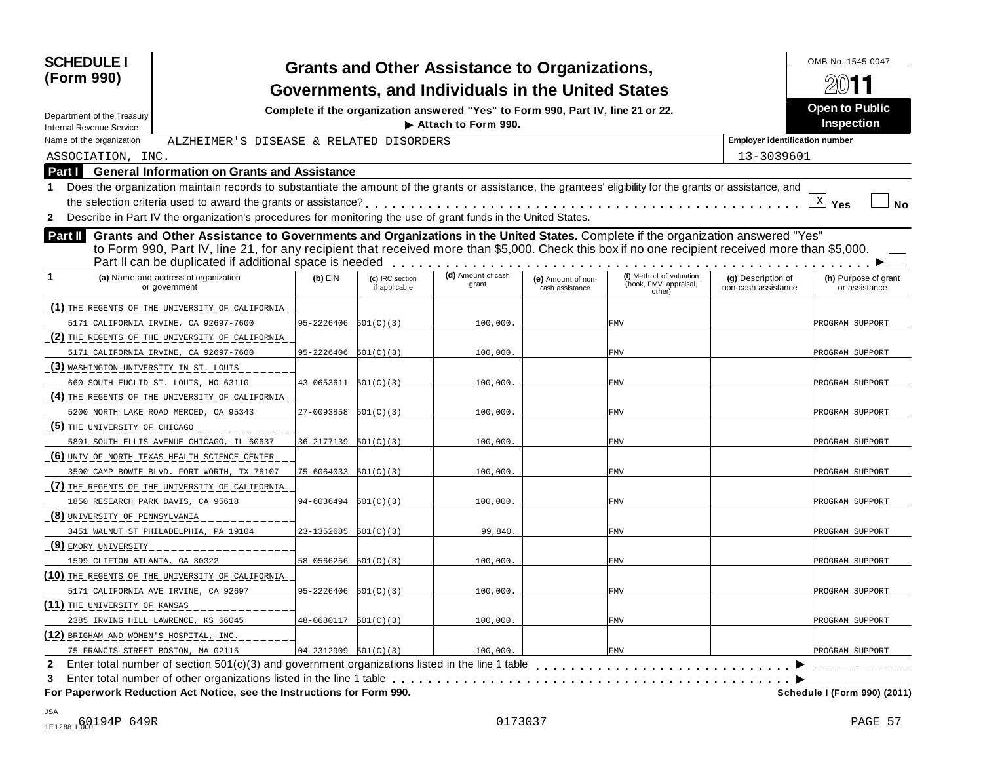| <b>SCHEDULE I</b><br>(Form 990)                                                                                                                                                                                                                                                                                                                          |                            |                                  | <b>Grants and Other Assistance to Organizations,</b><br>Governments, and Individuals in the United States |                                       |                                                             |                                           | OMB No. 1545-0047                          |
|----------------------------------------------------------------------------------------------------------------------------------------------------------------------------------------------------------------------------------------------------------------------------------------------------------------------------------------------------------|----------------------------|----------------------------------|-----------------------------------------------------------------------------------------------------------|---------------------------------------|-------------------------------------------------------------|-------------------------------------------|--------------------------------------------|
| Department of the Treasury<br><b>Internal Revenue Service</b>                                                                                                                                                                                                                                                                                            |                            |                                  | Complete if the organization answered "Yes" to Form 990, Part IV, line 21 or 22.<br>Attach to Form 990.   |                                       |                                                             |                                           | <b>Open to Public</b><br><b>Inspection</b> |
| Name of the organization<br>ALZHEIMER'S DISEASE & RELATED DISORDERS                                                                                                                                                                                                                                                                                      |                            |                                  |                                                                                                           |                                       |                                                             | <b>Employer identification number</b>     |                                            |
| ASSOCIATION, INC.                                                                                                                                                                                                                                                                                                                                        |                            |                                  |                                                                                                           |                                       |                                                             | 13-3039601                                |                                            |
| <b>General Information on Grants and Assistance</b><br>Part I                                                                                                                                                                                                                                                                                            |                            |                                  |                                                                                                           |                                       |                                                             |                                           |                                            |
| Does the organization maintain records to substantiate the amount of the grants or assistance, the grantees' eligibility for the grants or assistance, and                                                                                                                                                                                               |                            |                                  |                                                                                                           |                                       |                                                             |                                           |                                            |
| the selection criteria used to award the grants or assistance?                                                                                                                                                                                                                                                                                           |                            |                                  |                                                                                                           |                                       |                                                             |                                           | $\underline{X}$ Yes<br><b>No</b>           |
| Describe in Part IV the organization's procedures for monitoring the use of grant funds in the United States.<br>$\mathbf{2}$                                                                                                                                                                                                                            |                            |                                  |                                                                                                           |                                       |                                                             |                                           |                                            |
| Grants and Other Assistance to Governments and Organizations in the United States. Complete if the organization answered "Yes"<br>Part II<br>to Form 990, Part IV, line 21, for any recipient that received more than \$5,000. Check this box if no one recipient received more than \$5,000.<br>Part II can be duplicated if additional space is needed |                            |                                  |                                                                                                           |                                       |                                                             |                                           |                                            |
| (a) Name and address of organization<br>or government                                                                                                                                                                                                                                                                                                    | $(b)$ EIN                  | (c) IRC section<br>if applicable | (d) Amount of cash<br>grant                                                                               | (e) Amount of non-<br>cash assistance | (f) Method of valuation<br>(book, FMV, appraisal,<br>other) | (g) Description of<br>non-cash assistance | (h) Purpose of grant<br>or assistance      |
| (1) THE REGENTS OF THE UNIVERSITY OF CALIFORNIA                                                                                                                                                                                                                                                                                                          |                            |                                  |                                                                                                           |                                       |                                                             |                                           |                                            |
| 5171 CALIFORNIA IRVINE, CA 92697-7600                                                                                                                                                                                                                                                                                                                    | $95 - 2226406$ $501(C)(3)$ |                                  | 100,000                                                                                                   |                                       | <b>FMV</b>                                                  |                                           | PROGRAM SUPPORT                            |
| (2) THE REGENTS OF THE UNIVERSITY OF CALIFORNIA                                                                                                                                                                                                                                                                                                          |                            |                                  |                                                                                                           |                                       |                                                             |                                           |                                            |
| 5171 CALIFORNIA IRVINE, CA 92697-7600                                                                                                                                                                                                                                                                                                                    | $95 - 2226406$ $501(C)(3)$ |                                  | 100,000                                                                                                   |                                       | FMV                                                         |                                           | PROGRAM SUPPORT                            |
| (3) WASHINGTON UNIVERSITY IN ST. LOUIS                                                                                                                                                                                                                                                                                                                   |                            |                                  |                                                                                                           |                                       |                                                             |                                           |                                            |
| 660 SOUTH EUCLID ST. LOUIS, MO 63110                                                                                                                                                                                                                                                                                                                     | $43 - 0653611$ $501(C)(3)$ |                                  | 100,000                                                                                                   |                                       | FMV                                                         |                                           | PROGRAM SUPPORT                            |
| (4) THE REGENTS OF THE UNIVERSITY OF CALIFORNIA                                                                                                                                                                                                                                                                                                          |                            |                                  |                                                                                                           |                                       |                                                             |                                           |                                            |
| 5200 NORTH LAKE ROAD MERCED, CA 95343                                                                                                                                                                                                                                                                                                                    | $27-0093858$ $501(C)(3)$   |                                  | 100,000                                                                                                   |                                       | FMV                                                         |                                           | PROGRAM SUPPORT                            |
| (5) THE UNIVERSITY OF CHICAGO                                                                                                                                                                                                                                                                                                                            |                            |                                  |                                                                                                           |                                       |                                                             |                                           |                                            |
| 5801 SOUTH ELLIS AVENUE CHICAGO, IL 60637                                                                                                                                                                                                                                                                                                                | $36 - 2177139$ $501(C)(3)$ |                                  | 100,000                                                                                                   |                                       | FMV                                                         |                                           | PROGRAM SUPPORT                            |
| (6) UNIV OF NORTH TEXAS HEALTH SCIENCE CENTER                                                                                                                                                                                                                                                                                                            |                            |                                  |                                                                                                           |                                       |                                                             |                                           |                                            |
| 3500 CAMP BOWIE BLVD. FORT WORTH, TX 76107                                                                                                                                                                                                                                                                                                               | $75 - 6064033$ $501(C)(3)$ |                                  | 100,000                                                                                                   |                                       | FMV                                                         |                                           | PROGRAM SUPPORT                            |
| (7) THE REGENTS OF THE UNIVERSITY OF CALIFORNIA                                                                                                                                                                                                                                                                                                          |                            |                                  |                                                                                                           |                                       |                                                             |                                           |                                            |
| 1850 RESEARCH PARK DAVIS, CA 95618                                                                                                                                                                                                                                                                                                                       | $94 - 6036494$ $501(C)(3)$ |                                  | 100,000                                                                                                   |                                       | FMV                                                         |                                           | PROGRAM SUPPORT                            |
| (8) UNIVERSITY OF PENNSYLVANIA                                                                                                                                                                                                                                                                                                                           |                            |                                  |                                                                                                           |                                       |                                                             |                                           |                                            |
| 3451 WALNUT ST PHILADELPHIA, PA 19104                                                                                                                                                                                                                                                                                                                    | 23-1352685                 | 501(C)(3)                        | 99,840                                                                                                    |                                       | FMV                                                         |                                           | PROGRAM SUPPORT                            |
| <u>(9) EMORY UNIVERSITY</u>                                                                                                                                                                                                                                                                                                                              |                            |                                  |                                                                                                           |                                       |                                                             |                                           |                                            |
| 1599 CLIFTON ATLANTA, GA 30322                                                                                                                                                                                                                                                                                                                           | $58 - 0566256$ $501(C)(3)$ |                                  | 100,000                                                                                                   |                                       | FMV                                                         |                                           | PROGRAM SUPPORT                            |
| (10) THE REGENTS OF THE UNIVERSITY OF CALIFORNIA                                                                                                                                                                                                                                                                                                         |                            |                                  |                                                                                                           |                                       |                                                             |                                           |                                            |
| 5171 CALIFORNIA AVE IRVINE, CA 92697                                                                                                                                                                                                                                                                                                                     | $95 - 2226406$ $501(C)(3)$ |                                  | 100,000                                                                                                   |                                       | FMV                                                         |                                           | PROGRAM SUPPORT                            |
| (11) THE UNIVERSITY OF KANSAS                                                                                                                                                                                                                                                                                                                            |                            |                                  |                                                                                                           |                                       |                                                             |                                           |                                            |
| 2385 IRVING HILL LAWRENCE, KS 66045                                                                                                                                                                                                                                                                                                                      | $48-0680117$ $501(C)(3)$   |                                  | 100,000.                                                                                                  |                                       | FMV                                                         |                                           | PROGRAM SUPPORT                            |
| (12) BRIGHAM AND WOMEN'S HOSPITAL, INC.                                                                                                                                                                                                                                                                                                                  |                            |                                  |                                                                                                           |                                       |                                                             |                                           |                                            |
| 75 FRANCIS STREET BOSTON, MA 02115<br>Enter total number of section 501(c)(3) and government organizations listed in the line 1 table                                                                                                                                                                                                                    | $04-2312909$ $501(C)(3)$   |                                  | 100,000.                                                                                                  |                                       | <b>FMV</b>                                                  |                                           | PROGRAM SUPPORT                            |
| $\mathbf{2}$                                                                                                                                                                                                                                                                                                                                             |                            |                                  |                                                                                                           |                                       |                                                             |                                           |                                            |
| 3<br>For Paperwork Reduction Act Notice, see the Instructions for Form 990.                                                                                                                                                                                                                                                                              |                            |                                  |                                                                                                           |                                       |                                                             |                                           | Schedule I (Form 990) (2011)               |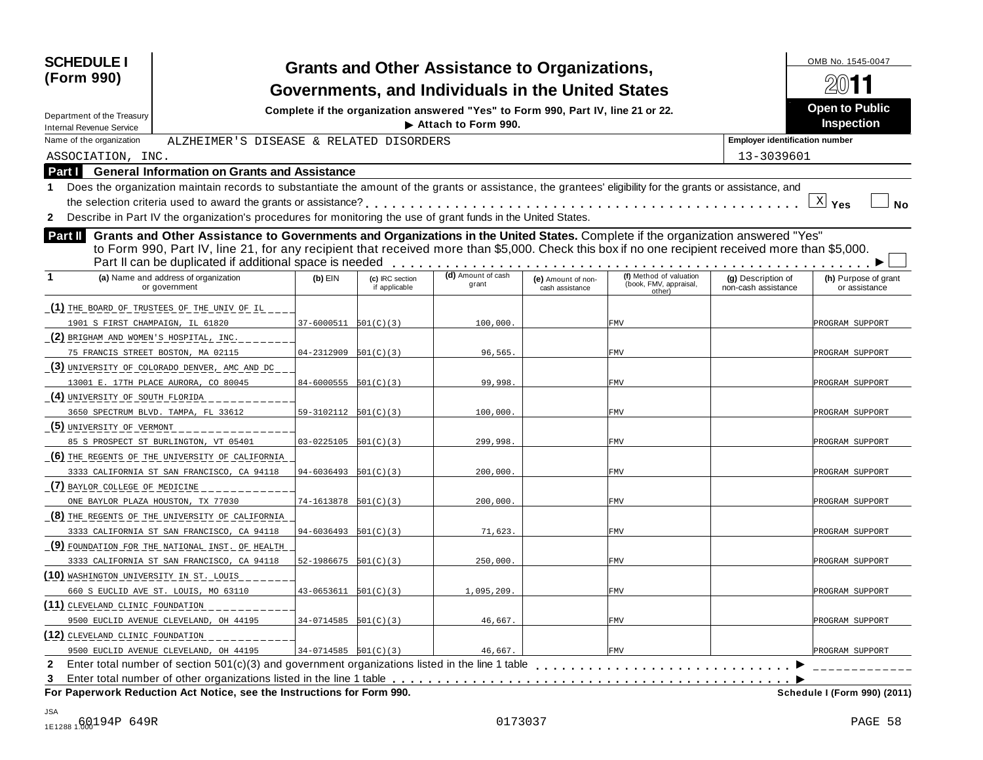| <b>SCHEDULE I</b><br>(Form 990)                                                                                                                                                                                                                                                                                                                          |                            |                                  | <b>Grants and Other Assistance to Organizations,</b><br>Governments, and Individuals in the United States |                                       |                                                             |                                           | OMB No. 1545-0047                          |
|----------------------------------------------------------------------------------------------------------------------------------------------------------------------------------------------------------------------------------------------------------------------------------------------------------------------------------------------------------|----------------------------|----------------------------------|-----------------------------------------------------------------------------------------------------------|---------------------------------------|-------------------------------------------------------------|-------------------------------------------|--------------------------------------------|
| Department of the Treasury                                                                                                                                                                                                                                                                                                                               |                            |                                  | Complete if the organization answered "Yes" to Form 990, Part IV, line 21 or 22.<br>Attach to Form 990.   |                                       |                                                             |                                           | <b>Open to Public</b><br><b>Inspection</b> |
| <b>Internal Revenue Service</b><br>Name of the organization<br>ALZHEIMER'S DISEASE & RELATED DISORDERS                                                                                                                                                                                                                                                   |                            |                                  |                                                                                                           |                                       |                                                             | <b>Employer identification number</b>     |                                            |
| ASSOCIATION, INC.                                                                                                                                                                                                                                                                                                                                        |                            |                                  |                                                                                                           |                                       |                                                             | 13-3039601                                |                                            |
| <b>General Information on Grants and Assistance</b><br>Part I                                                                                                                                                                                                                                                                                            |                            |                                  |                                                                                                           |                                       |                                                             |                                           |                                            |
| Does the organization maintain records to substantiate the amount of the grants or assistance, the grantees' eligibility for the grants or assistance, and                                                                                                                                                                                               |                            |                                  |                                                                                                           |                                       |                                                             |                                           |                                            |
| the selection criteria used to award the grants or assistance?                                                                                                                                                                                                                                                                                           |                            |                                  |                                                                                                           |                                       |                                                             |                                           | $X$ Yes<br><b>No</b>                       |
| Describe in Part IV the organization's procedures for monitoring the use of grant funds in the United States.<br>$\mathbf{2}$                                                                                                                                                                                                                            |                            |                                  |                                                                                                           |                                       |                                                             |                                           |                                            |
| Grants and Other Assistance to Governments and Organizations in the United States. Complete if the organization answered "Yes"<br>Part II<br>to Form 990, Part IV, line 21, for any recipient that received more than \$5,000. Check this box if no one recipient received more than \$5,000.<br>Part II can be duplicated if additional space is needed |                            |                                  |                                                                                                           | .                                     |                                                             |                                           |                                            |
| (a) Name and address of organization<br>or government                                                                                                                                                                                                                                                                                                    | $(b)$ EIN                  | (c) IRC section<br>if applicable | (d) Amount of cash<br>grant                                                                               | (e) Amount of non-<br>cash assistance | (f) Method of valuation<br>(book, FMV, appraisal,<br>other) | (g) Description of<br>non-cash assistance | (h) Purpose of grant<br>or assistance      |
| (1) THE BOARD OF TRUSTEES OF THE UNIV OF IL                                                                                                                                                                                                                                                                                                              |                            |                                  |                                                                                                           |                                       |                                                             |                                           |                                            |
| 1901 S FIRST CHAMPAIGN, IL 61820                                                                                                                                                                                                                                                                                                                         | 37-6000511 501(C)(3)       |                                  | 100,000                                                                                                   |                                       | <b>FMV</b>                                                  |                                           | PROGRAM SUPPORT                            |
| (2) BRIGHAM AND WOMEN'S HOSPITAL, INC.                                                                                                                                                                                                                                                                                                                   |                            |                                  |                                                                                                           |                                       |                                                             |                                           |                                            |
| 75 FRANCIS STREET BOSTON, MA 02115                                                                                                                                                                                                                                                                                                                       | 04-2312909                 | 501(C)(3)                        | 96,565                                                                                                    |                                       | FMV                                                         |                                           | PROGRAM SUPPORT                            |
| (3) UNIVERSITY OF COLORADO DENVER, AMC AND DC                                                                                                                                                                                                                                                                                                            |                            |                                  |                                                                                                           |                                       |                                                             |                                           |                                            |
| 13001 E. 17TH PLACE AURORA, CO 80045                                                                                                                                                                                                                                                                                                                     | $84 - 6000555$ $501(C)(3)$ |                                  | 99,998                                                                                                    |                                       | FMV                                                         |                                           | PROGRAM SUPPORT                            |
| (4) UNIVERSITY OF SOUTH FLORIDA                                                                                                                                                                                                                                                                                                                          |                            |                                  |                                                                                                           |                                       |                                                             |                                           |                                            |
| 3650 SPECTRUM BLVD. TAMPA, FL 33612                                                                                                                                                                                                                                                                                                                      | $59-3102112$ $501(C)(3)$   |                                  | 100,000                                                                                                   |                                       | FMV                                                         |                                           | PROGRAM SUPPORT                            |
| (5) UNIVERSITY OF VERMONT                                                                                                                                                                                                                                                                                                                                |                            |                                  |                                                                                                           |                                       |                                                             |                                           |                                            |
| 85 S PROSPECT ST BURLINGTON, VT 05401                                                                                                                                                                                                                                                                                                                    | 03-0225105                 | 501(C)(3)                        | 299,998                                                                                                   |                                       | FMV                                                         |                                           | PROGRAM SUPPORT                            |
| (6) THE REGENTS OF THE UNIVERSITY OF CALIFORNIA                                                                                                                                                                                                                                                                                                          |                            |                                  |                                                                                                           |                                       |                                                             |                                           |                                            |
| 3333 CALIFORNIA ST SAN FRANCISCO, CA 94118                                                                                                                                                                                                                                                                                                               | 94-6036493                 | 501(C)(3)                        | 200,000                                                                                                   |                                       | FMV                                                         |                                           | PROGRAM SUPPORT                            |
| (7) BAYLOR COLLEGE OF MEDICINE                                                                                                                                                                                                                                                                                                                           |                            |                                  |                                                                                                           |                                       |                                                             |                                           |                                            |
| ONE BAYLOR PLAZA HOUSTON, TX 77030                                                                                                                                                                                                                                                                                                                       | $74-1613878$ $501(C)(3)$   |                                  | 200,000                                                                                                   |                                       | FMV                                                         |                                           | PROGRAM SUPPORT                            |
| (8) THE REGENTS OF THE UNIVERSITY OF CALIFORNIA                                                                                                                                                                                                                                                                                                          |                            |                                  |                                                                                                           |                                       |                                                             |                                           |                                            |
| 3333 CALIFORNIA ST SAN FRANCISCO, CA 94118                                                                                                                                                                                                                                                                                                               | $94 - 6036493$ $501(C)(3)$ |                                  | 71,623                                                                                                    |                                       | FMV                                                         |                                           | PROGRAM SUPPORT                            |
| (9) FOUNDATION FOR THE NATIONAL INST. OF HEALTH                                                                                                                                                                                                                                                                                                          |                            |                                  |                                                                                                           |                                       |                                                             |                                           |                                            |
| 3333 CALIFORNIA ST SAN FRANCISCO, CA 94118                                                                                                                                                                                                                                                                                                               | $52-1986675$ $501(C)(3)$   |                                  | 250,000                                                                                                   |                                       | FMV                                                         |                                           | PROGRAM SUPPORT                            |
| (10) WASHINGTON UNIVERSITY IN ST. LOUIS                                                                                                                                                                                                                                                                                                                  |                            |                                  |                                                                                                           |                                       |                                                             |                                           |                                            |
| 660 S EUCLID AVE ST. LOUIS, MO 63110                                                                                                                                                                                                                                                                                                                     | $43 - 0653611$ $501(C)(3)$ |                                  | 1,095,209                                                                                                 |                                       | FMV                                                         |                                           | PROGRAM SUPPORT                            |
| (11) CLEVELAND CLINIC FOUNDATION                                                                                                                                                                                                                                                                                                                         |                            |                                  |                                                                                                           |                                       |                                                             |                                           |                                            |
| 9500 EUCLID AVENUE CLEVELAND, OH 44195                                                                                                                                                                                                                                                                                                                   | $34-0714585$ $501(C)(3)$   |                                  | 46,667.                                                                                                   |                                       | FMV                                                         |                                           | PROGRAM SUPPORT                            |
| (12) CLEVELAND CLINIC FOUNDATION                                                                                                                                                                                                                                                                                                                         |                            |                                  |                                                                                                           |                                       |                                                             |                                           |                                            |
|                                                                                                                                                                                                                                                                                                                                                          |                            |                                  | 46,667.                                                                                                   |                                       | <b>FMV</b>                                                  |                                           | PROGRAM SUPPORT                            |
| 9500 EUCLID AVENUE CLEVELAND, OH 44195<br>Enter total number of section 501(c)(3) and government organizations listed in the line 1 table<br>$\mathbf{2}$<br>3<br>For Paperwork Reduction Act Notice, see the Instructions for Form 990.                                                                                                                 | $34-0714585$ $501(C)(3)$   |                                  |                                                                                                           |                                       |                                                             |                                           | Schedule I (Form 990) (2011)               |

JSA 1E1288 1.00 173037 PAGE 58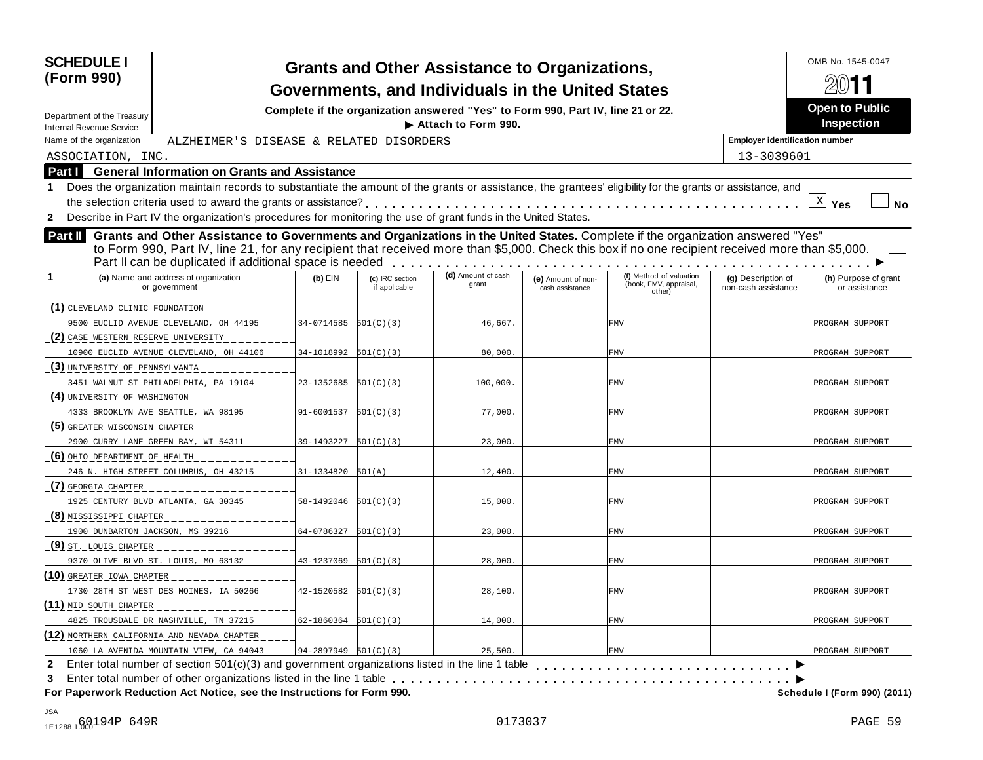| <b>SCHEDULE I</b><br>(Form 990)                                                                                                                                                                                                                                                                                                                          |                            |                                  | <b>Grants and Other Assistance to Organizations,</b><br>Governments, and Individuals in the United States |                                       |                                                             |                                           | OMB No. 1545-0047                          |
|----------------------------------------------------------------------------------------------------------------------------------------------------------------------------------------------------------------------------------------------------------------------------------------------------------------------------------------------------------|----------------------------|----------------------------------|-----------------------------------------------------------------------------------------------------------|---------------------------------------|-------------------------------------------------------------|-------------------------------------------|--------------------------------------------|
| Department of the Treasury                                                                                                                                                                                                                                                                                                                               |                            |                                  | Complete if the organization answered "Yes" to Form 990, Part IV, line 21 or 22.<br>Attach to Form 990.   |                                       |                                                             |                                           | <b>Open to Public</b><br><b>Inspection</b> |
| <b>Internal Revenue Service</b><br>Name of the organization<br>ALZHEIMER'S DISEASE & RELATED DISORDERS                                                                                                                                                                                                                                                   |                            |                                  |                                                                                                           |                                       |                                                             | <b>Employer identification number</b>     |                                            |
| ASSOCIATION, INC.                                                                                                                                                                                                                                                                                                                                        |                            |                                  |                                                                                                           |                                       |                                                             | 13-3039601                                |                                            |
| <b>General Information on Grants and Assistance</b><br>Part I                                                                                                                                                                                                                                                                                            |                            |                                  |                                                                                                           |                                       |                                                             |                                           |                                            |
| Does the organization maintain records to substantiate the amount of the grants or assistance, the grantees' eligibility for the grants or assistance, and                                                                                                                                                                                               |                            |                                  |                                                                                                           |                                       |                                                             |                                           |                                            |
| the selection criteria used to award the grants or assistance?                                                                                                                                                                                                                                                                                           |                            |                                  |                                                                                                           |                                       |                                                             |                                           | $\underline{X}$ Yes<br><b>No</b>           |
| Describe in Part IV the organization's procedures for monitoring the use of grant funds in the United States.<br>$\mathbf{2}$                                                                                                                                                                                                                            |                            |                                  |                                                                                                           |                                       |                                                             |                                           |                                            |
| Grants and Other Assistance to Governments and Organizations in the United States. Complete if the organization answered "Yes"<br>Part II<br>to Form 990, Part IV, line 21, for any recipient that received more than \$5,000. Check this box if no one recipient received more than \$5,000.<br>Part II can be duplicated if additional space is needed |                            |                                  |                                                                                                           |                                       |                                                             |                                           |                                            |
| (a) Name and address of organization<br>or government                                                                                                                                                                                                                                                                                                    | $(b)$ EIN                  | (c) IRC section<br>if applicable | (d) Amount of cash<br>grant                                                                               | (e) Amount of non-<br>cash assistance | (f) Method of valuation<br>(book, FMV, appraisal,<br>other) | (g) Description of<br>non-cash assistance | (h) Purpose of grant<br>or assistance      |
| (1) CLEVELAND CLINIC FOUNDATION                                                                                                                                                                                                                                                                                                                          |                            |                                  |                                                                                                           |                                       |                                                             |                                           |                                            |
| 9500 EUCLID AVENUE CLEVELAND, OH 44195                                                                                                                                                                                                                                                                                                                   | 34-0714585 501(C)(3)       |                                  | 46,667.                                                                                                   |                                       | <b>FMV</b>                                                  |                                           | PROGRAM SUPPORT                            |
| (2) CASE WESTERN RESERVE UNIVERSITY                                                                                                                                                                                                                                                                                                                      |                            |                                  |                                                                                                           |                                       |                                                             |                                           |                                            |
| 10900 EUCLID AVENUE CLEVELAND, OH 44106                                                                                                                                                                                                                                                                                                                  | $34-1018992$ $501(C)(3)$   |                                  | 80,000                                                                                                    |                                       | FMV                                                         |                                           | PROGRAM SUPPORT                            |
| (3) UNIVERSITY OF PENNSYLVANIA                                                                                                                                                                                                                                                                                                                           |                            |                                  |                                                                                                           |                                       |                                                             |                                           |                                            |
| 3451 WALNUT ST PHILADELPHIA, PA 19104                                                                                                                                                                                                                                                                                                                    | 23-1352685                 | 501(C)(3)                        | 100,000                                                                                                   |                                       | FMV                                                         |                                           | PROGRAM SUPPORT                            |
| (4) UNIVERSITY OF WASHINGTON                                                                                                                                                                                                                                                                                                                             |                            |                                  |                                                                                                           |                                       |                                                             |                                           |                                            |
| 4333 BROOKLYN AVE SEATTLE, WA 98195                                                                                                                                                                                                                                                                                                                      | $91 - 6001537$ $501(C)(3)$ |                                  | 77,000                                                                                                    |                                       | FMV                                                         |                                           | PROGRAM SUPPORT                            |
| (5) GREATER MISCONSIN CHAPTER                                                                                                                                                                                                                                                                                                                            |                            |                                  |                                                                                                           |                                       |                                                             |                                           |                                            |
| 2900 CURRY LANE GREEN BAY, WI 54311                                                                                                                                                                                                                                                                                                                      | 39-1493227                 | 501(C)(3)                        | 23,000                                                                                                    |                                       | FMV                                                         |                                           | PROGRAM SUPPORT                            |
| (6) OHIO DEPARTMENT OF HEALTH                                                                                                                                                                                                                                                                                                                            |                            |                                  |                                                                                                           |                                       |                                                             |                                           |                                            |
| 246 N. HIGH STREET COLUMBUS, OH 43215                                                                                                                                                                                                                                                                                                                    | 31-1334820                 | 501(A)                           | 12,400                                                                                                    |                                       | FMV                                                         |                                           | PROGRAM SUPPORT                            |
| (7) GEORGIA CHAPTER                                                                                                                                                                                                                                                                                                                                      |                            |                                  |                                                                                                           |                                       |                                                             |                                           |                                            |
| 1925 CENTURY BLVD ATLANTA, GA 30345                                                                                                                                                                                                                                                                                                                      | $58-1492046$ $501(C)(3)$   |                                  | 15,000                                                                                                    |                                       | FMV                                                         |                                           | PROGRAM SUPPORT                            |
| (8) MISSISSIPPI CHAPTER                                                                                                                                                                                                                                                                                                                                  |                            |                                  |                                                                                                           |                                       |                                                             |                                           |                                            |
| 1900 DUNBARTON JACKSON, MS 39216                                                                                                                                                                                                                                                                                                                         | 64-0786327                 | 501(C)(3)                        | 23,000                                                                                                    |                                       | FMV                                                         |                                           | PROGRAM SUPPORT                            |
| (9) ST. LOUIS CHAPTER                                                                                                                                                                                                                                                                                                                                    |                            |                                  |                                                                                                           |                                       |                                                             |                                           |                                            |
| 9370 OLIVE BLVD ST. LOUIS, MO 63132                                                                                                                                                                                                                                                                                                                      | 43-1237069                 | 501(C)(3)                        | 28,000                                                                                                    |                                       | FMV                                                         |                                           | PROGRAM SUPPORT                            |
| (10) GREATER IOWA CHAPTER                                                                                                                                                                                                                                                                                                                                |                            |                                  |                                                                                                           |                                       |                                                             |                                           |                                            |
| 1730 28TH ST WEST DES MOINES, IA 50266                                                                                                                                                                                                                                                                                                                   | $42 - 1520582$ $501(C)(3)$ |                                  | 28,100                                                                                                    |                                       | FMV                                                         |                                           | PROGRAM SUPPORT                            |
| (11) MID SOUTH CHAPTER                                                                                                                                                                                                                                                                                                                                   |                            |                                  |                                                                                                           |                                       |                                                             |                                           |                                            |
| 4825 TROUSDALE DR NASHVILLE, TN 37215                                                                                                                                                                                                                                                                                                                    | $62 - 1860364$ $501(C)(3)$ |                                  | 14,000.                                                                                                   |                                       | FMV                                                         |                                           | PROGRAM SUPPORT                            |
| (12) NORTHERN CALIFORNIA AND NEVADA CHAPTER                                                                                                                                                                                                                                                                                                              |                            |                                  |                                                                                                           |                                       |                                                             |                                           |                                            |
| 1060 LA AVENIDA MOUNTAIN VIEW, CA 94043                                                                                                                                                                                                                                                                                                                  | $94-2897949$ $501(C)(3)$   |                                  | 25,500.                                                                                                   |                                       | <b>FMV</b>                                                  |                                           | PROGRAM SUPPORT                            |
| Enter total number of section 501(c)(3) and government organizations listed in the line 1 table<br>$\mathbf{2}$<br>3                                                                                                                                                                                                                                     |                            |                                  |                                                                                                           |                                       |                                                             |                                           |                                            |
| For Paperwork Reduction Act Notice, see the Instructions for Form 990.                                                                                                                                                                                                                                                                                   |                            |                                  |                                                                                                           |                                       |                                                             |                                           | Schedule I (Form 990) (2011)               |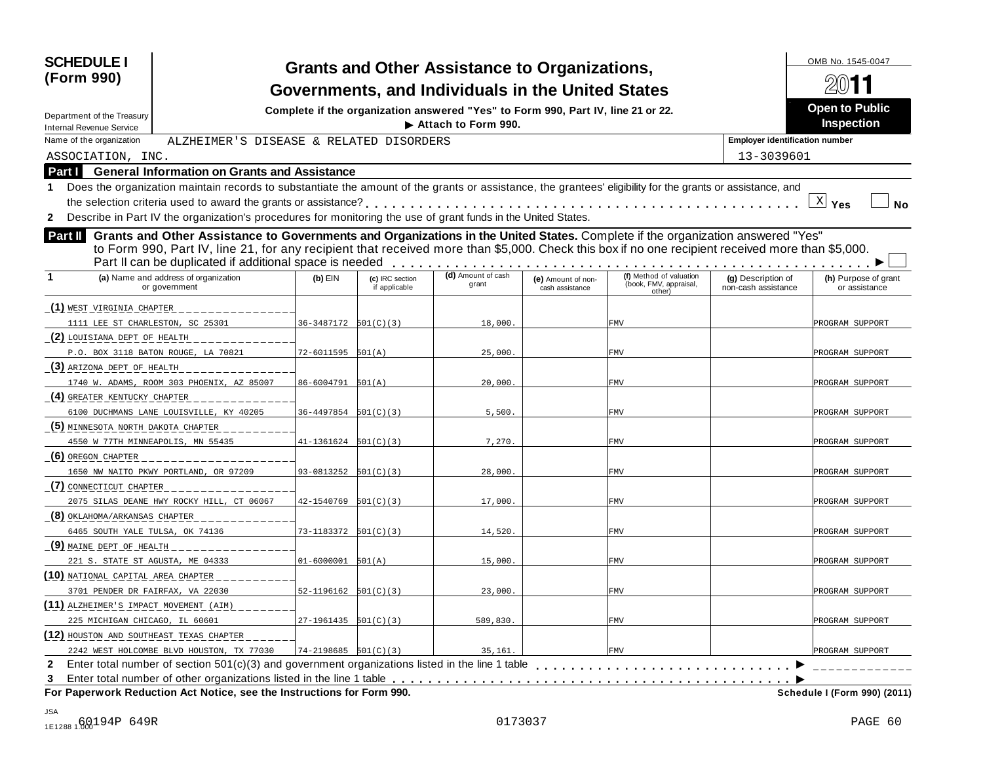| <b>SCHEDULE I</b><br>(Form 990)                                                                                                                                                                                                                                                                                                                          |                            |                                  | <b>Grants and Other Assistance to Organizations,</b><br>Governments, and Individuals in the United States |                                       |                                                             |                                           | OMB No. 1545-0047                          |
|----------------------------------------------------------------------------------------------------------------------------------------------------------------------------------------------------------------------------------------------------------------------------------------------------------------------------------------------------------|----------------------------|----------------------------------|-----------------------------------------------------------------------------------------------------------|---------------------------------------|-------------------------------------------------------------|-------------------------------------------|--------------------------------------------|
| Department of the Treasury                                                                                                                                                                                                                                                                                                                               |                            |                                  | Complete if the organization answered "Yes" to Form 990, Part IV, line 21 or 22.<br>Attach to Form 990.   |                                       |                                                             |                                           | <b>Open to Public</b><br><b>Inspection</b> |
| <b>Internal Revenue Service</b><br>Name of the organization<br>ALZHEIMER'S DISEASE & RELATED DISORDERS                                                                                                                                                                                                                                                   |                            |                                  |                                                                                                           |                                       |                                                             | <b>Employer identification number</b>     |                                            |
| ASSOCIATION, INC.                                                                                                                                                                                                                                                                                                                                        |                            |                                  |                                                                                                           |                                       |                                                             | 13-3039601                                |                                            |
| <b>General Information on Grants and Assistance</b><br>Part I                                                                                                                                                                                                                                                                                            |                            |                                  |                                                                                                           |                                       |                                                             |                                           |                                            |
| Does the organization maintain records to substantiate the amount of the grants or assistance, the grantees' eligibility for the grants or assistance, and                                                                                                                                                                                               |                            |                                  |                                                                                                           |                                       |                                                             |                                           |                                            |
| the selection criteria used to award the grants or assistance?                                                                                                                                                                                                                                                                                           |                            |                                  |                                                                                                           |                                       |                                                             |                                           | $\underline{X}$ Yes<br><b>No</b>           |
| Describe in Part IV the organization's procedures for monitoring the use of grant funds in the United States.<br>$\mathbf{2}$                                                                                                                                                                                                                            |                            |                                  |                                                                                                           |                                       |                                                             |                                           |                                            |
| Grants and Other Assistance to Governments and Organizations in the United States. Complete if the organization answered "Yes"<br>Part II<br>to Form 990, Part IV, line 21, for any recipient that received more than \$5,000. Check this box if no one recipient received more than \$5,000.<br>Part II can be duplicated if additional space is needed |                            |                                  |                                                                                                           |                                       |                                                             |                                           |                                            |
| (a) Name and address of organization<br>or government                                                                                                                                                                                                                                                                                                    | $(b)$ EIN                  | (c) IRC section<br>if applicable | (d) Amount of cash<br>grant                                                                               | (e) Amount of non-<br>cash assistance | (f) Method of valuation<br>(book, FMV, appraisal,<br>other) | (g) Description of<br>non-cash assistance | (h) Purpose of grant<br>or assistance      |
| (1) WEST VIRGINIA CHAPTER                                                                                                                                                                                                                                                                                                                                |                            |                                  |                                                                                                           |                                       |                                                             |                                           |                                            |
| 1111 LEE ST CHARLESTON, SC 25301                                                                                                                                                                                                                                                                                                                         | $36-3487172$ $501(C)(3)$   |                                  | 18,000                                                                                                    |                                       | <b>FMV</b>                                                  |                                           | PROGRAM SUPPORT                            |
| (2) LOUISIANA DEPT OF HEALTH                                                                                                                                                                                                                                                                                                                             |                            |                                  |                                                                                                           |                                       |                                                             |                                           |                                            |
| P.O. BOX 3118 BATON ROUGE, LA 70821                                                                                                                                                                                                                                                                                                                      | 72-6011595 501(A)          |                                  | 25,000                                                                                                    |                                       | FMV                                                         |                                           | PROGRAM SUPPORT                            |
| (3) ARIZONA DEPT OF HEALTH                                                                                                                                                                                                                                                                                                                               |                            |                                  |                                                                                                           |                                       |                                                             |                                           |                                            |
| 1740 W. ADAMS, ROOM 303 PHOENIX, AZ 85007                                                                                                                                                                                                                                                                                                                | 86-6004791 501(A)          |                                  | 20,000                                                                                                    |                                       | FMV                                                         |                                           | PROGRAM SUPPORT                            |
| (4) GREATER KENTUCKY CHAPTER                                                                                                                                                                                                                                                                                                                             |                            |                                  |                                                                                                           |                                       |                                                             |                                           |                                            |
| 6100 DUCHMANS LANE LOUISVILLE, KY 40205                                                                                                                                                                                                                                                                                                                  | $36 - 4497854$ $501(C)(3)$ |                                  | 5,500                                                                                                     |                                       | FMV                                                         |                                           | PROGRAM SUPPORT                            |
| (5) MINNESOTA NORTH DAKOTA CHAPTER                                                                                                                                                                                                                                                                                                                       |                            |                                  |                                                                                                           |                                       |                                                             |                                           |                                            |
| 4550 W 77TH MINNEAPOLIS, MN 55435                                                                                                                                                                                                                                                                                                                        | $41-1361624$ $501(C)(3)$   |                                  | 7,270                                                                                                     |                                       | FMV                                                         |                                           | PROGRAM SUPPORT                            |
| (6) OREGON CHAPTER                                                                                                                                                                                                                                                                                                                                       |                            |                                  |                                                                                                           |                                       |                                                             |                                           |                                            |
| 1650 NW NAITO PKWY PORTLAND, OR 97209                                                                                                                                                                                                                                                                                                                    | $93-0813252$ $501(C)(3)$   |                                  | 28,000                                                                                                    |                                       | FMV                                                         |                                           | PROGRAM SUPPORT                            |
| (7) CONNECTICUT CHAPTER                                                                                                                                                                                                                                                                                                                                  |                            |                                  |                                                                                                           |                                       |                                                             |                                           |                                            |
| 2075 SILAS DEANE HWY ROCKY HILL, CT 06067                                                                                                                                                                                                                                                                                                                | $42 - 1540769$ $501(C)(3)$ |                                  | 17,000                                                                                                    |                                       | FMV                                                         |                                           | PROGRAM SUPPORT                            |
| (8) OKLAHOMA/ARKANSAS CHAPTER                                                                                                                                                                                                                                                                                                                            |                            |                                  |                                                                                                           |                                       |                                                             |                                           |                                            |
| 6465 SOUTH YALE TULSA, OK 74136                                                                                                                                                                                                                                                                                                                          | $73-1183372$ $501(C)(3)$   |                                  | 14,520.                                                                                                   |                                       | FMV                                                         |                                           | PROGRAM SUPPORT                            |
| $(9)$ MAINE DEPT OF HEALTH                                                                                                                                                                                                                                                                                                                               |                            |                                  |                                                                                                           |                                       |                                                             |                                           |                                            |
| 221 S. STATE ST AGUSTA, ME 04333                                                                                                                                                                                                                                                                                                                         | 01-6000001                 | 501(A)                           | 15,000                                                                                                    |                                       | FMV                                                         |                                           | PROGRAM SUPPORT                            |
| (10) NATIONAL CAPITAL AREA CHAPTER                                                                                                                                                                                                                                                                                                                       |                            |                                  |                                                                                                           |                                       |                                                             |                                           |                                            |
| 3701 PENDER DR FAIRFAX, VA 22030                                                                                                                                                                                                                                                                                                                         | $52-1196162$ $501(C)(3)$   |                                  | 23,000                                                                                                    |                                       | FMV                                                         |                                           | PROGRAM SUPPORT                            |
| (11) ALZHEIMER'S IMPACT MOVEMENT (AIM)                                                                                                                                                                                                                                                                                                                   |                            |                                  |                                                                                                           |                                       |                                                             |                                           |                                            |
| 225 MICHIGAN CHICAGO, IL 60601                                                                                                                                                                                                                                                                                                                           | $27-1961435$ 501(C)(3)     |                                  | 589,830.                                                                                                  |                                       | FMV                                                         |                                           | PROGRAM SUPPORT                            |
| (12) HOUSTON AND SOUTHEAST TEXAS CHAPTER                                                                                                                                                                                                                                                                                                                 |                            |                                  |                                                                                                           |                                       |                                                             |                                           |                                            |
| 2242 WEST HOLCOMBE BLVD HOUSTON, TX 77030                                                                                                                                                                                                                                                                                                                | $74 - 2198685$ $501(C)(3)$ |                                  | 35,161.                                                                                                   |                                       | <b>FMV</b>                                                  |                                           | PROGRAM SUPPORT                            |
| Enter total number of section 501(c)(3) and government organizations listed in the line 1 table enterpress on proper section 501(c)(3) and government organizations listed in the line 1 table<br>$\mathbf{2}$                                                                                                                                           |                            |                                  |                                                                                                           |                                       |                                                             |                                           |                                            |
| 3                                                                                                                                                                                                                                                                                                                                                        |                            |                                  |                                                                                                           |                                       |                                                             |                                           |                                            |
| For Paperwork Reduction Act Notice, see the Instructions for Form 990.                                                                                                                                                                                                                                                                                   |                            |                                  |                                                                                                           |                                       |                                                             |                                           | Schedule I (Form 990) (2011)               |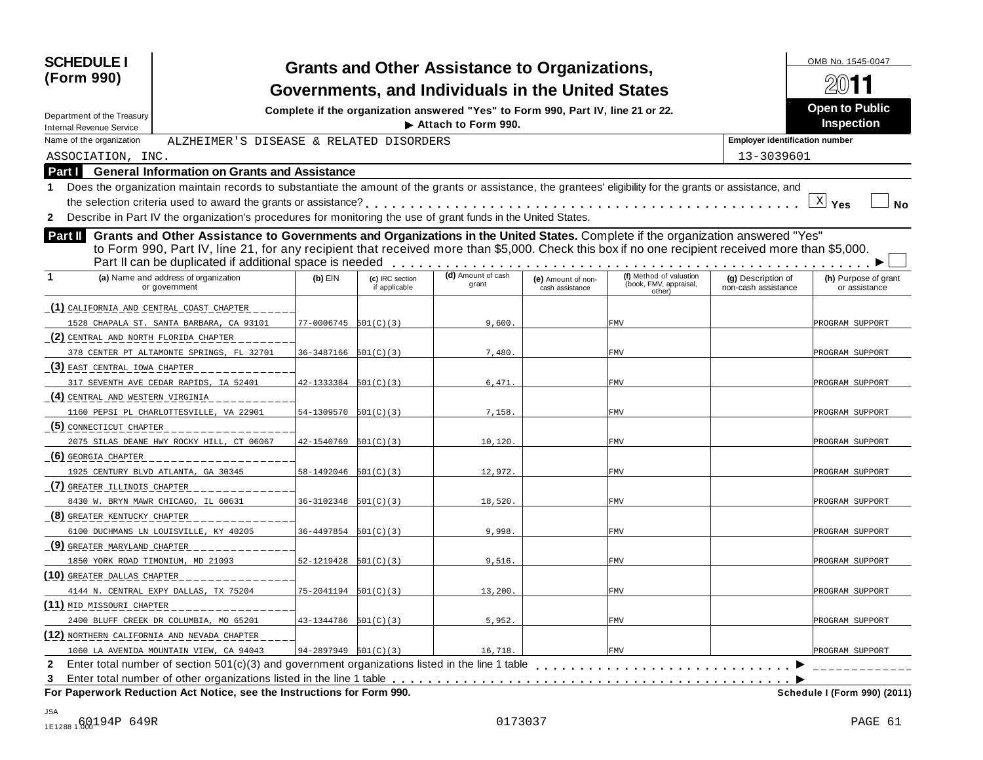| <b>SCHEDULE I</b><br>(Form 990)                                                                                                                                                                                                                                                                                                                          |                            |                                  | <b>Grants and Other Assistance to Organizations,</b><br>Governments, and Individuals in the United States |                                       |                                                             |                                           | OMB No. 1545-0047                          |
|----------------------------------------------------------------------------------------------------------------------------------------------------------------------------------------------------------------------------------------------------------------------------------------------------------------------------------------------------------|----------------------------|----------------------------------|-----------------------------------------------------------------------------------------------------------|---------------------------------------|-------------------------------------------------------------|-------------------------------------------|--------------------------------------------|
| Department of the Treasury<br><b>Internal Revenue Service</b>                                                                                                                                                                                                                                                                                            |                            |                                  | Complete if the organization answered "Yes" to Form 990, Part IV, line 21 or 22.<br>Attach to Form 990.   |                                       |                                                             |                                           | <b>Open to Public</b><br><b>Inspection</b> |
| Name of the organization<br>ALZHEIMER'S DISEASE & RELATED DISORDERS                                                                                                                                                                                                                                                                                      |                            |                                  |                                                                                                           |                                       |                                                             | <b>Employer identification number</b>     |                                            |
| ASSOCIATION, INC.                                                                                                                                                                                                                                                                                                                                        |                            |                                  |                                                                                                           |                                       |                                                             | 13-3039601                                |                                            |
| <b>General Information on Grants and Assistance</b><br>Part I                                                                                                                                                                                                                                                                                            |                            |                                  |                                                                                                           |                                       |                                                             |                                           |                                            |
| Does the organization maintain records to substantiate the amount of the grants or assistance, the grantees' eligibility for the grants or assistance, and                                                                                                                                                                                               |                            |                                  |                                                                                                           |                                       |                                                             |                                           |                                            |
| the selection criteria used to award the grants or assistance?                                                                                                                                                                                                                                                                                           |                            |                                  |                                                                                                           |                                       |                                                             |                                           | $\underline{X}$ Yes<br><b>No</b>           |
| Describe in Part IV the organization's procedures for monitoring the use of grant funds in the United States.<br>$\mathbf{2}$                                                                                                                                                                                                                            |                            |                                  |                                                                                                           |                                       |                                                             |                                           |                                            |
| Grants and Other Assistance to Governments and Organizations in the United States. Complete if the organization answered "Yes"<br>Part II<br>to Form 990, Part IV, line 21, for any recipient that received more than \$5,000. Check this box if no one recipient received more than \$5,000.<br>Part II can be duplicated if additional space is needed |                            |                                  |                                                                                                           |                                       |                                                             |                                           |                                            |
| (a) Name and address of organization<br>or government                                                                                                                                                                                                                                                                                                    | $(b)$ EIN                  | (c) IRC section<br>if applicable | (d) Amount of cash<br>grant                                                                               | (e) Amount of non-<br>cash assistance | (f) Method of valuation<br>(book, FMV, appraisal,<br>other) | (g) Description of<br>non-cash assistance | (h) Purpose of grant<br>or assistance      |
| (1) CALIFORNIA AND CENTRAL COAST CHAPTER                                                                                                                                                                                                                                                                                                                 |                            |                                  |                                                                                                           |                                       |                                                             |                                           |                                            |
| 1528 CHAPALA ST. SANTA BARBARA, CA 93101                                                                                                                                                                                                                                                                                                                 | $77-0006745$ $501(C)(3)$   |                                  | 9,600                                                                                                     |                                       | <b>FMV</b>                                                  |                                           | PROGRAM SUPPORT                            |
| (2) CENTRAL AND NORTH FLORIDA CHAPTER                                                                                                                                                                                                                                                                                                                    |                            |                                  |                                                                                                           |                                       |                                                             |                                           |                                            |
| 378 CENTER PT ALTAMONTE SPRINGS, FL 32701                                                                                                                                                                                                                                                                                                                | $36-3487166$ $501(C)(3)$   |                                  | 7,480                                                                                                     |                                       | FMV                                                         |                                           | PROGRAM SUPPORT                            |
| (3) EAST CENTRAL IOWA CHAPTER                                                                                                                                                                                                                                                                                                                            |                            |                                  |                                                                                                           |                                       |                                                             |                                           |                                            |
| 317 SEVENTH AVE CEDAR RAPIDS, IA 52401                                                                                                                                                                                                                                                                                                                   | $42 - 1333384$ $501(C)(3)$ |                                  | 6,471                                                                                                     |                                       | FMV                                                         |                                           | PROGRAM SUPPORT                            |
| (4) CENTRAL AND WESTERN VIRGINIA                                                                                                                                                                                                                                                                                                                         |                            |                                  |                                                                                                           |                                       |                                                             |                                           |                                            |
| 1160 PEPSI PL CHARLOTTESVILLE, VA 22901                                                                                                                                                                                                                                                                                                                  | $54-1309570$ $501(C)(3)$   |                                  | 7,158                                                                                                     |                                       | FMV                                                         |                                           | PROGRAM SUPPORT                            |
| (5) CONNECTICUT CHAPTER                                                                                                                                                                                                                                                                                                                                  |                            |                                  |                                                                                                           |                                       |                                                             |                                           |                                            |
| 2075 SILAS DEANE HWY ROCKY HILL, CT 06067                                                                                                                                                                                                                                                                                                                | 42-1540769                 | 501(C)(3)                        | 10,120                                                                                                    |                                       | FMV                                                         |                                           | PROGRAM SUPPORT                            |
| (6) GEORGIA CHAPTER                                                                                                                                                                                                                                                                                                                                      |                            |                                  |                                                                                                           |                                       |                                                             |                                           |                                            |
| 1925 CENTURY BLVD ATLANTA, GA 30345                                                                                                                                                                                                                                                                                                                      | $58-1492046$ $501(C)(3)$   |                                  | 12,972.                                                                                                   |                                       | FMV                                                         |                                           | PROGRAM SUPPORT                            |
| (7) GREATER ILLINOIS CHAPTER                                                                                                                                                                                                                                                                                                                             |                            |                                  |                                                                                                           |                                       |                                                             |                                           |                                            |
| 8430 W. BRYN MAWR CHICAGO, IL 60631                                                                                                                                                                                                                                                                                                                      | $36-3102348$ $501(C)(3)$   |                                  | 18,520                                                                                                    |                                       | FMV                                                         |                                           | PROGRAM SUPPORT                            |
| (8) GREATER KENTUCKY CHAPTER                                                                                                                                                                                                                                                                                                                             |                            |                                  |                                                                                                           |                                       |                                                             |                                           |                                            |
| 6100 DUCHMANS LN LOUISVILLE, KY 40205                                                                                                                                                                                                                                                                                                                    | $36 - 4497854$ $501(C)(3)$ |                                  | 9,998                                                                                                     |                                       | FMV                                                         |                                           | PROGRAM SUPPORT                            |
| (9) GREATER MARYLAND CHAPTER                                                                                                                                                                                                                                                                                                                             |                            |                                  |                                                                                                           |                                       |                                                             |                                           |                                            |
| 1850 YORK ROAD TIMONIUM, MD 21093                                                                                                                                                                                                                                                                                                                        | $52 - 1219428$ $501(C)(3)$ |                                  | 9,516                                                                                                     |                                       | FMV                                                         |                                           | PROGRAM SUPPORT                            |
| (10) GREATER DALLAS CHAPTER                                                                                                                                                                                                                                                                                                                              |                            |                                  |                                                                                                           |                                       |                                                             |                                           |                                            |
| 4144 N. CENTRAL EXPY DALLAS, TX 75204                                                                                                                                                                                                                                                                                                                    | $75 - 2041194$ $501(C)(3)$ |                                  | 13,200                                                                                                    |                                       | FMV                                                         |                                           | PROGRAM SUPPORT                            |
| (11) MID_MISSOURI_CHAPTER                                                                                                                                                                                                                                                                                                                                |                            |                                  |                                                                                                           |                                       |                                                             |                                           |                                            |
| 2400 BLUFF CREEK DR COLUMBIA, MO 65201                                                                                                                                                                                                                                                                                                                   | $43-1344786$ $501(C)(3)$   |                                  | 5,952.                                                                                                    |                                       | FMV                                                         |                                           | PROGRAM SUPPORT                            |
| (12) NORTHERN CALIFORNIA AND NEVADA CHAPTER                                                                                                                                                                                                                                                                                                              |                            |                                  |                                                                                                           |                                       |                                                             |                                           |                                            |
| 1060 LA AVENIDA MOUNTAIN VIEW, CA 94043                                                                                                                                                                                                                                                                                                                  | $94-2897949$ $501(C)(3)$   |                                  | 16,718.                                                                                                   |                                       | <b>FMV</b>                                                  |                                           | PROGRAM SUPPORT                            |
| Enter total number of section 501(c)(3) and government organizations listed in the line 1 table<br>$\mathbf{2}$                                                                                                                                                                                                                                          |                            |                                  |                                                                                                           |                                       |                                                             |                                           |                                            |
| 3<br>For Paperwork Reduction Act Notice, see the Instructions for Form 990.                                                                                                                                                                                                                                                                              |                            |                                  |                                                                                                           |                                       |                                                             |                                           | Schedule I (Form 990) (2011)               |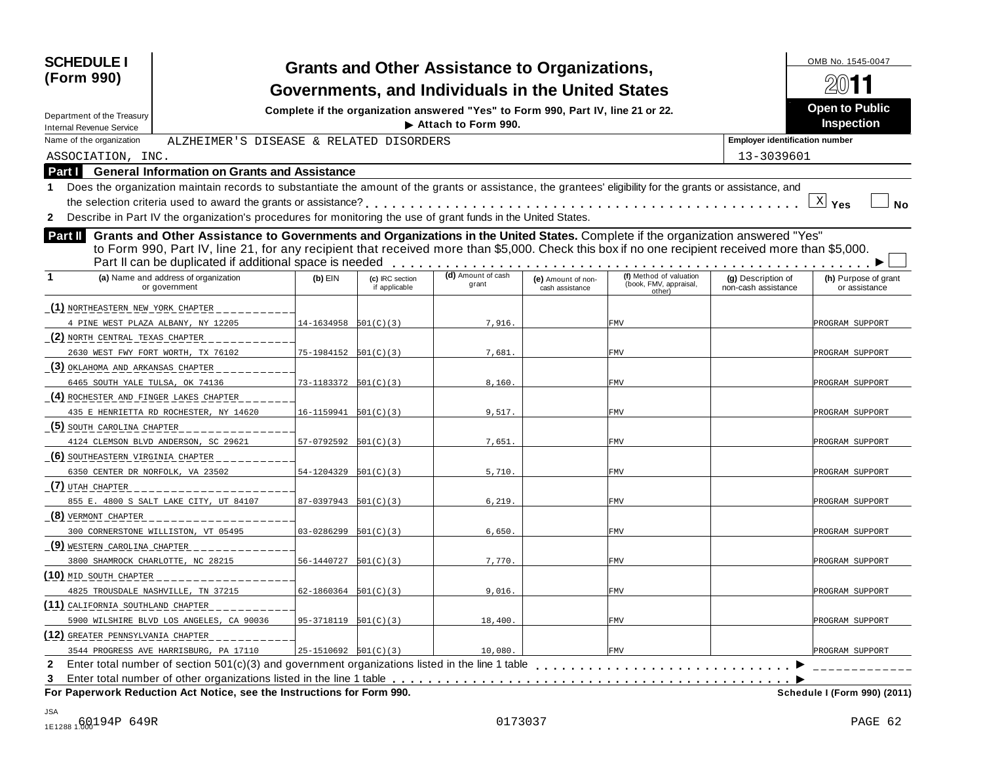| <b>SCHEDULE I</b><br>(Form 990)<br>Department of the Treasury<br><b>Internal Revenue Service</b>                                                                                                                                                                                                                                                                |                            |                                  | <b>Grants and Other Assistance to Organizations,</b><br>Governments, and Individuals in the United States<br>Complete if the organization answered "Yes" to Form 990, Part IV, line 21 or 22.<br>Attach to Form 990. |                                       |                                                             |                                           | OMB No. 1545-0047<br><b>Open to Public</b><br><b>Inspection</b> |
|-----------------------------------------------------------------------------------------------------------------------------------------------------------------------------------------------------------------------------------------------------------------------------------------------------------------------------------------------------------------|----------------------------|----------------------------------|----------------------------------------------------------------------------------------------------------------------------------------------------------------------------------------------------------------------|---------------------------------------|-------------------------------------------------------------|-------------------------------------------|-----------------------------------------------------------------|
| Name of the organization<br>ALZHEIMER'S DISEASE & RELATED DISORDERS                                                                                                                                                                                                                                                                                             |                            |                                  |                                                                                                                                                                                                                      |                                       |                                                             | <b>Employer identification number</b>     |                                                                 |
| ASSOCIATION, INC.                                                                                                                                                                                                                                                                                                                                               |                            |                                  |                                                                                                                                                                                                                      |                                       |                                                             | 13-3039601                                |                                                                 |
| <b>General Information on Grants and Assistance</b><br><b>Part I</b>                                                                                                                                                                                                                                                                                            |                            |                                  |                                                                                                                                                                                                                      |                                       |                                                             |                                           |                                                                 |
| Does the organization maintain records to substantiate the amount of the grants or assistance, the grantees' eligibility for the grants or assistance, and                                                                                                                                                                                                      |                            |                                  |                                                                                                                                                                                                                      |                                       |                                                             |                                           |                                                                 |
|                                                                                                                                                                                                                                                                                                                                                                 |                            |                                  |                                                                                                                                                                                                                      |                                       |                                                             |                                           | $\mathbb{X}$ Yes<br>No                                          |
| 2 Describe in Part IV the organization's procedures for monitoring the use of grant funds in the United States.                                                                                                                                                                                                                                                 |                            |                                  |                                                                                                                                                                                                                      |                                       |                                                             |                                           |                                                                 |
| Grants and Other Assistance to Governments and Organizations in the United States. Complete if the organization answered "Yes"<br><b>Part II</b><br>to Form 990, Part IV, line 21, for any recipient that received more than \$5,000. Check this box if no one recipient received more than \$5,000.<br>Part II can be duplicated if additional space is needed |                            |                                  | .<br>(d) Amount of cash                                                                                                                                                                                              |                                       |                                                             |                                           |                                                                 |
| (a) Name and address of organization<br>or government                                                                                                                                                                                                                                                                                                           | $(b)$ EIN                  | (c) IRC section<br>if applicable | grant                                                                                                                                                                                                                | (e) Amount of non-<br>cash assistance | (f) Method of valuation<br>(book, FMV, appraisal,<br>other) | (g) Description of<br>non-cash assistance | (h) Purpose of grant<br>or assistance                           |
| (1) NORTHEASTERN NEW YORK CHAPTER                                                                                                                                                                                                                                                                                                                               |                            |                                  |                                                                                                                                                                                                                      |                                       |                                                             |                                           |                                                                 |
| 4 PINE WEST PLAZA ALBANY, NY 12205                                                                                                                                                                                                                                                                                                                              | $14-1634958$ $501(C)(3)$   |                                  | 7,916.                                                                                                                                                                                                               |                                       | FMV                                                         |                                           | PROGRAM SUPPORT                                                 |
| (2) NORTH CENTRAL TEXAS CHAPTER                                                                                                                                                                                                                                                                                                                                 |                            |                                  |                                                                                                                                                                                                                      |                                       |                                                             |                                           |                                                                 |
| 2630 WEST FWY FORT WORTH, TX 76102                                                                                                                                                                                                                                                                                                                              | $75-1984152$ $501(C)(3)$   |                                  | 7,681                                                                                                                                                                                                                |                                       | FMV                                                         |                                           | PROGRAM SUPPORT                                                 |
| (3) OKLAHOMA AND ARKANSAS CHAPTER                                                                                                                                                                                                                                                                                                                               |                            |                                  |                                                                                                                                                                                                                      |                                       |                                                             |                                           |                                                                 |
| 6465 SOUTH YALE TULSA, OK 74136                                                                                                                                                                                                                                                                                                                                 | 73-1183372 501(C)(3)       |                                  | 8,160.                                                                                                                                                                                                               |                                       | FMV                                                         |                                           | PROGRAM SUPPORT                                                 |
| (4) ROCHESTER AND FINGER LAKES CHAPTER                                                                                                                                                                                                                                                                                                                          |                            |                                  |                                                                                                                                                                                                                      |                                       |                                                             |                                           |                                                                 |
| 435 E HENRIETTA RD ROCHESTER, NY 14620                                                                                                                                                                                                                                                                                                                          | 16-1159941 501(C)(3)       |                                  | 9,517.                                                                                                                                                                                                               |                                       | FMV                                                         |                                           | PROGRAM SUPPORT                                                 |
| (5) SOUTH CAROLINA CHAPTER                                                                                                                                                                                                                                                                                                                                      |                            |                                  |                                                                                                                                                                                                                      |                                       |                                                             |                                           |                                                                 |
| 4124 CLEMSON BLVD ANDERSON, SC 29621                                                                                                                                                                                                                                                                                                                            | $57-0792592$ $501(C)(3)$   |                                  | 7,651                                                                                                                                                                                                                |                                       | FMV                                                         |                                           | PROGRAM SUPPORT                                                 |
| (6) SOUTHEASTERN VIRGINIA CHAPTER                                                                                                                                                                                                                                                                                                                               |                            |                                  |                                                                                                                                                                                                                      |                                       |                                                             |                                           |                                                                 |
| 6350 CENTER DR NORFOLK, VA 23502                                                                                                                                                                                                                                                                                                                                | 54-1204329                 | 501(C)(3)                        | 5,710.                                                                                                                                                                                                               |                                       | FMV                                                         |                                           | PROGRAM SUPPORT                                                 |
| (7) UTAH CHAPTER                                                                                                                                                                                                                                                                                                                                                |                            |                                  |                                                                                                                                                                                                                      |                                       |                                                             |                                           |                                                                 |
| 855 E. 4800 S SALT LAKE CITY, UT 84107                                                                                                                                                                                                                                                                                                                          | $87-0397943$ $501(C)(3)$   |                                  | 6,219                                                                                                                                                                                                                |                                       | FMV                                                         |                                           | PROGRAM SUPPORT                                                 |
| (8) VERMONT CHAPTER                                                                                                                                                                                                                                                                                                                                             |                            |                                  |                                                                                                                                                                                                                      |                                       |                                                             |                                           |                                                                 |
| 300 CORNERSTONE WILLISTON, VT 05495                                                                                                                                                                                                                                                                                                                             | 03-0286299                 | 501(C)(3)                        | 6,650                                                                                                                                                                                                                |                                       | FMV                                                         |                                           | PROGRAM SUPPORT                                                 |
| (9) WESTERN CAROLINA CHAPTER                                                                                                                                                                                                                                                                                                                                    |                            |                                  |                                                                                                                                                                                                                      |                                       |                                                             |                                           |                                                                 |
| 3800 SHAMROCK CHARLOTTE, NC 28215                                                                                                                                                                                                                                                                                                                               | $56 - 1440727$ $501(C)(3)$ |                                  | 7,770.                                                                                                                                                                                                               |                                       | FMV                                                         |                                           | PROGRAM SUPPORT                                                 |
| (10) mid south chapter                                                                                                                                                                                                                                                                                                                                          |                            |                                  |                                                                                                                                                                                                                      |                                       |                                                             |                                           |                                                                 |
| 4825 TROUSDALE NASHVILLE, TN 37215                                                                                                                                                                                                                                                                                                                              | $62 - 1860364$ $501(C)(3)$ |                                  | 9,016.                                                                                                                                                                                                               |                                       | FMV                                                         |                                           | PROGRAM SUPPORT                                                 |
| (11) CALIFORNIA SOUTHLAND CHAPTER                                                                                                                                                                                                                                                                                                                               |                            |                                  |                                                                                                                                                                                                                      |                                       |                                                             |                                           |                                                                 |
| 5900 WILSHIRE BLVD LOS ANGELES, CA 90036                                                                                                                                                                                                                                                                                                                        | $95-3718119$ $501(C)(3)$   |                                  | 18,400.                                                                                                                                                                                                              |                                       | FMV                                                         |                                           | PROGRAM SUPPORT                                                 |
| (12) GREATER PENNSYLVANIA CHAPTER                                                                                                                                                                                                                                                                                                                               |                            |                                  |                                                                                                                                                                                                                      |                                       |                                                             |                                           |                                                                 |
| 3544 PROGRESS AVE HARRISBURG, PA 17110                                                                                                                                                                                                                                                                                                                          | $25-1510692$ $501(C)(3)$   |                                  | 10,080.                                                                                                                                                                                                              |                                       | FMV                                                         |                                           | PROGRAM SUPPORT                                                 |
| 2 Enter total number of section $501(c)(3)$ and government organizations listed in the line 1 table                                                                                                                                                                                                                                                             |                            |                                  |                                                                                                                                                                                                                      |                                       |                                                             |                                           |                                                                 |
| 3<br>For Paperwork Reduction Act Notice, see the Instructions for Form 990.                                                                                                                                                                                                                                                                                     |                            |                                  |                                                                                                                                                                                                                      |                                       |                                                             |                                           | Schedule I (Form 990) (2011)                                    |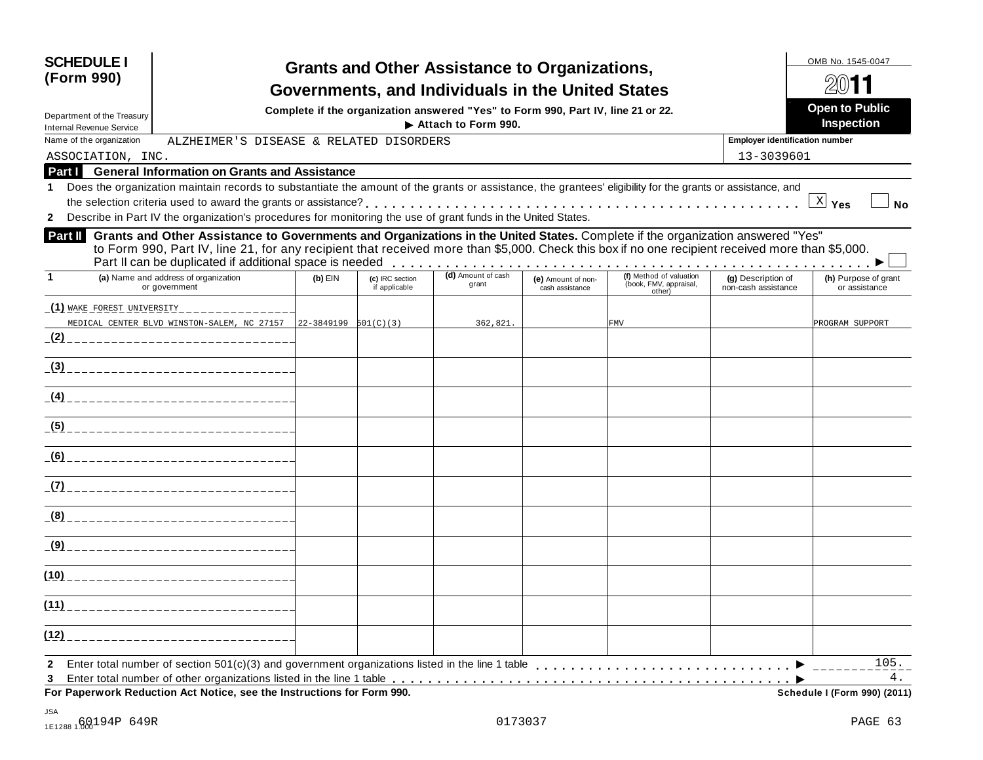| <b>SCHEDULE I</b><br>(Form 990)                                                                                                                                                                                                                                                                                                                                 |           |                                  | <b>Grants and Other Assistance to Organizations,</b><br>Governments, and Individuals in the United States<br>Complete if the organization answered "Yes" to Form 990, Part IV, line 21 or 22. |                                       |                                                             |                                           | OMB No. 1545-0047<br><b>Open to Public</b> |
|-----------------------------------------------------------------------------------------------------------------------------------------------------------------------------------------------------------------------------------------------------------------------------------------------------------------------------------------------------------------|-----------|----------------------------------|-----------------------------------------------------------------------------------------------------------------------------------------------------------------------------------------------|---------------------------------------|-------------------------------------------------------------|-------------------------------------------|--------------------------------------------|
| Department of the Treasury<br><b>Internal Revenue Service</b>                                                                                                                                                                                                                                                                                                   |           |                                  | Attach to Form 990.                                                                                                                                                                           |                                       |                                                             |                                           | <b>Inspection</b>                          |
| Name of the organization<br>ALZHEIMER'S DISEASE & RELATED DISORDERS                                                                                                                                                                                                                                                                                             |           |                                  |                                                                                                                                                                                               |                                       |                                                             | <b>Employer identification number</b>     |                                            |
| ASSOCIATION, INC.                                                                                                                                                                                                                                                                                                                                               |           |                                  |                                                                                                                                                                                               |                                       |                                                             | 13-3039601                                |                                            |
| <b>Part   General Information on Grants and Assistance</b>                                                                                                                                                                                                                                                                                                      |           |                                  |                                                                                                                                                                                               |                                       |                                                             |                                           |                                            |
| Does the organization maintain records to substantiate the amount of the grants or assistance, the grantees' eligibility for the grants or assistance, and<br>Describe in Part IV the organization's procedures for monitoring the use of grant funds in the United States.<br>$\mathbf{2}$                                                                     |           |                                  |                                                                                                                                                                                               |                                       |                                                             |                                           | $\mathbb{X}$ Yes<br>No                     |
| Grants and Other Assistance to Governments and Organizations in the United States. Complete if the organization answered "Yes"<br><b>Part II</b><br>to Form 990, Part IV, line 21, for any recipient that received more than \$5,000. Check this box if no one recipient received more than \$5,000.<br>Part II can be duplicated if additional space is needed |           |                                  |                                                                                                                                                                                               |                                       |                                                             |                                           |                                            |
| (a) Name and address of organization<br>1<br>or government                                                                                                                                                                                                                                                                                                      | $(b)$ EIN | (c) IRC section<br>if applicable | (d) Amount of cash<br>grant                                                                                                                                                                   | (e) Amount of non-<br>cash assistance | (f) Method of valuation<br>(book, FMV, appraisal,<br>other) | (g) Description of<br>non-cash assistance | (h) Purpose of grant<br>or assistance      |
| (1) WAKE FOREST UNIVERSITY                                                                                                                                                                                                                                                                                                                                      |           |                                  |                                                                                                                                                                                               |                                       |                                                             |                                           |                                            |
| MEDICAL CENTER BLVD WINSTON-SALEM, NC 27157 22-3849199 501(C)(3)                                                                                                                                                                                                                                                                                                |           |                                  | 362,821.                                                                                                                                                                                      |                                       | FMV                                                         |                                           | PROGRAM SUPPORT                            |
|                                                                                                                                                                                                                                                                                                                                                                 |           |                                  |                                                                                                                                                                                               |                                       |                                                             |                                           |                                            |
| _(3) __________________________                                                                                                                                                                                                                                                                                                                                 |           |                                  |                                                                                                                                                                                               |                                       |                                                             |                                           |                                            |
|                                                                                                                                                                                                                                                                                                                                                                 |           |                                  |                                                                                                                                                                                               |                                       |                                                             |                                           |                                            |
|                                                                                                                                                                                                                                                                                                                                                                 |           |                                  |                                                                                                                                                                                               |                                       |                                                             |                                           |                                            |
| (6)                                                                                                                                                                                                                                                                                                                                                             |           |                                  |                                                                                                                                                                                               |                                       |                                                             |                                           |                                            |
|                                                                                                                                                                                                                                                                                                                                                                 |           |                                  |                                                                                                                                                                                               |                                       |                                                             |                                           |                                            |
| (8)                                                                                                                                                                                                                                                                                                                                                             |           |                                  |                                                                                                                                                                                               |                                       |                                                             |                                           |                                            |
| (9)<br>_____________________                                                                                                                                                                                                                                                                                                                                    |           |                                  |                                                                                                                                                                                               |                                       |                                                             |                                           |                                            |
| (10)                                                                                                                                                                                                                                                                                                                                                            |           |                                  |                                                                                                                                                                                               |                                       |                                                             |                                           |                                            |
| (11)<br>_______________________                                                                                                                                                                                                                                                                                                                                 |           |                                  |                                                                                                                                                                                               |                                       |                                                             |                                           |                                            |
| (12)                                                                                                                                                                                                                                                                                                                                                            |           |                                  |                                                                                                                                                                                               |                                       |                                                             |                                           |                                            |
| Enter total number of section 501(c)(3) and government organizations listed in the line 1 table<br>$\mathbf{2}$<br>3<br>For Paperwork Reduction Act Notice, see the Instructions for Form 990.                                                                                                                                                                  |           |                                  |                                                                                                                                                                                               |                                       |                                                             |                                           | 105.<br>4.<br>Schedule I (Form 990) (2011) |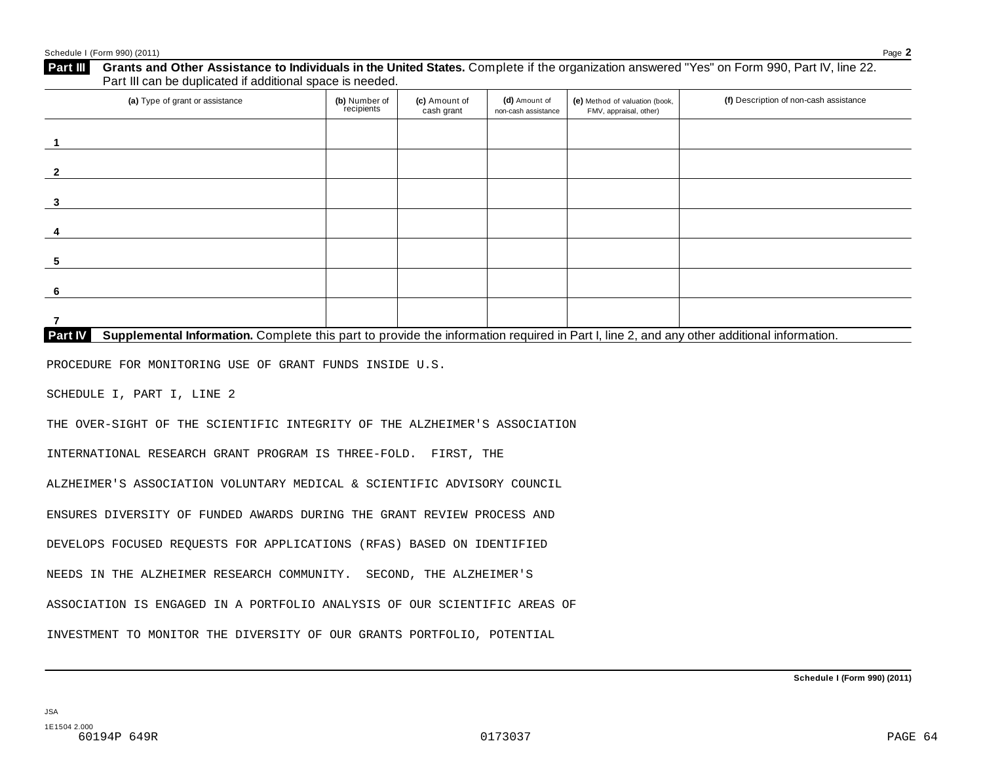| (a) Type of grant or assistance                                                                                                                      | (b) Number of<br>recipients | (c) Amount of<br>cash grant | (d) Amount of<br>non-cash assistance | (e) Method of valuation (book,<br>FMV, appraisal, other) | (f) Description of non-cash assistance |
|------------------------------------------------------------------------------------------------------------------------------------------------------|-----------------------------|-----------------------------|--------------------------------------|----------------------------------------------------------|----------------------------------------|
| $\mathbf 1$                                                                                                                                          |                             |                             |                                      |                                                          |                                        |
| $\overline{2}$                                                                                                                                       |                             |                             |                                      |                                                          |                                        |
| 3                                                                                                                                                    |                             |                             |                                      |                                                          |                                        |
| 4                                                                                                                                                    |                             |                             |                                      |                                                          |                                        |
| 5                                                                                                                                                    |                             |                             |                                      |                                                          |                                        |
| 6                                                                                                                                                    |                             |                             |                                      |                                                          |                                        |
| $\overline{7}$                                                                                                                                       |                             |                             |                                      |                                                          |                                        |
| Supplemental Information. Complete this part to provide the information required in Part I, line 2, and any other additional information.<br>Part IV |                             |                             |                                      |                                                          |                                        |
| PROCEDURE FOR MONITORING USE OF GRANT FUNDS INSIDE U.S.                                                                                              |                             |                             |                                      |                                                          |                                        |
| SCHEDULE I, PART I, LINE 2                                                                                                                           |                             |                             |                                      |                                                          |                                        |
| THE OVER-SIGHT OF THE SCIENTIFIC INTEGRITY OF THE ALZHEIMER'S ASSOCIATION                                                                            |                             |                             |                                      |                                                          |                                        |
| INTERNATIONAL RESEARCH GRANT PROGRAM IS THREE-FOLD. FIRST, THE                                                                                       |                             |                             |                                      |                                                          |                                        |
| ALZHEIMER'S ASSOCIATION VOLUNTARY MEDICAL & SCIENTIFIC ADVISORY COUNCIL                                                                              |                             |                             |                                      |                                                          |                                        |
| ENSURES DIVERSITY OF FUNDED AWARDS DURING THE GRANT REVIEW PROCESS AND                                                                               |                             |                             |                                      |                                                          |                                        |
|                                                                                                                                                      |                             |                             |                                      |                                                          |                                        |
|                                                                                                                                                      |                             |                             |                                      |                                                          |                                        |
| DEVELOPS FOCUSED REQUESTS FOR APPLICATIONS (RFAS) BASED ON IDENTIFIED<br>NEEDS IN THE ALZHEIMER RESEARCH COMMUNITY. SECOND, THE ALZHEIMER'S          |                             |                             |                                      |                                                          |                                        |
| ASSOCIATION IS ENGAGED IN A PORTFOLIO ANALYSIS OF OUR SCIENTIFIC AREAS OF                                                                            |                             |                             |                                      |                                                          |                                        |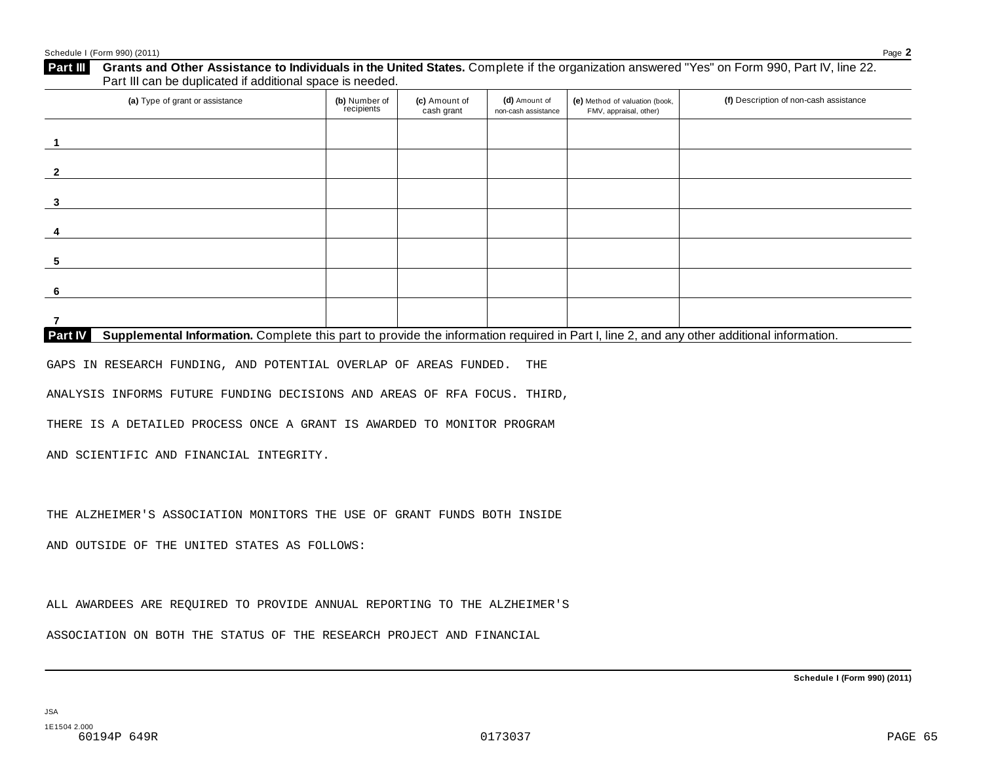| (a) Type of grant or assistance                                                                                                                             | (b) Number of<br>recipients | (c) Amount of<br>cash grant | (d) Amount of<br>non-cash assistance | (e) Method of valuation (book,<br>FMV, appraisal, other) | (f) Description of non-cash assistance |
|-------------------------------------------------------------------------------------------------------------------------------------------------------------|-----------------------------|-----------------------------|--------------------------------------|----------------------------------------------------------|----------------------------------------|
|                                                                                                                                                             |                             |                             |                                      |                                                          |                                        |
|                                                                                                                                                             |                             |                             |                                      |                                                          |                                        |
|                                                                                                                                                             |                             |                             |                                      |                                                          |                                        |
|                                                                                                                                                             |                             |                             |                                      |                                                          |                                        |
|                                                                                                                                                             |                             |                             |                                      |                                                          |                                        |
|                                                                                                                                                             |                             |                             |                                      |                                                          |                                        |
|                                                                                                                                                             |                             |                             |                                      |                                                          |                                        |
| <b>Part IV</b><br>Supplemental Information. Complete this part to provide the information required in Part I, line 2, and any other additional information. |                             |                             |                                      |                                                          |                                        |

GAPS IN RESEARCH FUNDING, AND POTENTIAL OVERLAP OF AREAS FUNDED. THE

ANALYSIS INFORMS FUTURE FUNDING DECISIONS AND AREAS OF RFA FOCUS. THIRD,

THERE IS A DETAILED PROCESS ONCE A GRANT IS AWARDED TO MONITOR PROGRAM

AND SCIENTIFIC AND FINANCIAL INTEGRITY.

THE ALZHEIMER'S ASSOCIATION MONITORS THE USE OF GRANT FUNDS BOTH INSIDE

AND OUTSIDE OF THE UNITED STATES AS FOLLOWS:

ALL AWARDEES ARE REQUIRED TO PROVIDE ANNUAL REPORTING TO THE ALZHEIMER'S

ASSOCIATION ON BOTH THE STATUS OF THE RESEARCH PROJECT AND FINANCIAL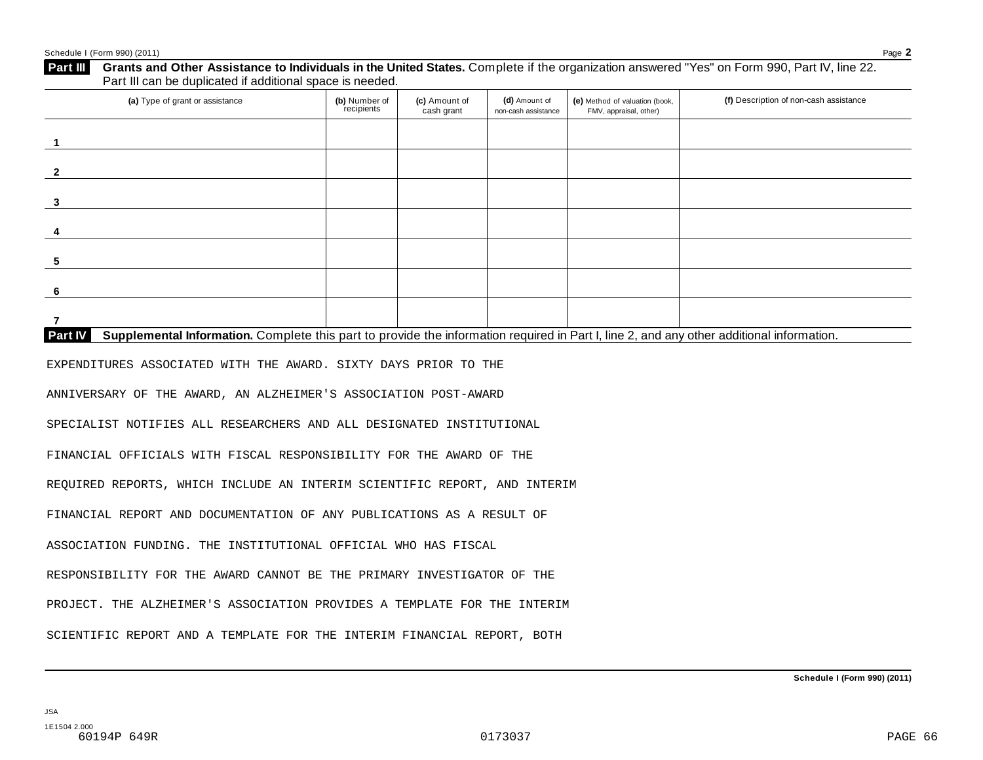| $\mathbf{1}$<br>$\overline{2}$<br>3<br>4<br>5<br>6                                                                                                   |  |
|------------------------------------------------------------------------------------------------------------------------------------------------------|--|
|                                                                                                                                                      |  |
|                                                                                                                                                      |  |
|                                                                                                                                                      |  |
|                                                                                                                                                      |  |
|                                                                                                                                                      |  |
|                                                                                                                                                      |  |
| $\overline{7}$                                                                                                                                       |  |
| Supplemental Information. Complete this part to provide the information required in Part I, line 2, and any other additional information.<br>Part IV |  |
| EXPENDITURES ASSOCIATED WITH THE AWARD. SIXTY DAYS PRIOR TO THE                                                                                      |  |
| ANNIVERSARY OF THE AWARD, AN ALZHEIMER'S ASSOCIATION POST-AWARD                                                                                      |  |
| SPECIALIST NOTIFIES ALL RESEARCHERS AND ALL DESIGNATED INSTITUTIONAL                                                                                 |  |
| FINANCIAL OFFICIALS WITH FISCAL RESPONSIBILITY FOR THE AWARD OF THE                                                                                  |  |
| REQUIRED REPORTS, WHICH INCLUDE AN INTERIM SCIENTIFIC REPORT, AND INTERIM                                                                            |  |
| FINANCIAL REPORT AND DOCUMENTATION OF ANY PUBLICATIONS AS A RESULT OF                                                                                |  |
| ASSOCIATION FUNDING. THE INSTITUTIONAL OFFICIAL WHO HAS FISCAL                                                                                       |  |
| RESPONSIBILITY FOR THE AWARD CANNOT BE THE PRIMARY INVESTIGATOR OF THE                                                                               |  |
| PROJECT. THE ALZHEIMER'S ASSOCIATION PROVIDES A TEMPLATE FOR THE INTERIM                                                                             |  |
| SCIENTIFIC REPORT AND A TEMPLATE FOR THE INTERIM FINANCIAL REPORT, BOTH                                                                              |  |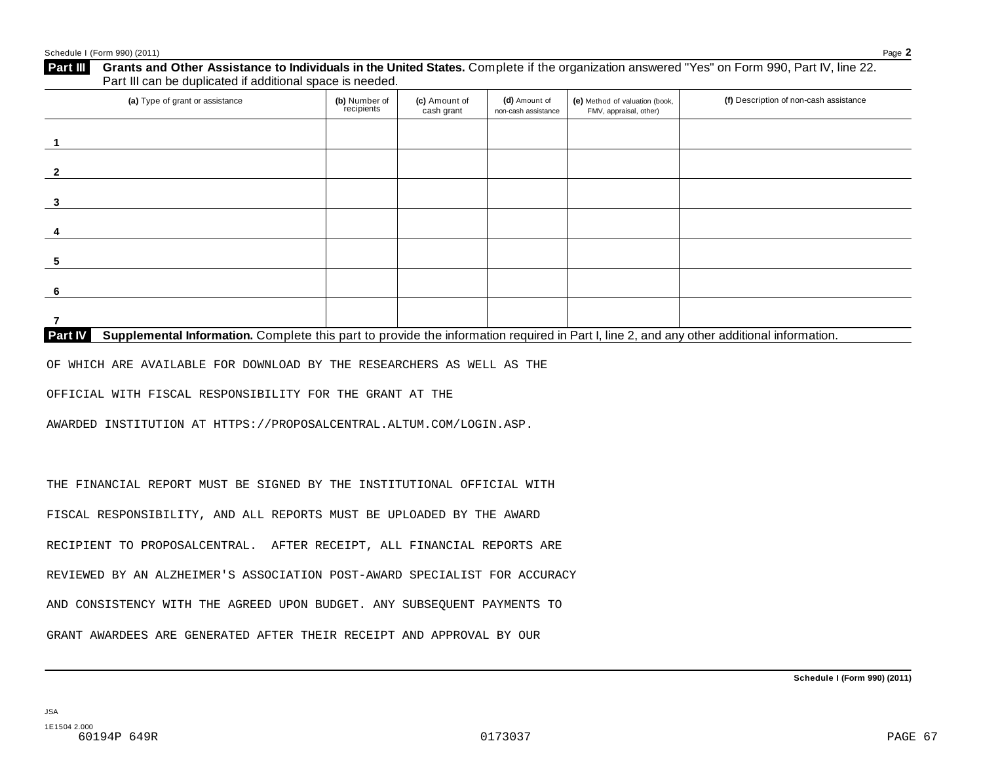| Schedule I (Form 990) (2011)                                                                                                                                                                                         |                             |                             |                                      |                                                          | Page 2                                 |
|----------------------------------------------------------------------------------------------------------------------------------------------------------------------------------------------------------------------|-----------------------------|-----------------------------|--------------------------------------|----------------------------------------------------------|----------------------------------------|
| Grants and Other Assistance to Individuals in the United States. Complete if the organization answered "Yes" on Form 990, Part IV, line 22.<br>Part III<br>Part III can be duplicated if additional space is needed. |                             |                             |                                      |                                                          |                                        |
| (a) Type of grant or assistance                                                                                                                                                                                      | (b) Number of<br>recipients | (c) Amount of<br>cash grant | (d) Amount of<br>non-cash assistance | (e) Method of valuation (book,<br>FMV, appraisal, other) | (f) Description of non-cash assistance |
| $\overline{1}$                                                                                                                                                                                                       |                             |                             |                                      |                                                          |                                        |
| $\mathbf{2}$                                                                                                                                                                                                         |                             |                             |                                      |                                                          |                                        |
| 3                                                                                                                                                                                                                    |                             |                             |                                      |                                                          |                                        |
|                                                                                                                                                                                                                      |                             |                             |                                      |                                                          |                                        |
| 5                                                                                                                                                                                                                    |                             |                             |                                      |                                                          |                                        |
| 6                                                                                                                                                                                                                    |                             |                             |                                      |                                                          |                                        |
| 7                                                                                                                                                                                                                    |                             |                             |                                      |                                                          |                                        |
| Supplemental Information. Complete this part to provide the information required in Part I, line 2, and any other additional information.<br>Part IV                                                                 |                             |                             |                                      |                                                          |                                        |
| OF WHICH ARE AVAILABLE FOR DOWNLOAD BY THE RESEARCHERS AS WELL AS THE                                                                                                                                                |                             |                             |                                      |                                                          |                                        |
| OFFICIAL WITH FISCAL RESPONSIBILITY FOR THE GRANT AT THE                                                                                                                                                             |                             |                             |                                      |                                                          |                                        |
| AWARDED INSTITUTION AT HTTPS://PROPOSALCENTRAL.ALTUM.COM/LOGIN.ASP.                                                                                                                                                  |                             |                             |                                      |                                                          |                                        |
|                                                                                                                                                                                                                      |                             |                             |                                      |                                                          |                                        |
| THE FINANCIAL REPORT MUST BE SIGNED BY THE INSTITUTIONAL OFFICIAL WITH                                                                                                                                               |                             |                             |                                      |                                                          |                                        |
| FISCAL RESPONSIBILITY, AND ALL REPORTS MUST BE UPLOADED BY THE AWARD                                                                                                                                                 |                             |                             |                                      |                                                          |                                        |
| RECIPIENT TO PROPOSALCENTRAL. AFTER RECEIPT, ALL FINANCIAL REPORTS ARE                                                                                                                                               |                             |                             |                                      |                                                          |                                        |
| REVIEWED BY AN ALZHEIMER'S ASSOCIATION POST-AWARD SPECIALIST FOR ACCURACY                                                                                                                                            |                             |                             |                                      |                                                          |                                        |

AND CONSISTENCY WITH THE AGREED UPON BUDGET. ANY SUBSEQUENT PAYMENTS TO

GRANT AWARDEES ARE GENERATED AFTER THEIR RECEIPT AND APPROVAL BY OUR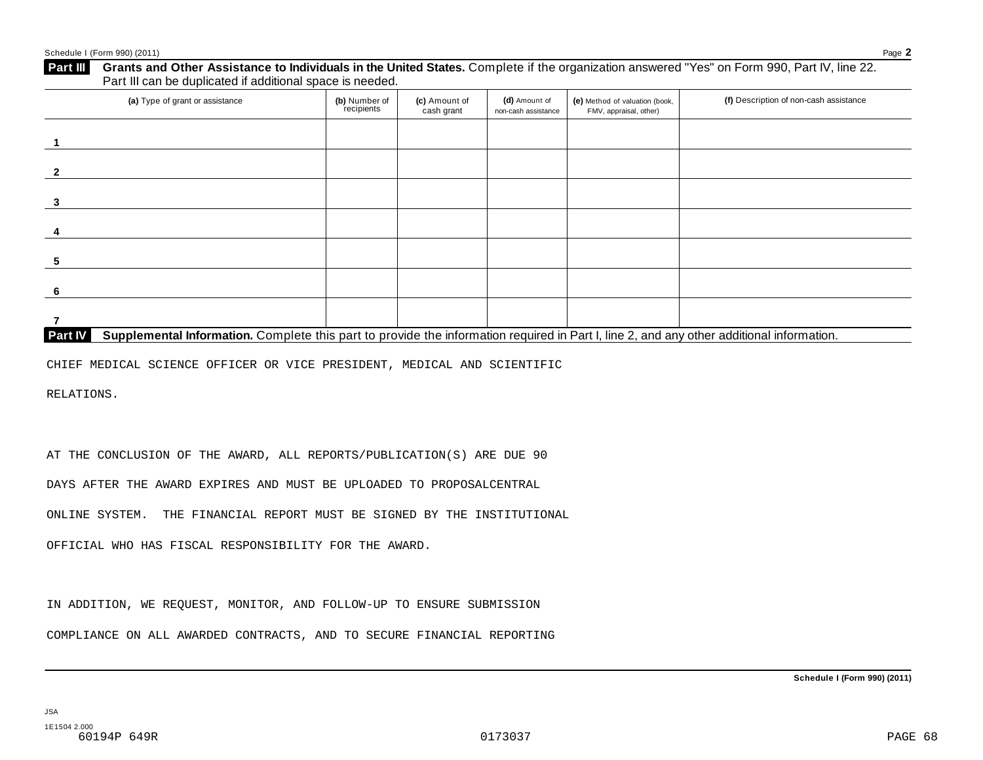| (a) Type of grant or assistance | (b) Number of<br>recipients | (c) Amount of<br>cash grant | (d) Amount of<br>non-cash assistance | (e) Method of valuation (book,<br>FMV, appraisal, other) | (f) Description of non-cash assistance |
|---------------------------------|-----------------------------|-----------------------------|--------------------------------------|----------------------------------------------------------|----------------------------------------|
|                                 |                             |                             |                                      |                                                          |                                        |
|                                 |                             |                             |                                      |                                                          |                                        |
|                                 |                             |                             |                                      |                                                          |                                        |
|                                 |                             |                             |                                      |                                                          |                                        |
|                                 |                             |                             |                                      |                                                          |                                        |
|                                 |                             |                             |                                      |                                                          |                                        |
|                                 |                             |                             |                                      |                                                          |                                        |

CHIEF MEDICAL SCIENCE OFFICER OR VICE PRESIDENT, MEDICAL AND SCIENTIFIC

RELATIONS.

AT THE CONCLUSION OF THE AWARD, ALL REPORTS/PUBLICATION(S) ARE DUE 90

DAYS AFTER THE AWARD EXPIRES AND MUST BE UPLOADED TO PROPOSALCENTRAL

ONLINE SYSTEM. THE FINANCIAL REPORT MUST BE SIGNED BY THE INSTITUTIONAL

OFFICIAL WHO HAS FISCAL RESPONSIBILITY FOR THE AWARD.

IN ADDITION, WE REQUEST, MONITOR, AND FOLLOW-UP TO ENSURE SUBMISSION

COMPLIANCE ON ALL AWARDED CONTRACTS, AND TO SECURE FINANCIAL REPORTING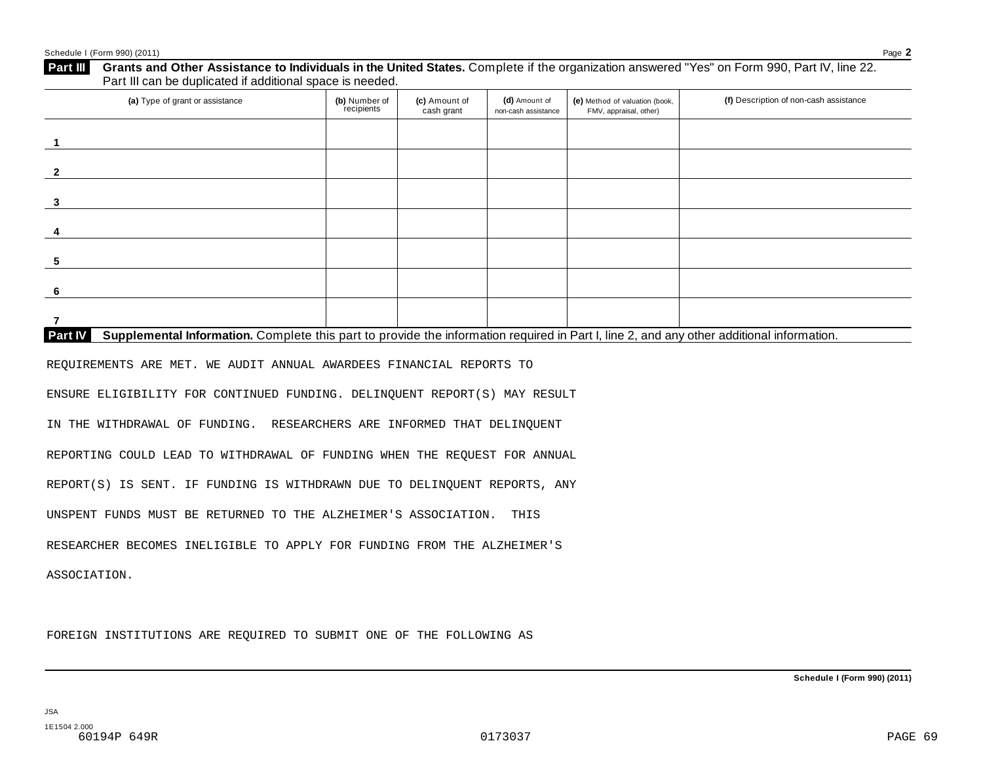| 4<br>5<br>6<br>$\overline{7}$<br>Part IV<br>Supplemental Information. Complete this part to provide the information required in Part I, line 2, and any other additional information.<br>REQUIREMENTS ARE MET. WE AUDIT ANNUAL AWARDEES FINANCIAL REPORTS TO<br>ENSURE ELIGIBILITY FOR CONTINUED FUNDING. DELINQUENT REPORT(S) MAY RESULT<br>IN THE WITHDRAWAL OF FUNDING. RESEARCHERS ARE INFORMED THAT DELINQUENT<br>REPORTING COULD LEAD TO WITHDRAWAL OF FUNDING WHEN THE REQUEST FOR ANNUAL<br>REPORT(S) IS SENT. IF FUNDING IS WITHDRAWN DUE TO DELINQUENT REPORTS, ANY<br>UNSPENT FUNDS MUST BE RETURNED TO THE ALZHEIMER'S ASSOCIATION.<br>THIS<br>RESEARCHER BECOMES INELIGIBLE TO APPLY FOR FUNDING FROM THE ALZHEIMER'S<br>ASSOCIATION. | (a) Type of grant or assistance | (b) Number of<br>recipients | (c) Amount of<br>cash grant | (d) Amount of<br>non-cash assistance | (e) Method of valuation (book,<br>FMV, appraisal, other) | (f) Description of non-cash assistance |
|----------------------------------------------------------------------------------------------------------------------------------------------------------------------------------------------------------------------------------------------------------------------------------------------------------------------------------------------------------------------------------------------------------------------------------------------------------------------------------------------------------------------------------------------------------------------------------------------------------------------------------------------------------------------------------------------------------------------------------------------------|---------------------------------|-----------------------------|-----------------------------|--------------------------------------|----------------------------------------------------------|----------------------------------------|
|                                                                                                                                                                                                                                                                                                                                                                                                                                                                                                                                                                                                                                                                                                                                                    | $\overline{1}$                  |                             |                             |                                      |                                                          |                                        |
|                                                                                                                                                                                                                                                                                                                                                                                                                                                                                                                                                                                                                                                                                                                                                    | $\overline{2}$                  |                             |                             |                                      |                                                          |                                        |
|                                                                                                                                                                                                                                                                                                                                                                                                                                                                                                                                                                                                                                                                                                                                                    | 3                               |                             |                             |                                      |                                                          |                                        |
|                                                                                                                                                                                                                                                                                                                                                                                                                                                                                                                                                                                                                                                                                                                                                    |                                 |                             |                             |                                      |                                                          |                                        |
|                                                                                                                                                                                                                                                                                                                                                                                                                                                                                                                                                                                                                                                                                                                                                    |                                 |                             |                             |                                      |                                                          |                                        |
|                                                                                                                                                                                                                                                                                                                                                                                                                                                                                                                                                                                                                                                                                                                                                    |                                 |                             |                             |                                      |                                                          |                                        |
|                                                                                                                                                                                                                                                                                                                                                                                                                                                                                                                                                                                                                                                                                                                                                    |                                 |                             |                             |                                      |                                                          |                                        |
|                                                                                                                                                                                                                                                                                                                                                                                                                                                                                                                                                                                                                                                                                                                                                    |                                 |                             |                             |                                      |                                                          |                                        |
|                                                                                                                                                                                                                                                                                                                                                                                                                                                                                                                                                                                                                                                                                                                                                    |                                 |                             |                             |                                      |                                                          |                                        |
|                                                                                                                                                                                                                                                                                                                                                                                                                                                                                                                                                                                                                                                                                                                                                    |                                 |                             |                             |                                      |                                                          |                                        |
|                                                                                                                                                                                                                                                                                                                                                                                                                                                                                                                                                                                                                                                                                                                                                    |                                 |                             |                             |                                      |                                                          |                                        |
|                                                                                                                                                                                                                                                                                                                                                                                                                                                                                                                                                                                                                                                                                                                                                    |                                 |                             |                             |                                      |                                                          |                                        |
|                                                                                                                                                                                                                                                                                                                                                                                                                                                                                                                                                                                                                                                                                                                                                    |                                 |                             |                             |                                      |                                                          |                                        |
|                                                                                                                                                                                                                                                                                                                                                                                                                                                                                                                                                                                                                                                                                                                                                    |                                 |                             |                             |                                      |                                                          |                                        |
|                                                                                                                                                                                                                                                                                                                                                                                                                                                                                                                                                                                                                                                                                                                                                    |                                 |                             |                             |                                      |                                                          |                                        |
|                                                                                                                                                                                                                                                                                                                                                                                                                                                                                                                                                                                                                                                                                                                                                    |                                 |                             |                             |                                      |                                                          |                                        |

FOREIGN INSTITUTIONS ARE REQUIRED TO SUBMIT ONE OF THE FOLLOWING AS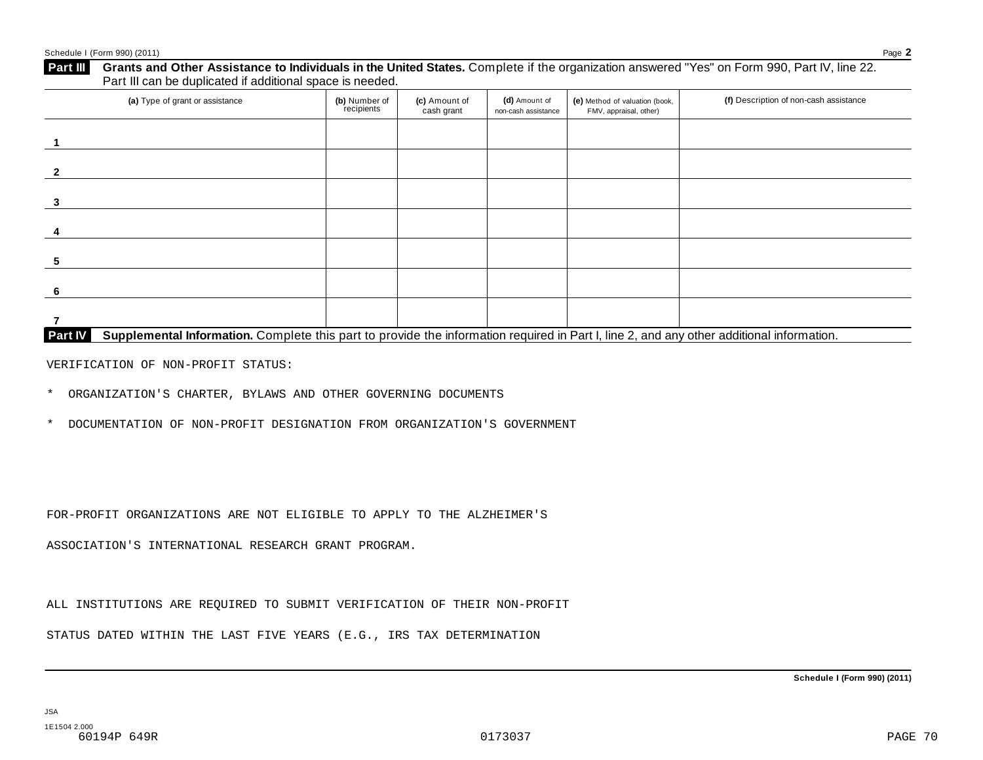| (a) Type of grant or assistance | (b) Number of<br>recipients | (c) Amount of<br>cash grant | (d) Amount of<br>non-cash assistance | (e) Method of valuation (book,<br>FMV, appraisal, other) | (f) Description of non-cash assistance |
|---------------------------------|-----------------------------|-----------------------------|--------------------------------------|----------------------------------------------------------|----------------------------------------|
|                                 |                             |                             |                                      |                                                          |                                        |
|                                 |                             |                             |                                      |                                                          |                                        |
|                                 |                             |                             |                                      |                                                          |                                        |
|                                 |                             |                             |                                      |                                                          |                                        |
|                                 |                             |                             |                                      |                                                          |                                        |
|                                 |                             |                             |                                      |                                                          |                                        |
|                                 |                             |                             |                                      |                                                          |                                        |

VERIFICATION OF NON-PROFIT STATUS:

\* ORGANIZATION'S CHARTER, BYLAWS AND OTHER GOVERNING DOCUMENTS

\* DOCUMENTATION OF NON-PROFIT DESIGNATION FROM ORGANIZATION'S GOVERNMENT

FOR-PROFIT ORGANIZATIONS ARE NOT ELIGIBLE TO APPLY TO THE ALZHEIMER'S

ASSOCIATION'S INTERNATIONAL RESEARCH GRANT PROGRAM.

ALL INSTITUTIONS ARE REQUIRED TO SUBMIT VERIFICATION OF THEIR NON-PROFIT

STATUS DATED WITHIN THE LAST FIVE YEARS (E.G., IRS TAX DETERMINATION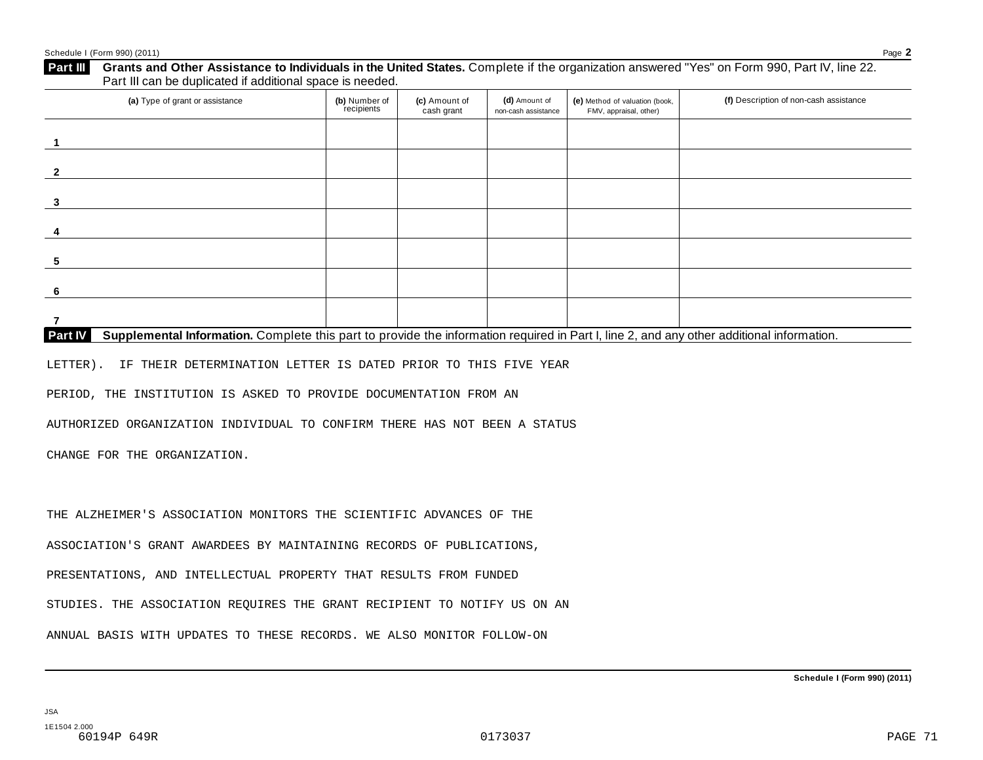| (a) Type of grant or assistance                                                                                                                                        | (b) Number of<br>recipients | (c) Amount of<br>cash grant | (d) Amount of<br>non-cash assistance | (e) Method of valuation (book,<br>FMV, appraisal, other) | (f) Description of non-cash assistance |
|------------------------------------------------------------------------------------------------------------------------------------------------------------------------|-----------------------------|-----------------------------|--------------------------------------|----------------------------------------------------------|----------------------------------------|
| $\mathbf{1}$                                                                                                                                                           |                             |                             |                                      |                                                          |                                        |
| $\overline{2}$                                                                                                                                                         |                             |                             |                                      |                                                          |                                        |
| 3                                                                                                                                                                      |                             |                             |                                      |                                                          |                                        |
| 4                                                                                                                                                                      |                             |                             |                                      |                                                          |                                        |
| 5                                                                                                                                                                      |                             |                             |                                      |                                                          |                                        |
|                                                                                                                                                                        |                             |                             |                                      |                                                          |                                        |
| 6                                                                                                                                                                      |                             |                             |                                      |                                                          |                                        |
| $\overline{7}$<br>Supplemental Information. Complete this part to provide the information required in Part I, line 2, and any other additional information.<br>Part IV |                             |                             |                                      |                                                          |                                        |
| LETTER).<br>IF THEIR DETERMINATION LETTER IS DATED PRIOR TO THIS FIVE YEAR                                                                                             |                             |                             |                                      |                                                          |                                        |
| PERIOD, THE INSTITUTION IS ASKED TO PROVIDE DOCUMENTATION FROM AN                                                                                                      |                             |                             |                                      |                                                          |                                        |
| AUTHORIZED ORGANIZATION INDIVIDUAL TO CONFIRM THERE HAS NOT BEEN A STATUS                                                                                              |                             |                             |                                      |                                                          |                                        |
| CHANGE FOR THE ORGANIZATION.                                                                                                                                           |                             |                             |                                      |                                                          |                                        |
|                                                                                                                                                                        |                             |                             |                                      |                                                          |                                        |
| THE ALZHEIMER'S ASSOCIATION MONITORS THE SCIENTIFIC ADVANCES OF THE                                                                                                    |                             |                             |                                      |                                                          |                                        |
|                                                                                                                                                                        |                             |                             |                                      |                                                          |                                        |
| ASSOCIATION'S GRANT AWARDEES BY MAINTAINING RECORDS OF PUBLICATIONS,                                                                                                   |                             |                             |                                      |                                                          |                                        |
| PRESENTATIONS, AND INTELLECTUAL PROPERTY THAT RESULTS FROM FUNDED                                                                                                      |                             |                             |                                      |                                                          |                                        |
| STUDIES. THE ASSOCIATION REQUIRES THE GRANT RECIPIENT TO NOTIFY US ON AN                                                                                               |                             |                             |                                      |                                                          |                                        |
|                                                                                                                                                                        |                             |                             |                                      |                                                          |                                        |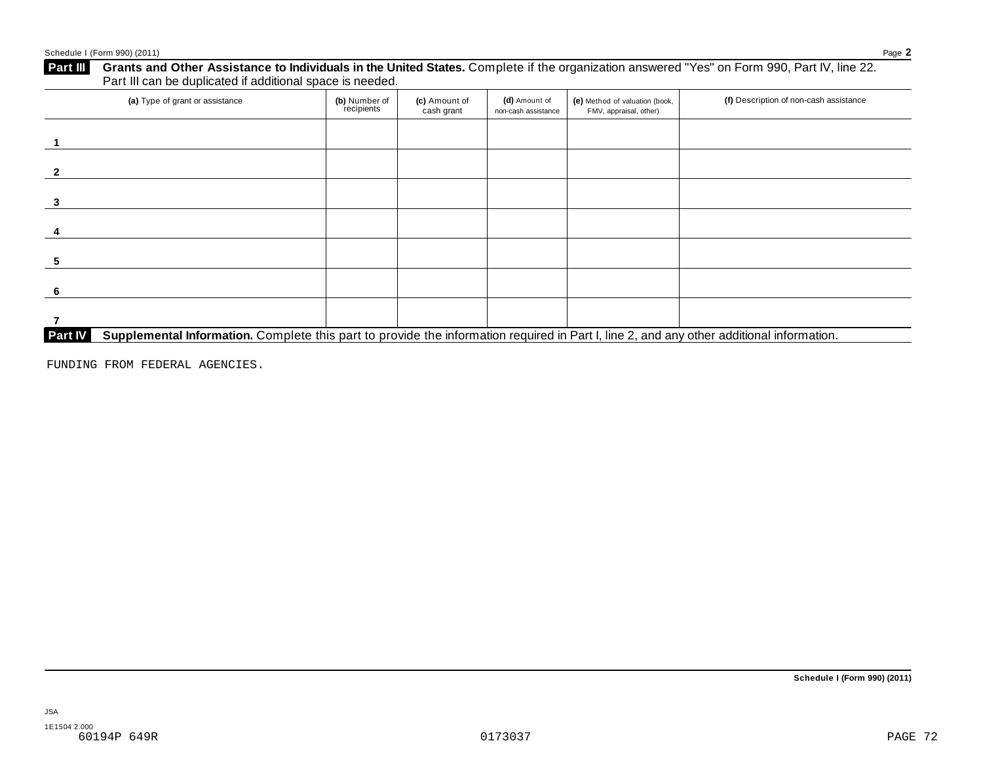| (a) Type of grant or assistance | (b) Number of<br>recipients | (c) Amount of<br>cash grant | (d) Amount of<br>non-cash assistance | (e) Method of valuation (book,<br>FMV, appraisal, other) | (f) Description of non-cash assistance |
|---------------------------------|-----------------------------|-----------------------------|--------------------------------------|----------------------------------------------------------|----------------------------------------|
|                                 |                             |                             |                                      |                                                          |                                        |
|                                 |                             |                             |                                      |                                                          |                                        |
|                                 |                             |                             |                                      |                                                          |                                        |
|                                 |                             |                             |                                      |                                                          |                                        |
|                                 |                             |                             |                                      |                                                          |                                        |
|                                 |                             |                             |                                      |                                                          |                                        |
|                                 |                             |                             |                                      |                                                          |                                        |

FUNDING FROM FEDERAL AGENCIES.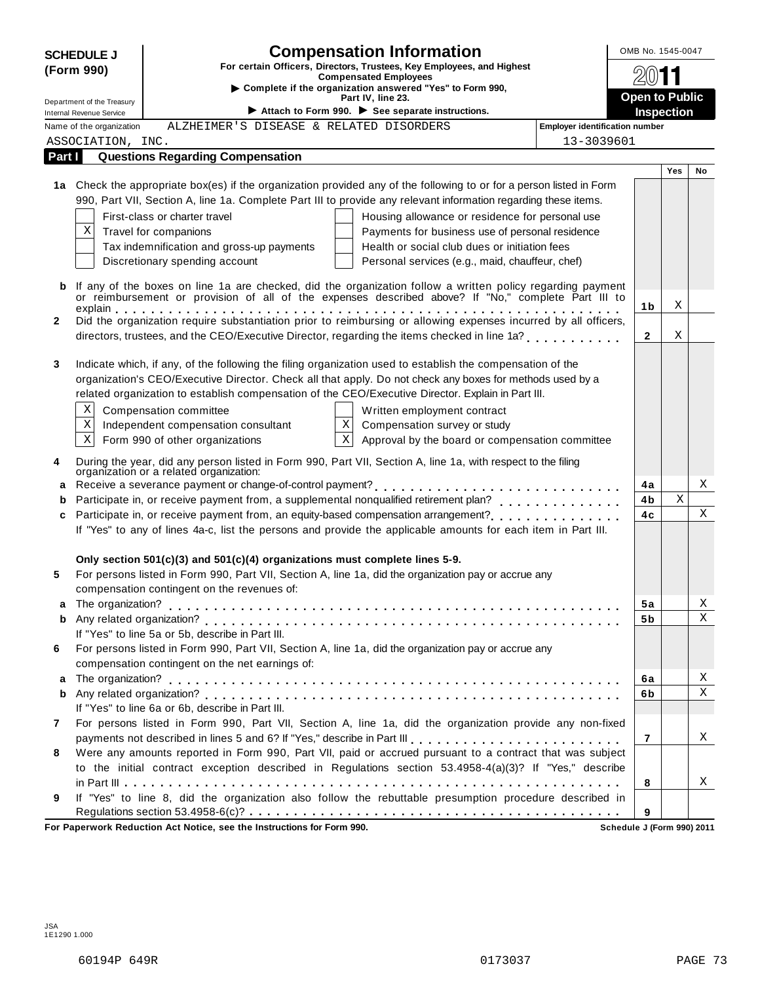| <b>Compensation Information</b><br><b>SCHEDULE J</b>                                |                                                 |                                                                                 |                                                                                                                      |                                       | OMB No. 1545-0047 |     |                       |  |  |
|-------------------------------------------------------------------------------------|-------------------------------------------------|---------------------------------------------------------------------------------|----------------------------------------------------------------------------------------------------------------------|---------------------------------------|-------------------|-----|-----------------------|--|--|
| For certain Officers, Directors, Trustees, Key Employees, and Highest<br>(Form 990) |                                                 | <b>Compensated Employees</b>                                                    |                                                                                                                      |                                       |                   |     |                       |  |  |
| Complete if the organization answered "Yes" to Form 990,                            |                                                 |                                                                                 |                                                                                                                      |                                       |                   |     |                       |  |  |
|                                                                                     | Part IV, line 23.<br>Department of the Treasury |                                                                                 |                                                                                                                      |                                       |                   |     | <b>Open to Public</b> |  |  |
| <b>Internal Revenue Service</b>                                                     |                                                 |                                                                                 | Attach to Form 990. $\blacktriangleright$ See separate instructions.                                                 |                                       | <b>Inspection</b> |     |                       |  |  |
|                                                                                     | Name of the organization                        | ALZHEIMER'S DISEASE & RELATED DISORDERS                                         |                                                                                                                      | <b>Employer identification number</b> |                   |     |                       |  |  |
|                                                                                     | ASSOCIATION, INC.                               |                                                                                 |                                                                                                                      | 13-3039601                            |                   |     |                       |  |  |
| Part I                                                                              |                                                 | <b>Questions Regarding Compensation</b>                                         |                                                                                                                      |                                       |                   | Yes | No                    |  |  |
|                                                                                     |                                                 |                                                                                 | 1a Check the appropriate box(es) if the organization provided any of the following to or for a person listed in Form |                                       |                   |     |                       |  |  |
|                                                                                     |                                                 |                                                                                 | 990, Part VII, Section A, line 1a. Complete Part III to provide any relevant information regarding these items.      |                                       |                   |     |                       |  |  |
|                                                                                     |                                                 | First-class or charter travel                                                   | Housing allowance or residence for personal use                                                                      |                                       |                   |     |                       |  |  |
| Χ                                                                                   | Travel for companions                           |                                                                                 | Payments for business use of personal residence                                                                      |                                       |                   |     |                       |  |  |
|                                                                                     |                                                 | Tax indemnification and gross-up payments                                       | Health or social club dues or initiation fees                                                                        |                                       |                   |     |                       |  |  |
|                                                                                     |                                                 | Discretionary spending account                                                  | Personal services (e.g., maid, chauffeur, chef)                                                                      |                                       |                   |     |                       |  |  |
|                                                                                     |                                                 |                                                                                 |                                                                                                                      |                                       |                   |     |                       |  |  |
| b                                                                                   |                                                 |                                                                                 | If any of the boxes on line 1a are checked, did the organization follow a written policy regarding payment           |                                       |                   |     |                       |  |  |
|                                                                                     |                                                 |                                                                                 | or reimbursement or provision of all of the expenses described above? If "No," complete Part III to                  |                                       | 1b                | Χ   |                       |  |  |
| 2                                                                                   |                                                 |                                                                                 | Did the organization require substantiation prior to reimbursing or allowing expenses incurred by all officers,      |                                       |                   |     |                       |  |  |
|                                                                                     |                                                 |                                                                                 | directors, trustees, and the CEO/Executive Director, regarding the items checked in line 1a?                         |                                       | $\mathbf{2}$      | Χ   |                       |  |  |
|                                                                                     |                                                 |                                                                                 |                                                                                                                      |                                       |                   |     |                       |  |  |
| 3                                                                                   |                                                 |                                                                                 | Indicate which, if any, of the following the filing organization used to establish the compensation of the           |                                       |                   |     |                       |  |  |
|                                                                                     |                                                 |                                                                                 | organization's CEO/Executive Director. Check all that apply. Do not check any boxes for methods used by a            |                                       |                   |     |                       |  |  |
|                                                                                     |                                                 |                                                                                 | related organization to establish compensation of the CEO/Executive Director. Explain in Part III.                   |                                       |                   |     |                       |  |  |
| Χ                                                                                   |                                                 | Compensation committee                                                          | Written employment contract                                                                                          |                                       |                   |     |                       |  |  |
| Χ                                                                                   |                                                 |                                                                                 | Χ                                                                                                                    |                                       |                   |     |                       |  |  |
| Χ                                                                                   |                                                 | Independent compensation consultant                                             | Compensation survey or study<br>$\mathbf X$                                                                          |                                       |                   |     |                       |  |  |
|                                                                                     |                                                 | Form 990 of other organizations                                                 | Approval by the board or compensation committee                                                                      |                                       |                   |     |                       |  |  |
| 4                                                                                   |                                                 |                                                                                 | During the year, did any person listed in Form 990, Part VII, Section A, line 1a, with respect to the filing         |                                       |                   |     |                       |  |  |
|                                                                                     |                                                 | organization or a related organization:                                         |                                                                                                                      |                                       |                   |     | Χ                     |  |  |
| a                                                                                   |                                                 |                                                                                 |                                                                                                                      |                                       | 4a                |     |                       |  |  |
| b                                                                                   |                                                 |                                                                                 |                                                                                                                      |                                       | 4b                | Χ   | Χ                     |  |  |
| c                                                                                   |                                                 |                                                                                 | Participate in, or receive payment from, an equity-based compensation arrangement?                                   |                                       | 4с                |     |                       |  |  |
|                                                                                     |                                                 |                                                                                 | If "Yes" to any of lines 4a-c, list the persons and provide the applicable amounts for each item in Part III.        |                                       |                   |     |                       |  |  |
|                                                                                     |                                                 |                                                                                 |                                                                                                                      |                                       |                   |     |                       |  |  |
|                                                                                     |                                                 | Only section $501(c)(3)$ and $501(c)(4)$ organizations must complete lines 5-9. |                                                                                                                      |                                       |                   |     |                       |  |  |
| 5                                                                                   |                                                 |                                                                                 | For persons listed in Form 990, Part VII, Section A, line 1a, did the organization pay or accrue any                 |                                       |                   |     |                       |  |  |
|                                                                                     |                                                 | compensation contingent on the revenues of:                                     |                                                                                                                      |                                       |                   |     |                       |  |  |
|                                                                                     |                                                 |                                                                                 |                                                                                                                      |                                       | 5a                |     | X                     |  |  |
| b                                                                                   |                                                 |                                                                                 |                                                                                                                      |                                       | 5 b               |     | Χ                     |  |  |
|                                                                                     |                                                 | If "Yes" to line 5a or 5b, describe in Part III.                                |                                                                                                                      |                                       |                   |     |                       |  |  |
| 6                                                                                   |                                                 |                                                                                 | For persons listed in Form 990, Part VII, Section A, line 1a, did the organization pay or accrue any                 |                                       |                   |     |                       |  |  |
|                                                                                     |                                                 | compensation contingent on the net earnings of:                                 |                                                                                                                      |                                       |                   |     |                       |  |  |
| a                                                                                   |                                                 |                                                                                 |                                                                                                                      |                                       | 6a                |     | Χ                     |  |  |
| b                                                                                   |                                                 |                                                                                 |                                                                                                                      |                                       | 6b                |     | $\mathbf X$           |  |  |
|                                                                                     |                                                 | If "Yes" to line 6a or 6b, describe in Part III.                                |                                                                                                                      |                                       |                   |     |                       |  |  |
| 7                                                                                   |                                                 |                                                                                 | For persons listed in Form 990, Part VII, Section A, line 1a, did the organization provide any non-fixed             |                                       |                   |     |                       |  |  |
|                                                                                     |                                                 |                                                                                 | payments not described in lines 5 and 6? If "Yes," describe in Part III [1] [1] [1] [1] [1] [1] [1] [1] [1] [1       |                                       | $\overline{7}$    |     | Χ                     |  |  |
| 8                                                                                   |                                                 |                                                                                 | Were any amounts reported in Form 990, Part VII, paid or accrued pursuant to a contract that was subject             |                                       |                   |     |                       |  |  |
|                                                                                     |                                                 |                                                                                 | to the initial contract exception described in Regulations section 53.4958-4(a)(3)? If "Yes," describe               |                                       |                   |     |                       |  |  |
|                                                                                     |                                                 |                                                                                 |                                                                                                                      |                                       | 8                 |     | Χ                     |  |  |
| 9                                                                                   |                                                 |                                                                                 | If "Yes" to line 8, did the organization also follow the rebuttable presumption procedure described in               |                                       |                   |     |                       |  |  |
|                                                                                     |                                                 |                                                                                 |                                                                                                                      |                                       | 9                 |     |                       |  |  |
|                                                                                     |                                                 | For Paperwork Reduction Act Notice, see the Instructions for Form 990.          |                                                                                                                      | Schedule J (Form 990) 2011            |                   |     |                       |  |  |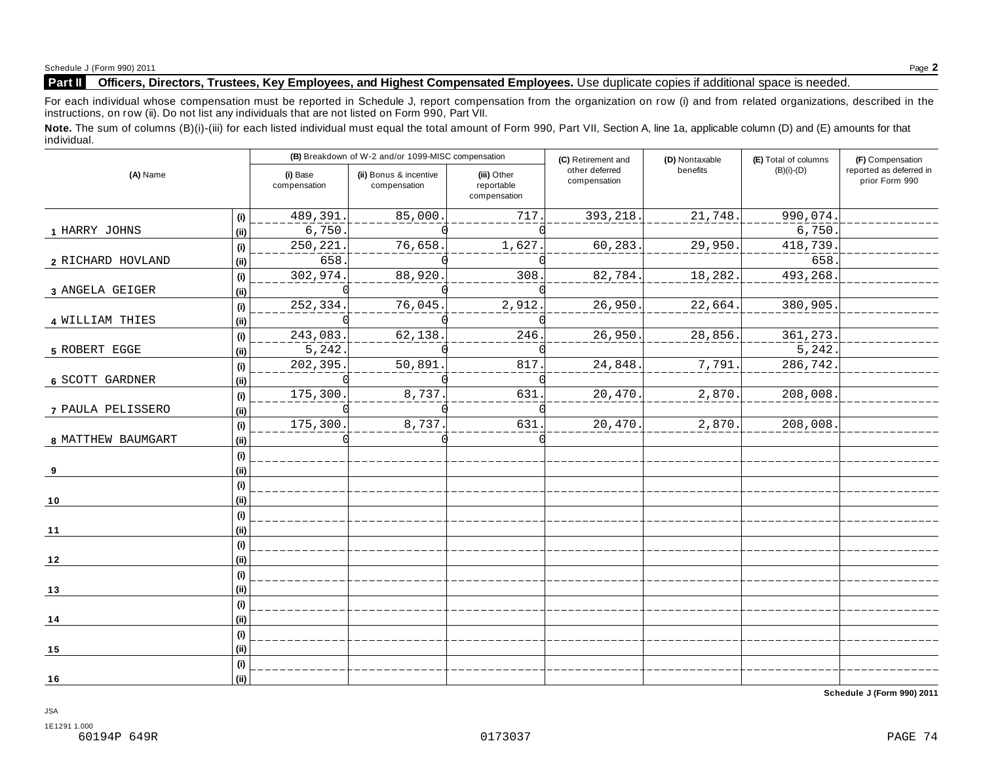### **Part II Officers, Directors, Trustees, Key Employees, and Highest Compensated Employees.** Use duplicate copies ifadditional space is needed.

For each individual whose compensation must be reported in Schedule J, report compensation from the organization on row (i) and from related organizations, described in the instructions, on row (ii). Do not list any individuals that are not listed on Form 990, Part VII.

Note. The sum of columns (B)(i)-(iii) for each listed individual must equal the total amount of Form 990, Part VII, Section A, line 1a, applicable column (D) and (E) amounts for that individual.

| (A) Name           |              |                          | (B) Breakdown of W-2 and/or 1099-MISC compensation |                                           | (C) Retirement and             | (D) Nontaxable | (E) Total of columns | (F) Compensation                          |
|--------------------|--------------|--------------------------|----------------------------------------------------|-------------------------------------------|--------------------------------|----------------|----------------------|-------------------------------------------|
|                    |              | (i) Base<br>compensation | (ii) Bonus & incentive<br>compensation             | (iii) Other<br>reportable<br>compensation | other deferred<br>compensation | benefits       | $(B)(i)-(D)$         | reported as deferred in<br>prior Form 990 |
|                    | (i)          | 489,391.                 | 85,000                                             | 717                                       | 393,218.                       | 21,748.        | 990,074              |                                           |
| 1 HARRY JOHNS      | (ii)         | 6,750.                   |                                                    |                                           |                                |                | 6,750                |                                           |
|                    | (i)          | 250,221.                 | 76,658.                                            | 1,627                                     | 60,283.                        | 29,950.        | 418,739              |                                           |
| 2 RICHARD HOVLAND  | (ii)         | 658.                     |                                                    |                                           |                                |                | 658                  |                                           |
|                    | (i)          | 302,974.                 | 88,920                                             | 308                                       | 82,784.                        | 18,282.        | 493,268              |                                           |
| 3 ANGELA GEIGER    | (ii)         |                          |                                                    |                                           |                                |                |                      |                                           |
|                    | (i)          | 252,334.                 | 76,045.                                            | 2,912                                     | 26,950.                        | 22,664.        | 380,905.             |                                           |
| 4 WILLIAM THIES    | (ii)         |                          |                                                    |                                           |                                |                |                      |                                           |
|                    | (i)          | 243,083.                 | 62,138.                                            | 246                                       | 26,950.                        | 28,856.        | 361, 273.            |                                           |
| 5 ROBERT EGGE      | (ii)         | 5,242                    |                                                    |                                           |                                |                | 5,242.               |                                           |
|                    | (i)          | 202,395.                 | 50,891                                             | 817                                       | 24,848.                        | 7,791.         | 286,742.             |                                           |
| 6 SCOTT GARDNER    | (iii)        |                          |                                                    |                                           |                                |                |                      |                                           |
|                    | (i)          | 175,300                  | 8,737.                                             | 631                                       | 20,470.                        | 2,870.         | 208,008              |                                           |
| 7 PAULA PELISSERO  | (iii)        |                          |                                                    |                                           |                                |                |                      |                                           |
| 8 MATTHEW BAUMGART | (i)<br>(ii)  | 175,300                  | 8,737.                                             | 631                                       | 20,470.                        | 2,870.         | 208,008.             |                                           |
| 9                  | (i)<br>(ii)  |                          |                                                    |                                           |                                |                |                      |                                           |
| 10                 | (i)<br>(iii) |                          |                                                    |                                           |                                |                |                      |                                           |
| 11                 | (i)<br>(ii)  |                          |                                                    |                                           |                                |                |                      |                                           |
| 12                 | (i)<br>(i)   |                          |                                                    |                                           |                                |                |                      |                                           |
|                    | (i)<br>(ii)  |                          |                                                    |                                           |                                |                |                      |                                           |
| 13<br>14           | (i)<br>(ii)  |                          |                                                    |                                           |                                |                |                      |                                           |
| 15                 | (i)<br>(ii)  |                          |                                                    |                                           |                                |                |                      |                                           |
| 16                 | (i)<br>(ii)  |                          |                                                    |                                           |                                |                |                      |                                           |

**Schedule J (Form 990) 2011**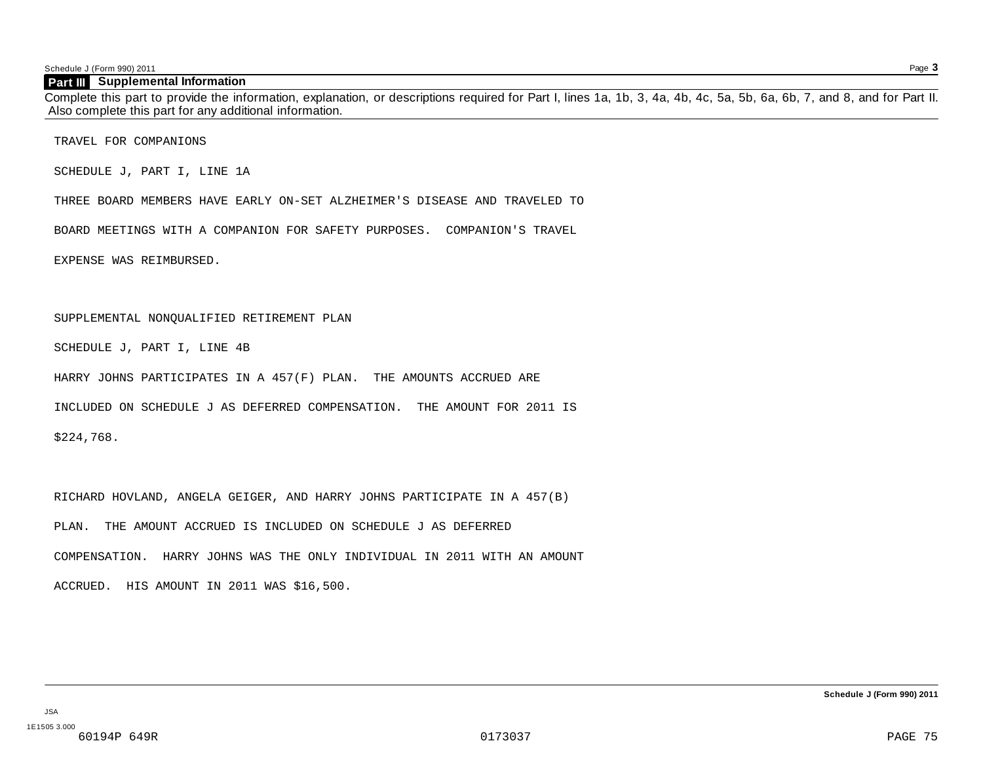Schedule J (Form 990) 2011 Page **3**

#### **Part III Supplemental Information**

Complete this part to provide the information, explanation, or descriptions required for Part I, lines 1a, 1b, 3, 4a, 4b, 4c, 5a, 5b, 6a, 6b, 7, and 8, and for Part II. Also complete this part for any additional information.

TRAVEL FOR COMPANIONS

SCHEDULE J, PART I, LINE 1A

THREE BOARD MEMBERS HAVE EARLY ON-SET ALZHEIMER'S DISEASE AND TRAVELED TO

BOARD MEETINGS WITH A COMPANION FOR SAFETY PURPOSES. COMPANION'S TRAVEL

EXPENSE WAS REIMBURSED.

#### SUPPLEMENTAL NONQUALIFIED RETIREMENT PLAN

SCHEDULE J, PART I, LINE 4B

HARRY JOHNS PARTICIPATES IN A 457(F) PLAN. THE AMOUNTS ACCRUED ARE

INCLUDED ON SCHEDULE J AS DEFERRED COMPENSATION. THE AMOUNT FOR 2011 IS

\$224,768.

RICHARD HOVLAND, ANGELA GEIGER, AND HARRY JOHNS PARTICIPATE IN A 457(B) PLAN. THE AMOUNT ACCRUED IS INCLUDED ON SCHEDULE J AS DEFERRED COMPENSATION. HARRY JOHNS WAS THE ONLY INDIVIDUAL IN 2011 WITH AN AMOUNT ACCRUED. HIS AMOUNT IN 2011 WAS \$16,500.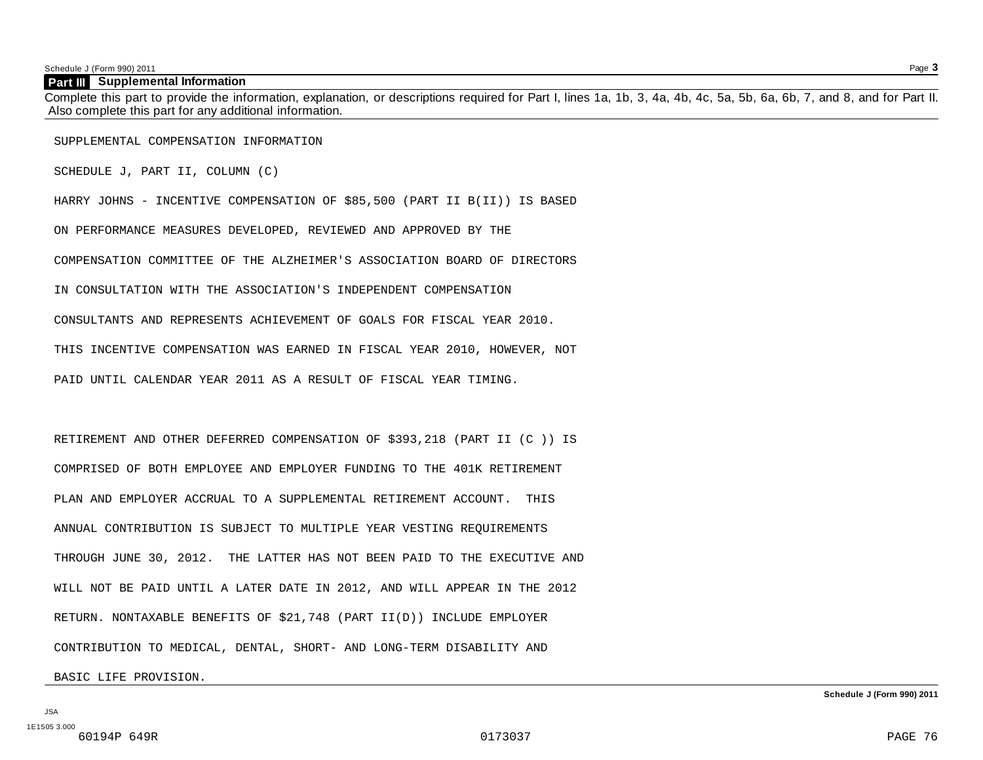Schedule J (Form 990) 2011 Page **3**

#### **Part III Supplemental Information**

Complete this part to provide the information, explanation, or descriptions required for Part I, lines 1a, 1b, 3, 4a, 4b, 4c, 5a, 5b, 6a, 6b, 7, and 8, and for Part II. Also complete this part for any additional information.

SUPPLEMENTAL COMPENSATION INFORMATION

SCHEDULE J, PART II, COLUMN (C)

HARRY JOHNS - INCENTIVE COMPENSATION OF \$85,500 (PART II B(II)) IS BASED

ON PERFORMANCE MEASURES DEVELOPED, REVIEWED AND APPROVED BY THE

COMPENSATION COMMITTEE OF THE ALZHEIMER'S ASSOCIATION BOARD OF DIRECTORS

IN CONSULTATION WITH THE ASSOCIATION'S INDEPENDENT COMPENSATION

CONSULTANTS AND REPRESENTS ACHIEVEMENT OF GOALS FOR FISCAL YEAR 2010.

THIS INCENTIVE COMPENSATION WAS EARNED IN FISCAL YEAR 2010, HOWEVER, NOT

PAID UNTIL CALENDAR YEAR 2011 AS A RESULT OF FISCAL YEAR TIMING.

RETIREMENT AND OTHER DEFERRED COMPENSATION OF \$393,218 (PART II (C )) IS COMPRISED OF BOTH EMPLOYEE AND EMPLOYER FUNDING TO THE 401K RETIREMENT PLAN AND EMPLOYER ACCRUAL TO A SUPPLEMENTAL RETIREMENT ACCOUNT. THIS ANNUAL CONTRIBUTION IS SUBJECT TO MULTIPLE YEAR VESTING REQUIREMENTS THROUGH JUNE 30, 2012. THE LATTER HAS NOT BEEN PAID TO THE EXECUTIVE AND WILL NOT BE PAID UNTIL A LATER DATE IN 2012, AND WILL APPEAR IN THE 2012 RETURN. NONTAXABLE BENEFITS OF \$21,748 (PART II(D)) INCLUDE EMPLOYER CONTRIBUTION TO MEDICAL, DENTAL, SHORT- AND LONG-TERM DISABILITY AND

BASIC LIFE PROVISION.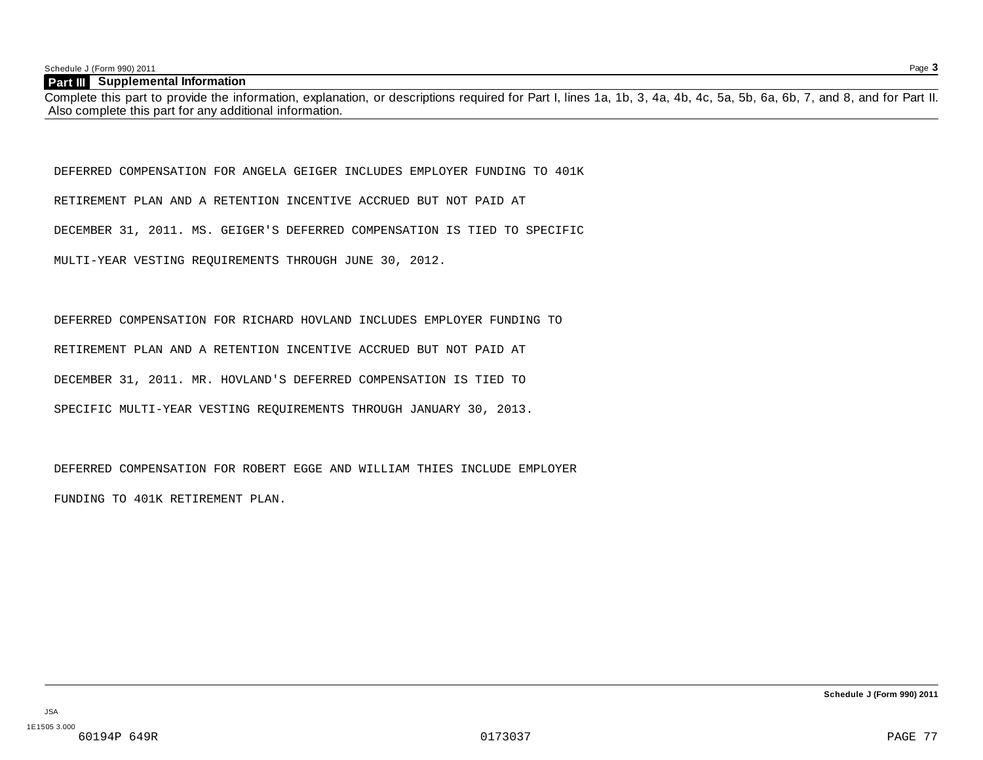Schedule J (Form 990) 2011 Page **3**

#### **Part III Supplemental Information**

Complete this part to provide the information, explanation, or descriptions required for Part I, lines 1a, 1b, 3, 4a, 4b, 4c, 5a, 5b, 6a, 6b, 7, and 8, and for Part II. Also complete this part for any additional information.

DEFERRED COMPENSATION FOR ANGELA GEIGER INCLUDES EMPLOYER FUNDING TO 401K

RETIREMENT PLAN AND A RETENTION INCENTIVE ACCRUED BUT NOT PAID AT

DECEMBER 31, 2011. MS. GEIGER'S DEFERRED COMPENSATION IS TIED TO SPECIFIC

MULTI-YEAR VESTING REQUIREMENTS THROUGH JUNE 30, 2012.

DEFERRED COMPENSATION FOR RICHARD HOVLAND INCLUDES EMPLOYER FUNDING TO RETIREMENT PLAN AND A RETENTION INCENTIVE ACCRUED BUT NOT PAID AT DECEMBER 31, 2011. MR. HOVLAND'S DEFERRED COMPENSATION IS TIED TO SPECIFIC MULTI-YEAR VESTING REQUIREMENTS THROUGH JANUARY 30, 2013.

DEFERRED COMPENSATION FOR ROBERT EGGE AND WILLIAM THIES INCLUDE EMPLOYER

FUNDING TO 401K RETIREMENT PLAN.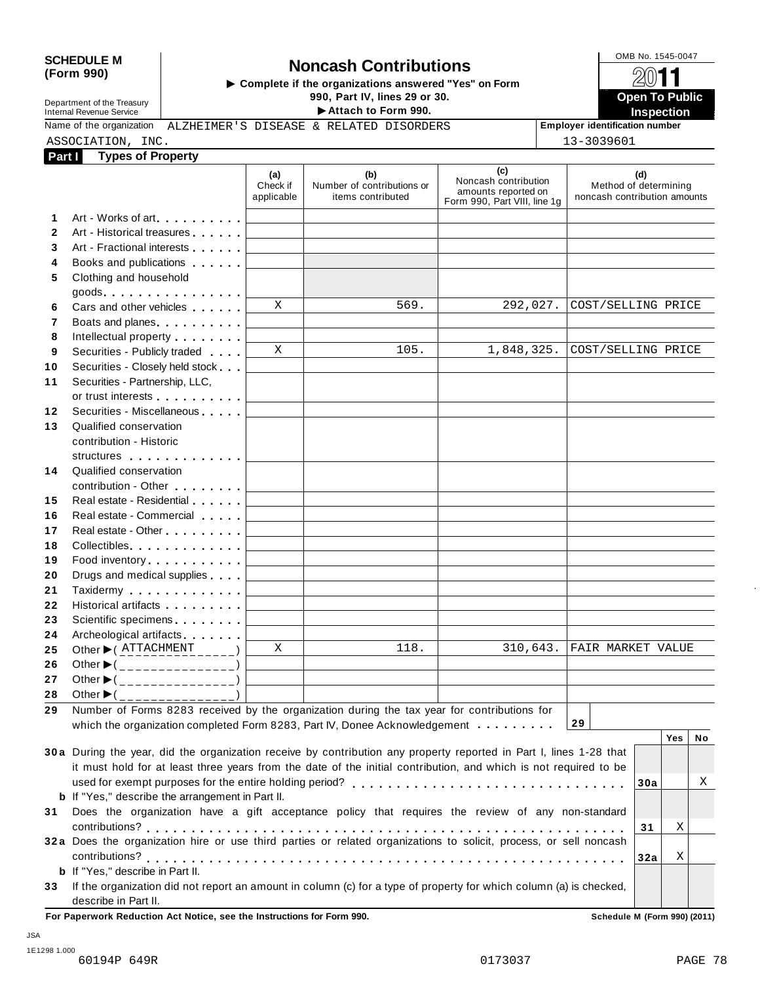# SCHEDULE M<br>
(Form 990) **Domestion Contributions**<br>  $\begin{array}{r} \hline \text{ComB No. 1545-0047} \\ \hline \text{ComB No. 1545-0047} \\ \hline \end{array}$ <br>  $\begin{array}{r} \hline \text{ComB No. 1545-0047} \\ \hline \text{ComB No. 1545-0047} \\ \hline \end{array}$ Department of the Treasury Internal Revenue Service **Open To Public**

**990, Part IV, lines 29 or 30.**<br>
► Attach to Form 990.<br>
& RELATED DISORDERS Employer identification number Name of the organization ALZHEIMER'S DISEASE & RELATED DISORDERS **Fundal Proprover identification number** 

**Part I Types of Property** ASSOCIATION, INC. 13-3039601

| <b>raill</b> | ι γροσοπιτισροπιγ                                                                                                  |                               |                                                        |                                                                                    |                                                              |
|--------------|--------------------------------------------------------------------------------------------------------------------|-------------------------------|--------------------------------------------------------|------------------------------------------------------------------------------------|--------------------------------------------------------------|
|              |                                                                                                                    | (a)<br>Check if<br>applicable | (b)<br>Number of contributions or<br>items contributed | (c)<br>Noncash contribution<br>amounts reported on<br>Form 990, Part VIII, line 1g | (d)<br>Method of determining<br>noncash contribution amounts |
| 1            | Art - Works of art.                                                                                                |                               |                                                        |                                                                                    |                                                              |
| $\mathbf{2}$ | Art - Historical treasures                                                                                         |                               |                                                        |                                                                                    |                                                              |
| 3            | Art - Fractional interests                                                                                         |                               |                                                        |                                                                                    |                                                              |
| 4            | Books and publications <b>contains</b>                                                                             |                               |                                                        |                                                                                    |                                                              |
| 5            | Clothing and household                                                                                             |                               |                                                        |                                                                                    |                                                              |
|              | goods                                                                                                              |                               |                                                        |                                                                                    |                                                              |
| 6            | Cars and other vehicles                                                                                            | X                             | 569.                                                   | 292,027.                                                                           | COST/SELLING PRICE                                           |
| 7            | Boats and planes experience and planes                                                                             |                               |                                                        |                                                                                    |                                                              |
| 8            | Intellectual property <b>Algebra</b>                                                                               |                               |                                                        |                                                                                    |                                                              |
| 9            | Securities - Publicly traded                                                                                       | $\mathbf X$                   | 105.                                                   | 1,848,325.                                                                         | COST/SELLING PRICE                                           |
| 10           | Securities - Closely held stock                                                                                    |                               |                                                        |                                                                                    |                                                              |
| 11           | Securities - Partnership, LLC,                                                                                     |                               |                                                        |                                                                                    |                                                              |
|              | or trust interests                                                                                                 |                               |                                                        |                                                                                    |                                                              |
| 12           | Securities - Miscellaneous                                                                                         |                               |                                                        |                                                                                    |                                                              |
| 13           | Qualified conservation                                                                                             |                               |                                                        |                                                                                    |                                                              |
|              | contribution - Historic                                                                                            |                               |                                                        |                                                                                    |                                                              |
|              | structures                                                                                                         |                               |                                                        |                                                                                    |                                                              |
| 14           | Qualified conservation                                                                                             |                               |                                                        |                                                                                    |                                                              |
|              | contribution - Other <b>Contribution</b>                                                                           |                               |                                                        |                                                                                    |                                                              |
| 15           | Real estate - Residential                                                                                          |                               |                                                        |                                                                                    |                                                              |
| 16           | Real estate - Commercial                                                                                           |                               |                                                        |                                                                                    |                                                              |
| 17           | Real estate - Other <b>All and The Real estate</b> - Other                                                         |                               |                                                        |                                                                                    |                                                              |
| 18           | Collectibles.                                                                                                      |                               |                                                        |                                                                                    |                                                              |
| 19           | Food inventory                                                                                                     |                               |                                                        |                                                                                    |                                                              |
| 20           | Drugs and medical supplies                                                                                         |                               |                                                        |                                                                                    |                                                              |
| 21           | Taxidermy                                                                                                          |                               |                                                        |                                                                                    |                                                              |
| 22           | Historical artifacts <b>All Accords</b>                                                                            |                               |                                                        |                                                                                    |                                                              |
| 23           | Scientific specimens <b>contains</b>                                                                               |                               |                                                        |                                                                                    |                                                              |
| 24           | Archeological artifacts                                                                                            |                               |                                                        |                                                                                    |                                                              |
| 25           |                                                                                                                    | X                             | 118.                                                   | 310,643.                                                                           | FAIR MARKET VALUE                                            |
| 26           | Other $\blacktriangleright$ (_______________)                                                                      |                               |                                                        |                                                                                    |                                                              |
| 27           | Other $\blacktriangleright$ (________________)                                                                     |                               |                                                        |                                                                                    |                                                              |
| 28           | Other $\blacktriangleright$ (_______________)                                                                      |                               |                                                        |                                                                                    |                                                              |
| 29           | Number of Forms 8283 received by the organization during the tax year for contributions for                        |                               |                                                        |                                                                                    |                                                              |
|              | which the organization completed Form 8283, Part IV, Donee Acknowledgement                                         |                               |                                                        |                                                                                    | 29                                                           |
|              |                                                                                                                    |                               |                                                        |                                                                                    | Yes<br>No                                                    |
|              | 30a During the year, did the organization receive by contribution any property reported in Part I, lines 1-28 that |                               |                                                        |                                                                                    |                                                              |
|              | it must hold for at least three years from the date of the initial contribution, and which is not required to be   |                               |                                                        |                                                                                    |                                                              |
|              |                                                                                                                    |                               |                                                        |                                                                                    | Χ<br>30a                                                     |
|              | <b>b</b> If "Yes," describe the arrangement in Part II.                                                            |                               |                                                        |                                                                                    |                                                              |
| 31           | Does the organization have a gift acceptance policy that requires the review of any non-standard                   |                               |                                                        |                                                                                    |                                                              |
|              |                                                                                                                    |                               |                                                        |                                                                                    | Χ<br>31                                                      |
|              | 32a Does the organization hire or use third parties or related organizations to solicit, process, or sell noncash  |                               |                                                        |                                                                                    |                                                              |
|              |                                                                                                                    |                               |                                                        |                                                                                    | Χ<br>32a                                                     |
|              | <b>b</b> If "Yes," describe in Part II.                                                                            |                               |                                                        |                                                                                    |                                                              |
| 33           | If the organization did not report an amount in column (c) for a type of property for which column (a) is checked, |                               |                                                        |                                                                                    |                                                              |
|              | describe in Part II.                                                                                               |                               |                                                        |                                                                                    |                                                              |
|              | For Paperwork Reduction Act Notice, see the Instructions for Form 990.                                             |                               |                                                        |                                                                                    | Schedule M (Form 990) (2011)                                 |

JSA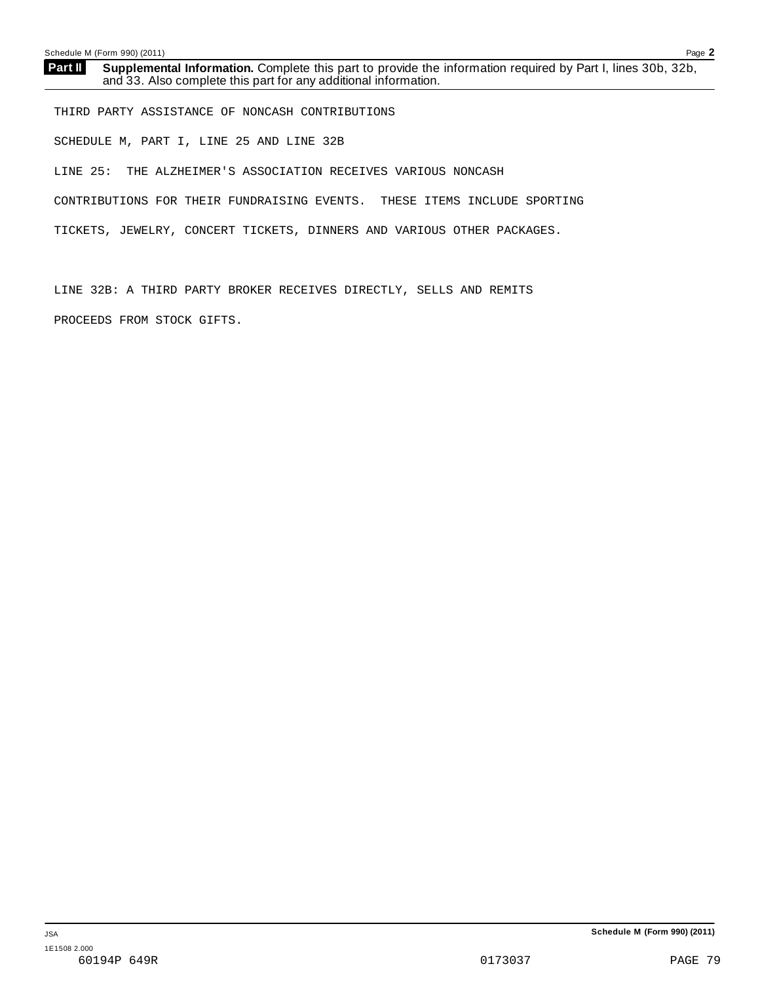THIRD PARTY ASSISTANCE OF NONCASH CONTRIBUTIONS SCHEDULE M, PART I, LINE 25 AND LINE 32B LINE 25: THE ALZHEIMER'S ASSOCIATION RECEIVES VARIOUS NONCASH CONTRIBUTIONS FOR THEIR FUNDRAISING EVENTS. THESE ITEMS INCLUDE SPORTING TICKETS, JEWELRY, CONCERT TICKETS, DINNERS AND VARIOUS OTHER PACKAGES.

LINE 32B: A THIRD PARTY BROKER RECEIVES DIRECTLY, SELLS AND REMITS PROCEEDS FROM STOCK GIFTS.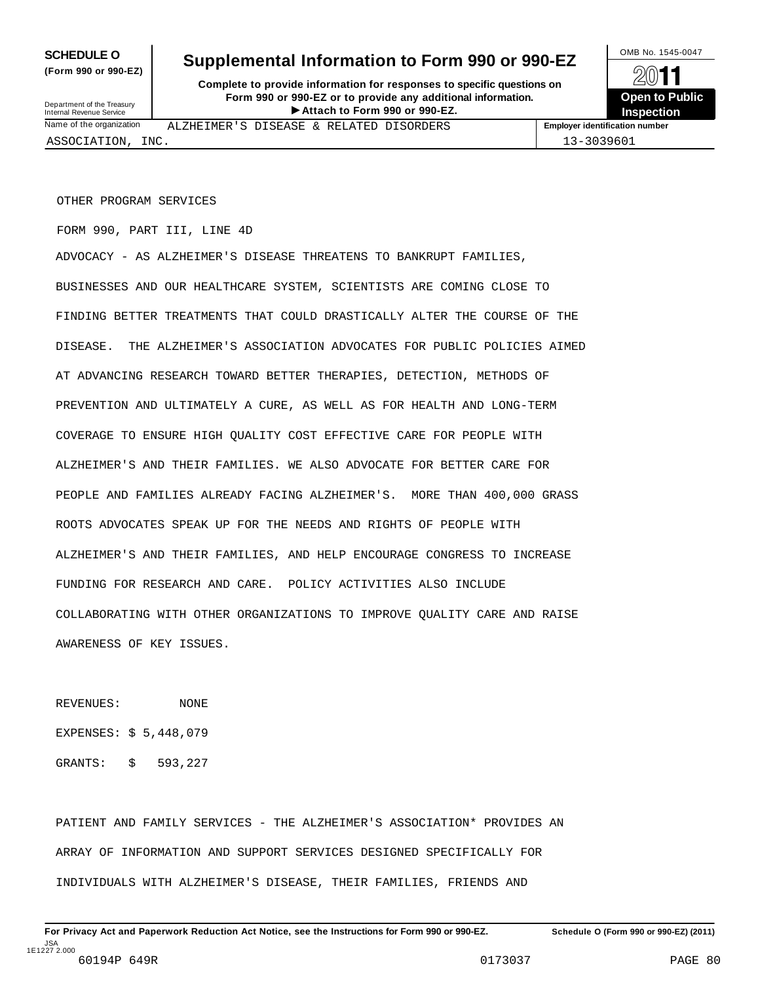**(Form 990 or 990-EZ)**

## SCHEDULE O Supplemental Information to Form 990 or 990-EZ

**Complete to provide information for responses to specific questions on Form 990 or 990-EZ or to provide any additional information.** Fraction of **Formation** of **Formation Construction Proposes to specific questions on**<br>
1990-EZ or to provide any additional information.<br>
Attach to Form 990 or 990-EZ.<br> **Attach to Form 990 or 990-EZ.** sury<br>
ation Internation ALZHEIMER'S DISEASE & RELATED DISORDERS

**Open to Public Inspection**

Department of the Treasury Internal Revenue Service Name of the organizatio

ASSOCIATION, INC. 13-3039601

OTHER PROGRAM SERVICES

FORM 990, PART III, LINE 4D

ADVOCACY - AS ALZHEIMER'S DISEASE THREATENS TO BANKRUPT FAMILIES, BUSINESSES AND OUR HEALTHCARE SYSTEM, SCIENTISTS ARE COMING CLOSE TO FINDING BETTER TREATMENTS THAT COULD DRASTICALLY ALTER THE COURSE OF THE DISEASE. THE ALZHEIMER'S ASSOCIATION ADVOCATES FOR PUBLIC POLICIES AIMED AT ADVANCING RESEARCH TOWARD BETTER THERAPIES, DETECTION, METHODS OF PREVENTION AND ULTIMATELY A CURE, AS WELL AS FOR HEALTH AND LONG-TERM COVERAGE TO ENSURE HIGH QUALITY COST EFFECTIVE CARE FOR PEOPLE WITH ALZHEIMER'S AND THEIR FAMILIES. WE ALSO ADVOCATE FOR BETTER CARE FOR PEOPLE AND FAMILIES ALREADY FACING ALZHEIMER'S. MORE THAN 400,000 GRASS ROOTS ADVOCATES SPEAK UP FOR THE NEEDS AND RIGHTS OF PEOPLE WITH ALZHEIMER'S AND THEIR FAMILIES, AND HELP ENCOURAGE CONGRESS TO INCREASE FUNDING FOR RESEARCH AND CARE. POLICY ACTIVITIES ALSO INCLUDE COLLABORATING WITH OTHER ORGANIZATIONS TO IMPROVE QUALITY CARE AND RAISE AWARENESS OF KEY ISSUES.

REVENUES: NONE EXPENSES: \$ 5,448,079 GRANTS: \$ 593,227

PATIENT AND FAMILY SERVICES - THE ALZHEIMER'S ASSOCIATION\* PROVIDES AN ARRAY OF INFORMATION AND SUPPORT SERVICES DESIGNED SPECIFICALLY FOR INDIVIDUALS WITH ALZHEIMER'S DISEASE, THEIR FAMILIES, FRIENDS AND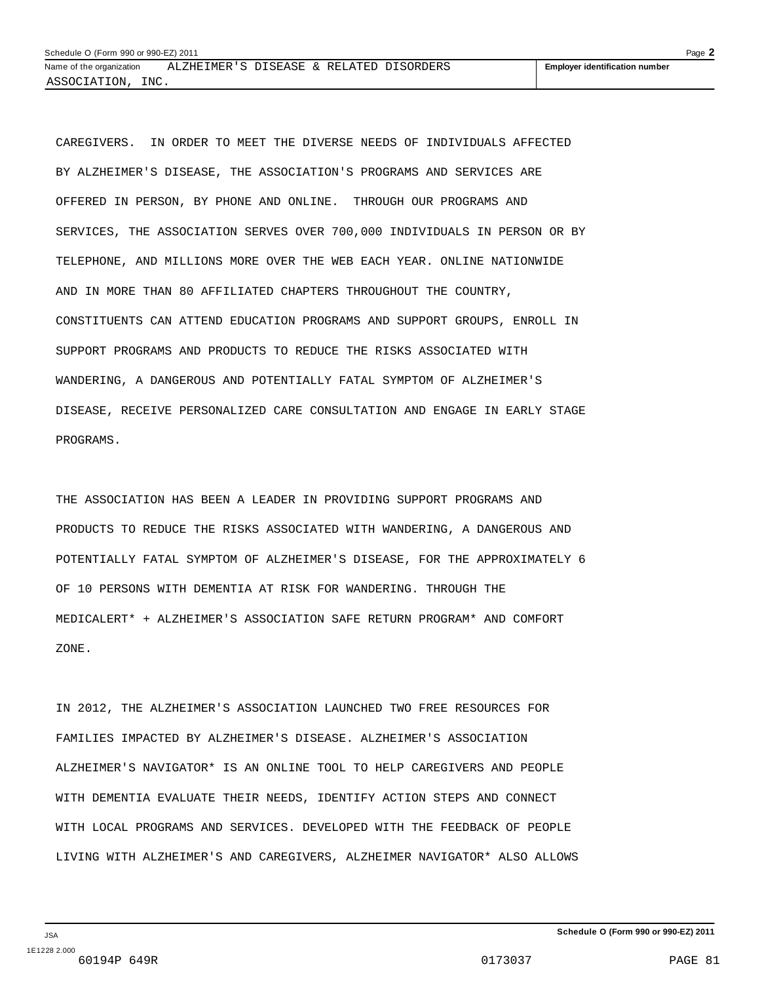CAREGIVERS. IN ORDER TO MEET THE DIVERSE NEEDS OF INDIVIDUALS AFFECTED BY ALZHEIMER'S DISEASE, THE ASSOCIATION'S PROGRAMS AND SERVICES ARE OFFERED IN PERSON, BY PHONE AND ONLINE. THROUGH OUR PROGRAMS AND SERVICES, THE ASSOCIATION SERVES OVER 700,000 INDIVIDUALS IN PERSON OR BY TELEPHONE, AND MILLIONS MORE OVER THE WEB EACH YEAR. ONLINE NATIONWIDE AND IN MORE THAN 80 AFFILIATED CHAPTERS THROUGHOUT THE COUNTRY, CONSTITUENTS CAN ATTEND EDUCATION PROGRAMS AND SUPPORT GROUPS, ENROLL IN SUPPORT PROGRAMS AND PRODUCTS TO REDUCE THE RISKS ASSOCIATED WITH WANDERING, A DANGEROUS AND POTENTIALLY FATAL SYMPTOM OF ALZHEIMER'S DISEASE, RECEIVE PERSONALIZED CARE CONSULTATION AND ENGAGE IN EARLY STAGE PROGRAMS.

THE ASSOCIATION HAS BEEN A LEADER IN PROVIDING SUPPORT PROGRAMS AND PRODUCTS TO REDUCE THE RISKS ASSOCIATED WITH WANDERING, A DANGEROUS AND POTENTIALLY FATAL SYMPTOM OF ALZHEIMER'S DISEASE, FOR THE APPROXIMATELY 6 OF 10 PERSONS WITH DEMENTIA AT RISK FOR WANDERING. THROUGH THE MEDICALERT\* + ALZHEIMER'S ASSOCIATION SAFE RETURN PROGRAM\* AND COMFORT ZONE.

IN 2012, THE ALZHEIMER'S ASSOCIATION LAUNCHED TWO FREE RESOURCES FOR FAMILIES IMPACTED BY ALZHEIMER'S DISEASE. ALZHEIMER'S ASSOCIATION ALZHEIMER'S NAVIGATOR\* IS AN ONLINE TOOL TO HELP CAREGIVERS AND PEOPLE WITH DEMENTIA EVALUATE THEIR NEEDS, IDENTIFY ACTION STEPS AND CONNECT WITH LOCAL PROGRAMS AND SERVICES. DEVELOPED WITH THE FEEDBACK OF PEOPLE LIVING WITH ALZHEIMER'S AND CAREGIVERS, ALZHEIMER NAVIGATOR\* ALSO ALLOWS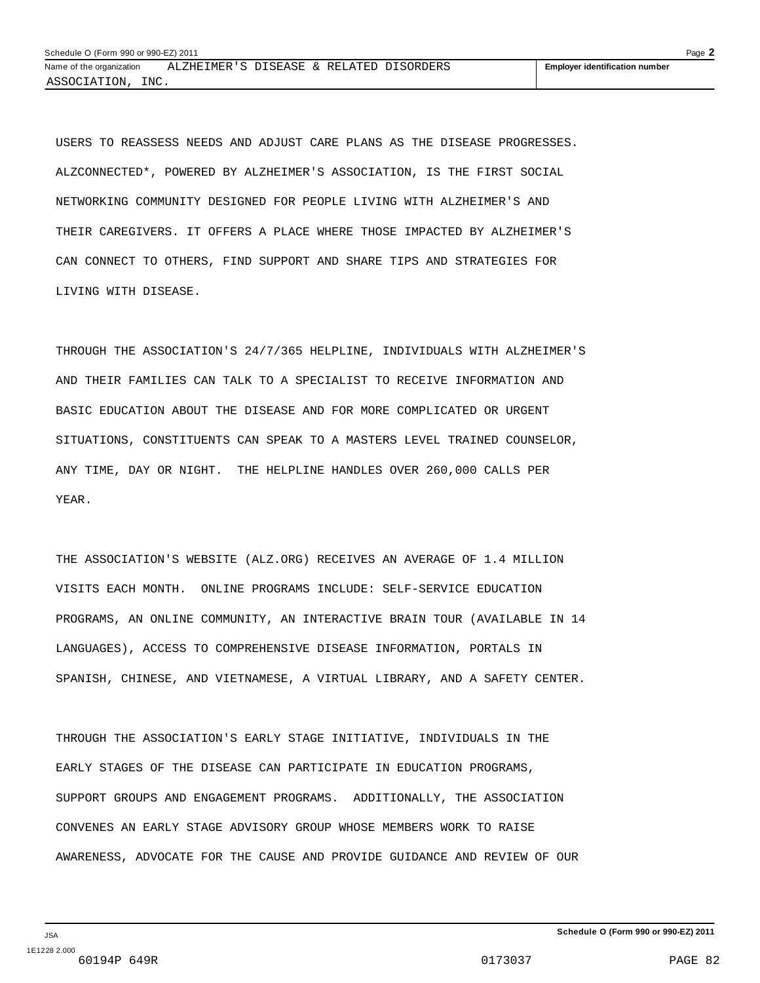USERS TO REASSESS NEEDS AND ADJUST CARE PLANS AS THE DISEASE PROGRESSES. ALZCONNECTED\*, POWERED BY ALZHEIMER'S ASSOCIATION, IS THE FIRST SOCIAL NETWORKING COMMUNITY DESIGNED FOR PEOPLE LIVING WITH ALZHEIMER'S AND THEIR CAREGIVERS. IT OFFERS A PLACE WHERE THOSE IMPACTED BY ALZHEIMER'S CAN CONNECT TO OTHERS, FIND SUPPORT AND SHARE TIPS AND STRATEGIES FOR LIVING WITH DISEASE.

THROUGH THE ASSOCIATION'S 24/7/365 HELPLINE, INDIVIDUALS WITH ALZHEIMER'S AND THEIR FAMILIES CAN TALK TO A SPECIALIST TO RECEIVE INFORMATION AND BASIC EDUCATION ABOUT THE DISEASE AND FOR MORE COMPLICATED OR URGENT SITUATIONS, CONSTITUENTS CAN SPEAK TO A MASTERS LEVEL TRAINED COUNSELOR, ANY TIME, DAY OR NIGHT. THE HELPLINE HANDLES OVER 260,000 CALLS PER YEAR.

THE ASSOCIATION'S WEBSITE (ALZ.ORG) RECEIVES AN AVERAGE OF 1.4 MILLION VISITS EACH MONTH. ONLINE PROGRAMS INCLUDE: SELF-SERVICE EDUCATION PROGRAMS, AN ONLINE COMMUNITY, AN INTERACTIVE BRAIN TOUR (AVAILABLE IN 14 LANGUAGES), ACCESS TO COMPREHENSIVE DISEASE INFORMATION, PORTALS IN SPANISH, CHINESE, AND VIETNAMESE, A VIRTUAL LIBRARY, AND A SAFETY CENTER.

THROUGH THE ASSOCIATION'S EARLY STAGE INITIATIVE, INDIVIDUALS IN THE EARLY STAGES OF THE DISEASE CAN PARTICIPATE IN EDUCATION PROGRAMS, SUPPORT GROUPS AND ENGAGEMENT PROGRAMS. ADDITIONALLY, THE ASSOCIATION CONVENES AN EARLY STAGE ADVISORY GROUP WHOSE MEMBERS WORK TO RAISE AWARENESS, ADVOCATE FOR THE CAUSE AND PROVIDE GUIDANCE AND REVIEW OF OUR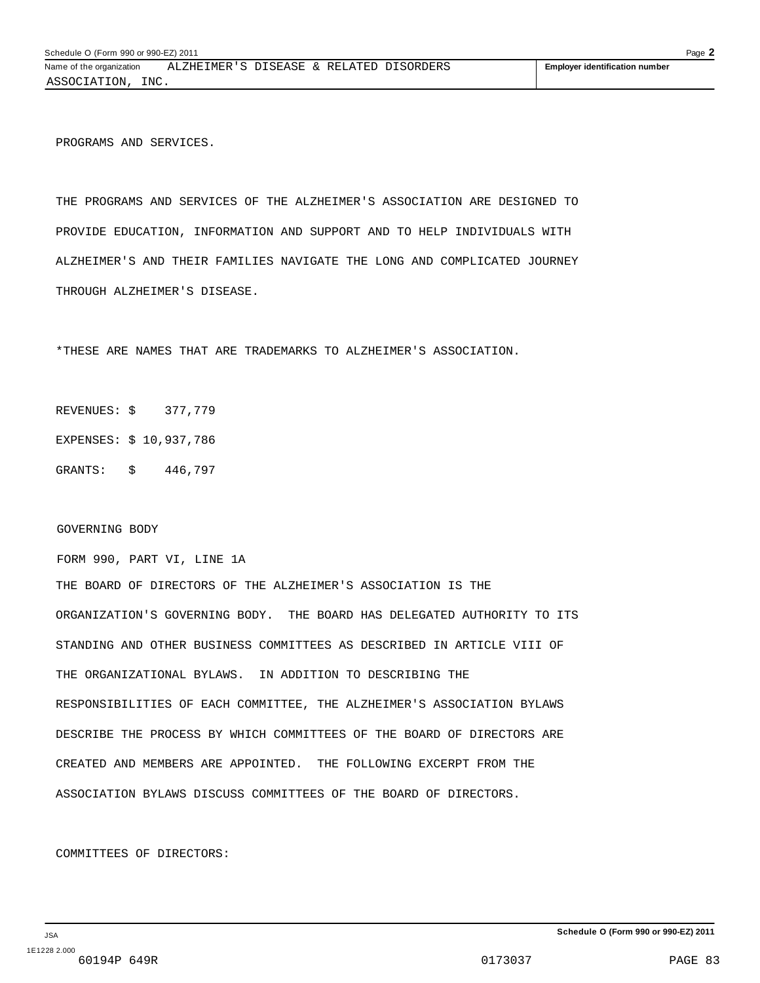PROGRAMS AND SERVICES.

THE PROGRAMS AND SERVICES OF THE ALZHEIMER'S ASSOCIATION ARE DESIGNED TO PROVIDE EDUCATION, INFORMATION AND SUPPORT AND TO HELP INDIVIDUALS WITH ALZHEIMER'S AND THEIR FAMILIES NAVIGATE THE LONG AND COMPLICATED JOURNEY THROUGH ALZHEIMER'S DISEASE.

\*THESE ARE NAMES THAT ARE TRADEMARKS TO ALZHEIMER'S ASSOCIATION.

REVENUES: \$ 377,779

EXPENSES: \$ 10,937,786

GRANTS: \$ 446,797

#### GOVERNING BODY

FORM 990, PART VI, LINE 1A

THE BOARD OF DIRECTORS OF THE ALZHEIMER'S ASSOCIATION IS THE ORGANIZATION'S GOVERNING BODY. THE BOARD HAS DELEGATED AUTHORITY TO ITS STANDING AND OTHER BUSINESS COMMITTEES AS DESCRIBED IN ARTICLE VIII OF THE ORGANIZATIONAL BYLAWS. IN ADDITION TO DESCRIBING THE RESPONSIBILITIES OF EACH COMMITTEE, THE ALZHEIMER'S ASSOCIATION BYLAWS DESCRIBE THE PROCESS BY WHICH COMMITTEES OF THE BOARD OF DIRECTORS ARE CREATED AND MEMBERS ARE APPOINTED. THE FOLLOWING EXCERPT FROM THE ASSOCIATION BYLAWS DISCUSS COMMITTEES OF THE BOARD OF DIRECTORS.

COMMITTEES OF DIRECTORS: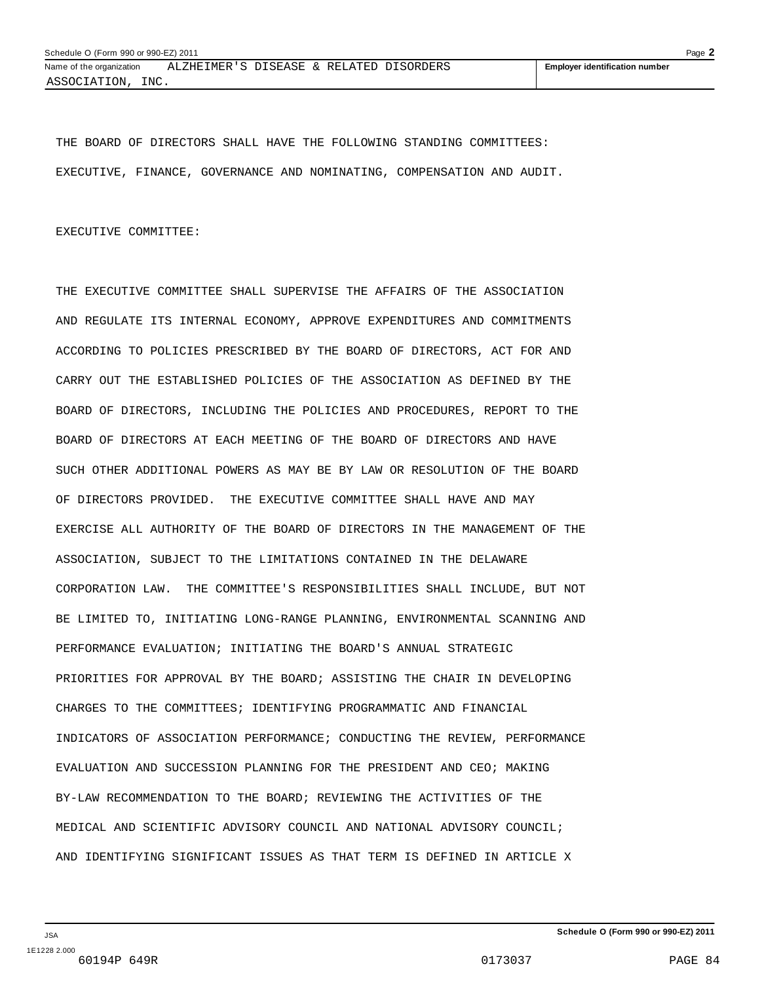THE BOARD OF DIRECTORS SHALL HAVE THE FOLLOWING STANDING COMMITTEES: EXECUTIVE, FINANCE, GOVERNANCE AND NOMINATING, COMPENSATION AND AUDIT.

EXECUTIVE COMMITTEE:

THE EXECUTIVE COMMITTEE SHALL SUPERVISE THE AFFAIRS OF THE ASSOCIATION AND REGULATE ITS INTERNAL ECONOMY, APPROVE EXPENDITURES AND COMMITMENTS ACCORDING TO POLICIES PRESCRIBED BY THE BOARD OF DIRECTORS, ACT FOR AND CARRY OUT THE ESTABLISHED POLICIES OF THE ASSOCIATION AS DEFINED BY THE BOARD OF DIRECTORS, INCLUDING THE POLICIES AND PROCEDURES, REPORT TO THE BOARD OF DIRECTORS AT EACH MEETING OF THE BOARD OF DIRECTORS AND HAVE SUCH OTHER ADDITIONAL POWERS AS MAY BE BY LAW OR RESOLUTION OF THE BOARD OF DIRECTORS PROVIDED. THE EXECUTIVE COMMITTEE SHALL HAVE AND MAY EXERCISE ALL AUTHORITY OF THE BOARD OF DIRECTORS IN THE MANAGEMENT OF THE ASSOCIATION, SUBJECT TO THE LIMITATIONS CONTAINED IN THE DELAWARE CORPORATION LAW. THE COMMITTEE'S RESPONSIBILITIES SHALL INCLUDE, BUT NOT BE LIMITED TO, INITIATING LONG-RANGE PLANNING, ENVIRONMENTAL SCANNING AND PERFORMANCE EVALUATION; INITIATING THE BOARD'S ANNUAL STRATEGIC PRIORITIES FOR APPROVAL BY THE BOARD; ASSISTING THE CHAIR IN DEVELOPING CHARGES TO THE COMMITTEES; IDENTIFYING PROGRAMMATIC AND FINANCIAL INDICATORS OF ASSOCIATION PERFORMANCE; CONDUCTING THE REVIEW, PERFORMANCE EVALUATION AND SUCCESSION PLANNING FOR THE PRESIDENT AND CEO; MAKING BY-LAW RECOMMENDATION TO THE BOARD; REVIEWING THE ACTIVITIES OF THE MEDICAL AND SCIENTIFIC ADVISORY COUNCIL AND NATIONAL ADVISORY COUNCIL; AND IDENTIFYING SIGNIFICANT ISSUES AS THAT TERM IS DEFINED IN ARTICLE X

JSA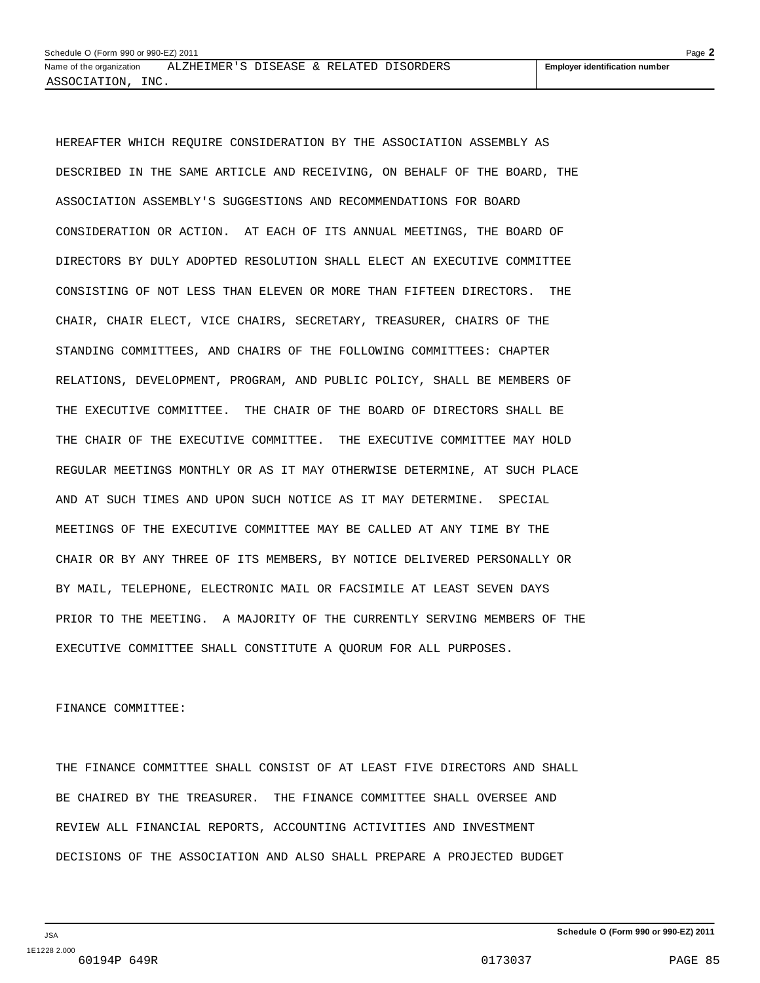HEREAFTER WHICH REQUIRE CONSIDERATION BY THE ASSOCIATION ASSEMBLY AS DESCRIBED IN THE SAME ARTICLE AND RECEIVING, ON BEHALF OF THE BOARD, THE ASSOCIATION ASSEMBLY'S SUGGESTIONS AND RECOMMENDATIONS FOR BOARD CONSIDERATION OR ACTION. AT EACH OF ITS ANNUAL MEETINGS, THE BOARD OF DIRECTORS BY DULY ADOPTED RESOLUTION SHALL ELECT AN EXECUTIVE COMMITTEE CONSISTING OF NOT LESS THAN ELEVEN OR MORE THAN FIFTEEN DIRECTORS. THE CHAIR, CHAIR ELECT, VICE CHAIRS, SECRETARY, TREASURER, CHAIRS OF THE STANDING COMMITTEES, AND CHAIRS OF THE FOLLOWING COMMITTEES: CHAPTER RELATIONS, DEVELOPMENT, PROGRAM, AND PUBLIC POLICY, SHALL BE MEMBERS OF THE EXECUTIVE COMMITTEE. THE CHAIR OF THE BOARD OF DIRECTORS SHALL BE THE CHAIR OF THE EXECUTIVE COMMITTEE. THE EXECUTIVE COMMITTEE MAY HOLD REGULAR MEETINGS MONTHLY OR AS IT MAY OTHERWISE DETERMINE, AT SUCH PLACE AND AT SUCH TIMES AND UPON SUCH NOTICE AS IT MAY DETERMINE. SPECIAL MEETINGS OF THE EXECUTIVE COMMITTEE MAY BE CALLED AT ANY TIME BY THE CHAIR OR BY ANY THREE OF ITS MEMBERS, BY NOTICE DELIVERED PERSONALLY OR BY MAIL, TELEPHONE, ELECTRONIC MAIL OR FACSIMILE AT LEAST SEVEN DAYS PRIOR TO THE MEETING. A MAJORITY OF THE CURRENTLY SERVING MEMBERS OF THE EXECUTIVE COMMITTEE SHALL CONSTITUTE A QUORUM FOR ALL PURPOSES.

#### FINANCE COMMITTEE:

THE FINANCE COMMITTEE SHALL CONSIST OF AT LEAST FIVE DIRECTORS AND SHALL BE CHAIRED BY THE TREASURER. THE FINANCE COMMITTEE SHALL OVERSEE AND REVIEW ALL FINANCIAL REPORTS, ACCOUNTING ACTIVITIES AND INVESTMENT DECISIONS OF THE ASSOCIATION AND ALSO SHALL PREPARE A PROJECTED BUDGET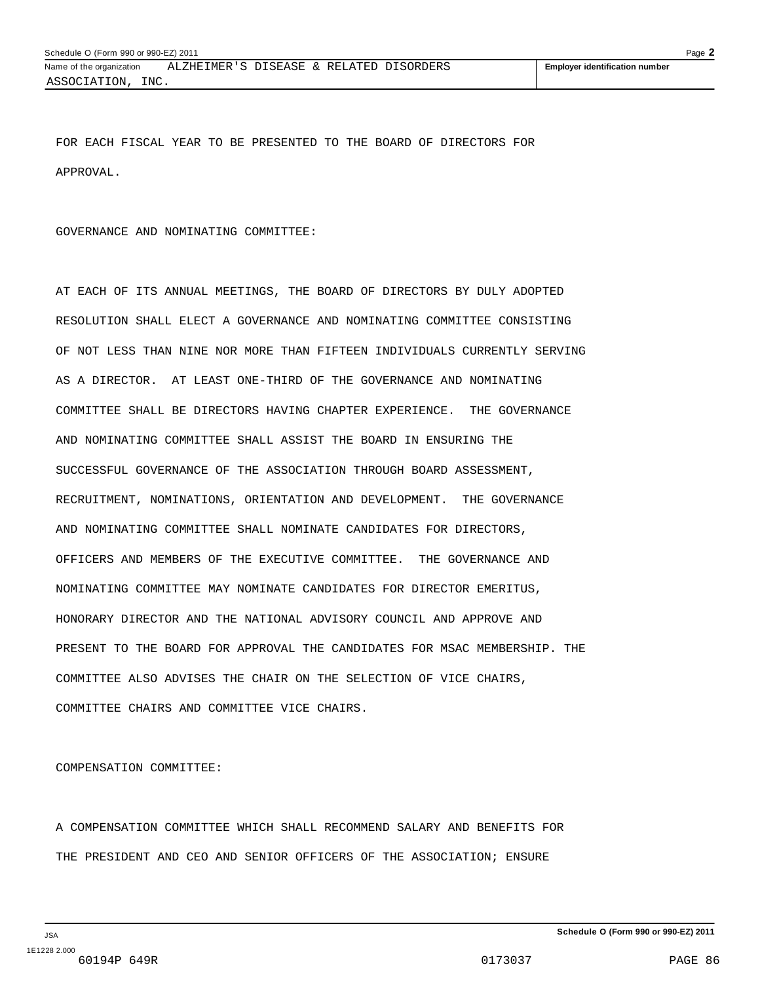FOR EACH FISCAL YEAR TO BE PRESENTED TO THE BOARD OF DIRECTORS FOR APPROVAL.

#### GOVERNANCE AND NOMINATING COMMITTEE:

AT EACH OF ITS ANNUAL MEETINGS, THE BOARD OF DIRECTORS BY DULY ADOPTED RESOLUTION SHALL ELECT A GOVERNANCE AND NOMINATING COMMITTEE CONSISTING OF NOT LESS THAN NINE NOR MORE THAN FIFTEEN INDIVIDUALS CURRENTLY SERVING AS A DIRECTOR. AT LEAST ONE-THIRD OF THE GOVERNANCE AND NOMINATING COMMITTEE SHALL BE DIRECTORS HAVING CHAPTER EXPERIENCE. THE GOVERNANCE AND NOMINATING COMMITTEE SHALL ASSIST THE BOARD IN ENSURING THE SUCCESSFUL GOVERNANCE OF THE ASSOCIATION THROUGH BOARD ASSESSMENT, RECRUITMENT, NOMINATIONS, ORIENTATION AND DEVELOPMENT. THE GOVERNANCE AND NOMINATING COMMITTEE SHALL NOMINATE CANDIDATES FOR DIRECTORS, OFFICERS AND MEMBERS OF THE EXECUTIVE COMMITTEE. THE GOVERNANCE AND NOMINATING COMMITTEE MAY NOMINATE CANDIDATES FOR DIRECTOR EMERITUS, HONORARY DIRECTOR AND THE NATIONAL ADVISORY COUNCIL AND APPROVE AND PRESENT TO THE BOARD FOR APPROVAL THE CANDIDATES FOR MSAC MEMBERSHIP. THE COMMITTEE ALSO ADVISES THE CHAIR ON THE SELECTION OF VICE CHAIRS, COMMITTEE CHAIRS AND COMMITTEE VICE CHAIRS.

COMPENSATION COMMITTEE:

A COMPENSATION COMMITTEE WHICH SHALL RECOMMEND SALARY AND BENEFITS FOR THE PRESIDENT AND CEO AND SENIOR OFFICERS OF THE ASSOCIATION; ENSURE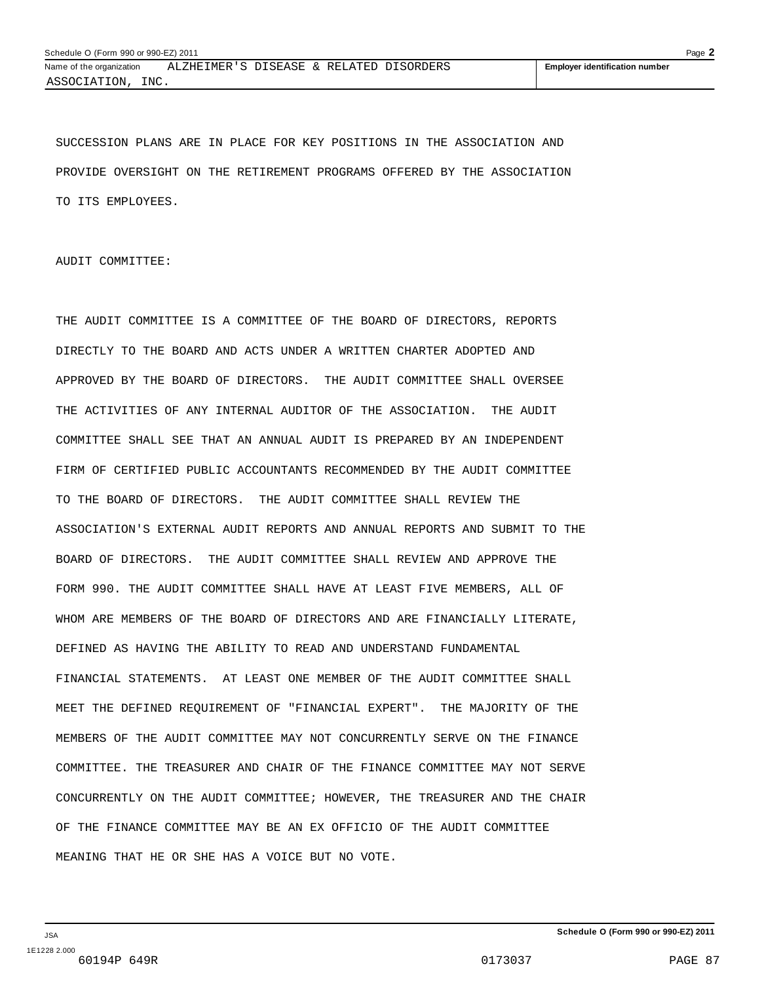SUCCESSION PLANS ARE IN PLACE FOR KEY POSITIONS IN THE ASSOCIATION AND PROVIDE OVERSIGHT ON THE RETIREMENT PROGRAMS OFFERED BY THE ASSOCIATION TO ITS EMPLOYEES.

AUDIT COMMITTEE:

THE AUDIT COMMITTEE IS A COMMITTEE OF THE BOARD OF DIRECTORS, REPORTS DIRECTLY TO THE BOARD AND ACTS UNDER A WRITTEN CHARTER ADOPTED AND APPROVED BY THE BOARD OF DIRECTORS. THE AUDIT COMMITTEE SHALL OVERSEE THE ACTIVITIES OF ANY INTERNAL AUDITOR OF THE ASSOCIATION. THE AUDIT COMMITTEE SHALL SEE THAT AN ANNUAL AUDIT IS PREPARED BY AN INDEPENDENT FIRM OF CERTIFIED PUBLIC ACCOUNTANTS RECOMMENDED BY THE AUDIT COMMITTEE TO THE BOARD OF DIRECTORS. THE AUDIT COMMITTEE SHALL REVIEW THE ASSOCIATION'S EXTERNAL AUDIT REPORTS AND ANNUAL REPORTS AND SUBMIT TO THE BOARD OF DIRECTORS. THE AUDIT COMMITTEE SHALL REVIEW AND APPROVE THE FORM 990. THE AUDIT COMMITTEE SHALL HAVE AT LEAST FIVE MEMBERS, ALL OF WHOM ARE MEMBERS OF THE BOARD OF DIRECTORS AND ARE FINANCIALLY LITERATE, DEFINED AS HAVING THE ABILITY TO READ AND UNDERSTAND FUNDAMENTAL FINANCIAL STATEMENTS. AT LEAST ONE MEMBER OF THE AUDIT COMMITTEE SHALL MEET THE DEFINED REQUIREMENT OF "FINANCIAL EXPERT". THE MAJORITY OF THE MEMBERS OF THE AUDIT COMMITTEE MAY NOT CONCURRENTLY SERVE ON THE FINANCE COMMITTEE. THE TREASURER AND CHAIR OF THE FINANCE COMMITTEE MAY NOT SERVE CONCURRENTLY ON THE AUDIT COMMITTEE; HOWEVER, THE TREASURER AND THE CHAIR OF THE FINANCE COMMITTEE MAY BE AN EX OFFICIO OF THE AUDIT COMMITTEE MEANING THAT HE OR SHE HAS A VOICE BUT NO VOTE.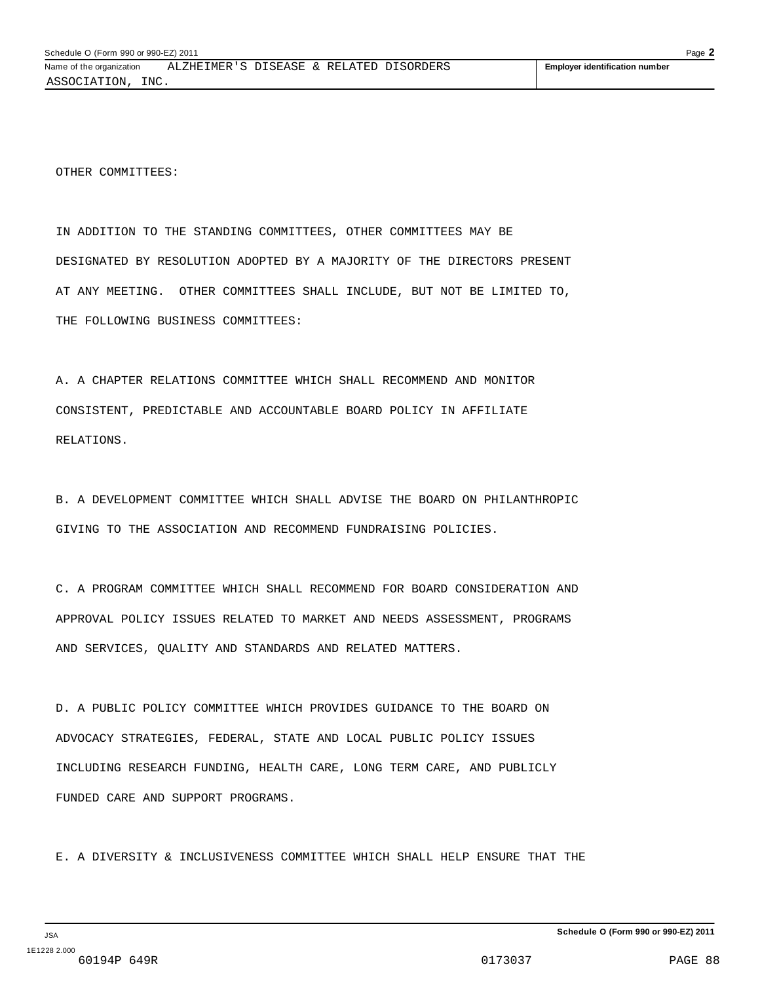OTHER COMMITTEES:

IN ADDITION TO THE STANDING COMMITTEES, OTHER COMMITTEES MAY BE DESIGNATED BY RESOLUTION ADOPTED BY A MAJORITY OF THE DIRECTORS PRESENT AT ANY MEETING. OTHER COMMITTEES SHALL INCLUDE, BUT NOT BE LIMITED TO, THE FOLLOWING BUSINESS COMMITTEES:

A. A CHAPTER RELATIONS COMMITTEE WHICH SHALL RECOMMEND AND MONITOR CONSISTENT, PREDICTABLE AND ACCOUNTABLE BOARD POLICY IN AFFILIATE RELATIONS.

B. A DEVELOPMENT COMMITTEE WHICH SHALL ADVISE THE BOARD ON PHILANTHROPIC GIVING TO THE ASSOCIATION AND RECOMMEND FUNDRAISING POLICIES.

C. A PROGRAM COMMITTEE WHICH SHALL RECOMMEND FOR BOARD CONSIDERATION AND APPROVAL POLICY ISSUES RELATED TO MARKET AND NEEDS ASSESSMENT, PROGRAMS AND SERVICES, QUALITY AND STANDARDS AND RELATED MATTERS.

D. A PUBLIC POLICY COMMITTEE WHICH PROVIDES GUIDANCE TO THE BOARD ON ADVOCACY STRATEGIES, FEDERAL, STATE AND LOCAL PUBLIC POLICY ISSUES INCLUDING RESEARCH FUNDING, HEALTH CARE, LONG TERM CARE, AND PUBLICLY FUNDED CARE AND SUPPORT PROGRAMS.

E. A DIVERSITY & INCLUSIVENESS COMMITTEE WHICH SHALL HELP ENSURE THAT THE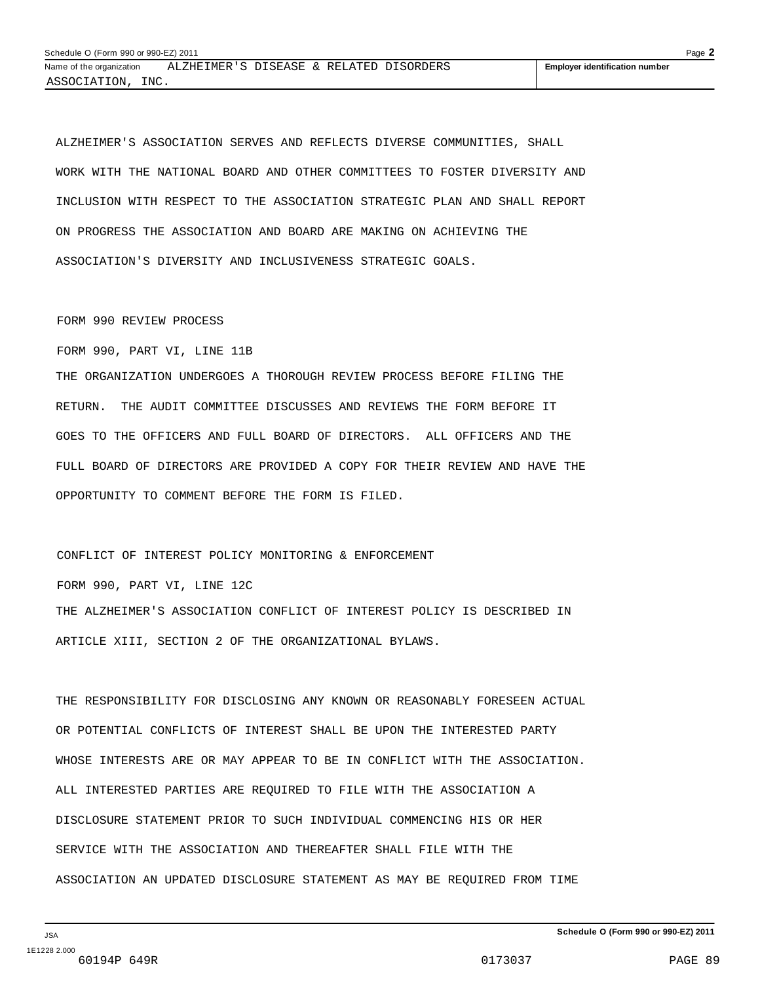ALZHEIMER'S ASSOCIATION SERVES AND REFLECTS DIVERSE COMMUNITIES, SHALL WORK WITH THE NATIONAL BOARD AND OTHER COMMITTEES TO FOSTER DIVERSITY AND INCLUSION WITH RESPECT TO THE ASSOCIATION STRATEGIC PLAN AND SHALL REPORT ON PROGRESS THE ASSOCIATION AND BOARD ARE MAKING ON ACHIEVING THE ASSOCIATION'S DIVERSITY AND INCLUSIVENESS STRATEGIC GOALS.

#### FORM 990 REVIEW PROCESS

FORM 990, PART VI, LINE 11B

THE ORGANIZATION UNDERGOES A THOROUGH REVIEW PROCESS BEFORE FILING THE RETURN. THE AUDIT COMMITTEE DISCUSSES AND REVIEWS THE FORM BEFORE IT GOES TO THE OFFICERS AND FULL BOARD OF DIRECTORS. ALL OFFICERS AND THE FULL BOARD OF DIRECTORS ARE PROVIDED A COPY FOR THEIR REVIEW AND HAVE THE OPPORTUNITY TO COMMENT BEFORE THE FORM IS FILED.

CONFLICT OF INTEREST POLICY MONITORING & ENFORCEMENT FORM 990, PART VI, LINE 12C THE ALZHEIMER'S ASSOCIATION CONFLICT OF INTEREST POLICY IS DESCRIBED IN ARTICLE XIII, SECTION 2 OF THE ORGANIZATIONAL BYLAWS.

THE RESPONSIBILITY FOR DISCLOSING ANY KNOWN OR REASONABLY FORESEEN ACTUAL OR POTENTIAL CONFLICTS OF INTEREST SHALL BE UPON THE INTERESTED PARTY WHOSE INTERESTS ARE OR MAY APPEAR TO BE IN CONFLICT WITH THE ASSOCIATION. ALL INTERESTED PARTIES ARE REQUIRED TO FILE WITH THE ASSOCIATION A DISCLOSURE STATEMENT PRIOR TO SUCH INDIVIDUAL COMMENCING HIS OR HER SERVICE WITH THE ASSOCIATION AND THEREAFTER SHALL FILE WITH THE ASSOCIATION AN UPDATED DISCLOSURE STATEMENT AS MAY BE REQUIRED FROM TIME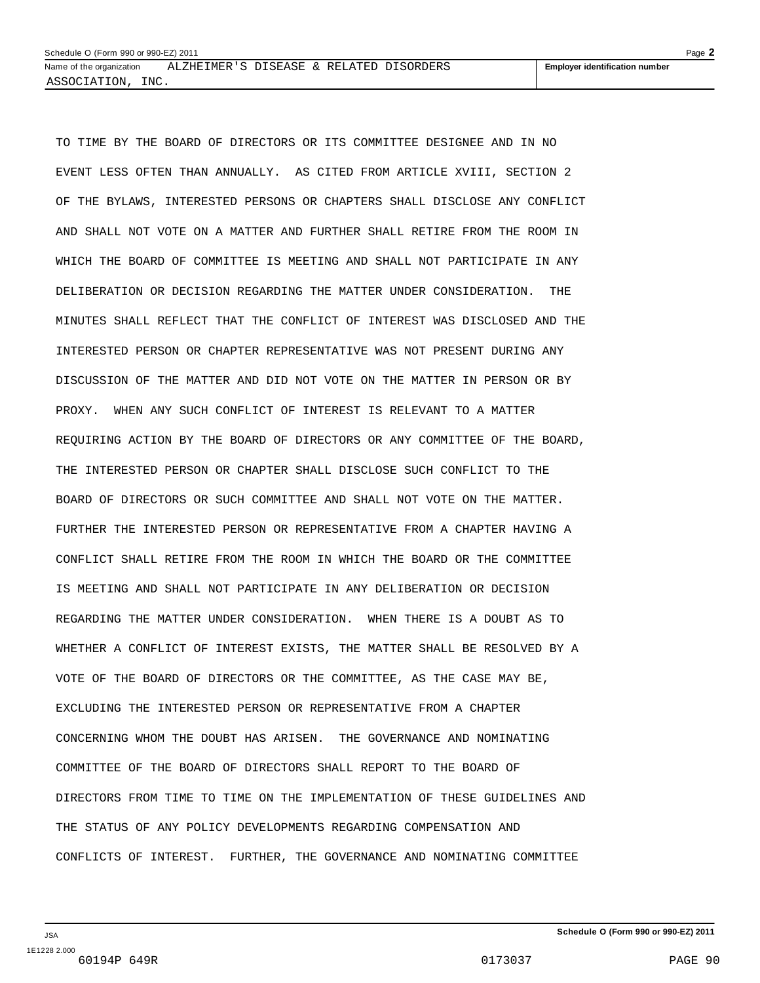TO TIME BY THE BOARD OF DIRECTORS OR ITS COMMITTEE DESIGNEE AND IN NO EVENT LESS OFTEN THAN ANNUALLY. AS CITED FROM ARTICLE XVIII, SECTION 2 OF THE BYLAWS, INTERESTED PERSONS OR CHAPTERS SHALL DISCLOSE ANY CONFLICT AND SHALL NOT VOTE ON A MATTER AND FURTHER SHALL RETIRE FROM THE ROOM IN WHICH THE BOARD OF COMMITTEE IS MEETING AND SHALL NOT PARTICIPATE IN ANY DELIBERATION OR DECISION REGARDING THE MATTER UNDER CONSIDERATION. THE MINUTES SHALL REFLECT THAT THE CONFLICT OF INTEREST WAS DISCLOSED AND THE INTERESTED PERSON OR CHAPTER REPRESENTATIVE WAS NOT PRESENT DURING ANY DISCUSSION OF THE MATTER AND DID NOT VOTE ON THE MATTER IN PERSON OR BY PROXY. WHEN ANY SUCH CONFLICT OF INTEREST IS RELEVANT TO A MATTER REQUIRING ACTION BY THE BOARD OF DIRECTORS OR ANY COMMITTEE OF THE BOARD, THE INTERESTED PERSON OR CHAPTER SHALL DISCLOSE SUCH CONFLICT TO THE BOARD OF DIRECTORS OR SUCH COMMITTEE AND SHALL NOT VOTE ON THE MATTER. FURTHER THE INTERESTED PERSON OR REPRESENTATIVE FROM A CHAPTER HAVING A CONFLICT SHALL RETIRE FROM THE ROOM IN WHICH THE BOARD OR THE COMMITTEE IS MEETING AND SHALL NOT PARTICIPATE IN ANY DELIBERATION OR DECISION REGARDING THE MATTER UNDER CONSIDERATION. WHEN THERE IS A DOUBT AS TO WHETHER A CONFLICT OF INTEREST EXISTS, THE MATTER SHALL BE RESOLVED BY A VOTE OF THE BOARD OF DIRECTORS OR THE COMMITTEE, AS THE CASE MAY BE, EXCLUDING THE INTERESTED PERSON OR REPRESENTATIVE FROM A CHAPTER CONCERNING WHOM THE DOUBT HAS ARISEN. THE GOVERNANCE AND NOMINATING COMMITTEE OF THE BOARD OF DIRECTORS SHALL REPORT TO THE BOARD OF DIRECTORS FROM TIME TO TIME ON THE IMPLEMENTATION OF THESE GUIDELINES AND THE STATUS OF ANY POLICY DEVELOPMENTS REGARDING COMPENSATION AND CONFLICTS OF INTEREST. FURTHER, THE GOVERNANCE AND NOMINATING COMMITTEE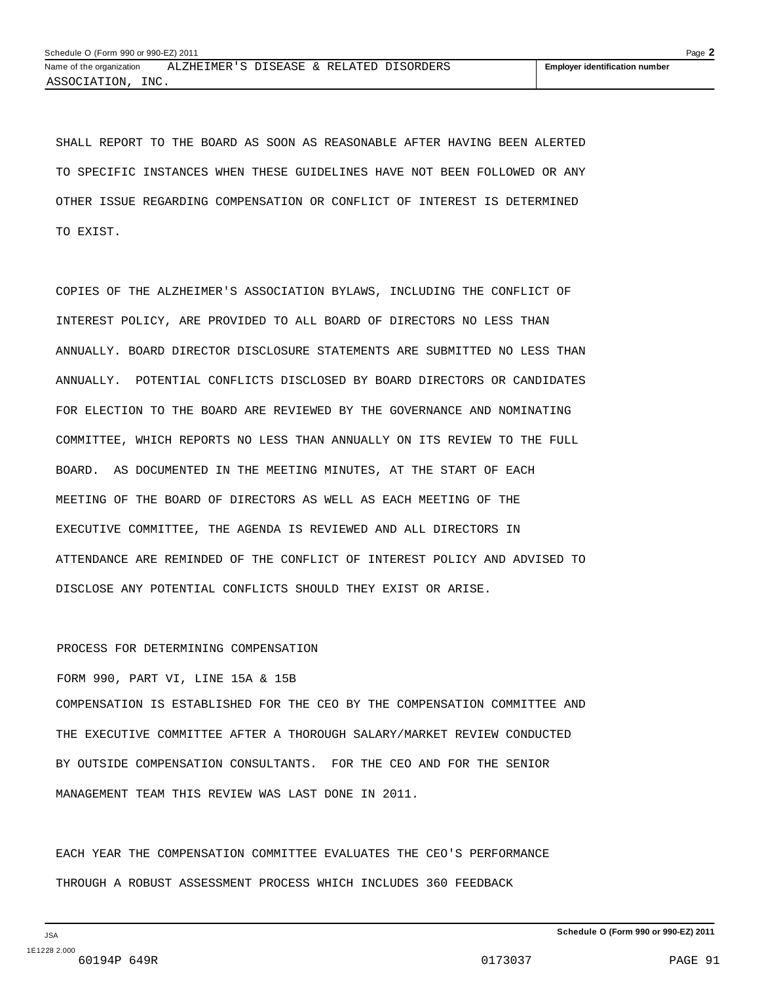SHALL REPORT TO THE BOARD AS SOON AS REASONABLE AFTER HAVING BEEN ALERTED TO SPECIFIC INSTANCES WHEN THESE GUIDELINES HAVE NOT BEEN FOLLOWED OR ANY OTHER ISSUE REGARDING COMPENSATION OR CONFLICT OF INTEREST IS DETERMINED TO EXIST.

COPIES OF THE ALZHEIMER'S ASSOCIATION BYLAWS, INCLUDING THE CONFLICT OF INTEREST POLICY, ARE PROVIDED TO ALL BOARD OF DIRECTORS NO LESS THAN ANNUALLY. BOARD DIRECTOR DISCLOSURE STATEMENTS ARE SUBMITTED NO LESS THAN ANNUALLY. POTENTIAL CONFLICTS DISCLOSED BY BOARD DIRECTORS OR CANDIDATES FOR ELECTION TO THE BOARD ARE REVIEWED BY THE GOVERNANCE AND NOMINATING COMMITTEE, WHICH REPORTS NO LESS THAN ANNUALLY ON ITS REVIEW TO THE FULL BOARD. AS DOCUMENTED IN THE MEETING MINUTES, AT THE START OF EACH MEETING OF THE BOARD OF DIRECTORS AS WELL AS EACH MEETING OF THE EXECUTIVE COMMITTEE, THE AGENDA IS REVIEWED AND ALL DIRECTORS IN ATTENDANCE ARE REMINDED OF THE CONFLICT OF INTEREST POLICY AND ADVISED TO DISCLOSE ANY POTENTIAL CONFLICTS SHOULD THEY EXIST OR ARISE.

#### PROCESS FOR DETERMINING COMPENSATION

FORM 990, PART VI, LINE 15A & 15B

COMPENSATION IS ESTABLISHED FOR THE CEO BY THE COMPENSATION COMMITTEE AND THE EXECUTIVE COMMITTEE AFTER A THOROUGH SALARY/MARKET REVIEW CONDUCTED BY OUTSIDE COMPENSATION CONSULTANTS. FOR THE CEO AND FOR THE SENIOR MANAGEMENT TEAM THIS REVIEW WAS LAST DONE IN 2011.

EACH YEAR THE COMPENSATION COMMITTEE EVALUATES THE CEO'S PERFORMANCE THROUGH A ROBUST ASSESSMENT PROCESS WHICH INCLUDES 360 FEEDBACK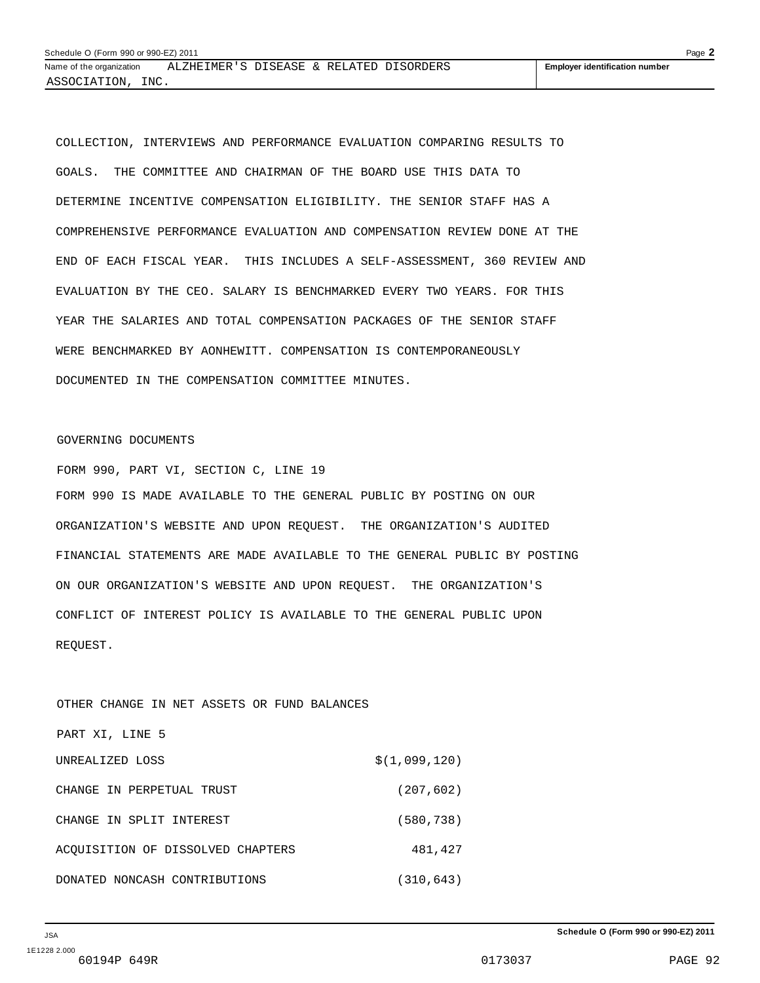COLLECTION, INTERVIEWS AND PERFORMANCE EVALUATION COMPARING RESULTS TO GOALS. THE COMMITTEE AND CHAIRMAN OF THE BOARD USE THIS DATA TO DETERMINE INCENTIVE COMPENSATION ELIGIBILITY. THE SENIOR STAFF HAS A COMPREHENSIVE PERFORMANCE EVALUATION AND COMPENSATION REVIEW DONE AT THE END OF EACH FISCAL YEAR. THIS INCLUDES A SELF-ASSESSMENT, 360 REVIEW AND EVALUATION BY THE CEO. SALARY IS BENCHMARKED EVERY TWO YEARS. FOR THIS YEAR THE SALARIES AND TOTAL COMPENSATION PACKAGES OF THE SENIOR STAFF WERE BENCHMARKED BY AONHEWITT. COMPENSATION IS CONTEMPORANEOUSLY DOCUMENTED IN THE COMPENSATION COMMITTEE MINUTES.

#### GOVERNING DOCUMENTS

FORM 990, PART VI, SECTION C, LINE 19 FORM 990 IS MADE AVAILABLE TO THE GENERAL PUBLIC BY POSTING ON OUR ORGANIZATION'S WEBSITE AND UPON REQUEST. THE ORGANIZATION'S AUDITED FINANCIAL STATEMENTS ARE MADE AVAILABLE TO THE GENERAL PUBLIC BY POSTING ON OUR ORGANIZATION'S WEBSITE AND UPON REQUEST. THE ORGANIZATION'S CONFLICT OF INTEREST POLICY IS AVAILABLE TO THE GENERAL PUBLIC UPON REQUEST.

OTHER CHANGE IN NET ASSETS OR FUND BALANCES PART XI, LINE 5 UNREALIZED LOSS  $\zeta(1,099,120)$ CHANGE IN PERPETUAL TRUST (207,602) CHANGE IN SPLIT INTEREST (580,738) ACQUISITION OF DISSOLVED CHAPTERS 481,427 DONATED NONCASH CONTRIBUTIONS (310,643)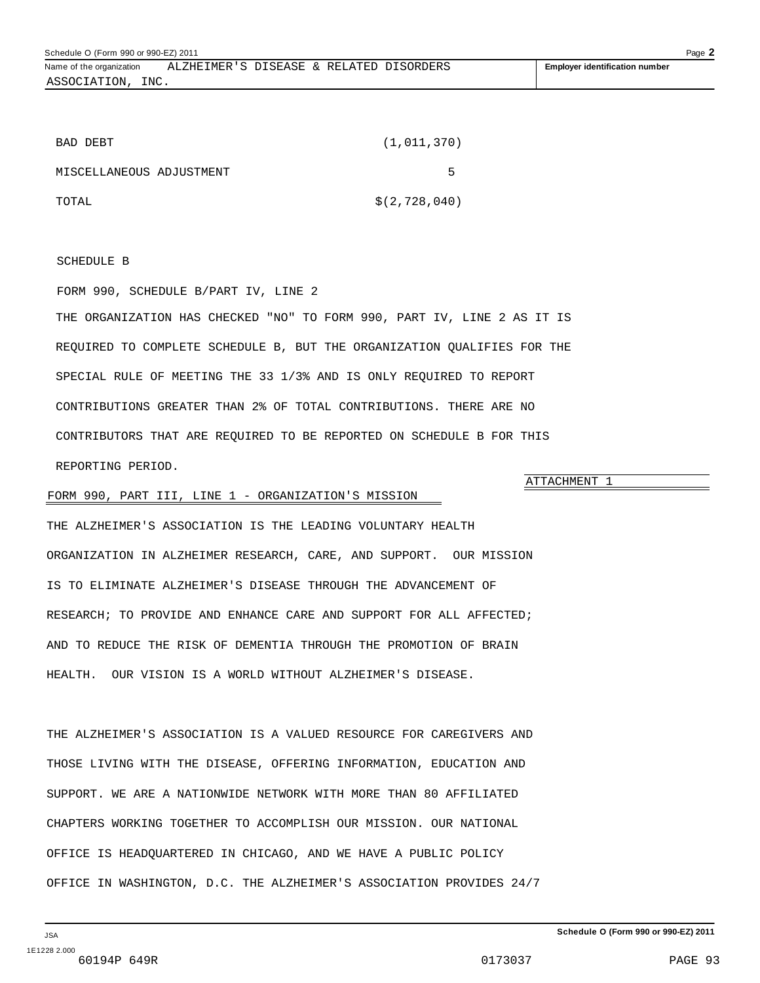ASSOCIATION, INC.

| BAD DEBT                 | (1,011,370)     |
|--------------------------|-----------------|
| MISCELLANEOUS ADJUSTMENT | ь               |
| TOTAL                    | \$(2, 728, 040) |

#### SCHEDULE B

FORM 990, SCHEDULE B/PART IV, LINE 2

THE ORGANIZATION HAS CHECKED "NO" TO FORM 990, PART IV, LINE 2 AS IT IS REQUIRED TO COMPLETE SCHEDULE B, BUT THE ORGANIZATION QUALIFIES FOR THE SPECIAL RULE OF MEETING THE 33 1/3% AND IS ONLY REQUIRED TO REPORT CONTRIBUTIONS GREATER THAN 2% OF TOTAL CONTRIBUTIONS. THERE ARE NO CONTRIBUTORS THAT ARE REQUIRED TO BE REPORTED ON SCHEDULE B FOR THIS REPORTING PERIOD.

#### FORM 990, PART III, LINE 1 - ORGANIZATION'S MISSION

THE ALZHEIMER'S ASSOCIATION IS THE LEADING VOLUNTARY HEALTH ORGANIZATION IN ALZHEIMER RESEARCH, CARE, AND SUPPORT. OUR MISSION IS TO ELIMINATE ALZHEIMER'S DISEASE THROUGH THE ADVANCEMENT OF RESEARCH; TO PROVIDE AND ENHANCE CARE AND SUPPORT FOR ALL AFFECTED; AND TO REDUCE THE RISK OF DEMENTIA THROUGH THE PROMOTION OF BRAIN HEALTH. OUR VISION IS A WORLD WITHOUT ALZHEIMER'S DISEASE.

THE ALZHEIMER'S ASSOCIATION IS A VALUED RESOURCE FOR CAREGIVERS AND THOSE LIVING WITH THE DISEASE, OFFERING INFORMATION, EDUCATION AND SUPPORT. WE ARE A NATIONWIDE NETWORK WITH MORE THAN 80 AFFILIATED CHAPTERS WORKING TOGETHER TO ACCOMPLISH OUR MISSION. OUR NATIONAL OFFICE IS HEADQUARTERED IN CHICAGO, AND WE HAVE A PUBLIC POLICY OFFICE IN WASHINGTON, D.C. THE ALZHEIMER'S ASSOCIATION PROVIDES 24/7

ATTACHMENT 1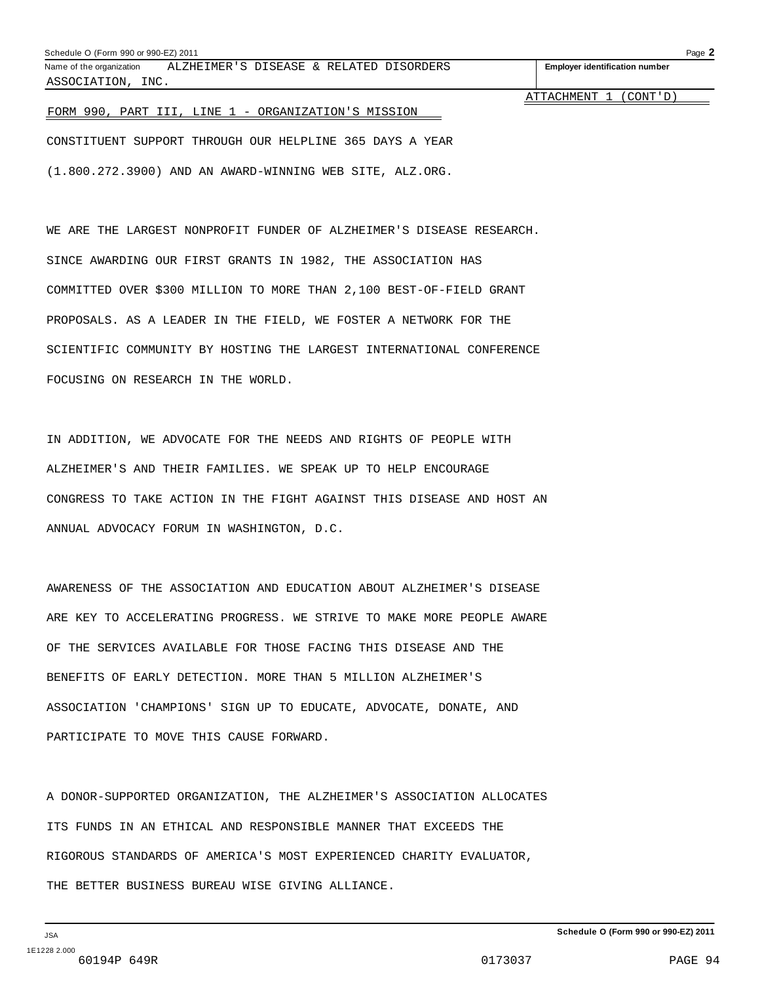#### Schedule O (Form 990 or 990-EZ) 2011 Page **2**

Name of the organization **ALZHEIMER'S DISEASE & RELATED DISORDERS Fig. 1 Employer identification number** ASSOCIATION, INC.

ATTACHMENT 1 (CONT'D)

#### FORM 990, PART III, LINE 1 - ORGANIZATION'S MISSION

CONSTITUENT SUPPORT THROUGH OUR HELPLINE 365 DAYS A YEAR (1.800.272.3900) AND AN AWARD-WINNING WEB SITE, ALZ.ORG.

WE ARE THE LARGEST NONPROFIT FUNDER OF ALZHEIMER'S DISEASE RESEARCH. SINCE AWARDING OUR FIRST GRANTS IN 1982, THE ASSOCIATION HAS COMMITTED OVER \$300 MILLION TO MORE THAN 2,100 BEST-OF-FIELD GRANT PROPOSALS. AS A LEADER IN THE FIELD, WE FOSTER A NETWORK FOR THE SCIENTIFIC COMMUNITY BY HOSTING THE LARGEST INTERNATIONAL CONFERENCE FOCUSING ON RESEARCH IN THE WORLD.

IN ADDITION, WE ADVOCATE FOR THE NEEDS AND RIGHTS OF PEOPLE WITH ALZHEIMER'S AND THEIR FAMILIES. WE SPEAK UP TO HELP ENCOURAGE CONGRESS TO TAKE ACTION IN THE FIGHT AGAINST THIS DISEASE AND HOST AN ANNUAL ADVOCACY FORUM IN WASHINGTON, D.C.

AWARENESS OF THE ASSOCIATION AND EDUCATION ABOUT ALZHEIMER'S DISEASE ARE KEY TO ACCELERATING PROGRESS. WE STRIVE TO MAKE MORE PEOPLE AWARE OF THE SERVICES AVAILABLE FOR THOSE FACING THIS DISEASE AND THE BENEFITS OF EARLY DETECTION. MORE THAN 5 MILLION ALZHEIMER'S ASSOCIATION 'CHAMPIONS' SIGN UP TO EDUCATE, ADVOCATE, DONATE, AND PARTICIPATE TO MOVE THIS CAUSE FORWARD.

A DONOR-SUPPORTED ORGANIZATION, THE ALZHEIMER'S ASSOCIATION ALLOCATES ITS FUNDS IN AN ETHICAL AND RESPONSIBLE MANNER THAT EXCEEDS THE RIGOROUS STANDARDS OF AMERICA'S MOST EXPERIENCED CHARITY EVALUATOR, THE BETTER BUSINESS BUREAU WISE GIVING ALLIANCE.

**Schedule O (Form 990 or 990-EZ) 2011**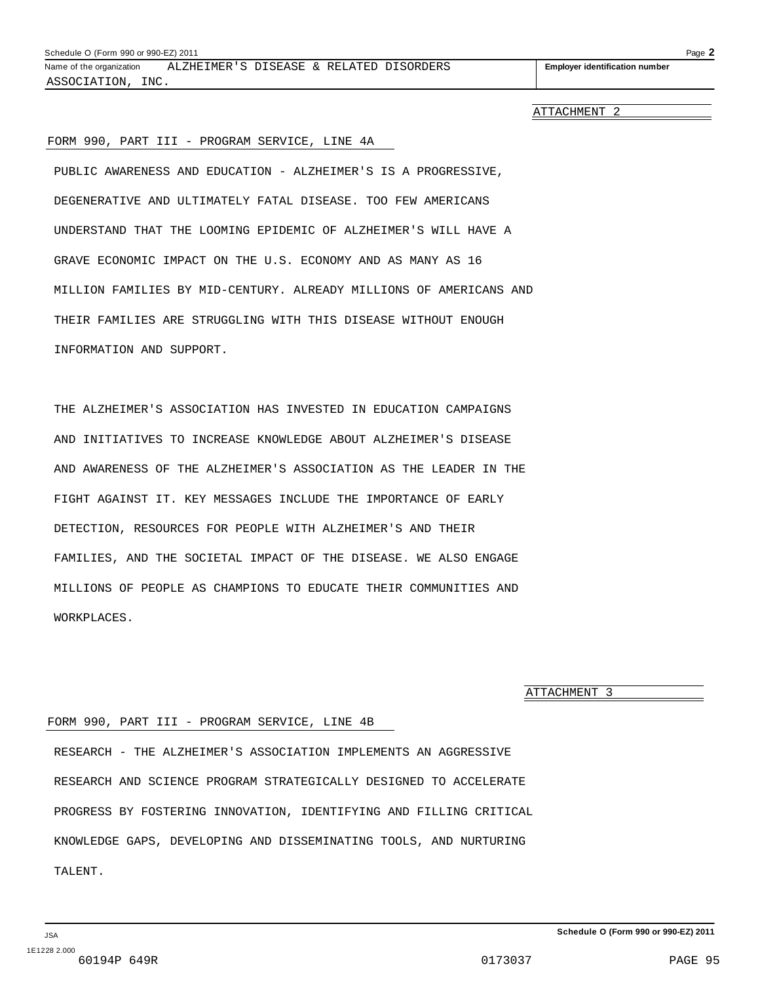ATTACHMENT 2

#### FORM 990, PART III - PROGRAM SERVICE, LINE 4A

PUBLIC AWARENESS AND EDUCATION - ALZHEIMER'S IS A PROGRESSIVE, DEGENERATIVE AND ULTIMATELY FATAL DISEASE. TOO FEW AMERICANS UNDERSTAND THAT THE LOOMING EPIDEMIC OF ALZHEIMER'S WILL HAVE A GRAVE ECONOMIC IMPACT ON THE U.S. ECONOMY AND AS MANY AS 16 MILLION FAMILIES BY MID-CENTURY. ALREADY MILLIONS OF AMERICANS AND THEIR FAMILIES ARE STRUGGLING WITH THIS DISEASE WITHOUT ENOUGH INFORMATION AND SUPPORT.

THE ALZHEIMER'S ASSOCIATION HAS INVESTED IN EDUCATION CAMPAIGNS AND INITIATIVES TO INCREASE KNOWLEDGE ABOUT ALZHEIMER'S DISEASE AND AWARENESS OF THE ALZHEIMER'S ASSOCIATION AS THE LEADER IN THE FIGHT AGAINST IT. KEY MESSAGES INCLUDE THE IMPORTANCE OF EARLY DETECTION, RESOURCES FOR PEOPLE WITH ALZHEIMER'S AND THEIR FAMILIES, AND THE SOCIETAL IMPACT OF THE DISEASE. WE ALSO ENGAGE MILLIONS OF PEOPLE AS CHAMPIONS TO EDUCATE THEIR COMMUNITIES AND WORKPLACES.

ATTACHMENT 3

#### FORM 990, PART III - PROGRAM SERVICE, LINE 4B

RESEARCH - THE ALZHEIMER'S ASSOCIATION IMPLEMENTS AN AGGRESSIVE RESEARCH AND SCIENCE PROGRAM STRATEGICALLY DESIGNED TO ACCELERATE PROGRESS BY FOSTERING INNOVATION, IDENTIFYING AND FILLING CRITICAL KNOWLEDGE GAPS, DEVELOPING AND DISSEMINATING TOOLS, AND NURTURING TALENT.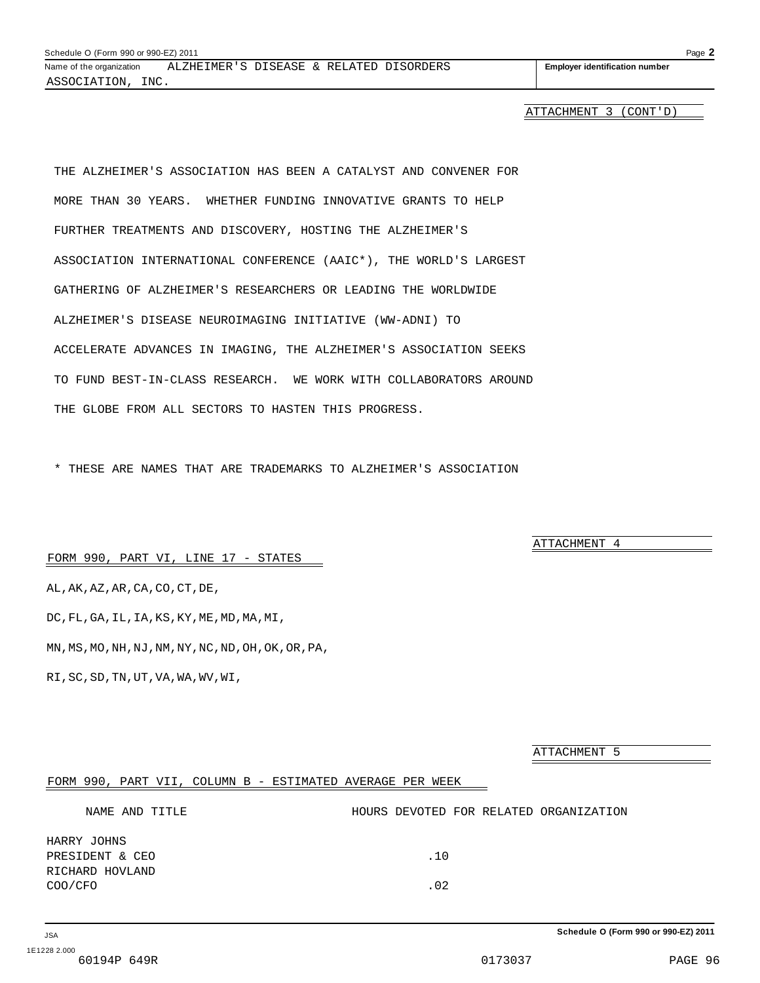ATTACHMENT 3 (CONT'D)

THE ALZHEIMER'S ASSOCIATION HAS BEEN A CATALYST AND CONVENER FOR MORE THAN 30 YEARS. WHETHER FUNDING INNOVATIVE GRANTS TO HELP FURTHER TREATMENTS AND DISCOVERY, HOSTING THE ALZHEIMER'S ASSOCIATION INTERNATIONAL CONFERENCE (AAIC\*), THE WORLD'S LARGEST GATHERING OF ALZHEIMER'S RESEARCHERS OR LEADING THE WORLDWIDE ALZHEIMER'S DISEASE NEUROIMAGING INITIATIVE (WW-ADNI) TO ACCELERATE ADVANCES IN IMAGING, THE ALZHEIMER'S ASSOCIATION SEEKS TO FUND BEST-IN-CLASS RESEARCH. WE WORK WITH COLLABORATORS AROUND THE GLOBE FROM ALL SECTORS TO HASTEN THIS PROGRESS.

\* THESE ARE NAMES THAT ARE TRADEMARKS TO ALZHEIMER'S ASSOCIATION

FORM 990, PART VI, LINE 17 - STATES

AL,AK,AZ,AR,CA,CO,CT,DE, DC,FL,GA,IL,IA,KS,KY,ME,MD,MA,MI, MN,MS,MO,NH,NJ,NM,NY,NC,ND,OH,OK,OR,PA, RI,SC,SD,TN,UT,VA,WA,WV,WI,

ATTACHMENT 5

ATTACHMENT 4

#### FORM 990, PART VII, COLUMN B - ESTIMATED AVERAGE PER WEEK

| NAME AND TITLE                                               | HOURS DEVOTED FOR RELATED ORGANIZATION |  |
|--------------------------------------------------------------|----------------------------------------|--|
| HARRY JOHNS<br>PRESIDENT & CEO<br>RICHARD HOVLAND<br>COO/CFO | .10<br>.02                             |  |
|                                                              |                                        |  |

**Schedule O (Form 990 or 990-EZ) 2011**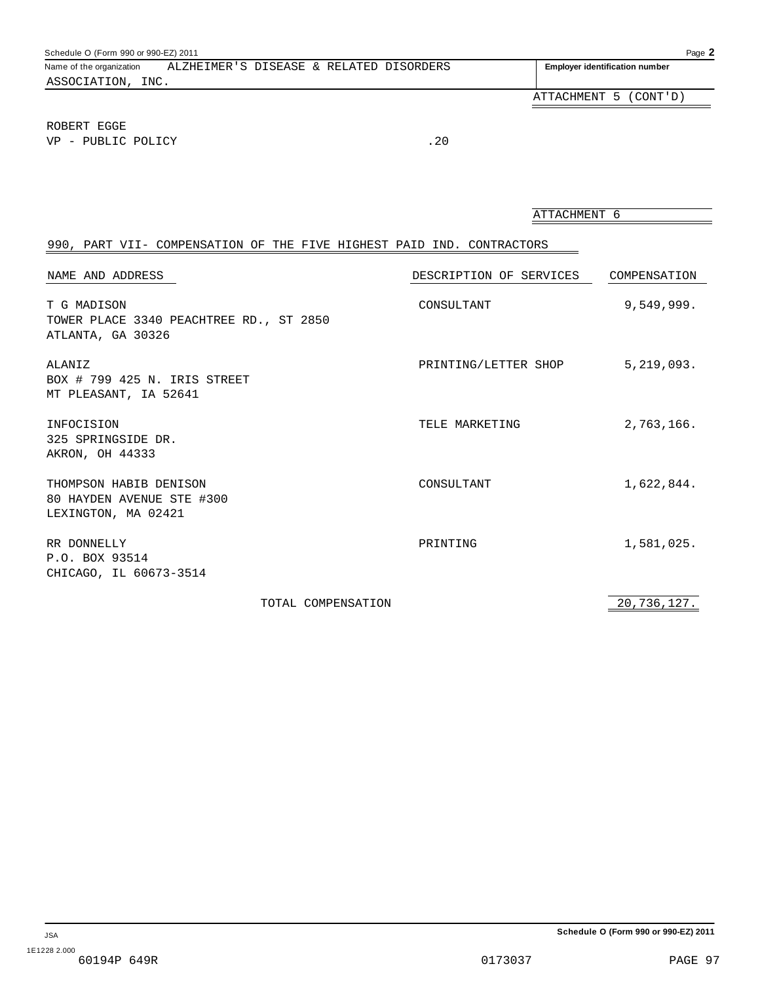| Schedule O (Form 990 or 990-EZ) 2011 |                                         |                                       | Page 2                |
|--------------------------------------|-----------------------------------------|---------------------------------------|-----------------------|
| Name of the organization             | ALZHEIMER'S DISEASE & RELATED DISORDERS | <b>Employer identification number</b> |                       |
| ASSOCIATION, INC.                    |                                         |                                       |                       |
|                                      |                                         |                                       | ATTACHMENT 5 (CONT'D) |
| ROBERT EGGE<br>VP - PUBLIC POLICY    |                                         | .20                                   |                       |

ATTACHMENT 6

## 990, PART VII- COMPENSATION OF THE FIVE HIGHEST PAID IND. CONTRACTORS

| NAME AND ADDRESS                                                            |                    | DESCRIPTION OF SERVICES | COMPENSATION |
|-----------------------------------------------------------------------------|--------------------|-------------------------|--------------|
| T G MADISON<br>TOWER PLACE 3340 PEACHTREE RD., ST 2850<br>ATLANTA, GA 30326 |                    | CONSULTANT              | 9,549,999.   |
| ALANIZ<br>BOX # 799 425 N. IRIS STREET<br>MT PLEASANT, IA 52641             |                    | PRINTING/LETTER SHOP    | 5, 219, 093. |
| INFOCISION<br>325 SPRINGSIDE DR.<br>AKRON, OH 44333                         |                    | TELE MARKETING          | 2,763,166.   |
| THOMPSON HABIB DENISON<br>80 HAYDEN AVENUE STE #300<br>LEXINGTON, MA 02421  |                    | CONSULTANT              | 1,622,844.   |
| RR DONNELLY<br>P.O. BOX 93514<br>CHICAGO, IL 60673-3514                     |                    | PRINTING                | 1,581,025.   |
|                                                                             | TOTAL COMPENSATION |                         | 20,736,127.  |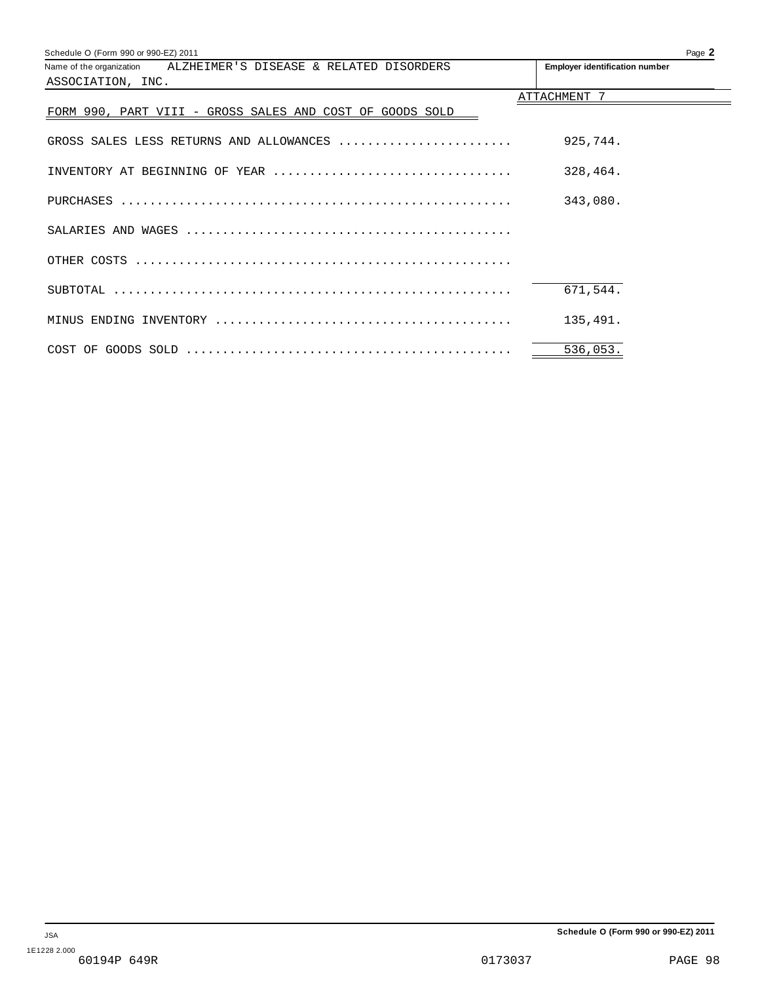| Schedule O (Form 990 or 990-EZ) 2011                             | Page 2                                |
|------------------------------------------------------------------|---------------------------------------|
| Name of the organization ALZHEIMER'S DISEASE & RELATED DISORDERS | <b>Employer identification number</b> |
| ASSOCIATION, INC.                                                |                                       |
|                                                                  | ATTACHMENT 7                          |
| FORM 990, PART VIII - GROSS SALES AND COST OF GOODS SOLD         |                                       |
|                                                                  |                                       |
| GROSS SALES LESS RETURNS AND ALLOWANCES                          | 925,744.                              |
|                                                                  |                                       |
| INVENTORY AT BEGINNING OF YEAR                                   | 328,464.                              |
|                                                                  |                                       |
|                                                                  | 343,080.                              |
|                                                                  |                                       |
|                                                                  |                                       |
|                                                                  |                                       |
|                                                                  |                                       |
|                                                                  | 671,544.                              |
|                                                                  |                                       |
|                                                                  | 135,491.                              |
|                                                                  |                                       |
|                                                                  | 536,053.                              |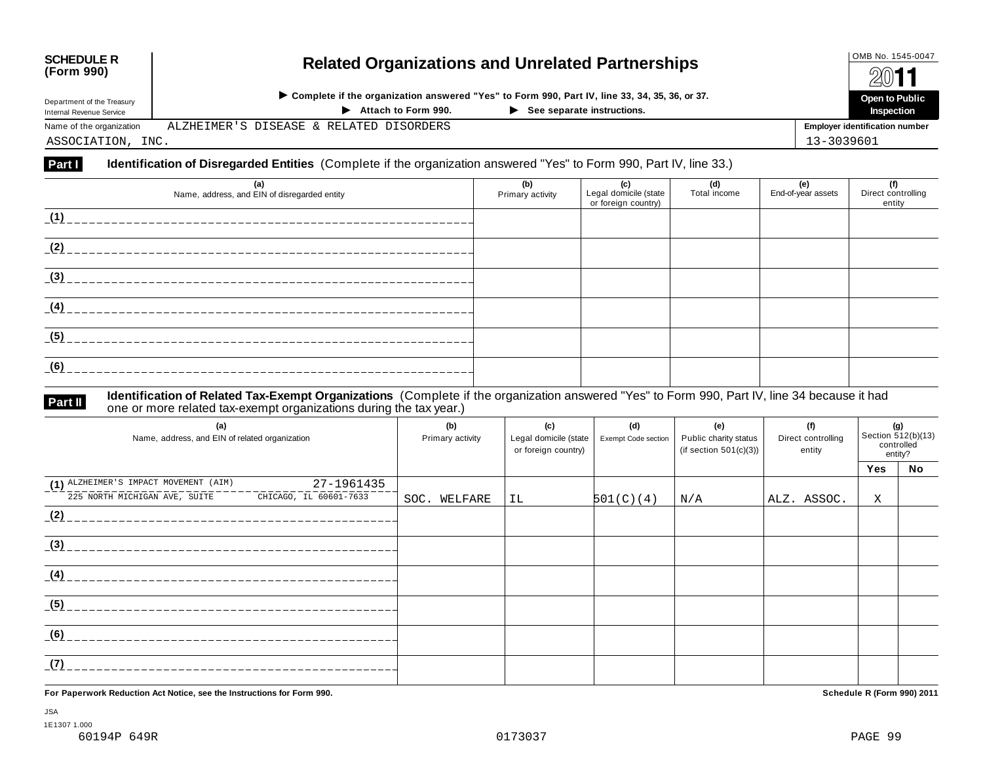# **OMB No. 1545-0047 Related Organizations and Unrelated Partnerships COMB No. 1545-0047 COMB No. 1545-0047**

|                            |                                                                                              |                            | 74Y I I                               |
|----------------------------|----------------------------------------------------------------------------------------------|----------------------------|---------------------------------------|
| Department of the Treasury | Omplete if the organization answered "Yes" to Form 990, Part IV, line 33, 34, 35, 36, or 37. | Open to Public             |                                       |
| Internal Revenue Service   | Attach to Form 990.                                                                          | See separate instructions. | Inspection                            |
| Name of the organization   | ALZHEIMER'S DISEASE & RELATED DISORDERS                                                      |                            | <b>Employer identification number</b> |
| ASSOCIATION, INC.          |                                                                                              |                            | 13-3039601                            |

#### **Part I Identification of Disregarded Entities** (Complete if the organization answered "Yes" to Form 990, Part IV, line 33.)

| (a)<br>Name, address, and EIN of disregarded entity                                                                          | (b)<br>Primary activity | (c)<br>Legal domicile (state<br>or foreign country) | (d)<br>Total income | (e)<br>End-of-year assets | (f)<br>Direct controlling<br>entity |
|------------------------------------------------------------------------------------------------------------------------------|-------------------------|-----------------------------------------------------|---------------------|---------------------------|-------------------------------------|
| (1)<br><u> 1990 - Paul La Calendario de la calendario de la calendario de la calendario de la calendario de la calendari</u> |                         |                                                     |                     |                           |                                     |
| (2)                                                                                                                          |                         |                                                     |                     |                           |                                     |
| (3)                                                                                                                          |                         |                                                     |                     |                           |                                     |
| (4)                                                                                                                          |                         |                                                     |                     |                           |                                     |
| (5)                                                                                                                          |                         |                                                     |                     |                           |                                     |
| (6)                                                                                                                          |                         |                                                     |                     |                           |                                     |

# **Part II** ldentification of Related Tax-Exempt Organizations (Complete if the organization answered "Yes" to Form 990, Part IV, line 34 because it had<br>one or more related tax-exempt organizations during the tax year.)

| (a)<br>Name, address, and EIN of related organization   | (b)<br>Primary activity | (c)<br>Legal domicile (state<br>or foreign country) | (d)<br>Exempt Code section | (e)<br>Public charity status<br>(if section $501(c)(3)$ ) | (f)<br>Direct controlling<br>entity | (g)<br>Section 512(b)(13)<br>controlled<br>entity? |    |
|---------------------------------------------------------|-------------------------|-----------------------------------------------------|----------------------------|-----------------------------------------------------------|-------------------------------------|----------------------------------------------------|----|
|                                                         |                         |                                                     |                            |                                                           |                                     | Yes                                                | No |
| (1) ALZHEIMER'S IMPACT MOVEMENT (AIM)<br>27-1961435     |                         |                                                     |                            |                                                           |                                     |                                                    |    |
| 225 NORTH MICHIGAN AVE, SUITE<br>CHICAGO, IL 60601-7633 | SOC. WELFARE            | IL                                                  | 501(C)(4)                  | N/A                                                       | ALZ. ASSOC.                         | X                                                  |    |
| (2)                                                     |                         |                                                     |                            |                                                           |                                     |                                                    |    |
| (3)                                                     |                         |                                                     |                            |                                                           |                                     |                                                    |    |
| (4)                                                     |                         |                                                     |                            |                                                           |                                     |                                                    |    |
| (5)                                                     |                         |                                                     |                            |                                                           |                                     |                                                    |    |
| (6)                                                     |                         |                                                     |                            |                                                           |                                     |                                                    |    |
| (7)                                                     |                         |                                                     |                            |                                                           |                                     |                                                    |    |

**For Paperwork Reduction Act Notice, see the Instructions for Form 990. Schedule R (Form 990) 2011**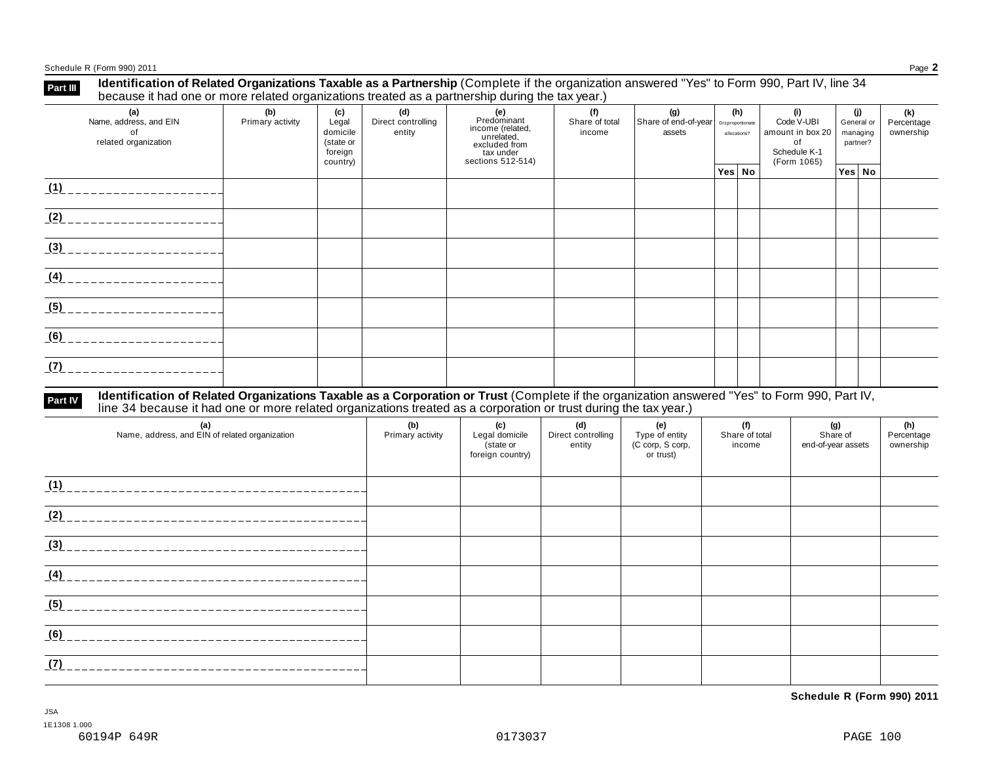Schedule R (Form 990) 2011 Page **2**

| Part III | Identification of Related Organizations Taxable as a Partnership (Complete if the organization answered "Yes" to Form 990, Part IV, line 34<br>because it had one or more related organizations treated as a partnership during the tax vear.) |     |      |                              |                    |                                          |           |     |  |
|----------|------------------------------------------------------------------------------------------------------------------------------------------------------------------------------------------------------------------------------------------------|-----|------|------------------------------|--------------------|------------------------------------------|-----------|-----|--|
|          | Alexander and device the search EDAI                                                                                                                                                                                                           | (b) | ---- | Police and a construction of | <b>Prodominant</b> | المحتمد فمالح والمحافظ المحافظة المحافظة | 0.4311101 | (j) |  |

| (a)<br>Name, address, and EIN<br>οf<br>related organization | (W)<br>Primary activity | $\mathbf{v}$<br>Legal<br>domicile<br>(state or<br>foreign<br>country) | (u)<br>Direct controlling<br>entity | Predominant<br>income (related,<br>unrelated,<br>excluded from<br>tax under<br>sections 512-514) | w<br>19)<br>vv.<br>w<br>Share of end-of-year<br>Share of total<br>Disproportionate<br>income<br>assets<br>allocations?<br>of |  | Code V-UBI<br>amount in box 20<br>Schedule K-1<br>(Form 1065) | UJ.<br>General or<br>managing<br>partner? |  | (N)<br>Percentage<br>ownership |  |
|-------------------------------------------------------------|-------------------------|-----------------------------------------------------------------------|-------------------------------------|--------------------------------------------------------------------------------------------------|------------------------------------------------------------------------------------------------------------------------------|--|---------------------------------------------------------------|-------------------------------------------|--|--------------------------------|--|
|                                                             |                         |                                                                       |                                     |                                                                                                  |                                                                                                                              |  | Yes No                                                        |                                           |  | Yes   No                       |  |
| (1)                                                         |                         |                                                                       |                                     |                                                                                                  |                                                                                                                              |  |                                                               |                                           |  |                                |  |
| (2)                                                         |                         |                                                                       |                                     |                                                                                                  |                                                                                                                              |  |                                                               |                                           |  |                                |  |
| (3)                                                         |                         |                                                                       |                                     |                                                                                                  |                                                                                                                              |  |                                                               |                                           |  |                                |  |
| (4)                                                         |                         |                                                                       |                                     |                                                                                                  |                                                                                                                              |  |                                                               |                                           |  |                                |  |
| (5)                                                         |                         |                                                                       |                                     |                                                                                                  |                                                                                                                              |  |                                                               |                                           |  |                                |  |
| (6)                                                         |                         |                                                                       |                                     |                                                                                                  |                                                                                                                              |  |                                                               |                                           |  |                                |  |
| (7)<br>----------                                           |                         |                                                                       |                                     |                                                                                                  |                                                                                                                              |  |                                                               |                                           |  |                                |  |

# Part IV Identification of Related Organizations Taxable as a Corporation or Trust (Complete if the organization answered "Yes" to Form 990, Part IV,<br>line 34 because it had one or more related organizations treated as a cor

| (a)<br>Name, address, and EIN of related organization | (b)<br>Primary activity | (c)<br>Legal domicile<br>(state or<br>foreign country) | (d)<br>Direct controlling<br>entity | (e)<br>Type of entity<br>(C corp, S corp,<br>or trust) | (f)<br>Share of total<br>income | (g)<br>Share of<br>end-of-year assets | (h)<br>Percentage<br>ownership |
|-------------------------------------------------------|-------------------------|--------------------------------------------------------|-------------------------------------|--------------------------------------------------------|---------------------------------|---------------------------------------|--------------------------------|
| (1)                                                   |                         |                                                        |                                     |                                                        |                                 |                                       |                                |
| (2)                                                   |                         |                                                        |                                     |                                                        |                                 |                                       |                                |
| (3)                                                   |                         |                                                        |                                     |                                                        |                                 |                                       |                                |
| (4)                                                   |                         |                                                        |                                     |                                                        |                                 |                                       |                                |
| (5)                                                   |                         |                                                        |                                     |                                                        |                                 |                                       |                                |
| (6)                                                   |                         |                                                        |                                     |                                                        |                                 |                                       |                                |
| (7)                                                   |                         |                                                        |                                     |                                                        |                                 |                                       |                                |

**Schedule R (Form 990) 2011**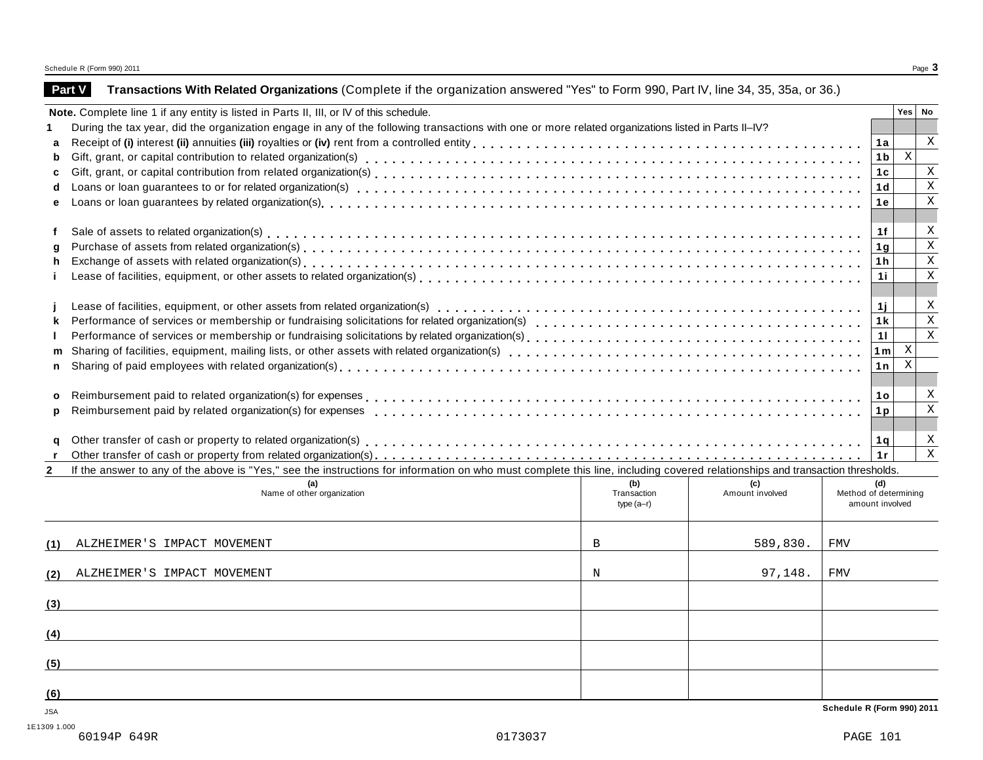## **Part V Transactions With Related Organizations** (Complete if the organization answered "Yes" to Form 990, Part IV, line 34, 35, 35a, or 36.)

|              | Note. Complete line 1 if any entity is listed in Parts II, III, or IV of this schedule.                                                                                      |                            |                        |                                          | Yes   No    |              |
|--------------|------------------------------------------------------------------------------------------------------------------------------------------------------------------------------|----------------------------|------------------------|------------------------------------------|-------------|--------------|
|              | During the tax year, did the organization engage in any of the following transactions with one or more related organizations listed in Parts II-IV?                          |                            |                        |                                          |             |              |
| a            |                                                                                                                                                                              |                            |                        | 1a                                       |             | X            |
| b            |                                                                                                                                                                              |                            |                        | 1 <sub>b</sub>                           | $\mathbf X$ |              |
| c            |                                                                                                                                                                              |                            |                        | 1 <sub>c</sub>                           |             | $\mathbf{X}$ |
| d            |                                                                                                                                                                              |                            |                        | 1d                                       |             | $\,$ X       |
| e            |                                                                                                                                                                              |                            |                        | 1е.                                      |             | $\mathbf x$  |
|              |                                                                                                                                                                              |                            |                        |                                          |             |              |
| f            |                                                                                                                                                                              |                            |                        | 1f                                       |             | X            |
| q            |                                                                                                                                                                              |                            |                        | 1g                                       |             | $\mathbf x$  |
| h            |                                                                                                                                                                              |                            |                        | 1 h                                      |             | $\mathbf{X}$ |
|              |                                                                                                                                                                              |                            |                        | 1i                                       |             | $\mathbf X$  |
|              |                                                                                                                                                                              |                            |                        |                                          |             |              |
|              |                                                                                                                                                                              |                            |                        | 1j                                       |             | X            |
| k            |                                                                                                                                                                              |                            |                        | 1 k                                      |             | $\mathbf{X}$ |
| $\mathbf{L}$ |                                                                                                                                                                              |                            |                        | 11                                       |             | $\mathbf{x}$ |
|              |                                                                                                                                                                              |                            |                        | 1 <sub>m</sub>                           | X           |              |
|              |                                                                                                                                                                              |                            |                        | 1n                                       | X           |              |
|              |                                                                                                                                                                              |                            |                        |                                          |             |              |
|              |                                                                                                                                                                              |                            |                        | 1o                                       |             | X            |
| p            | Reimbursement paid by related organization(s) for expenses                                                                                                                   |                            |                        | 1 <sub>p</sub>                           |             | $\mathbf x$  |
|              |                                                                                                                                                                              |                            |                        |                                          |             |              |
| q            |                                                                                                                                                                              |                            |                        | 1 q                                      |             | X            |
|              |                                                                                                                                                                              |                            |                        | 1r                                       |             | $\mathbf{X}$ |
| $\mathbf{2}$ | If the answer to any of the above is "Yes," see the instructions for information on who must complete this line, including covered relationships and transaction thresholds. |                            |                        |                                          |             |              |
|              | (a)                                                                                                                                                                          | (b)                        | (c)                    | (d)                                      |             |              |
|              | Name of other organization                                                                                                                                                   | Transaction<br>$type(a-r)$ | Amount involved        | Method of determining<br>amount involved |             |              |
|              |                                                                                                                                                                              |                            |                        |                                          |             |              |
|              |                                                                                                                                                                              |                            |                        |                                          |             |              |
| (1)          | ALZHEIMER'S IMPACT MOVEMENT                                                                                                                                                  | $\mathbf{B}$               | 589,830.<br><b>FMV</b> |                                          |             |              |
|              |                                                                                                                                                                              |                            |                        |                                          |             |              |
| (2)          | ALZHEIMER'S IMPACT MOVEMENT                                                                                                                                                  | $_{\rm N}$                 | 97,148.<br><b>FMV</b>  |                                          |             |              |
|              |                                                                                                                                                                              |                            |                        |                                          |             |              |
| (3)          |                                                                                                                                                                              |                            |                        |                                          |             |              |
|              |                                                                                                                                                                              |                            |                        |                                          |             |              |
| (4)          |                                                                                                                                                                              |                            |                        |                                          |             |              |
|              |                                                                                                                                                                              |                            |                        |                                          |             |              |
| (5)          |                                                                                                                                                                              |                            |                        |                                          |             |              |
|              |                                                                                                                                                                              |                            |                        |                                          |             |              |
| (6)          |                                                                                                                                                                              |                            |                        |                                          |             |              |
| <b>JSA</b>   |                                                                                                                                                                              |                            |                        | Schedule R (Form 990) 2011               |             |              |

1E1309 1.000<br>60194P 649R 60194P 649R 0173037 PAGE 101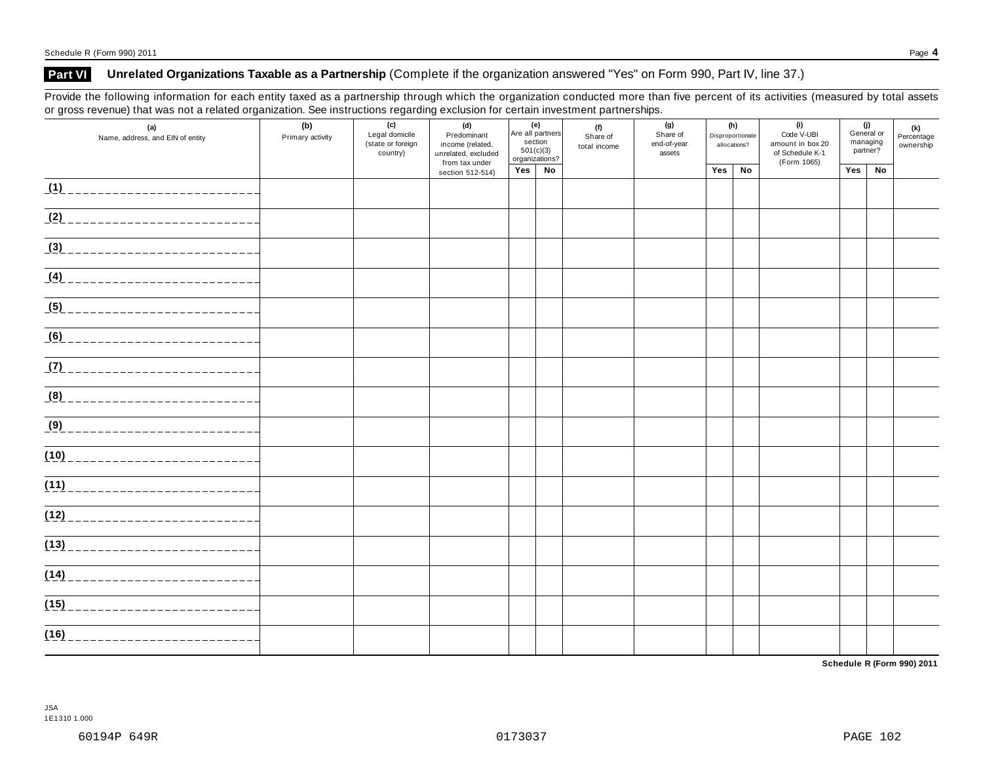## **Part VI Unrelated Organizations Taxable as a Partnership** (Complete if the organization answered "Yes" on Form 990, Part IV, line 37.)

Provide the following information for each entity taxed as a partnership through which the organization conducted more than five percent of its activities (measured by total assets or gross revenue) that was not a related organization. See instructions regarding exclusion for certain investment partnerships.

| (a)<br>Name, address, and EIN of entity | (c)<br>(b)<br>Legal domicile<br>Primary activity<br>(state or foreign<br>country) |  | (d)<br>Predominant<br>income (related,<br>unrelated, excluded<br>from tax under | (e)<br>Are all partners<br>section<br>501(c)(3)<br>organizations? |               | (f)<br>Share of<br>total income | (g)<br>Share of<br>end-of-year<br>assets | (h)<br>Disproportionate<br>allocations? |    | (i)<br>Code V-UBI<br>amount in box 20<br>of Schedule K-1<br>(Form 1065) | (j)<br>General or<br>managing<br>partner? |    | (k)<br>Percentage<br>ownership |
|-----------------------------------------|-----------------------------------------------------------------------------------|--|---------------------------------------------------------------------------------|-------------------------------------------------------------------|---------------|---------------------------------|------------------------------------------|-----------------------------------------|----|-------------------------------------------------------------------------|-------------------------------------------|----|--------------------------------|
|                                         |                                                                                   |  | section 512-514)                                                                |                                                                   | $Yes \mid No$ |                                 |                                          | Yes                                     | No |                                                                         | Yes                                       | No |                                |
| (1)                                     |                                                                                   |  |                                                                                 |                                                                   |               |                                 |                                          |                                         |    |                                                                         |                                           |    |                                |
| $(2)$ ______________________            |                                                                                   |  |                                                                                 |                                                                   |               |                                 |                                          |                                         |    |                                                                         |                                           |    |                                |
| (3)                                     |                                                                                   |  |                                                                                 |                                                                   |               |                                 |                                          |                                         |    |                                                                         |                                           |    |                                |
| <u>(4) ________________________</u>     |                                                                                   |  |                                                                                 |                                                                   |               |                                 |                                          |                                         |    |                                                                         |                                           |    |                                |
| (5)                                     |                                                                                   |  |                                                                                 |                                                                   |               |                                 |                                          |                                         |    |                                                                         |                                           |    |                                |
|                                         |                                                                                   |  |                                                                                 |                                                                   |               |                                 |                                          |                                         |    |                                                                         |                                           |    |                                |
| (7)                                     |                                                                                   |  |                                                                                 |                                                                   |               |                                 |                                          |                                         |    |                                                                         |                                           |    |                                |
| (8) ____________________________        |                                                                                   |  |                                                                                 |                                                                   |               |                                 |                                          |                                         |    |                                                                         |                                           |    |                                |
| (9)                                     |                                                                                   |  |                                                                                 |                                                                   |               |                                 |                                          |                                         |    |                                                                         |                                           |    |                                |
| (10)                                    |                                                                                   |  |                                                                                 |                                                                   |               |                                 |                                          |                                         |    |                                                                         |                                           |    |                                |
| (11)                                    |                                                                                   |  |                                                                                 |                                                                   |               |                                 |                                          |                                         |    |                                                                         |                                           |    |                                |
| (12)                                    |                                                                                   |  |                                                                                 |                                                                   |               |                                 |                                          |                                         |    |                                                                         |                                           |    |                                |
| (13)                                    |                                                                                   |  |                                                                                 |                                                                   |               |                                 |                                          |                                         |    |                                                                         |                                           |    |                                |
| (14)                                    |                                                                                   |  |                                                                                 |                                                                   |               |                                 |                                          |                                         |    |                                                                         |                                           |    |                                |
| (15)<br>___________________             |                                                                                   |  |                                                                                 |                                                                   |               |                                 |                                          |                                         |    |                                                                         |                                           |    |                                |
| (16)<br>__________________              |                                                                                   |  |                                                                                 |                                                                   |               |                                 |                                          |                                         |    |                                                                         |                                           |    |                                |

**Schedule R (Form 990) 2011**